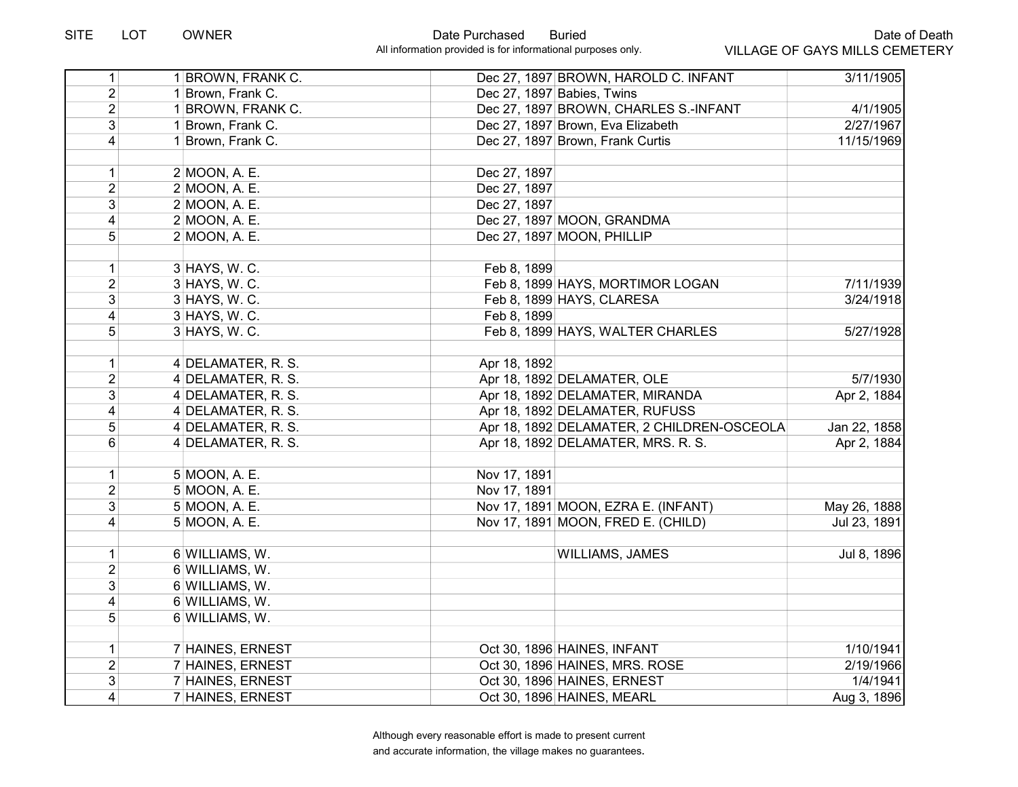| 1                       | 1 BROWN, FRANK C.  | Dec 27, 1897 BROWN, HAROLD C. INFANT       | 3/11/1905    |
|-------------------------|--------------------|--------------------------------------------|--------------|
| $\overline{2}$          | 1 Brown, Frank C.  | Dec 27, 1897 Babies, Twins                 |              |
| $\overline{2}$          | 1 BROWN, FRANK C.  | Dec 27, 1897 BROWN, CHARLES S.-INFANT      | 4/1/1905     |
| 3 <sup>1</sup>          | 1 Brown, Frank C.  | Dec 27, 1897 Brown, Eva Elizabeth          | 2/27/1967    |
| $\overline{4}$          | 1 Brown, Frank C.  | Dec 27, 1897 Brown, Frank Curtis           | 11/15/1969   |
|                         |                    |                                            |              |
| 1                       | 2 MOON, A. E.      | Dec 27, 1897                               |              |
| $\overline{2}$          | 2 MOON, A. E.      | Dec 27, 1897                               |              |
| 3 <sup>1</sup>          | 2 MOON, A. E.      | Dec 27, 1897                               |              |
| $\overline{4}$          | 2 MOON, A. E.      | Dec 27, 1897 MOON, GRANDMA                 |              |
| 5 <sup>1</sup>          | 2 MOON, A. E.      | Dec 27, 1897 MOON, PHILLIP                 |              |
| $\mathbf{1}$            | $3$ HAYS, W. C.    | Feb 8, 1899                                |              |
| $\overline{2}$          | $3$ HAYS, W. C.    | Feb 8, 1899 HAYS, MORTIMOR LOGAN           | 7/11/1939    |
| $\overline{3}$          | $3$ HAYS, W. C.    |                                            | 3/24/1918    |
| $\overline{\mathbf{4}}$ |                    | Feb 8, 1899 HAYS, CLARESA<br>Feb 8, 1899   |              |
|                         | $3$ HAYS, W. C.    |                                            |              |
| 5 <sup>1</sup>          | 3 HAYS, W. C.      | Feb 8, 1899 HAYS, WALTER CHARLES           | 5/27/1928    |
| $\mathbf{1}$            | 4 DELAMATER, R. S. | Apr 18, 1892                               |              |
| $\overline{2}$          | 4 DELAMATER, R. S. | Apr 18, 1892 DELAMATER, OLE                | 5/7/1930     |
| 3 <sup>1</sup>          | 4 DELAMATER, R. S. | Apr 18, 1892 DELAMATER, MIRANDA            | Apr 2, 1884  |
| $\vert 4 \vert$         | 4 DELAMATER, R. S. | Apr 18, 1892 DELAMATER, RUFUSS             |              |
| 5                       | 4 DELAMATER, R. S. | Apr 18, 1892 DELAMATER, 2 CHILDREN-OSCEOLA | Jan 22, 1858 |
| 6 <sup>1</sup>          | 4 DELAMATER, R. S. | Apr 18, 1892 DELAMATER, MRS. R. S.         | Apr 2, 1884  |
|                         |                    |                                            |              |
| $\mathbf{1}$            | 5 MOON, A. E.      | Nov 17, 1891                               |              |
| $\overline{2}$          | 5 MOON, A. E.      | Nov 17, 1891                               |              |
| 3 <sup>1</sup>          | 5 MOON, A. E.      | Nov 17, 1891 MOON, EZRA E. (INFANT)        | May 26, 1888 |
| $\overline{4}$          | 5 MOON, A. E.      | Nov 17, 1891 MOON, FRED E. (CHILD)         | Jul 23, 1891 |
| 1                       | 6 WILLIAMS, W.     | <b>WILLIAMS, JAMES</b>                     | Jul 8, 1896  |
| $\overline{2}$          | 6 WILLIAMS, W.     |                                            |              |
| 3 <sup>1</sup>          | 6 WILLIAMS, W.     |                                            |              |
| 4                       | 6 WILLIAMS, W.     |                                            |              |
| 5 <sup>1</sup>          | 6 WILLIAMS, W.     |                                            |              |
|                         |                    |                                            |              |
| $\mathbf{1}$            | 7 HAINES, ERNEST   | Oct 30, 1896 HAINES, INFANT                | 1/10/1941    |
| $\overline{2}$          | 7 HAINES, ERNEST   | Oct 30, 1896 HAINES, MRS. ROSE             | 2/19/1966    |
| 3 <sup>1</sup>          | 7 HAINES, ERNEST   | Oct 30, 1896 HAINES, ERNEST                | 1/4/1941     |
| $\vert 4 \vert$         | 7 HAINES, ERNEST   | Oct 30, 1896 HAINES, MEARL                 | Aug 3, 1896  |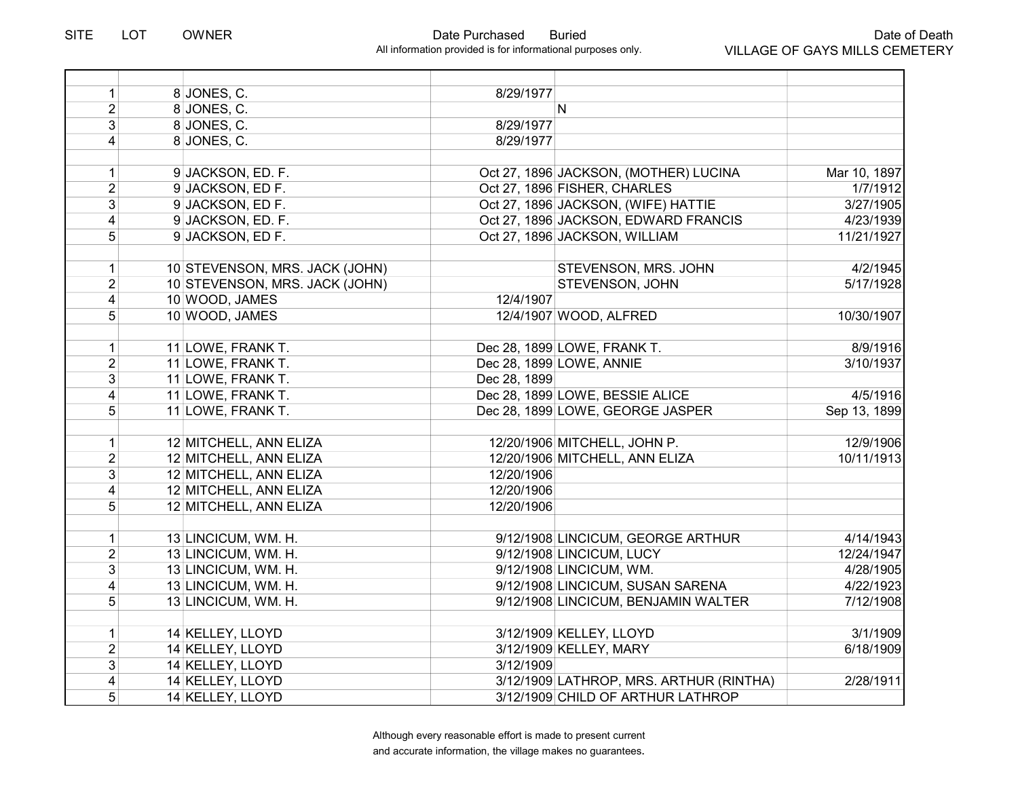| $\mathbf{1}$    | 8 JONES, C.                    | 8/29/1977    |                                         |              |
|-----------------|--------------------------------|--------------|-----------------------------------------|--------------|
| $\overline{2}$  | 8 JONES, C.                    |              | N.                                      |              |
| $\overline{3}$  | 8 JONES, C.                    | 8/29/1977    |                                         |              |
| $\overline{4}$  | 8 JONES, C.                    | 8/29/1977    |                                         |              |
|                 |                                |              |                                         |              |
| 1               | 9 JACKSON, ED. F.              |              | Oct 27, 1896 JACKSON, (MOTHER) LUCINA   | Mar 10, 1897 |
| $\overline{2}$  | 9 JACKSON, ED F.               |              | Oct 27, 1896 FISHER, CHARLES            | 1/7/1912     |
| $\mathfrak{B}$  | 9 JACKSON, ED F.               |              | Oct 27, 1896 JACKSON, (WIFE) HATTIE     | 3/27/1905    |
| $\overline{4}$  | 9 JACKSON, ED. F.              |              | Oct 27, 1896 JACKSON, EDWARD FRANCIS    | 4/23/1939    |
| 5               | 9 JACKSON, ED F.               |              | Oct 27, 1896 JACKSON, WILLIAM           | 11/21/1927   |
|                 |                                |              |                                         |              |
| $\mathbf{1}$    | 10 STEVENSON, MRS. JACK (JOHN) |              | STEVENSON, MRS. JOHN                    | 4/2/1945     |
| $\overline{2}$  | 10 STEVENSON, MRS. JACK (JOHN) |              | STEVENSON, JOHN                         | 5/17/1928    |
| $\vert 4 \vert$ | 10 WOOD, JAMES                 | 12/4/1907    |                                         |              |
| 5               | 10 WOOD, JAMES                 |              | 12/4/1907 WOOD, ALFRED                  | 10/30/1907   |
|                 |                                |              |                                         |              |
| $\mathbf{1}$    | 11 LOWE, FRANK T.              |              | Dec 28, 1899 LOWE, FRANK T.             | 8/9/1916     |
| $\overline{2}$  | 11 LOWE, FRANK T.              |              | Dec 28, 1899 LOWE, ANNIE                | 3/10/1937    |
| $\overline{3}$  | 11 LOWE, FRANK T.              | Dec 28, 1899 |                                         |              |
| $\overline{4}$  | 11 LOWE, FRANK T.              |              | Dec 28, 1899 LOWE, BESSIE ALICE         | 4/5/1916     |
| 5               | 11 LOWE, FRANK T.              |              | Dec 28, 1899 LOWE, GEORGE JASPER        | Sep 13, 1899 |
|                 |                                |              |                                         |              |
| $\mathbf{1}$    | 12 MITCHELL, ANN ELIZA         |              | 12/20/1906 MITCHELL, JOHN P.            | 12/9/1906    |
| $\overline{2}$  | 12 MITCHELL, ANN ELIZA         |              | 12/20/1906 MITCHELL, ANN ELIZA          | 10/11/1913   |
| 3               | 12 MITCHELL, ANN ELIZA         | 12/20/1906   |                                         |              |
| $\overline{4}$  | 12 MITCHELL, ANN ELIZA         | 12/20/1906   |                                         |              |
| $\overline{5}$  | 12 MITCHELL, ANN ELIZA         | 12/20/1906   |                                         |              |
|                 |                                |              |                                         |              |
| 1               | 13 LINCICUM, WM. H.            |              | 9/12/1908 LINCICUM, GEORGE ARTHUR       | 4/14/1943    |
| $\overline{2}$  | 13 LINCICUM, WM. H.            |              | 9/12/1908 LINCICUM, LUCY                | 12/24/1947   |
| $\overline{3}$  | 13 LINCICUM, WM. H.            |              | 9/12/1908 LINCICUM, WM.                 | 4/28/1905    |
| $\vert 4 \vert$ | 13 LINCICUM, WM. H.            |              | 9/12/1908 LINCICUM, SUSAN SARENA        | 4/22/1923    |
| 5               | 13 LINCICUM, WM. H.            |              | 9/12/1908 LINCICUM, BENJAMIN WALTER     | 7/12/1908    |
|                 |                                |              |                                         |              |
| $\mathbf{1}$    | 14 KELLEY, LLOYD               |              | 3/12/1909 KELLEY, LLOYD                 | 3/1/1909     |
| $\overline{2}$  | 14 KELLEY, LLOYD               |              | 3/12/1909 KELLEY, MARY                  | 6/18/1909    |
| $\overline{3}$  | 14 KELLEY, LLOYD               | 3/12/1909    |                                         |              |
| $\overline{4}$  | 14 KELLEY, LLOYD               |              | 3/12/1909 LATHROP, MRS. ARTHUR (RINTHA) | 2/28/1911    |
| 5 <sup>1</sup>  | 14 KELLEY, LLOYD               |              | 3/12/1909 CHILD OF ARTHUR LATHROP       |              |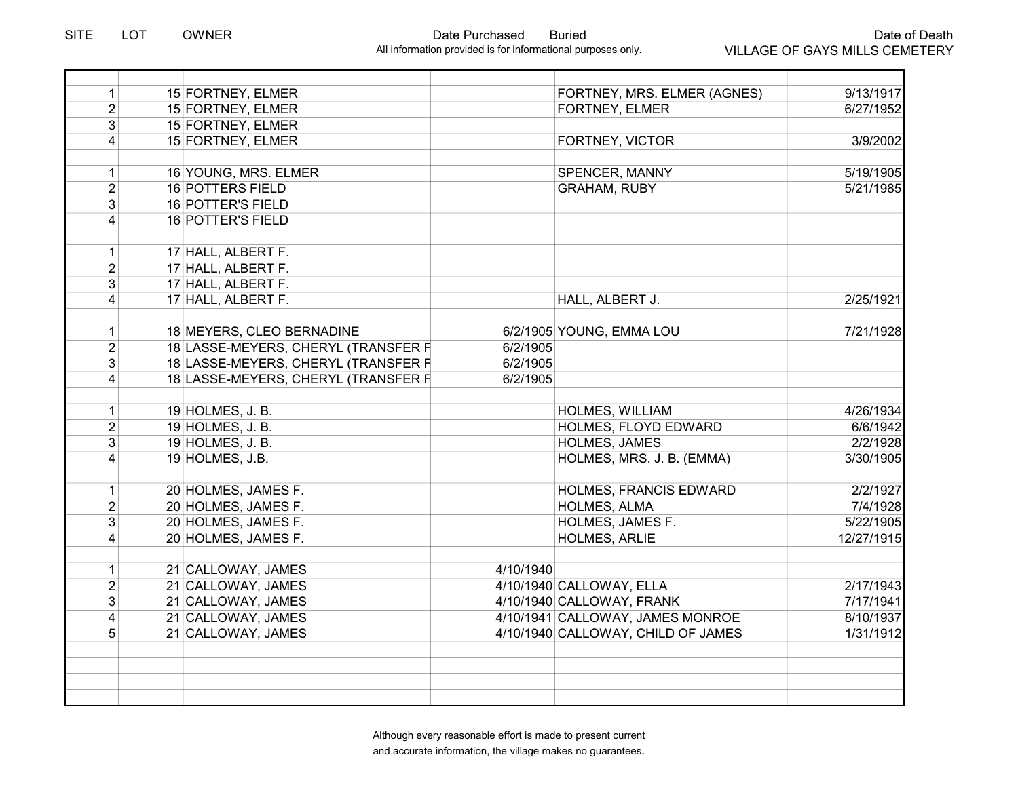| 1                       | 15 FORTNEY, ELMER                   |           | FORTNEY, MRS. ELMER (AGNES)        | 9/13/1917              |
|-------------------------|-------------------------------------|-----------|------------------------------------|------------------------|
| $\overline{2}$          | 15 FORTNEY, ELMER                   |           | <b>FORTNEY, ELMER</b>              | 6/27/1952              |
| $\overline{3}$          | 15 FORTNEY, ELMER                   |           |                                    |                        |
| $\overline{4}$          | 15 FORTNEY, ELMER                   |           | <b>FORTNEY, VICTOR</b>             | 3/9/2002               |
|                         |                                     |           |                                    |                        |
| 1                       | 16 YOUNG, MRS. ELMER                |           | SPENCER, MANNY                     | 5/19/1905              |
| $\overline{2}$          | <b>16 POTTERS FIELD</b>             |           | <b>GRAHAM, RUBY</b>                | 5/21/1985              |
| 3                       | <b>16 POTTER'S FIELD</b>            |           |                                    |                        |
| 4                       | 16 POTTER'S FIELD                   |           |                                    |                        |
|                         |                                     |           |                                    |                        |
| $\mathbf{1}$            | 17 HALL, ALBERT F.                  |           |                                    |                        |
| $\overline{2}$          | 17 HALL, ALBERT F.                  |           |                                    |                        |
| $\overline{3}$          | 17 HALL, ALBERT F.                  |           |                                    |                        |
| 4                       | 17 HALL, ALBERT F.                  |           | HALL, ALBERT J.                    | 2/25/1921              |
|                         |                                     |           |                                    |                        |
| $\mathbf{1}$            | 18 MEYERS, CLEO BERNADINE           |           | 6/2/1905 YOUNG, EMMA LOU           | 7/21/1928              |
| $\overline{2}$          | 18 LASSE-MEYERS, CHERYL (TRANSFER F | 6/2/1905  |                                    |                        |
| 3 <sup>1</sup>          | 18 LASSE-MEYERS, CHERYL (TRANSFER F | 6/2/1905  |                                    |                        |
| $\overline{4}$          | 18 LASSE-MEYERS, CHERYL (TRANSFER F | 6/2/1905  |                                    |                        |
|                         |                                     |           |                                    |                        |
| 1                       | 19 HOLMES, J. B.                    |           | <b>HOLMES, WILLIAM</b>             | 4/26/1934              |
| $\overline{2}$          | 19 HOLMES, J. B.                    |           | HOLMES, FLOYD EDWARD               | 6/6/1942               |
| 3                       | 19 HOLMES, J. B.                    |           | HOLMES, JAMES                      | 2/2/1928               |
| 4                       | 19 HOLMES, J.B.                     |           | HOLMES, MRS. J. B. (EMMA)          | 3/30/1905              |
|                         |                                     |           |                                    |                        |
| 1                       | 20 HOLMES, JAMES F.                 |           | HOLMES, FRANCIS EDWARD             | 2/2/1927               |
| $\overline{2}$          | 20 HOLMES, JAMES F.                 |           | HOLMES, ALMA                       | 7/4/1928               |
| $\overline{3}$          | 20 HOLMES, JAMES F.                 |           | HOLMES, JAMES F.                   | $\overline{5/22/1905}$ |
| $\overline{4}$          | 20 HOLMES, JAMES F.                 |           | <b>HOLMES, ARLIE</b>               | 12/27/1915             |
|                         |                                     |           |                                    |                        |
| 1                       | 21 CALLOWAY, JAMES                  | 4/10/1940 |                                    |                        |
| $\overline{2}$          | 21 CALLOWAY, JAMES                  |           | 4/10/1940 CALLOWAY, ELLA           | 2/17/1943              |
| 3                       | 21 CALLOWAY, JAMES                  |           | 4/10/1940 CALLOWAY, FRANK          | 7/17/1941              |
| $\overline{\mathbf{4}}$ | 21 CALLOWAY, JAMES                  |           | 4/10/1941 CALLOWAY, JAMES MONROE   | 8/10/1937              |
| $\overline{5}$          | 21 CALLOWAY, JAMES                  |           | 4/10/1940 CALLOWAY, CHILD OF JAMES | 1/31/1912              |
|                         |                                     |           |                                    |                        |
|                         |                                     |           |                                    |                        |
|                         |                                     |           |                                    |                        |
|                         |                                     |           |                                    |                        |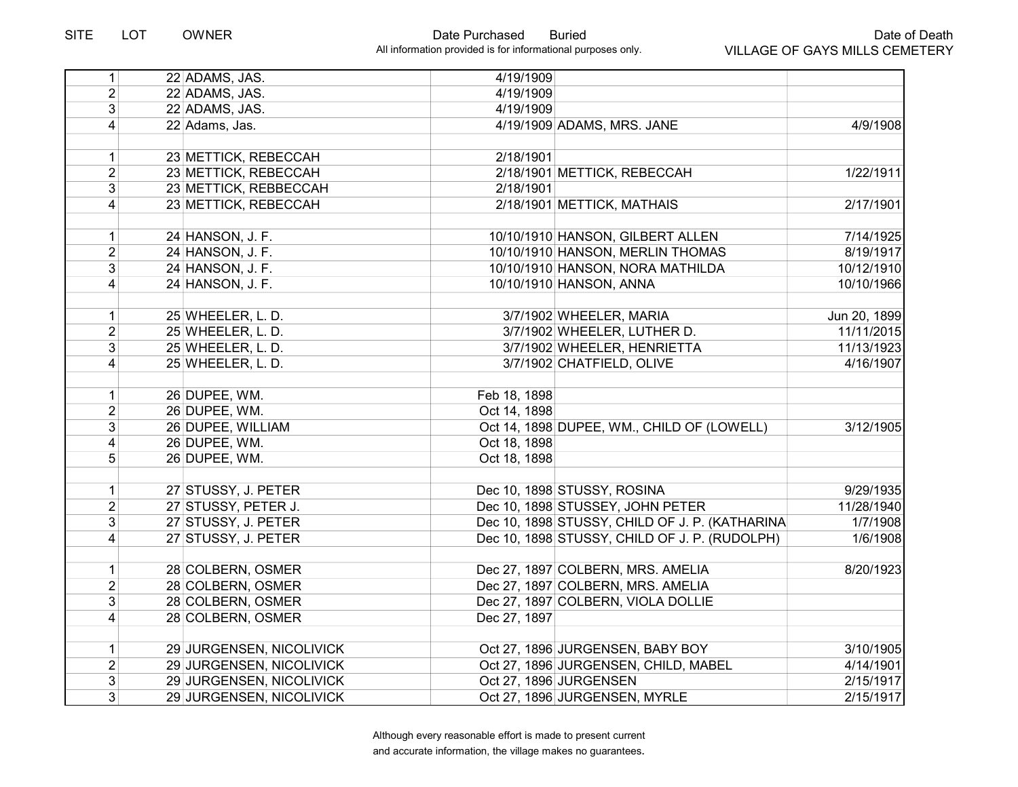| 1              | 22 ADAMS, JAS.           | 4/19/1909    |                                                |              |
|----------------|--------------------------|--------------|------------------------------------------------|--------------|
| $\overline{2}$ | 22 ADAMS, JAS.           | 4/19/1909    |                                                |              |
| 3 <sup>1</sup> | 22 ADAMS, JAS.           | 4/19/1909    |                                                |              |
| 4              | 22 Adams, Jas.           |              | 4/19/1909 ADAMS, MRS. JANE                     | 4/9/1908     |
| 1              | 23 METTICK, REBECCAH     | 2/18/1901    |                                                |              |
| $\overline{2}$ | 23 METTICK, REBECCAH     |              | 2/18/1901 METTICK, REBECCAH                    | 1/22/1911    |
| $\overline{3}$ | 23 METTICK, REBBECCAH    | 2/18/1901    |                                                |              |
| $\overline{4}$ | 23 METTICK, REBECCAH     |              | 2/18/1901 METTICK, MATHAIS                     | 2/17/1901    |
| $\mathbf{1}$   | 24 HANSON, J. F.         |              | 10/10/1910 HANSON, GILBERT ALLEN               | 7/14/1925    |
| $\overline{2}$ | 24 HANSON, J. F.         |              | 10/10/1910 HANSON, MERLIN THOMAS               | 8/19/1917    |
| 3              | 24 HANSON, J. F.         |              | 10/10/1910 HANSON, NORA MATHILDA               | 10/12/1910   |
| 4              | 24 HANSON, J. F.         |              | 10/10/1910 HANSON, ANNA                        | 10/10/1966   |
| 1              | 25 WHEELER, L. D.        |              | 3/7/1902 WHEELER, MARIA                        | Jun 20, 1899 |
| $\overline{2}$ | 25 WHEELER, L. D.        |              | 3/7/1902 WHEELER, LUTHER D.                    | 11/11/2015   |
| 3              | 25 WHEELER, L. D.        |              | 3/7/1902 WHEELER, HENRIETTA                    | 11/13/1923   |
| 4              | 25 WHEELER, L. D.        |              | 3/7/1902 CHATFIELD, OLIVE                      | 4/16/1907    |
| 1              | 26 DUPEE, WM.            | Feb 18, 1898 |                                                |              |
| $\overline{2}$ | 26 DUPEE, WM.            | Oct 14, 1898 |                                                |              |
| 3              | 26 DUPEE, WILLIAM        |              | Oct 14, 1898 DUPEE, WM., CHILD OF (LOWELL)     | 3/12/1905    |
| $\overline{4}$ | 26 DUPEE, WM.            | Oct 18, 1898 |                                                |              |
| 5              | 26 DUPEE, WM.            | Oct 18, 1898 |                                                |              |
| 1              | 27 STUSSY, J. PETER      |              | Dec 10, 1898 STUSSY, ROSINA                    | 9/29/1935    |
| $\overline{2}$ | 27 STUSSY, PETER J.      |              | Dec 10, 1898 STUSSEY, JOHN PETER               | 11/28/1940   |
| $\overline{3}$ | 27 STUSSY, J. PETER      |              | Dec 10, 1898 STUSSY, CHILD OF J. P. (KATHARINA | 1/7/1908     |
| $\overline{4}$ | 27 STUSSY, J. PETER      |              | Dec 10, 1898 STUSSY, CHILD OF J. P. (RUDOLPH)  | 1/6/1908     |
| $\mathbf{1}$   | 28 COLBERN, OSMER        |              | Dec 27, 1897 COLBERN, MRS. AMELIA              | 8/20/1923    |
| $\overline{2}$ | 28 COLBERN, OSMER        |              | Dec 27, 1897 COLBERN, MRS. AMELIA              |              |
| 3              | 28 COLBERN, OSMER        |              | Dec 27, 1897 COLBERN, VIOLA DOLLIE             |              |
| 4              | 28 COLBERN, OSMER        | Dec 27, 1897 |                                                |              |
| 1              | 29 JURGENSEN, NICOLIVICK |              | Oct 27, 1896 JURGENSEN, BABY BOY               | 3/10/1905    |
| $\overline{2}$ | 29 JURGENSEN, NICOLIVICK |              | Oct 27, 1896 JURGENSEN, CHILD, MABEL           | 4/14/1901    |
| 3              | 29 JURGENSEN, NICOLIVICK |              | Oct 27, 1896 JURGENSEN                         | 2/15/1917    |
| $\overline{3}$ | 29 JURGENSEN, NICOLIVICK |              | Oct 27, 1896 JURGENSEN, MYRLE                  | 2/15/1917    |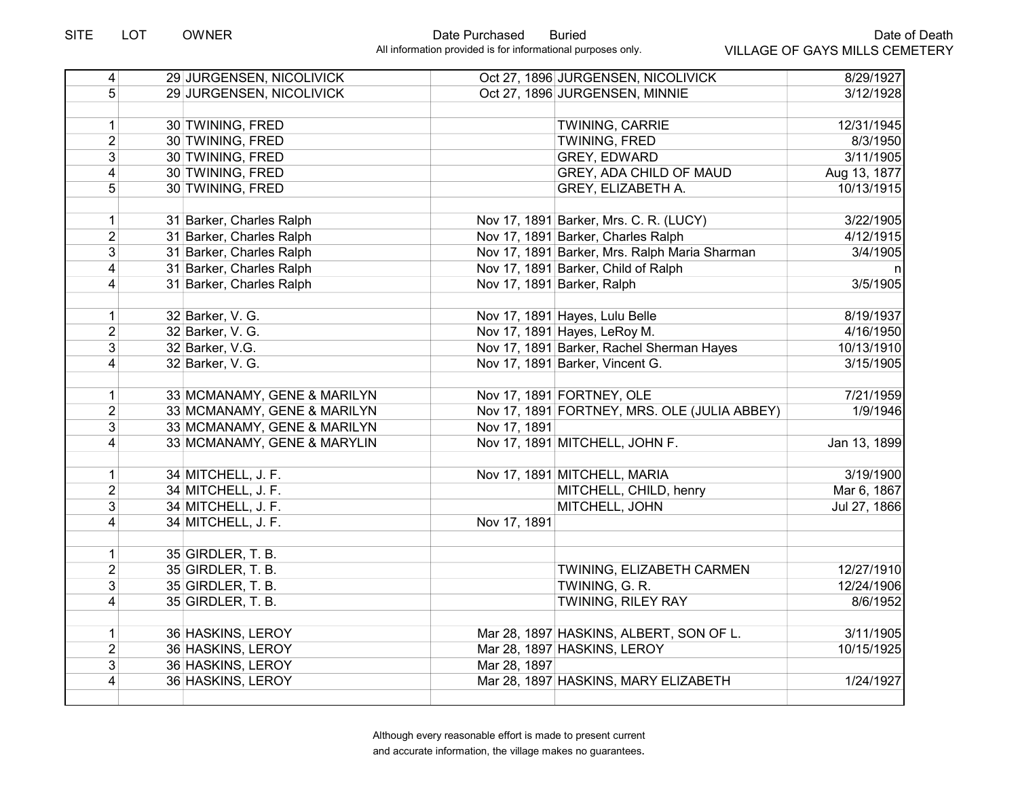| $\overline{4}$          | 29 JURGENSEN, NICOLIVICK    |              | Oct 27, 1896 JURGENSEN, NICOLIVICK            | 8/29/1927    |
|-------------------------|-----------------------------|--------------|-----------------------------------------------|--------------|
| 5                       | 29 JURGENSEN, NICOLIVICK    |              | Oct 27, 1896 JURGENSEN, MINNIE                | 3/12/1928    |
|                         |                             |              |                                               |              |
| 1                       | 30 TWINING, FRED            |              | TWINING, CARRIE                               | 12/31/1945   |
| $\overline{2}$          | 30 TWINING, FRED            |              | <b>TWINING, FRED</b>                          | 8/3/1950     |
| $\overline{3}$          | 30 TWINING, FRED            |              | <b>GREY, EDWARD</b>                           | 3/11/1905    |
| $\overline{\mathbf{4}}$ | 30 TWINING, FRED            |              | GREY, ADA CHILD OF MAUD                       | Aug 13, 1877 |
| 5                       | 30 TWINING, FRED            |              | GREY, ELIZABETH A.                            | 10/13/1915   |
|                         |                             |              |                                               |              |
| $\mathbf{1}$            | 31 Barker, Charles Ralph    |              | Nov 17, 1891 Barker, Mrs. C. R. (LUCY)        | 3/22/1905    |
| $\overline{2}$          | 31 Barker, Charles Ralph    |              | Nov 17, 1891 Barker, Charles Ralph            | 4/12/1915    |
| $\overline{3}$          | 31 Barker, Charles Ralph    |              | Nov 17, 1891 Barker, Mrs. Ralph Maria Sharman | 3/4/1905     |
| 4                       | 31 Barker, Charles Ralph    |              | Nov 17, 1891 Barker, Child of Ralph           |              |
| 4                       | 31 Barker, Charles Ralph    |              | Nov 17, 1891 Barker, Ralph                    | 3/5/1905     |
|                         |                             |              |                                               |              |
| $\mathbf{1}$            | 32 Barker, V. G.            |              | Nov 17, 1891 Hayes, Lulu Belle                | 8/19/1937    |
| $\overline{2}$          | 32 Barker, V. G.            |              | Nov 17, 1891 Hayes, LeRoy M.                  | 4/16/1950    |
| $\overline{3}$          | 32 Barker, V.G.             |              | Nov 17, 1891 Barker, Rachel Sherman Hayes     | 10/13/1910   |
| 4                       | 32 Barker, V. G.            |              | Nov 17, 1891 Barker, Vincent G.               | 3/15/1905    |
|                         |                             |              |                                               |              |
| $\mathbf{1}$            | 33 MCMANAMY, GENE & MARILYN |              | Nov 17, 1891 FORTNEY, OLE                     | 7/21/1959    |
| $\overline{2}$          | 33 MCMANAMY, GENE & MARILYN |              | Nov 17, 1891 FORTNEY, MRS. OLE (JULIA ABBEY)  | 1/9/1946     |
| $\overline{3}$          | 33 MCMANAMY, GENE & MARILYN | Nov 17, 1891 |                                               |              |
| $\overline{4}$          | 33 MCMANAMY, GENE & MARYLIN |              | Nov 17, 1891 MITCHELL, JOHN F.                | Jan 13, 1899 |
|                         |                             |              |                                               |              |
| 1 <sup>1</sup>          | 34 MITCHELL, J. F.          |              | Nov 17, 1891 MITCHELL, MARIA                  | 3/19/1900    |
| $\overline{2}$          | 34 MITCHELL, J. F.          |              | MITCHELL, CHILD, henry                        | Mar 6, 1867  |
| $\overline{3}$          | 34 MITCHELL, J. F.          |              | MITCHELL, JOHN                                | Jul 27, 1866 |
| 4                       | 34 MITCHELL, J. F.          | Nov 17, 1891 |                                               |              |
|                         |                             |              |                                               |              |
| $\mathbf{1}$            | $35$ GIRDLER, T. B.         |              |                                               |              |
| $\overline{2}$          | 35 GIRDLER, T. B.           |              | TWINING, ELIZABETH CARMEN                     | 12/27/1910   |
| $\overline{3}$          | 35 GIRDLER, T. B.           |              | TWINING, G. R.                                | 12/24/1906   |
| 4                       | 35 GIRDLER, T. B.           |              | <b>TWINING, RILEY RAY</b>                     | 8/6/1952     |
|                         |                             |              |                                               |              |
| $\mathbf 1$             | 36 HASKINS, LEROY           |              | Mar 28, 1897 HASKINS, ALBERT, SON OF L.       | 3/11/1905    |
| $\overline{2}$          | 36 HASKINS, LEROY           |              | Mar 28, 1897 HASKINS, LEROY                   | 10/15/1925   |
| $\overline{3}$          | 36 HASKINS, LEROY           | Mar 28, 1897 |                                               |              |
| 4                       | 36 HASKINS, LEROY           |              | Mar 28, 1897 HASKINS, MARY ELIZABETH          | 1/24/1927    |
|                         |                             |              |                                               |              |
|                         |                             |              |                                               |              |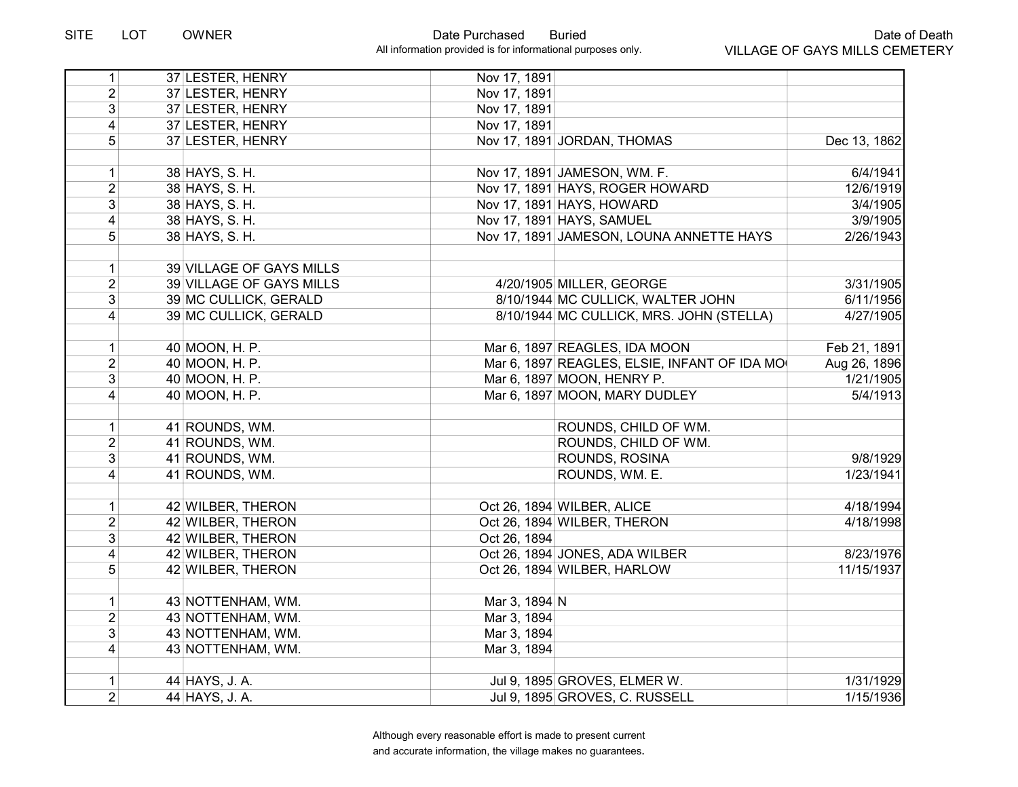| 1                                | 37 LESTER, HENRY         | Nov 17, 1891  |                                              |              |
|----------------------------------|--------------------------|---------------|----------------------------------------------|--------------|
| $\overline{2}$                   | 37 LESTER, HENRY         | Nov 17, 1891  |                                              |              |
| $\overline{3}$                   | 37 LESTER, HENRY         | Nov 17, 1891  |                                              |              |
| $\vert 4 \vert$                  | 37 LESTER, HENRY         | Nov 17, 1891  |                                              |              |
| 5 <sup>1</sup>                   | 37 LESTER, HENRY         |               | Nov 17, 1891 JORDAN, THOMAS                  | Dec 13, 1862 |
|                                  |                          |               |                                              |              |
| $\vert$                          | 38 HAYS, S. H.           |               | Nov 17, 1891 JAMESON, WM. F.                 | 6/4/1941     |
| $\overline{2}$                   | 38 HAYS, S. H.           |               | Nov 17, 1891 HAYS, ROGER HOWARD              | 12/6/1919    |
| 3 <sup>1</sup>                   | 38 HAYS, S. H.           |               | Nov 17, 1891 HAYS, HOWARD                    | 3/4/1905     |
| $\overline{4}$                   | 38 HAYS, S. H.           |               | Nov 17, 1891 HAYS, SAMUEL                    | 3/9/1905     |
| 5 <sup>1</sup>                   | 38 HAYS, S. H.           |               | Nov 17, 1891 JAMESON, LOUNA ANNETTE HAYS     | 2/26/1943    |
| $\mathbf{1}$                     | 39 VILLAGE OF GAYS MILLS |               |                                              |              |
| $\overline{2}$                   | 39 VILLAGE OF GAYS MILLS |               | 4/20/1905 MILLER, GEORGE                     | 3/31/1905    |
| $\overline{3}$                   | 39 MC CULLICK, GERALD    |               | 8/10/1944 MC CULLICK, WALTER JOHN            | 6/11/1956    |
| $\vert$                          | 39 MC CULLICK, GERALD    |               | 8/10/1944 MC CULLICK, MRS. JOHN (STELLA)     | 4/27/1905    |
|                                  |                          |               |                                              |              |
| $\mathbf{1}$                     | 40 MOON, H. P.           |               | Mar 6, 1897 REAGLES, IDA MOON                | Feb 21, 1891 |
| 2 <sup>1</sup>                   | 40 MOON, H. P.           |               | Mar 6, 1897 REAGLES, ELSIE, INFANT OF IDA MO | Aug 26, 1896 |
| 3 <sup>1</sup>                   | 40 MOON, H. P.           |               | Mar 6, 1897 MOON, HENRY P.                   | 1/21/1905    |
| $\vert$                          | 40 MOON, H. P.           |               | Mar 6, 1897 MOON, MARY DUDLEY                | 5/4/1913     |
| $\mathbf{1}$                     | 41 ROUNDS, WM.           |               | ROUNDS, CHILD OF WM.                         |              |
| $\overline{2}$                   | 41 ROUNDS, WM.           |               | ROUNDS, CHILD OF WM.                         |              |
| 3 <sup>1</sup>                   | 41 ROUNDS, WM.           |               | ROUNDS, ROSINA                               | 9/8/1929     |
| $\vert 4 \vert$                  | 41 ROUNDS, WM.           |               | ROUNDS, WM. E.                               | 1/23/1941    |
|                                  |                          |               |                                              |              |
| 1                                | 42 WILBER, THERON        |               | Oct 26, 1894 WILBER, ALICE                   | 4/18/1994    |
| $\overline{2}$                   | 42 WILBER, THERON        |               | Oct 26, 1894 WILBER, THERON                  | 4/18/1998    |
| $\overline{3}$                   | 42 WILBER, THERON        | Oct 26, 1894  |                                              |              |
| $\overline{4}$                   | 42 WILBER, THERON        |               | Oct 26, 1894 JONES, ADA WILBER               | 8/23/1976    |
| 5 <sup>1</sup>                   | 42 WILBER, THERON        |               | Oct 26, 1894 WILBER, HARLOW                  | 11/15/1937   |
|                                  |                          |               |                                              |              |
| $\mathbf{1}$                     | 43 NOTTENHAM, WM.        | Mar 3, 1894 N |                                              |              |
| $\overline{2}$<br>$\overline{3}$ | 43 NOTTENHAM, WM.        | Mar 3, 1894   |                                              |              |
|                                  | 43 NOTTENHAM, WM.        | Mar 3, 1894   |                                              |              |
| $\vert$                          | 43 NOTTENHAM, WM.        | Mar 3, 1894   |                                              |              |
| $\mathbf{1}$                     | 44 HAYS, J. A.           |               | Jul 9, 1895 GROVES, ELMER W.                 | 1/31/1929    |
| 2 <sup>1</sup>                   | 44 HAYS, J. A.           |               | Jul 9, 1895 GROVES, C. RUSSELL               | 1/15/1936    |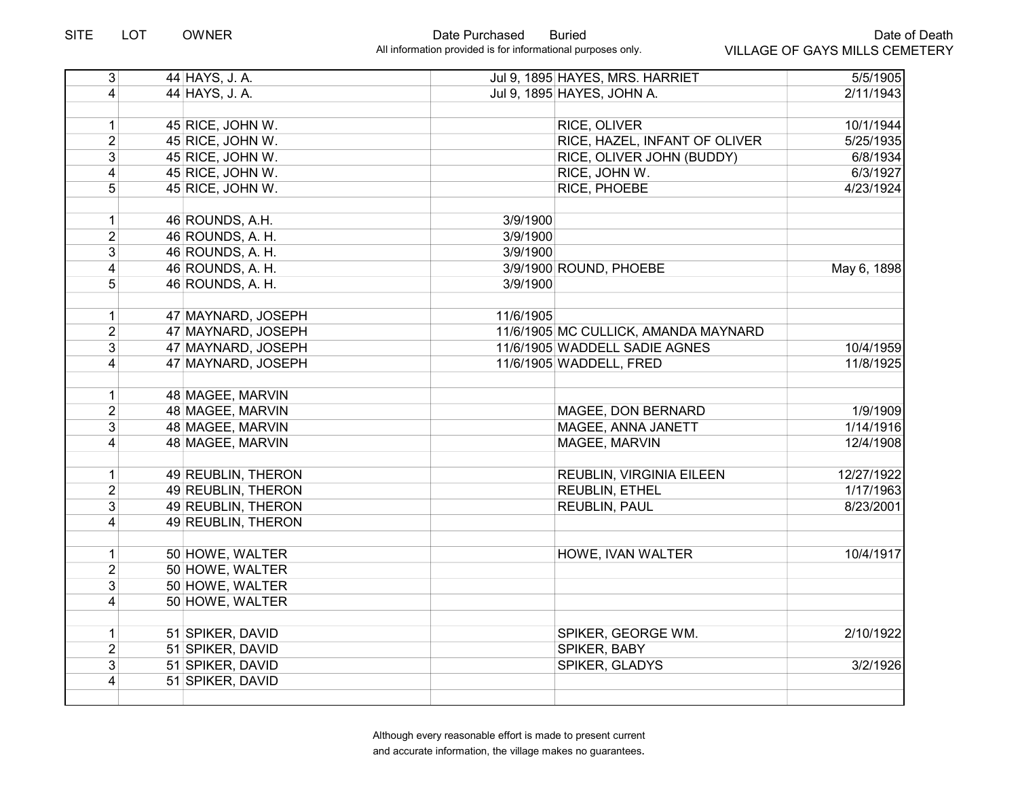| $\overline{3}$  | 44 HAYS, J. A.     |           | Jul 9, 1895 HAYES, MRS. HARRIET      | $\overline{5/5/1905}$ |
|-----------------|--------------------|-----------|--------------------------------------|-----------------------|
| $\vert$         | 44 HAYS, J. A.     |           | Jul 9, 1895 HAYES, JOHN A.           | 2/11/1943             |
|                 |                    |           |                                      |                       |
| $\mathbf{1}$    | 45 RICE, JOHN W.   |           | RICE, OLIVER                         | 10/1/1944             |
| $\overline{2}$  | 45 RICE, JOHN W.   |           | RICE, HAZEL, INFANT OF OLIVER        | 5/25/1935             |
| $\overline{3}$  | 45 RICE, JOHN W.   |           | RICE, OLIVER JOHN (BUDDY)            | 6/8/1934              |
| $\overline{4}$  | 45 RICE, JOHN W.   |           | RICE, JOHN W.                        | 6/3/1927              |
| $\overline{5}$  | 45 RICE, JOHN W.   |           | RICE, PHOEBE                         | 4/23/1924             |
|                 |                    |           |                                      |                       |
| $\mathbf{1}$    | 46 ROUNDS, A.H.    | 3/9/1900  |                                      |                       |
| $\overline{2}$  | 46 ROUNDS, A. H.   | 3/9/1900  |                                      |                       |
| 3               | 46 ROUNDS, A. H.   | 3/9/1900  |                                      |                       |
| 4               | 46 ROUNDS, A. H.   |           | 3/9/1900 ROUND, PHOEBE               | May 6, 1898           |
| 5               | 46 ROUNDS, A. H.   | 3/9/1900  |                                      |                       |
|                 |                    |           |                                      |                       |
| $\mathbf{1}$    | 47 MAYNARD, JOSEPH | 11/6/1905 |                                      |                       |
| $\overline{2}$  | 47 MAYNARD, JOSEPH |           | 11/6/1905 MC CULLICK, AMANDA MAYNARD |                       |
| 3               | 47 MAYNARD, JOSEPH |           | 11/6/1905 WADDELL SADIE AGNES        | 10/4/1959             |
| $\vert 4 \vert$ | 47 MAYNARD, JOSEPH |           | 11/6/1905 WADDELL, FRED              | 11/8/1925             |
|                 |                    |           |                                      |                       |
| 1               | 48 MAGEE, MARVIN   |           |                                      |                       |
| $\overline{2}$  | 48 MAGEE, MARVIN   |           | MAGEE, DON BERNARD                   | 1/9/1909              |
| 3               | 48 MAGEE, MARVIN   |           | MAGEE, ANNA JANETT                   | 1/14/1916             |
| $\overline{4}$  | 48 MAGEE, MARVIN   |           | MAGEE, MARVIN                        | 12/4/1908             |
|                 |                    |           |                                      |                       |
| $\mathbf{1}$    | 49 REUBLIN, THERON |           | REUBLIN, VIRGINIA EILEEN             | 12/27/1922            |
| $\overline{2}$  | 49 REUBLIN, THERON |           | <b>REUBLIN, ETHEL</b>                | 1/17/1963             |
| 3               | 49 REUBLIN, THERON |           | REUBLIN, PAUL                        | 8/23/2001             |
| $\overline{4}$  | 49 REUBLIN, THERON |           |                                      |                       |
|                 |                    |           |                                      |                       |
| 1               | 50 HOWE, WALTER    |           | HOWE, IVAN WALTER                    | 10/4/1917             |
| $\overline{2}$  | 50 HOWE, WALTER    |           |                                      |                       |
| $\mathbf{3}$    | 50 HOWE, WALTER    |           |                                      |                       |
| $\vert 4 \vert$ | 50 HOWE, WALTER    |           |                                      |                       |
|                 |                    |           |                                      |                       |
| $\mathbf{1}$    | 51 SPIKER, DAVID   |           | SPIKER, GEORGE WM.                   | 2/10/1922             |
| $\overline{2}$  | 51 SPIKER, DAVID   |           | SPIKER, BABY                         |                       |
| 3               | 51 SPIKER, DAVID   |           | SPIKER, GLADYS                       | 3/2/1926              |
| $\overline{4}$  | 51 SPIKER, DAVID   |           |                                      |                       |
|                 |                    |           |                                      |                       |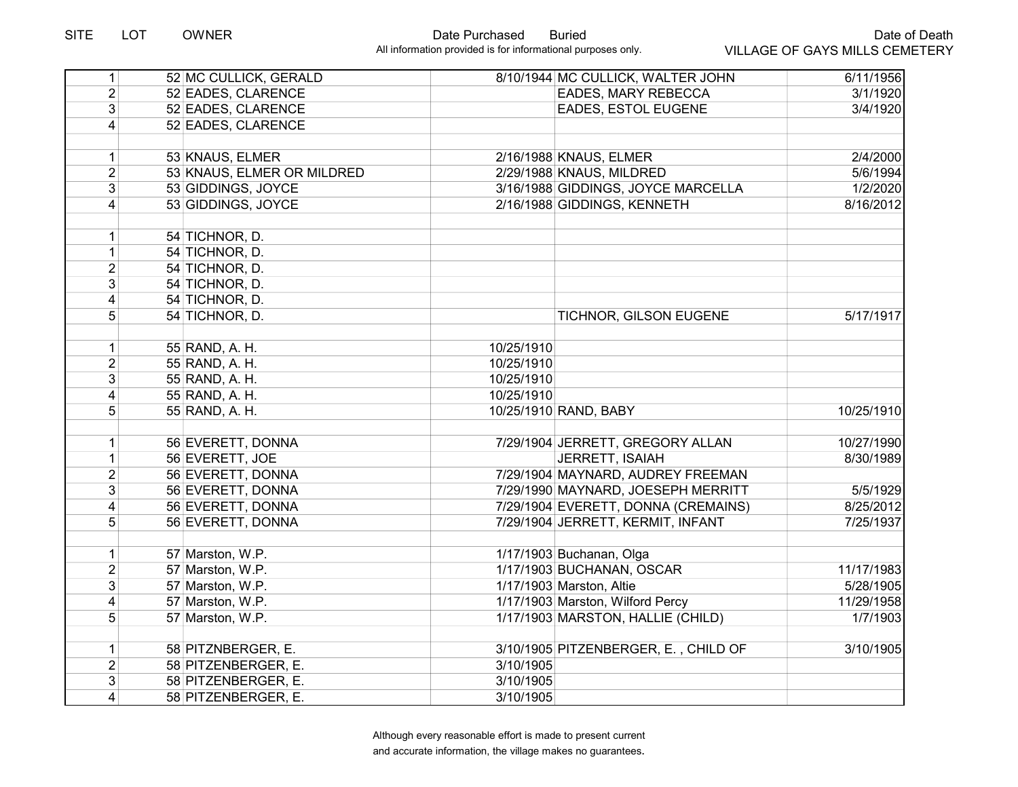| 1               | 52 MC CULLICK, GERALD      |            | 8/10/1944 MC CULLICK, WALTER JOHN    | 6/11/1956  |
|-----------------|----------------------------|------------|--------------------------------------|------------|
| $\overline{2}$  | 52 EADES, CLARENCE         |            | EADES, MARY REBECCA                  | 3/1/1920   |
| $\overline{3}$  | 52 EADES, CLARENCE         |            | EADES, ESTOL EUGENE                  | 3/4/1920   |
| $\vert 4 \vert$ | 52 EADES, CLARENCE         |            |                                      |            |
|                 |                            |            |                                      |            |
| 1               | 53 KNAUS, ELMER            |            | 2/16/1988 KNAUS, ELMER               | 2/4/2000   |
| $\overline{2}$  | 53 KNAUS, ELMER OR MILDRED |            | 2/29/1988 KNAUS, MILDRED             | 5/6/1994   |
| $\overline{3}$  | 53 GIDDINGS, JOYCE         |            | 3/16/1988 GIDDINGS, JOYCE MARCELLA   | 1/2/2020   |
| 4               | 53 GIDDINGS, JOYCE         |            | 2/16/1988 GIDDINGS, KENNETH          | 8/16/2012  |
|                 |                            |            |                                      |            |
| 1               | 54 TICHNOR, D.             |            |                                      |            |
| $\mathbf{1}$    | 54 TICHNOR, D.             |            |                                      |            |
| $\overline{2}$  | 54 TICHNOR, D.             |            |                                      |            |
| 3 <sup>1</sup>  | 54 TICHNOR, D.             |            |                                      |            |
| $\overline{4}$  | 54 TICHNOR, D.             |            |                                      |            |
| 5 <sup>1</sup>  | 54 TICHNOR, D.             |            | TICHNOR, GILSON EUGENE               | 5/17/1917  |
|                 |                            |            |                                      |            |
| 1               | 55 RAND, A. H.             | 10/25/1910 |                                      |            |
| $\overline{2}$  | 55 RAND, A. H.             | 10/25/1910 |                                      |            |
| 3 <sup>1</sup>  | 55 RAND, A. H.             | 10/25/1910 |                                      |            |
| $\overline{4}$  | 55 RAND, A. H.             | 10/25/1910 |                                      |            |
| 5 <sup>1</sup>  | 55 RAND, A. H.             |            | 10/25/1910 RAND, BABY                | 10/25/1910 |
|                 |                            |            |                                      |            |
| 1               | 56 EVERETT, DONNA          |            | 7/29/1904 JERRETT, GREGORY ALLAN     | 10/27/1990 |
| 1               | 56 EVERETT, JOE            |            | JERRETT, ISAIAH                      | 8/30/1989  |
| $\overline{2}$  | 56 EVERETT, DONNA          |            | 7/29/1904 MAYNARD, AUDREY FREEMAN    |            |
| 3 <sup>1</sup>  | 56 EVERETT, DONNA          |            | 7/29/1990 MAYNARD, JOESEPH MERRITT   | 5/5/1929   |
| $\overline{4}$  | 56 EVERETT, DONNA          |            | 7/29/1904 EVERETT, DONNA (CREMAINS)  | 8/25/2012  |
| 5               | 56 EVERETT, DONNA          |            | 7/29/1904 JERRETT, KERMIT, INFANT    | 7/25/1937  |
|                 |                            |            |                                      |            |
| 1               | 57 Marston, W.P.           |            | 1/17/1903 Buchanan, Olga             |            |
| $\overline{2}$  | 57 Marston, W.P.           |            | 1/17/1903 BUCHANAN, OSCAR            | 11/17/1983 |
| 3               | 57 Marston, W.P.           |            | 1/17/1903 Marston, Altie             | 5/28/1905  |
| $\overline{4}$  | 57 Marston, W.P.           |            | 1/17/1903 Marston, Wilford Percy     | 11/29/1958 |
| 5 <sup>1</sup>  | 57 Marston, W.P.           |            | 1/17/1903 MARSTON, HALLIE (CHILD)    | 1/7/1903   |
|                 |                            |            |                                      |            |
| $\vert$         | 58 PITZNBERGER, E.         |            | 3/10/1905 PITZENBERGER, E., CHILD OF | 3/10/1905  |
| $\overline{2}$  | 58 PITZENBERGER, E.        | 3/10/1905  |                                      |            |
| 3 <sup>1</sup>  | 58 PITZENBERGER, E.        | 3/10/1905  |                                      |            |
| $\overline{4}$  | 58 PITZENBERGER, E.        | 3/10/1905  |                                      |            |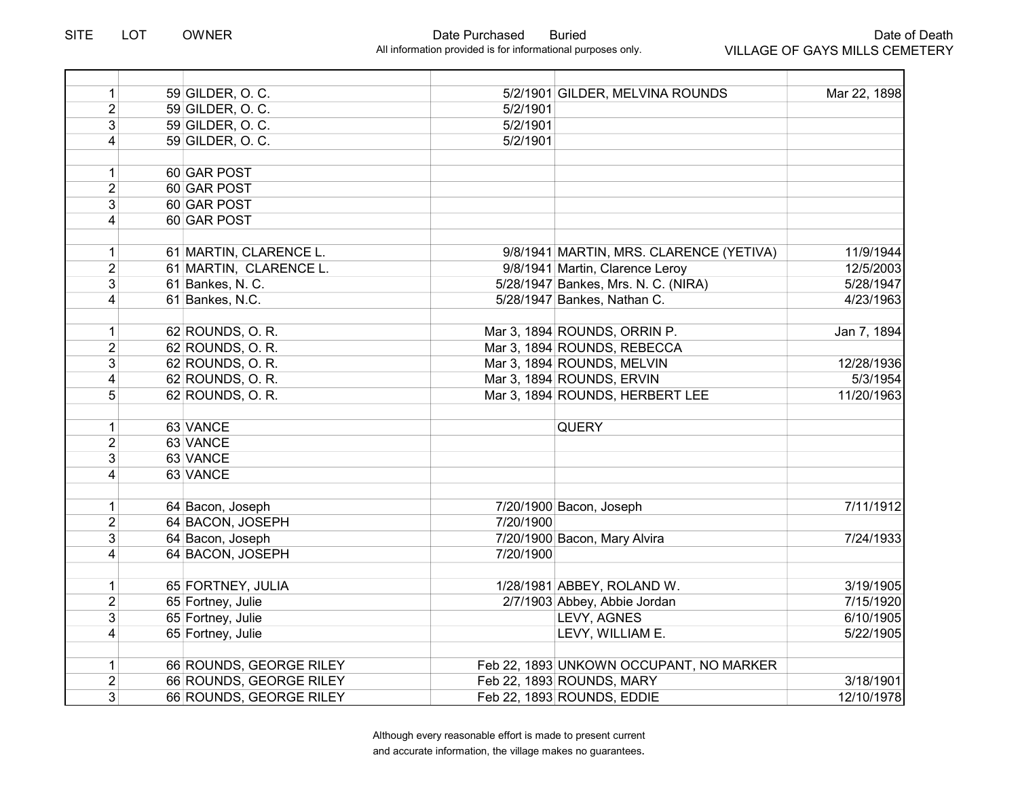$\overline{\phantom{0}}$ 

| $\mathbf{1}$   | 59 GILDER, O. C.        |           | 5/2/1901 GILDER, MELVINA ROUNDS         | Mar 22, 1898 |
|----------------|-------------------------|-----------|-----------------------------------------|--------------|
| $\overline{2}$ | 59 GILDER, O. C.        | 5/2/1901  |                                         |              |
| 3              | 59 GILDER, O. C.        | 5/2/1901  |                                         |              |
| 4              | 59 GILDER, O. C.        | 5/2/1901  |                                         |              |
|                |                         |           |                                         |              |
| $\mathbf{1}$   | 60 GAR POST             |           |                                         |              |
| $\overline{2}$ | 60 GAR POST             |           |                                         |              |
| $\overline{3}$ | 60 GAR POST             |           |                                         |              |
| $\overline{4}$ | 60 GAR POST             |           |                                         |              |
|                |                         |           |                                         |              |
| 1              | 61 MARTIN, CLARENCE L.  |           | 9/8/1941 MARTIN, MRS. CLARENCE (YETIVA) | 11/9/1944    |
| $\overline{2}$ | 61 MARTIN, CLARENCE L.  |           | 9/8/1941 Martin, Clarence Leroy         | 12/5/2003    |
| 3              | 61 Bankes, N. C.        |           | 5/28/1947 Bankes, Mrs. N. C. (NIRA)     | 5/28/1947    |
| $\overline{4}$ | 61 Bankes, N.C.         |           | 5/28/1947 Bankes, Nathan C.             | 4/23/1963    |
|                |                         |           |                                         |              |
| $\mathbf{1}$   | 62 ROUNDS, O. R.        |           | Mar 3, 1894 ROUNDS, ORRIN P.            | Jan 7, 1894  |
| $\overline{2}$ | 62 ROUNDS, O. R.        |           | Mar 3, 1894 ROUNDS, REBECCA             |              |
| $\mathbf{3}$   | 62 ROUNDS, O. R.        |           | Mar 3, 1894 ROUNDS, MELVIN              | 12/28/1936   |
| 4              | 62 ROUNDS, O. R.        |           | Mar 3, 1894 ROUNDS, ERVIN               | 5/3/1954     |
| 5              | 62 ROUNDS, O. R.        |           | Mar 3, 1894 ROUNDS, HERBERT LEE         | 11/20/1963   |
|                |                         |           |                                         |              |
| $\mathbf{1}$   | 63 VANCE                |           | <b>QUERY</b>                            |              |
| $\overline{2}$ | 63 VANCE                |           |                                         |              |
| 3              | 63 VANCE                |           |                                         |              |
| $\overline{4}$ | 63 VANCE                |           |                                         |              |
|                |                         |           |                                         |              |
| $\mathbf{1}$   | 64 Bacon, Joseph        |           | 7/20/1900 Bacon, Joseph                 | 7/11/1912    |
| $\overline{2}$ | 64 BACON, JOSEPH        | 7/20/1900 |                                         |              |
| 3              | 64 Bacon, Joseph        |           | 7/20/1900 Bacon, Mary Alvira            | 7/24/1933    |
| 4              | 64 BACON, JOSEPH        | 7/20/1900 |                                         |              |
|                |                         |           |                                         |              |
| $\mathbf{1}$   | 65 FORTNEY, JULIA       |           | 1/28/1981 ABBEY, ROLAND W.              | 3/19/1905    |
| $\overline{2}$ | 65 Fortney, Julie       |           | 2/7/1903 Abbey, Abbie Jordan            | 7/15/1920    |
| 3              | 65 Fortney, Julie       |           | LEVY, AGNES                             | 6/10/1905    |
| $\overline{4}$ | 65 Fortney, Julie       |           | LEVY, WILLIAM E.                        | 5/22/1905    |
|                |                         |           |                                         |              |
| $\mathbf{1}$   | 66 ROUNDS, GEORGE RILEY |           | Feb 22, 1893 UNKOWN OCCUPANT, NO MARKER |              |
| $\overline{2}$ | 66 ROUNDS, GEORGE RILEY |           | Feb 22, 1893 ROUNDS, MARY               | 3/18/1901    |
| 3              | 66 ROUNDS, GEORGE RILEY |           | Feb 22, 1893 ROUNDS, EDDIE              | 12/10/1978   |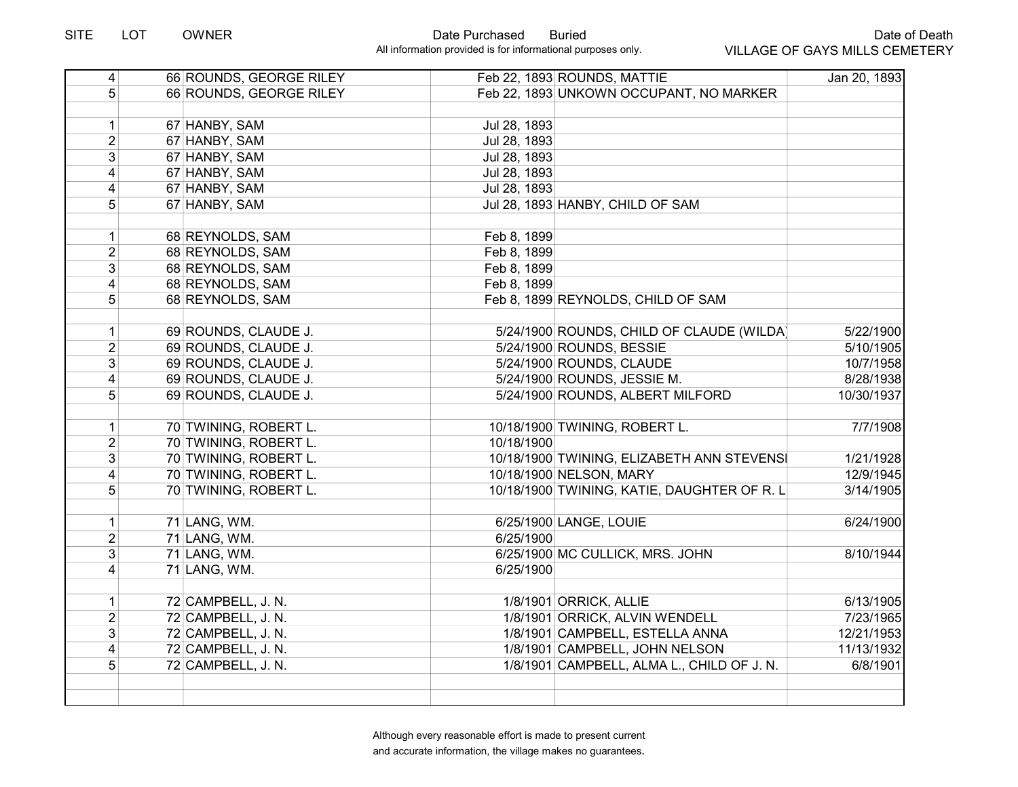# Date of Death VILLAGE OF GAYS MILLS CEMETERY

| $\overline{4}$  | 66 ROUNDS, GEORGE RILEY |              | Feb 22, 1893 ROUNDS, MATTIE                 | Jan 20, 1893 |
|-----------------|-------------------------|--------------|---------------------------------------------|--------------|
| 5 <sup>1</sup>  | 66 ROUNDS, GEORGE RILEY |              | Feb 22, 1893 UNKOWN OCCUPANT, NO MARKER     |              |
|                 |                         |              |                                             |              |
| 1               | 67 HANBY, SAM           | Jul 28, 1893 |                                             |              |
| $\overline{2}$  | 67 HANBY, SAM           | Jul 28, 1893 |                                             |              |
| $\overline{3}$  | 67 HANBY, SAM           | Jul 28, 1893 |                                             |              |
| $\overline{4}$  | 67 HANBY, SAM           | Jul 28, 1893 |                                             |              |
| $\overline{4}$  | 67 HANBY, SAM           | Jul 28, 1893 |                                             |              |
| 5 <sup>1</sup>  | 67 HANBY, SAM           |              | Jul 28, 1893 HANBY, CHILD OF SAM            |              |
|                 |                         |              |                                             |              |
| 1               | 68 REYNOLDS, SAM        | Feb 8, 1899  |                                             |              |
| $\overline{2}$  | 68 REYNOLDS, SAM        | Feb 8, 1899  |                                             |              |
| $\overline{3}$  | 68 REYNOLDS, SAM        | Feb 8, 1899  |                                             |              |
| 4               | 68 REYNOLDS, SAM        | Feb 8, 1899  |                                             |              |
| 5 <sup>1</sup>  | 68 REYNOLDS, SAM        |              | Feb 8, 1899 REYNOLDS, CHILD OF SAM          |              |
|                 |                         |              |                                             |              |
| 1               | 69 ROUNDS, CLAUDE J.    |              | 5/24/1900 ROUNDS, CHILD OF CLAUDE (WILDA)   | 5/22/1900    |
| $\overline{2}$  | 69 ROUNDS, CLAUDE J.    |              | 5/24/1900 ROUNDS, BESSIE                    | 5/10/1905    |
| 3 <sup>1</sup>  | 69 ROUNDS, CLAUDE J.    |              | 5/24/1900 ROUNDS, CLAUDE                    | 10/7/1958    |
| $\vert 4 \vert$ | 69 ROUNDS, CLAUDE J.    |              | 5/24/1900 ROUNDS, JESSIE M.                 | 8/28/1938    |
| 5 <sup>1</sup>  | 69 ROUNDS, CLAUDE J.    |              | 5/24/1900 ROUNDS, ALBERT MILFORD            | 10/30/1937   |
|                 |                         |              |                                             |              |
| 1               | 70 TWINING, ROBERT L.   |              | 10/18/1900 TWINING, ROBERT L.               | 7/7/1908     |
| $\overline{2}$  | 70 TWINING, ROBERT L.   | 10/18/1900   |                                             |              |
| 3 <sup>1</sup>  | 70 TWINING, ROBERT L.   |              | 10/18/1900 TWINING, ELIZABETH ANN STEVENSI  | 1/21/1928    |
| 4               | 70 TWINING, ROBERT L.   |              | 10/18/1900 NELSON, MARY                     | 12/9/1945    |
| 5 <sup>1</sup>  | 70 TWINING, ROBERT L.   |              | 10/18/1900 TWINING, KATIE, DAUGHTER OF R. L | 3/14/1905    |
|                 |                         |              |                                             |              |
| 1               | 71 LANG, WM.            |              | 6/25/1900 LANGE, LOUIE                      | 6/24/1900    |
| $\overline{2}$  | 71 LANG, WM.            | 6/25/1900    |                                             |              |
| $\overline{3}$  | 71 LANG, WM.            |              | 6/25/1900 MC CULLICK, MRS. JOHN             | 8/10/1944    |
| $\overline{4}$  | 71 LANG, WM.            | 6/25/1900    |                                             |              |
|                 |                         |              |                                             |              |
| 1               | 72 CAMPBELL, J. N.      |              | 1/8/1901 ORRICK, ALLIE                      | 6/13/1905    |
| $\overline{2}$  | 72 CAMPBELL, J. N.      |              | 1/8/1901 ORRICK, ALVIN WENDELL              | 7/23/1965    |
| $\overline{3}$  | 72 CAMPBELL, J. N.      |              | 1/8/1901 CAMPBELL, ESTELLA ANNA             | 12/21/1953   |
| 4               | 72 CAMPBELL, J. N.      |              | 1/8/1901 CAMPBELL, JOHN NELSON              | 11/13/1932   |
| 5               | 72 CAMPBELL, J. N.      |              | 1/8/1901 CAMPBELL, ALMA L., CHILD OF J. N.  | 6/8/1901     |
|                 |                         |              |                                             |              |
|                 |                         |              |                                             |              |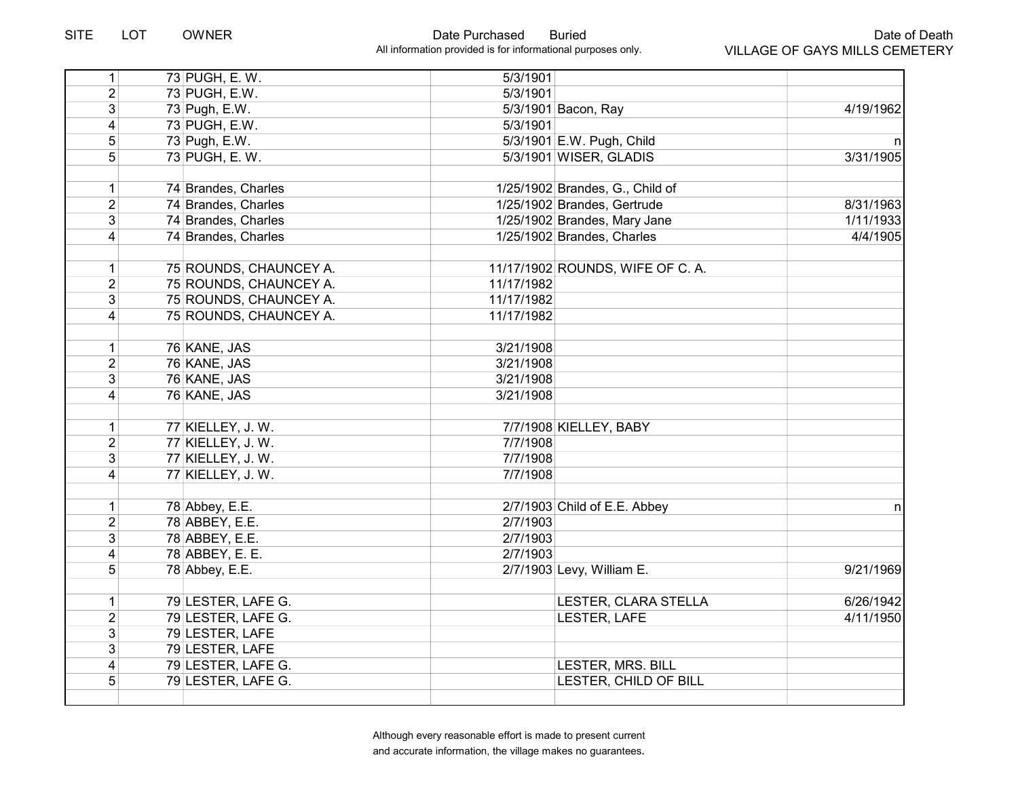| 1                       | 73 PUGH, E. W.         | 5/3/1901   |                                  |              |
|-------------------------|------------------------|------------|----------------------------------|--------------|
| $\overline{2}$          | 73 PUGH, E.W.          | 5/3/1901   |                                  |              |
| 3                       | 73 Pugh, E.W.          |            | 5/3/1901 Bacon, Ray              | 4/19/1962    |
| 4                       | 73 PUGH, E.W.          | 5/3/1901   |                                  |              |
| 5                       | 73 Pugh, E.W.          |            | 5/3/1901 E.W. Pugh, Child        | n            |
| $\overline{5}$          | 73 PUGH, E. W.         |            | 5/3/1901 WISER, GLADIS           | 3/31/1905    |
|                         |                        |            |                                  |              |
| $\mathbf 1$             | 74 Brandes, Charles    |            | 1/25/1902 Brandes, G., Child of  |              |
| $\overline{2}$          | 74 Brandes, Charles    |            | 1/25/1902 Brandes, Gertrude      | 8/31/1963    |
| 3                       | 74 Brandes, Charles    |            | 1/25/1902 Brandes, Mary Jane     | 1/11/1933    |
| 4                       | 74 Brandes, Charles    |            | 1/25/1902 Brandes, Charles       | 4/4/1905     |
|                         |                        |            |                                  |              |
| $\mathbf 1$             | 75 ROUNDS, CHAUNCEY A. |            | 11/17/1902 ROUNDS, WIFE OF C. A. |              |
| $\overline{2}$          | 75 ROUNDS, CHAUNCEY A. | 11/17/1982 |                                  |              |
| 3                       | 75 ROUNDS, CHAUNCEY A. | 11/17/1982 |                                  |              |
| 4                       | 75 ROUNDS, CHAUNCEY A. | 11/17/1982 |                                  |              |
|                         |                        |            |                                  |              |
| $\mathbf{1}$            | 76 KANE, JAS           | 3/21/1908  |                                  |              |
| $\overline{2}$          | 76 KANE, JAS           | 3/21/1908  |                                  |              |
| 3                       | 76 KANE, JAS           | 3/21/1908  |                                  |              |
| 4                       | 76 KANE, JAS           | 3/21/1908  |                                  |              |
|                         |                        |            |                                  |              |
| $\mathbf{1}$            | 77 KIELLEY, J. W.      |            | 7/7/1908 KIELLEY, BABY           |              |
| $\overline{2}$          | 77 KIELLEY, J. W.      | 7/7/1908   |                                  |              |
| 3                       | 77 KIELLEY, J. W.      | 7/7/1908   |                                  |              |
| 4                       | 77 KIELLEY, J. W.      | 7/7/1908   |                                  |              |
|                         |                        |            |                                  |              |
| $\mathbf 1$             | 78 Abbey, E.E.         |            | 2/7/1903 Child of E.E. Abbey     | $\mathsf{n}$ |
| $\overline{2}$          | 78 ABBEY, E.E.         | 2/7/1903   |                                  |              |
| $\overline{3}$          | 78 ABBEY, E.E.         | 2/7/1903   |                                  |              |
| $\overline{4}$          | 78 ABBEY, E. E.        | 2/7/1903   |                                  |              |
| $\overline{5}$          | 78 Abbey, E.E.         |            | 2/7/1903 Levy, William E.        | 9/21/1969    |
|                         |                        |            |                                  |              |
| $\mathbf{1}$            | 79 LESTER, LAFE G.     |            | LESTER, CLARA STELLA             | 6/26/1942    |
| $\overline{2}$          | 79 LESTER, LAFE G.     |            | LESTER, LAFE                     | 4/11/1950    |
| $\overline{3}$          | 79 LESTER, LAFE        |            |                                  |              |
| $\overline{3}$          | 79 LESTER, LAFE        |            |                                  |              |
| $\overline{\mathbf{4}}$ | 79 LESTER, LAFE G.     |            | LESTER, MRS. BILL                |              |
| 5                       | 79 LESTER, LAFE G.     |            | LESTER, CHILD OF BILL            |              |
|                         |                        |            |                                  |              |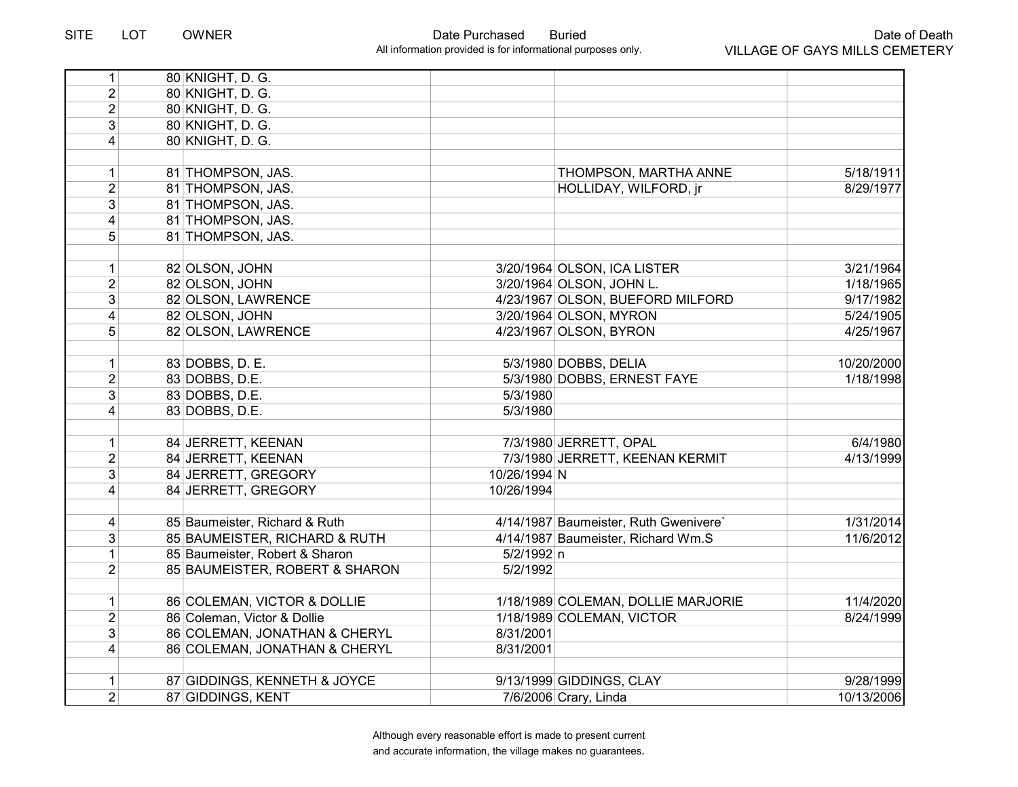| 1                       | 80 KNIGHT, D. G.               |                                       |            |
|-------------------------|--------------------------------|---------------------------------------|------------|
| $\overline{2}$          | 80 KNIGHT, D. G.               |                                       |            |
| $\overline{2}$          | 80 KNIGHT, D. G.               |                                       |            |
| 3                       | 80 KNIGHT, D. G.               |                                       |            |
| 4                       | 80 KNIGHT, D. G.               |                                       |            |
|                         |                                |                                       |            |
| $\mathbf{1}$            | 81 THOMPSON, JAS.              | THOMPSON, MARTHA ANNE                 | 5/18/1911  |
| $\overline{2}$          | 81 THOMPSON, JAS.              | HOLLIDAY, WILFORD, jr                 | 8/29/1977  |
| $\overline{3}$          | 81 THOMPSON, JAS.              |                                       |            |
| 4                       | 81 THOMPSON, JAS.              |                                       |            |
| 5                       | 81 THOMPSON, JAS.              |                                       |            |
|                         |                                |                                       |            |
| $\mathbf{1}$            | 82 OLSON, JOHN                 | 3/20/1964 OLSON, ICA LISTER           | 3/21/1964  |
| $\overline{2}$          | 82 OLSON, JOHN                 | 3/20/1964 OLSON, JOHN L.              | 1/18/1965  |
| 3                       | 82 OLSON, LAWRENCE             | 4/23/1967 OLSON, BUEFORD MILFORD      | 9/17/1982  |
| $\overline{\mathbf{4}}$ | 82 OLSON, JOHN                 | 3/20/1964 OLSON, MYRON                | 5/24/1905  |
| 5                       | 82 OLSON, LAWRENCE             | 4/23/1967 OLSON, BYRON                | 4/25/1967  |
|                         |                                |                                       |            |
| $\mathbf{1}$            | 83 DOBBS, D. E.                | 5/3/1980 DOBBS, DELIA                 | 10/20/2000 |
| $\overline{2}$          | 83 DOBBS, D.E.                 | 5/3/1980 DOBBS, ERNEST FAYE           | 1/18/1998  |
| 3                       | 83 DOBBS, D.E.                 | 5/3/1980                              |            |
| $\overline{\mathbf{4}}$ | 83 DOBBS, D.E.                 | 5/3/1980                              |            |
|                         |                                |                                       |            |
| 1                       | 84 JERRETT, KEENAN             | 7/3/1980 JERRETT, OPAL                | 6/4/1980   |
| $\overline{2}$          | 84 JERRETT, KEENAN             | 7/3/1980 JERRETT, KEENAN KERMIT       | 4/13/1999  |
| 3                       | 84 JERRETT, GREGORY            | 10/26/1994 N                          |            |
| $\overline{4}$          | 84 JERRETT, GREGORY            | 10/26/1994                            |            |
|                         |                                |                                       |            |
| 4                       | 85 Baumeister, Richard & Ruth  | 4/14/1987 Baumeister, Ruth Gwenivere` | 1/31/2014  |
| 3                       | 85 BAUMEISTER, RICHARD & RUTH  | 4/14/1987 Baumeister, Richard Wm.S    | 11/6/2012  |
| $\mathbf{1}$            | 85 Baumeister, Robert & Sharon | 5/2/1992 n                            |            |
| $\overline{2}$          | 85 BAUMEISTER, ROBERT & SHARON | 5/2/1992                              |            |
|                         |                                |                                       |            |
| $\mathbf{1}$            | 86 COLEMAN, VICTOR & DOLLIE    | 1/18/1989 COLEMAN, DOLLIE MARJORIE    | 11/4/2020  |
| $\overline{2}$          | 86 Coleman, Victor & Dollie    | 1/18/1989 COLEMAN, VICTOR             | 8/24/1999  |
| 3                       | 86 COLEMAN, JONATHAN & CHERYL  | 8/31/2001                             |            |
| $\overline{4}$          | 86 COLEMAN, JONATHAN & CHERYL  | 8/31/2001                             |            |
|                         |                                |                                       |            |
| $\mathbf{1}$            | 87 GIDDINGS, KENNETH & JOYCE   | 9/13/1999 GIDDINGS, CLAY              | 9/28/1999  |
| $\overline{2}$          | 87 GIDDINGS, KENT              | 7/6/2006 Crary, Linda                 | 10/13/2006 |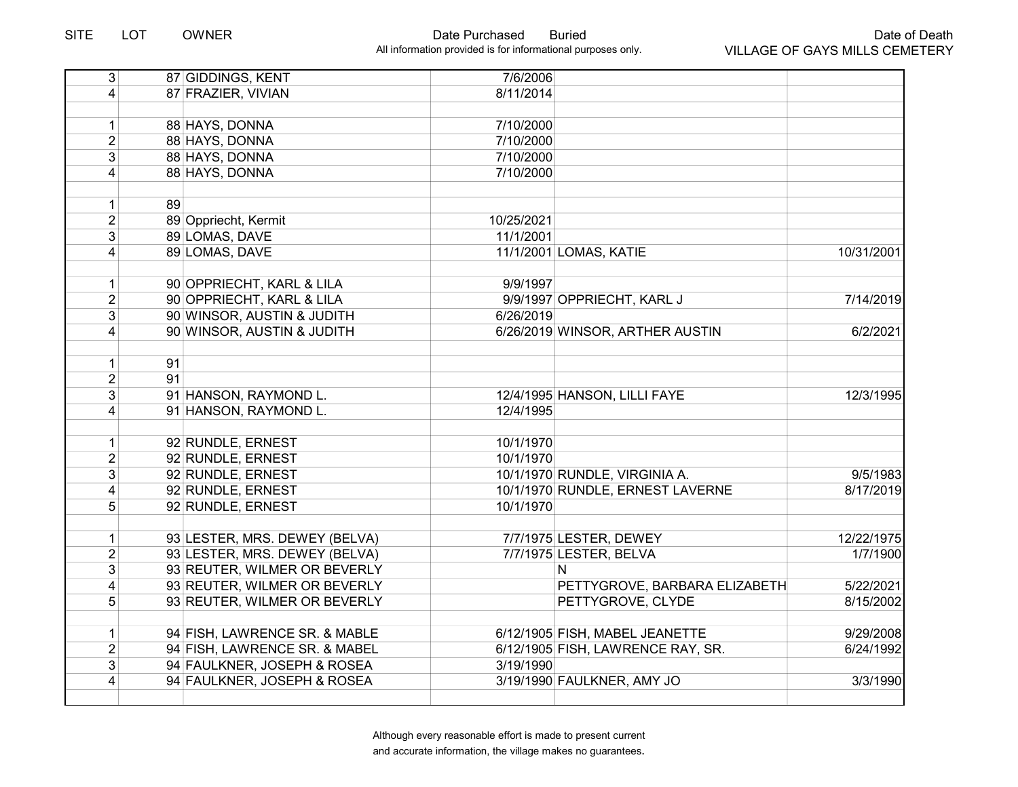| $\vert 4 \vert$<br>87 FRAZIER, VIVIAN<br>8/11/2014<br>88 HAYS, DONNA<br>7/10/2000<br>$\mathbf{1}$<br>2 <sup>1</sup><br>88 HAYS, DONNA<br>7/10/2000<br>3<br>88 HAYS, DONNA<br>7/10/2000<br>88 HAYS, DONNA<br>7/10/2000<br>$\overline{4}$<br>89<br>$\mathbf{1}$<br>$\overline{2}$<br>89 Oppriecht, Kermit<br>10/25/2021<br>3<br>89 LOMAS, DAVE<br>11/1/2001<br>$\overline{4}$<br>89 LOMAS, DAVE<br>11/1/2001 LOMAS, KATIE<br>90 OPPRIECHT, KARL & LILA<br>9/9/1997<br>$\mathbf{1}$<br>$\overline{2}$<br>90 OPPRIECHT, KARL & LILA<br>9/9/1997 OPPRIECHT, KARL J<br>3<br>90 WINSOR, AUSTIN & JUDITH<br>6/26/2019<br>$\overline{4}$<br>90 WINSOR, AUSTIN & JUDITH<br>6/26/2019 WINSOR, ARTHER AUSTIN<br>91<br>1<br>$\overline{2}$<br>91<br>3<br>91 HANSON, RAYMOND L.<br>12/4/1995 HANSON, LILLI FAYE<br>91 HANSON, RAYMOND L.<br>4<br>12/4/1995<br>92 RUNDLE, ERNEST<br>10/1/1970<br>$\mathbf{1}$<br>$\overline{2}$<br>92 RUNDLE, ERNEST<br>10/1/1970<br>3<br>10/1/1970 RUNDLE, VIRGINIA A.<br>92 RUNDLE, ERNEST<br>9/5/1983<br>10/1/1970 RUNDLE, ERNEST LAVERNE<br>$\overline{4}$<br>92 RUNDLE, ERNEST<br>8/17/2019<br>5 <sup>1</sup><br>92 RUNDLE, ERNEST<br>10/1/1970<br>93 LESTER, MRS. DEWEY (BELVA)<br>7/7/1975 LESTER, DEWEY<br>$\mathbf 1$<br>$\overline{2}$<br>93 LESTER, MRS. DEWEY (BELVA)<br>7/7/1975 LESTER, BELVA<br>$\overline{3}$<br>93 REUTER, WILMER OR BEVERLY<br>N<br>$\overline{4}$<br>93 REUTER, WILMER OR BEVERLY<br>PETTYGROVE, BARBARA ELIZABETH<br>5/22/2021<br>5<br>93 REUTER, WILMER OR BEVERLY<br>PETTYGROVE, CLYDE<br>8/15/2002<br>94 FISH, LAWRENCE SR. & MABLE<br>6/12/1905 FISH, MABEL JEANETTE<br>$\mathbf{1}$<br>$\overline{2}$<br>94 FISH, LAWRENCE SR. & MABEL<br>6/12/1905 FISH, LAWRENCE RAY, SR.<br>6/24/1992<br>3<br>94 FAULKNER, JOSEPH & ROSEA<br>3/19/1990<br>$\overline{4}$<br>94 FAULKNER, JOSEPH & ROSEA<br>3/19/1990 FAULKNER, AMY JO<br>3/3/1990 | $\overline{3}$ | 87 GIDDINGS, KENT | 7/6/2006 |            |
|------------------------------------------------------------------------------------------------------------------------------------------------------------------------------------------------------------------------------------------------------------------------------------------------------------------------------------------------------------------------------------------------------------------------------------------------------------------------------------------------------------------------------------------------------------------------------------------------------------------------------------------------------------------------------------------------------------------------------------------------------------------------------------------------------------------------------------------------------------------------------------------------------------------------------------------------------------------------------------------------------------------------------------------------------------------------------------------------------------------------------------------------------------------------------------------------------------------------------------------------------------------------------------------------------------------------------------------------------------------------------------------------------------------------------------------------------------------------------------------------------------------------------------------------------------------------------------------------------------------------------------------------------------------------------------------------------------------------------------------------------------------------------------------------------------------------------------------------------------------------------------------------|----------------|-------------------|----------|------------|
|                                                                                                                                                                                                                                                                                                                                                                                                                                                                                                                                                                                                                                                                                                                                                                                                                                                                                                                                                                                                                                                                                                                                                                                                                                                                                                                                                                                                                                                                                                                                                                                                                                                                                                                                                                                                                                                                                                |                |                   |          |            |
|                                                                                                                                                                                                                                                                                                                                                                                                                                                                                                                                                                                                                                                                                                                                                                                                                                                                                                                                                                                                                                                                                                                                                                                                                                                                                                                                                                                                                                                                                                                                                                                                                                                                                                                                                                                                                                                                                                |                |                   |          |            |
|                                                                                                                                                                                                                                                                                                                                                                                                                                                                                                                                                                                                                                                                                                                                                                                                                                                                                                                                                                                                                                                                                                                                                                                                                                                                                                                                                                                                                                                                                                                                                                                                                                                                                                                                                                                                                                                                                                |                |                   |          |            |
|                                                                                                                                                                                                                                                                                                                                                                                                                                                                                                                                                                                                                                                                                                                                                                                                                                                                                                                                                                                                                                                                                                                                                                                                                                                                                                                                                                                                                                                                                                                                                                                                                                                                                                                                                                                                                                                                                                |                |                   |          |            |
|                                                                                                                                                                                                                                                                                                                                                                                                                                                                                                                                                                                                                                                                                                                                                                                                                                                                                                                                                                                                                                                                                                                                                                                                                                                                                                                                                                                                                                                                                                                                                                                                                                                                                                                                                                                                                                                                                                |                |                   |          |            |
|                                                                                                                                                                                                                                                                                                                                                                                                                                                                                                                                                                                                                                                                                                                                                                                                                                                                                                                                                                                                                                                                                                                                                                                                                                                                                                                                                                                                                                                                                                                                                                                                                                                                                                                                                                                                                                                                                                |                |                   |          |            |
|                                                                                                                                                                                                                                                                                                                                                                                                                                                                                                                                                                                                                                                                                                                                                                                                                                                                                                                                                                                                                                                                                                                                                                                                                                                                                                                                                                                                                                                                                                                                                                                                                                                                                                                                                                                                                                                                                                |                |                   |          |            |
|                                                                                                                                                                                                                                                                                                                                                                                                                                                                                                                                                                                                                                                                                                                                                                                                                                                                                                                                                                                                                                                                                                                                                                                                                                                                                                                                                                                                                                                                                                                                                                                                                                                                                                                                                                                                                                                                                                |                |                   |          |            |
|                                                                                                                                                                                                                                                                                                                                                                                                                                                                                                                                                                                                                                                                                                                                                                                                                                                                                                                                                                                                                                                                                                                                                                                                                                                                                                                                                                                                                                                                                                                                                                                                                                                                                                                                                                                                                                                                                                |                |                   |          |            |
|                                                                                                                                                                                                                                                                                                                                                                                                                                                                                                                                                                                                                                                                                                                                                                                                                                                                                                                                                                                                                                                                                                                                                                                                                                                                                                                                                                                                                                                                                                                                                                                                                                                                                                                                                                                                                                                                                                |                |                   |          |            |
|                                                                                                                                                                                                                                                                                                                                                                                                                                                                                                                                                                                                                                                                                                                                                                                                                                                                                                                                                                                                                                                                                                                                                                                                                                                                                                                                                                                                                                                                                                                                                                                                                                                                                                                                                                                                                                                                                                |                |                   |          | 10/31/2001 |
|                                                                                                                                                                                                                                                                                                                                                                                                                                                                                                                                                                                                                                                                                                                                                                                                                                                                                                                                                                                                                                                                                                                                                                                                                                                                                                                                                                                                                                                                                                                                                                                                                                                                                                                                                                                                                                                                                                |                |                   |          |            |
|                                                                                                                                                                                                                                                                                                                                                                                                                                                                                                                                                                                                                                                                                                                                                                                                                                                                                                                                                                                                                                                                                                                                                                                                                                                                                                                                                                                                                                                                                                                                                                                                                                                                                                                                                                                                                                                                                                |                |                   |          |            |
|                                                                                                                                                                                                                                                                                                                                                                                                                                                                                                                                                                                                                                                                                                                                                                                                                                                                                                                                                                                                                                                                                                                                                                                                                                                                                                                                                                                                                                                                                                                                                                                                                                                                                                                                                                                                                                                                                                |                |                   |          | 7/14/2019  |
|                                                                                                                                                                                                                                                                                                                                                                                                                                                                                                                                                                                                                                                                                                                                                                                                                                                                                                                                                                                                                                                                                                                                                                                                                                                                                                                                                                                                                                                                                                                                                                                                                                                                                                                                                                                                                                                                                                |                |                   |          |            |
|                                                                                                                                                                                                                                                                                                                                                                                                                                                                                                                                                                                                                                                                                                                                                                                                                                                                                                                                                                                                                                                                                                                                                                                                                                                                                                                                                                                                                                                                                                                                                                                                                                                                                                                                                                                                                                                                                                |                |                   |          | 6/2/2021   |
|                                                                                                                                                                                                                                                                                                                                                                                                                                                                                                                                                                                                                                                                                                                                                                                                                                                                                                                                                                                                                                                                                                                                                                                                                                                                                                                                                                                                                                                                                                                                                                                                                                                                                                                                                                                                                                                                                                |                |                   |          |            |
|                                                                                                                                                                                                                                                                                                                                                                                                                                                                                                                                                                                                                                                                                                                                                                                                                                                                                                                                                                                                                                                                                                                                                                                                                                                                                                                                                                                                                                                                                                                                                                                                                                                                                                                                                                                                                                                                                                |                |                   |          |            |
|                                                                                                                                                                                                                                                                                                                                                                                                                                                                                                                                                                                                                                                                                                                                                                                                                                                                                                                                                                                                                                                                                                                                                                                                                                                                                                                                                                                                                                                                                                                                                                                                                                                                                                                                                                                                                                                                                                |                |                   |          |            |
|                                                                                                                                                                                                                                                                                                                                                                                                                                                                                                                                                                                                                                                                                                                                                                                                                                                                                                                                                                                                                                                                                                                                                                                                                                                                                                                                                                                                                                                                                                                                                                                                                                                                                                                                                                                                                                                                                                |                |                   |          | 12/3/1995  |
|                                                                                                                                                                                                                                                                                                                                                                                                                                                                                                                                                                                                                                                                                                                                                                                                                                                                                                                                                                                                                                                                                                                                                                                                                                                                                                                                                                                                                                                                                                                                                                                                                                                                                                                                                                                                                                                                                                |                |                   |          |            |
|                                                                                                                                                                                                                                                                                                                                                                                                                                                                                                                                                                                                                                                                                                                                                                                                                                                                                                                                                                                                                                                                                                                                                                                                                                                                                                                                                                                                                                                                                                                                                                                                                                                                                                                                                                                                                                                                                                |                |                   |          |            |
|                                                                                                                                                                                                                                                                                                                                                                                                                                                                                                                                                                                                                                                                                                                                                                                                                                                                                                                                                                                                                                                                                                                                                                                                                                                                                                                                                                                                                                                                                                                                                                                                                                                                                                                                                                                                                                                                                                |                |                   |          |            |
|                                                                                                                                                                                                                                                                                                                                                                                                                                                                                                                                                                                                                                                                                                                                                                                                                                                                                                                                                                                                                                                                                                                                                                                                                                                                                                                                                                                                                                                                                                                                                                                                                                                                                                                                                                                                                                                                                                |                |                   |          |            |
|                                                                                                                                                                                                                                                                                                                                                                                                                                                                                                                                                                                                                                                                                                                                                                                                                                                                                                                                                                                                                                                                                                                                                                                                                                                                                                                                                                                                                                                                                                                                                                                                                                                                                                                                                                                                                                                                                                |                |                   |          |            |
|                                                                                                                                                                                                                                                                                                                                                                                                                                                                                                                                                                                                                                                                                                                                                                                                                                                                                                                                                                                                                                                                                                                                                                                                                                                                                                                                                                                                                                                                                                                                                                                                                                                                                                                                                                                                                                                                                                |                |                   |          |            |
|                                                                                                                                                                                                                                                                                                                                                                                                                                                                                                                                                                                                                                                                                                                                                                                                                                                                                                                                                                                                                                                                                                                                                                                                                                                                                                                                                                                                                                                                                                                                                                                                                                                                                                                                                                                                                                                                                                |                |                   |          |            |
|                                                                                                                                                                                                                                                                                                                                                                                                                                                                                                                                                                                                                                                                                                                                                                                                                                                                                                                                                                                                                                                                                                                                                                                                                                                                                                                                                                                                                                                                                                                                                                                                                                                                                                                                                                                                                                                                                                |                |                   |          |            |
|                                                                                                                                                                                                                                                                                                                                                                                                                                                                                                                                                                                                                                                                                                                                                                                                                                                                                                                                                                                                                                                                                                                                                                                                                                                                                                                                                                                                                                                                                                                                                                                                                                                                                                                                                                                                                                                                                                |                |                   |          | 12/22/1975 |
|                                                                                                                                                                                                                                                                                                                                                                                                                                                                                                                                                                                                                                                                                                                                                                                                                                                                                                                                                                                                                                                                                                                                                                                                                                                                                                                                                                                                                                                                                                                                                                                                                                                                                                                                                                                                                                                                                                |                |                   |          | 1/7/1900   |
|                                                                                                                                                                                                                                                                                                                                                                                                                                                                                                                                                                                                                                                                                                                                                                                                                                                                                                                                                                                                                                                                                                                                                                                                                                                                                                                                                                                                                                                                                                                                                                                                                                                                                                                                                                                                                                                                                                |                |                   |          |            |
|                                                                                                                                                                                                                                                                                                                                                                                                                                                                                                                                                                                                                                                                                                                                                                                                                                                                                                                                                                                                                                                                                                                                                                                                                                                                                                                                                                                                                                                                                                                                                                                                                                                                                                                                                                                                                                                                                                |                |                   |          |            |
|                                                                                                                                                                                                                                                                                                                                                                                                                                                                                                                                                                                                                                                                                                                                                                                                                                                                                                                                                                                                                                                                                                                                                                                                                                                                                                                                                                                                                                                                                                                                                                                                                                                                                                                                                                                                                                                                                                |                |                   |          |            |
|                                                                                                                                                                                                                                                                                                                                                                                                                                                                                                                                                                                                                                                                                                                                                                                                                                                                                                                                                                                                                                                                                                                                                                                                                                                                                                                                                                                                                                                                                                                                                                                                                                                                                                                                                                                                                                                                                                |                |                   |          |            |
|                                                                                                                                                                                                                                                                                                                                                                                                                                                                                                                                                                                                                                                                                                                                                                                                                                                                                                                                                                                                                                                                                                                                                                                                                                                                                                                                                                                                                                                                                                                                                                                                                                                                                                                                                                                                                                                                                                |                |                   |          | 9/29/2008  |
|                                                                                                                                                                                                                                                                                                                                                                                                                                                                                                                                                                                                                                                                                                                                                                                                                                                                                                                                                                                                                                                                                                                                                                                                                                                                                                                                                                                                                                                                                                                                                                                                                                                                                                                                                                                                                                                                                                |                |                   |          |            |
|                                                                                                                                                                                                                                                                                                                                                                                                                                                                                                                                                                                                                                                                                                                                                                                                                                                                                                                                                                                                                                                                                                                                                                                                                                                                                                                                                                                                                                                                                                                                                                                                                                                                                                                                                                                                                                                                                                |                |                   |          |            |
|                                                                                                                                                                                                                                                                                                                                                                                                                                                                                                                                                                                                                                                                                                                                                                                                                                                                                                                                                                                                                                                                                                                                                                                                                                                                                                                                                                                                                                                                                                                                                                                                                                                                                                                                                                                                                                                                                                |                |                   |          |            |
|                                                                                                                                                                                                                                                                                                                                                                                                                                                                                                                                                                                                                                                                                                                                                                                                                                                                                                                                                                                                                                                                                                                                                                                                                                                                                                                                                                                                                                                                                                                                                                                                                                                                                                                                                                                                                                                                                                |                |                   |          |            |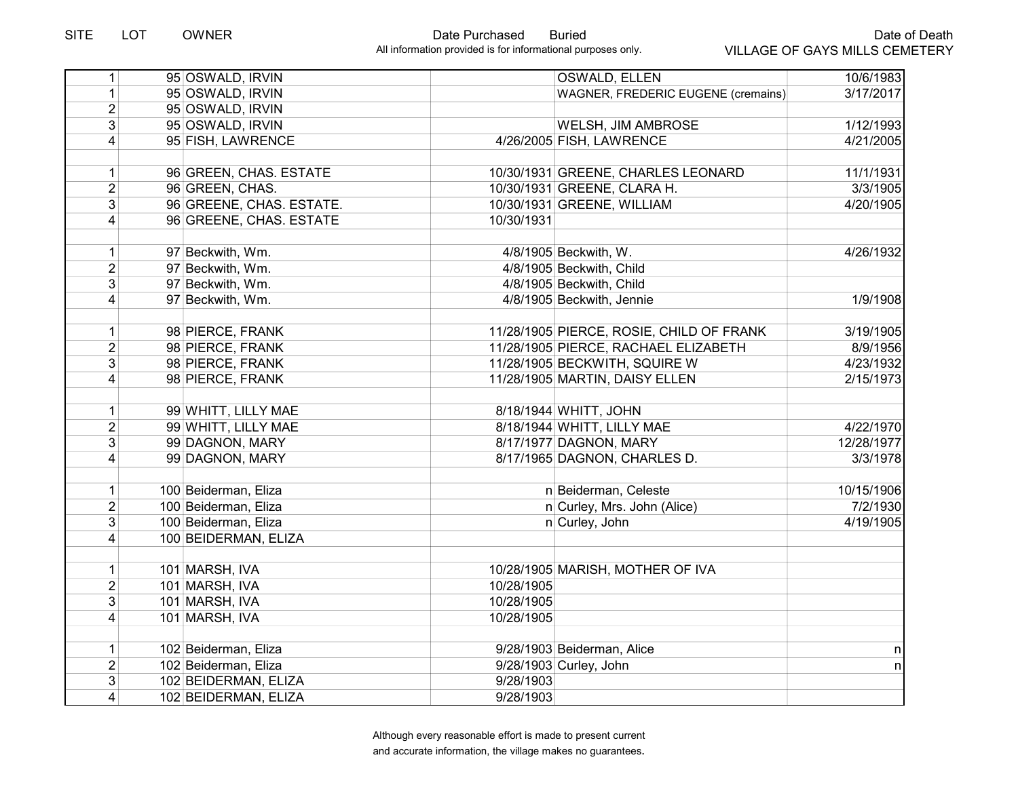| 1                                | 95 OSWALD, IRVIN                             | OSWALD, ELLEN                            | 10/6/1983  |
|----------------------------------|----------------------------------------------|------------------------------------------|------------|
| $\mathbf{1}$                     | 95 OSWALD, IRVIN                             | WAGNER, FREDERIC EUGENE (cremains)       | 3/17/2017  |
| $\overline{2}$                   | 95 OSWALD, IRVIN                             |                                          |            |
| 3                                | 95 OSWALD, IRVIN                             | <b>WELSH, JIM AMBROSE</b>                | 1/12/1993  |
| $\overline{4}$                   | 95 FISH, LAWRENCE                            | 4/26/2005 FISH, LAWRENCE                 | 4/21/2005  |
| 1                                | 96 GREEN, CHAS. ESTATE                       | 10/30/1931 GREENE, CHARLES LEONARD       | 11/1/1931  |
| $\overline{2}$                   | 96 GREEN, CHAS.                              | 10/30/1931 GREENE, CLARA H.              | 3/3/1905   |
| 3                                | 96 GREENE, CHAS. ESTATE.                     | 10/30/1931 GREENE, WILLIAM               | 4/20/1905  |
| $\vert$                          | 96 GREENE, CHAS. ESTATE                      | 10/30/1931                               |            |
|                                  |                                              |                                          |            |
| $\mathbf{1}$                     | 97 Beckwith, Wm.                             | 4/8/1905 Beckwith, W.                    | 4/26/1932  |
| $\overline{2}$                   | 97 Beckwith, Wm.                             | 4/8/1905 Beckwith, Child                 |            |
| $\overline{3}$                   | 97 Beckwith, Wm.                             | 4/8/1905 Beckwith, Child                 |            |
| $\overline{4}$                   | 97 Beckwith, Wm.                             | 4/8/1905 Beckwith, Jennie                | 1/9/1908   |
| 1                                | 98 PIERCE, FRANK                             | 11/28/1905 PIERCE, ROSIE, CHILD OF FRANK | 3/19/1905  |
| $\overline{2}$                   | 98 PIERCE, FRANK                             | 11/28/1905 PIERCE, RACHAEL ELIZABETH     | 8/9/1956   |
| 3                                | 98 PIERCE, FRANK                             | 11/28/1905 BECKWITH, SQUIRE W            | 4/23/1932  |
| $\overline{4}$                   | 98 PIERCE, FRANK                             | 11/28/1905 MARTIN, DAISY ELLEN           | 2/15/1973  |
| $\mathbf{1}$                     | 99 WHITT, LILLY MAE                          | 8/18/1944 WHITT, JOHN                    |            |
| $\overline{2}$                   | 99 WHITT, LILLY MAE                          | 8/18/1944 WHITT, LILLY MAE               | 4/22/1970  |
| 3 <sup>1</sup>                   | 99 DAGNON, MARY                              | 8/17/1977 DAGNON, MARY                   | 12/28/1977 |
| $\vert 4 \vert$                  | 99 DAGNON, MARY                              | 8/17/1965 DAGNON, CHARLES D.             | 3/3/1978   |
|                                  |                                              |                                          |            |
| 1                                | 100 Beiderman, Eliza                         | n Beiderman, Celeste                     | 10/15/1906 |
| $\overline{2}$<br>$\overline{3}$ | 100 Beiderman, Eliza                         | n Curley, Mrs. John (Alice)              | 7/2/1930   |
| $\vert$                          | 100 Beiderman, Eliza<br>100 BEIDERMAN, ELIZA | n Curley, John                           | 4/19/1905  |
|                                  |                                              |                                          |            |
| $\mathbf{1}$                     | 101 MARSH, IVA                               | 10/28/1905 MARISH, MOTHER OF IVA         |            |
| $\overline{2}$                   | 101 MARSH, IVA                               | 10/28/1905                               |            |
| $\overline{3}$                   | 101 MARSH, IVA                               | 10/28/1905                               |            |
| $\overline{4}$                   | 101 MARSH, IVA                               | 10/28/1905                               |            |
| $\mathbf{1}$                     | 102 Beiderman, Eliza                         | 9/28/1903 Beiderman, Alice               | n          |
| $\overline{2}$                   | 102 Beiderman, Eliza                         | 9/28/1903 Curley, John                   | nl         |
| 3                                | 102 BEIDERMAN, ELIZA                         | 9/28/1903                                |            |
| $\vert 4 \vert$                  | 102 BEIDERMAN, ELIZA                         | 9/28/1903                                |            |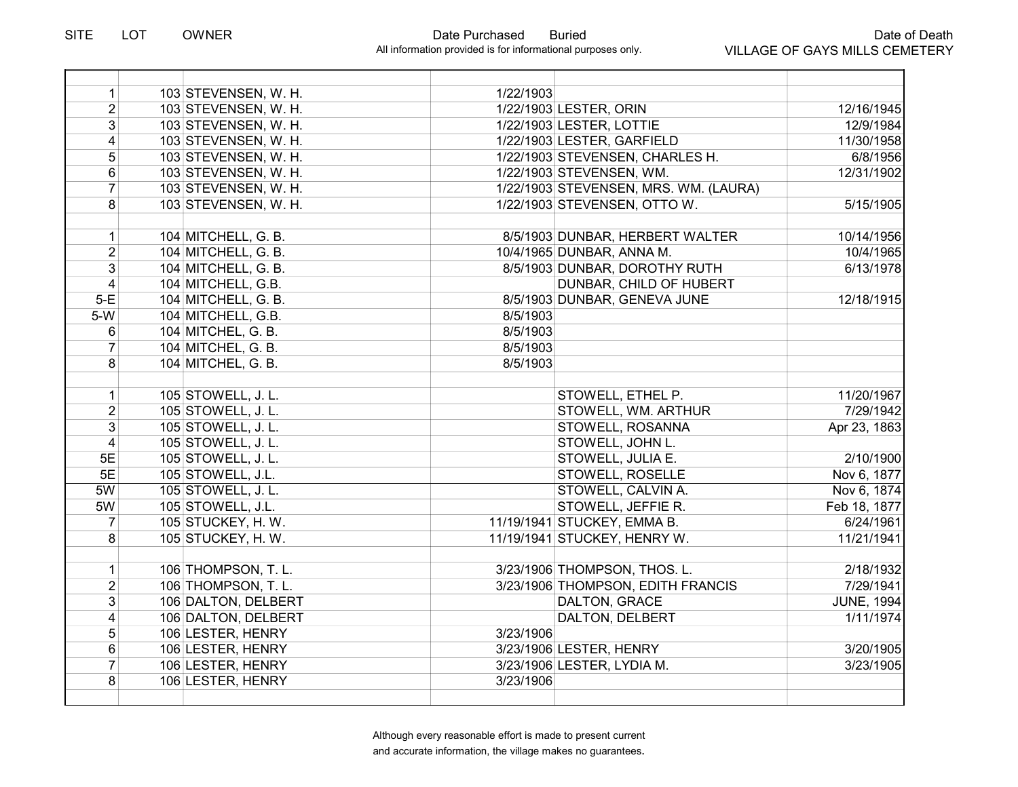| 1                       | 103 STEVENSEN, W. H. | 1/22/1903 |                                       |                   |
|-------------------------|----------------------|-----------|---------------------------------------|-------------------|
| $\overline{2}$          | 103 STEVENSEN, W. H. |           | 1/22/1903 LESTER, ORIN                | 12/16/1945        |
| 3 <sup>1</sup>          | 103 STEVENSEN, W. H. |           | 1/22/1903 LESTER, LOTTIE              | 12/9/1984         |
| $\overline{4}$          | 103 STEVENSEN, W. H. |           | 1/22/1903 LESTER, GARFIELD            | 11/30/1958        |
| 5 <sup>5</sup>          | 103 STEVENSEN, W. H. |           | 1/22/1903 STEVENSEN, CHARLES H.       | 6/8/1956          |
| $6\phantom{a}$          | 103 STEVENSEN, W. H. |           | 1/22/1903 STEVENSEN, WM.              | 12/31/1902        |
| $\overline{7}$          | 103 STEVENSEN, W. H. |           | 1/22/1903 STEVENSEN, MRS. WM. (LAURA) |                   |
| 8                       | 103 STEVENSEN, W. H. |           | 1/22/1903 STEVENSEN, OTTO W.          | 5/15/1905         |
|                         |                      |           |                                       |                   |
| 1                       | 104 MITCHELL, G. B.  |           | 8/5/1903 DUNBAR, HERBERT WALTER       | 10/14/1956        |
| $\overline{2}$          | 104 MITCHELL, G. B.  |           | 10/4/1965 DUNBAR, ANNA M.             | 10/4/1965         |
| $\overline{3}$          | 104 MITCHELL, G. B.  |           | 8/5/1903 DUNBAR, DOROTHY RUTH         | 6/13/1978         |
| $\overline{\mathbf{4}}$ | 104 MITCHELL, G.B.   |           | DUNBAR, CHILD OF HUBERT               |                   |
| $5-E$                   | 104 MITCHELL, G. B.  |           | 8/5/1903 DUNBAR, GENEVA JUNE          | 12/18/1915        |
| $5-W$                   | 104 MITCHELL, G.B.   | 8/5/1903  |                                       |                   |
| 6                       | 104 MITCHEL, G. B.   | 8/5/1903  |                                       |                   |
| $\overline{7}$          | 104 MITCHEL, G. B.   | 8/5/1903  |                                       |                   |
| 8 <sup>1</sup>          | 104 MITCHEL, G. B.   | 8/5/1903  |                                       |                   |
|                         |                      |           |                                       |                   |
| 1                       | 105 STOWELL, J. L.   |           | STOWELL, ETHEL P.                     | 11/20/1967        |
| $\overline{2}$          | 105 STOWELL, J. L.   |           | STOWELL, WM. ARTHUR                   | 7/29/1942         |
| $\overline{3}$          | 105 STOWELL, J. L.   |           | STOWELL, ROSANNA                      | Apr 23, 1863      |
| $\overline{4}$          | 105 STOWELL, J. L.   |           | STOWELL, JOHN L.                      |                   |
| 5E                      | 105 STOWELL, J. L.   |           | STOWELL, JULIA E.                     | 2/10/1900         |
| 5E                      | 105 STOWELL, J.L.    |           | STOWELL, ROSELLE                      | Nov 6, 1877       |
| 5W                      | 105 STOWELL, J. L.   |           | STOWELL, CALVIN A.                    | Nov 6, 1874       |
| 5W                      | 105 STOWELL, J.L.    |           | STOWELL, JEFFIE R.                    | Feb 18, 1877      |
| $\overline{7}$          | 105 STUCKEY, H. W.   |           | 11/19/1941 STUCKEY, EMMA B.           | 6/24/1961         |
| 8 <sup>1</sup>          | 105 STUCKEY, H. W.   |           | 11/19/1941 STUCKEY, HENRY W.          | 11/21/1941        |
|                         |                      |           |                                       |                   |
| 1                       | 106 THOMPSON, T. L.  |           | 3/23/1906 THOMPSON, THOS. L.          | 2/18/1932         |
| $\overline{2}$          | 106 THOMPSON, T. L.  |           | 3/23/1906 THOMPSON, EDITH FRANCIS     | 7/29/1941         |
| 3 <sup>1</sup>          | 106 DALTON, DELBERT  |           | DALTON, GRACE                         | <b>JUNE, 1994</b> |
| 4                       | 106 DALTON, DELBERT  |           | DALTON, DELBERT                       | 1/11/1974         |
| $\overline{5}$          | 106 LESTER, HENRY    | 3/23/1906 |                                       |                   |
| $6\overline{6}$         | 106 LESTER, HENRY    |           | 3/23/1906 LESTER, HENRY               | 3/20/1905         |
| $\overline{7}$          | 106 LESTER, HENRY    |           | 3/23/1906 LESTER, LYDIA M.            | 3/23/1905         |
| 8                       | 106 LESTER, HENRY    | 3/23/1906 |                                       |                   |
|                         |                      |           |                                       |                   |
|                         |                      |           |                                       |                   |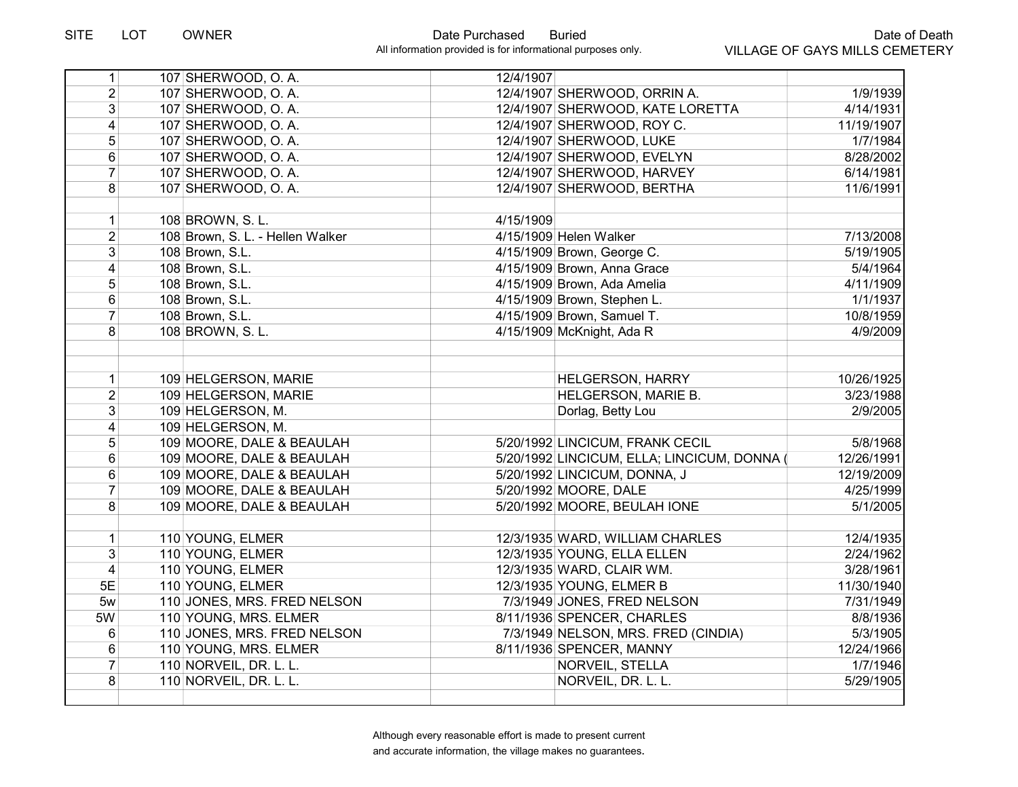| 1                                | 107 SHERWOOD, O.A.                   | 12/4/1907 |                                                          |                        |
|----------------------------------|--------------------------------------|-----------|----------------------------------------------------------|------------------------|
| $\overline{2}$                   | 107 SHERWOOD, O.A.                   |           | 12/4/1907 SHERWOOD, ORRIN A.                             | 1/9/1939               |
| 3                                | 107 SHERWOOD, O.A.                   |           | 12/4/1907 SHERWOOD, KATE LORETTA                         | 4/14/1931              |
| 4                                | 107 SHERWOOD, O.A.                   |           | 12/4/1907 SHERWOOD, ROY C.                               | 11/19/1907             |
| $\overline{5}$                   | 107 SHERWOOD, O.A.                   |           | 12/4/1907 SHERWOOD, LUKE                                 | 1/7/1984               |
| 6                                | 107 SHERWOOD, O.A.                   |           | 12/4/1907 SHERWOOD, EVELYN                               | 8/28/2002              |
| $\overline{7}$                   | 107 SHERWOOD, O.A.                   |           | 12/4/1907 SHERWOOD, HARVEY                               | 6/14/1981              |
| 8                                | 107 SHERWOOD, O.A.                   |           | 12/4/1907 SHERWOOD, BERTHA                               | 11/6/1991              |
|                                  |                                      |           |                                                          |                        |
| 1                                | 108 BROWN, S. L.                     | 4/15/1909 |                                                          |                        |
| $\overline{2}$                   | 108 Brown, S. L. - Hellen Walker     |           | 4/15/1909 Helen Walker                                   | 7/13/2008              |
| 3                                | 108 Brown, S.L.                      |           | 4/15/1909 Brown, George C.                               | 5/19/1905              |
| 4                                | 108 Brown, S.L.                      |           | 4/15/1909 Brown, Anna Grace                              | 5/4/1964               |
| 5                                | 108 Brown, S.L.                      |           | 4/15/1909 Brown, Ada Amelia                              | 4/11/1909              |
| 6                                | 108 Brown, S.L.                      |           | 4/15/1909 Brown, Stephen L.                              | 1/1/1937               |
| $\overline{7}$                   | 108 Brown, S.L.                      |           | 4/15/1909 Brown, Samuel T.                               | 10/8/1959              |
| 8                                | 108 BROWN, S. L.                     |           | 4/15/1909 McKnight, Ada R                                | 4/9/2009               |
|                                  |                                      |           |                                                          |                        |
|                                  |                                      |           |                                                          |                        |
| $\mathbf{1}$                     | 109 HELGERSON, MARIE                 |           | <b>HELGERSON, HARRY</b>                                  | 10/26/1925             |
| $\overline{2}$                   | 109 HELGERSON, MARIE                 |           | HELGERSON, MARIE B.                                      | 3/23/1988              |
| 3                                | 109 HELGERSON, M.                    |           | Dorlag, Betty Lou                                        | 2/9/2005               |
| 4                                | 109 HELGERSON, M.                    |           |                                                          |                        |
| 5                                | 109 MOORE, DALE & BEAULAH            |           | 5/20/1992 LINCICUM, FRANK CECIL                          | 5/8/1968               |
| 6                                | 109 MOORE, DALE & BEAULAH            |           | 5/20/1992 LINCICUM, ELLA; LINCICUM, DONNA (              | 12/26/1991             |
| 6                                | 109 MOORE, DALE & BEAULAH            |           | 5/20/1992 LINCICUM, DONNA, J                             | 12/19/2009             |
| 7                                | 109 MOORE, DALE & BEAULAH            |           | 5/20/1992 MOORE, DALE                                    | 4/25/1999              |
| 8                                | 109 MOORE, DALE & BEAULAH            |           | 5/20/1992 MOORE, BEULAH IONE                             | 5/1/2005               |
|                                  | 110 YOUNG, ELMER                     |           |                                                          |                        |
| $\mathbf{1}$                     |                                      |           | 12/3/1935 WARD, WILLIAM CHARLES                          | 12/4/1935              |
| $\mathfrak{B}$<br>$\overline{4}$ | 110 YOUNG, ELMER<br>110 YOUNG, ELMER |           | 12/3/1935 YOUNG, ELLA ELLEN<br>12/3/1935 WARD, CLAIR WM. | 2/24/1962<br>3/28/1961 |
| 5E                               | 110 YOUNG, ELMER                     |           | 12/3/1935 YOUNG, ELMER B                                 | 11/30/1940             |
| 5w                               |                                      |           |                                                          | 7/31/1949              |
|                                  | 110 JONES, MRS. FRED NELSON          |           | 7/3/1949 JONES, FRED NELSON                              |                        |
| 5W                               | 110 YOUNG, MRS. ELMER                |           | 8/11/1936 SPENCER, CHARLES                               | 8/8/1936               |
| 6                                | 110 JONES, MRS. FRED NELSON          |           | 7/3/1949 NELSON, MRS. FRED (CINDIA)                      | 5/3/1905               |
| 6<br>$\overline{7}$              | 110 YOUNG, MRS. ELMER                |           | 8/11/1936 SPENCER, MANNY                                 | 12/24/1966             |
| 8                                | 110 NORVEIL, DR. L. L.               |           | NORVEIL, STELLA                                          | 1/7/1946               |
|                                  | 110 NORVEIL, DR. L. L.               |           | NORVEIL, DR. L. L.                                       | 5/29/1905              |
|                                  |                                      |           |                                                          |                        |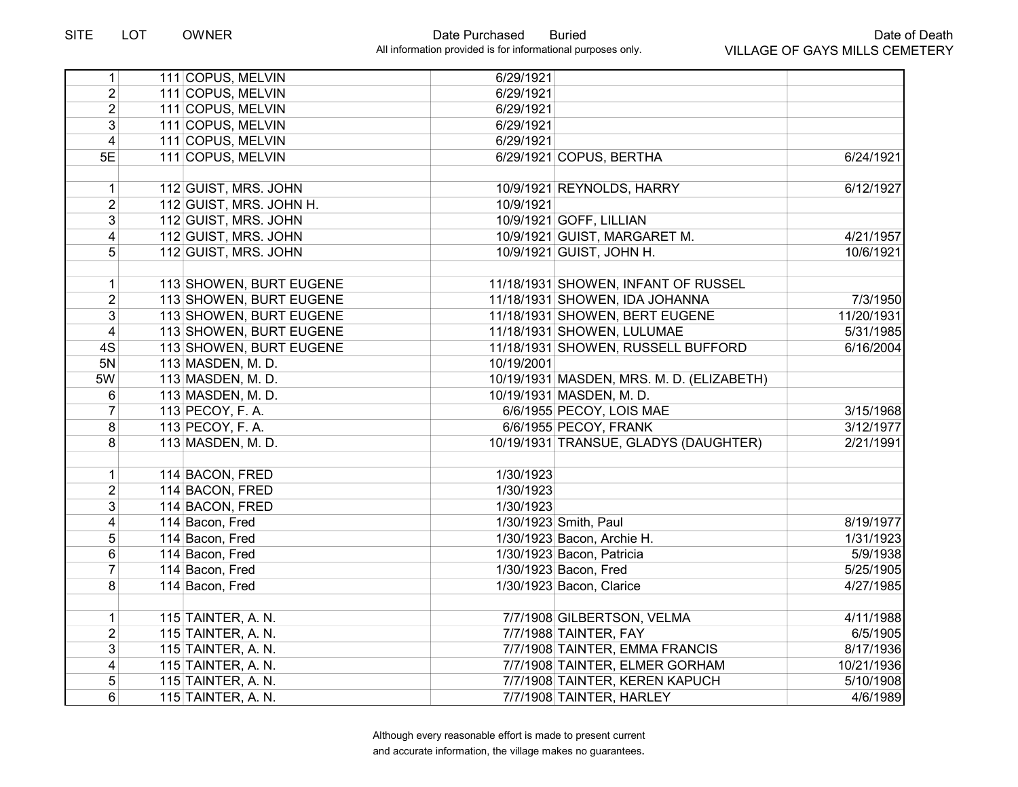| 1              | 111 COPUS, MELVIN       | 6/29/1921  |                                           |            |
|----------------|-------------------------|------------|-------------------------------------------|------------|
| $\overline{2}$ | 111 COPUS, MELVIN       | 6/29/1921  |                                           |            |
| $\overline{2}$ | 111 COPUS, MELVIN       | 6/29/1921  |                                           |            |
| $\overline{3}$ | 111 COPUS, MELVIN       | 6/29/1921  |                                           |            |
| $\overline{4}$ | 111 COPUS, MELVIN       | 6/29/1921  |                                           |            |
| 5E             | 111 COPUS, MELVIN       |            | 6/29/1921 COPUS, BERTHA                   | 6/24/1921  |
|                |                         |            |                                           |            |
| $\mathbf{1}$   | 112 GUIST, MRS. JOHN    |            | 10/9/1921 REYNOLDS, HARRY                 | 6/12/1927  |
| $\overline{2}$ | 112 GUIST, MRS. JOHN H. | 10/9/1921  |                                           |            |
| 3              | 112 GUIST, MRS. JOHN    |            | 10/9/1921 GOFF, LILLIAN                   |            |
| 4              | 112 GUIST, MRS. JOHN    |            | 10/9/1921 GUIST, MARGARET M.              | 4/21/1957  |
| 5              | 112 GUIST, MRS. JOHN    |            | 10/9/1921 GUIST, JOHN H.                  | 10/6/1921  |
|                |                         |            |                                           |            |
| $\mathbf{1}$   | 113 SHOWEN, BURT EUGENE |            | 11/18/1931 SHOWEN, INFANT OF RUSSEL       |            |
| $\overline{2}$ | 113 SHOWEN, BURT EUGENE |            | 11/18/1931 SHOWEN, IDA JOHANNA            | 7/3/1950   |
| $\mathfrak{S}$ | 113 SHOWEN, BURT EUGENE |            | 11/18/1931 SHOWEN, BERT EUGENE            | 11/20/1931 |
| $\overline{4}$ | 113 SHOWEN, BURT EUGENE |            | 11/18/1931 SHOWEN, LULUMAE                | 5/31/1985  |
| 4S             | 113 SHOWEN, BURT EUGENE |            | 11/18/1931 SHOWEN, RUSSELL BUFFORD        | 6/16/2004  |
| 5N             | 113 MASDEN, M. D.       | 10/19/2001 |                                           |            |
| 5W             | 113 MASDEN, M. D.       |            | 10/19/1931 MASDEN, MRS. M. D. (ELIZABETH) |            |
| 6              | 113 MASDEN, M. D.       |            | 10/19/1931 MASDEN, M. D.                  |            |
| $\overline{7}$ | 113 PECOY, F. A.        |            | 6/6/1955 PECOY, LOIS MAE                  | 3/15/1968  |
| 8              | 113 PECOY, F. A.        |            | 6/6/1955 PECOY, FRANK                     | 3/12/1977  |
| 8              | 113 MASDEN, M. D.       |            | 10/19/1931 TRANSUE, GLADYS (DAUGHTER)     | 2/21/1991  |
|                |                         |            |                                           |            |
| $\mathbf 1$    | 114 BACON, FRED         | 1/30/1923  |                                           |            |
| $\overline{2}$ | 114 BACON, FRED         | 1/30/1923  |                                           |            |
| 3              | 114 BACON, FRED         | 1/30/1923  |                                           |            |
| $\overline{4}$ | 114 Bacon, Fred         |            | 1/30/1923 Smith, Paul                     | 8/19/1977  |
| 5              | 114 Bacon, Fred         |            | 1/30/1923 Bacon, Archie H.                | 1/31/1923  |
| 6              | 114 Bacon, Fred         |            | 1/30/1923 Bacon, Patricia                 | 5/9/1938   |
| $\overline{7}$ | 114 Bacon, Fred         |            | 1/30/1923 Bacon, Fred                     | 5/25/1905  |
| 8              | 114 Bacon, Fred         |            | 1/30/1923 Bacon, Clarice                  | 4/27/1985  |
| $\mathbf 1$    | 115 TAINTER, A. N.      |            | 7/7/1908 GILBERTSON, VELMA                | 4/11/1988  |
| $\overline{2}$ | 115 TAINTER, A. N.      |            | 7/7/1988 TAINTER, FAY                     | 6/5/1905   |
| $\overline{3}$ | 115 TAINTER, A. N.      |            | 7/7/1908 TAINTER, EMMA FRANCIS            | 8/17/1936  |
| 4              | 115 TAINTER, A. N.      |            | 7/7/1908 TAINTER, ELMER GORHAM            | 10/21/1936 |
| 5              |                         |            |                                           |            |
|                | 115 TAINTER, A. N.      |            | 7/7/1908 TAINTER, KEREN KAPUCH            | 5/10/1908  |
| 6              | 115 TAINTER, A. N.      |            | 7/7/1908 TAINTER, HARLEY                  | 4/6/1989   |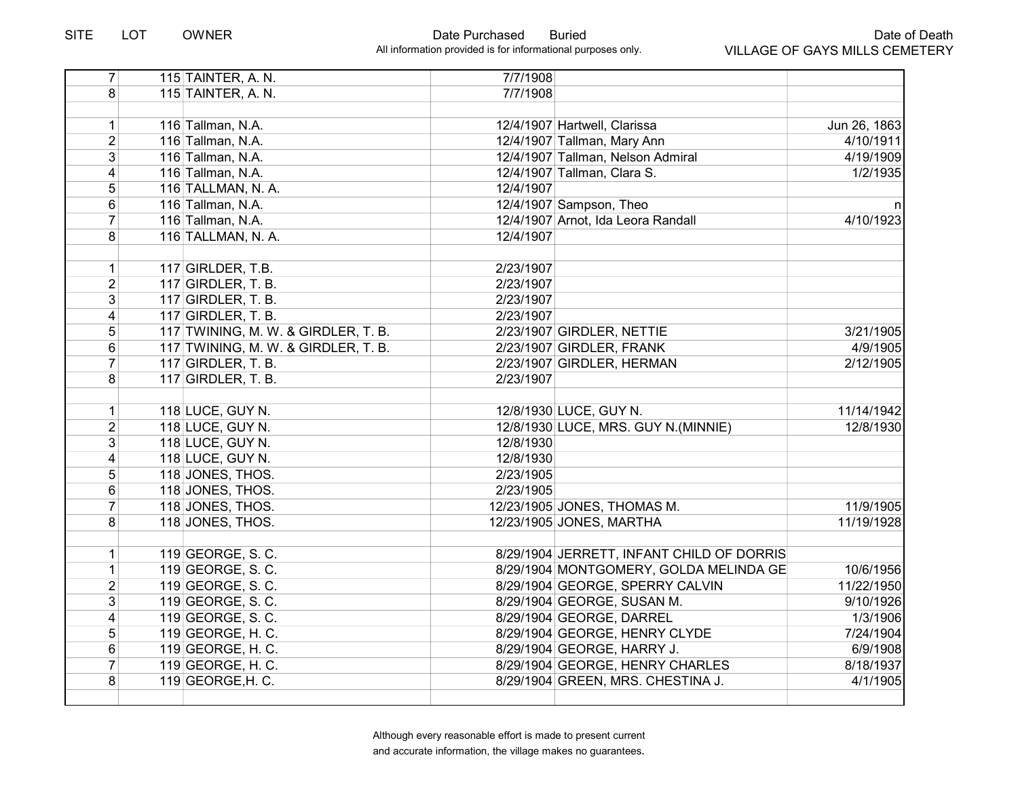| $\overline{7}$          | 115 TAINTER, A. N.                  | 7/7/1908  |                                           |              |
|-------------------------|-------------------------------------|-----------|-------------------------------------------|--------------|
| 8 <sup>1</sup>          | 115 TAINTER, A. N.                  | 7/7/1908  |                                           |              |
|                         |                                     |           |                                           |              |
| 1                       | 116 Tallman, N.A.                   |           | 12/4/1907 Hartwell, Clarissa              | Jun 26, 1863 |
| $\overline{2}$          | 116 Tallman, N.A.                   |           | 12/4/1907 Tallman, Mary Ann               | 4/10/1911    |
| $\overline{3}$          | 116 Tallman, N.A.                   |           | 12/4/1907 Tallman, Nelson Admiral         | 4/19/1909    |
| $\overline{\mathbf{4}}$ | 116 Tallman, N.A.                   |           | 12/4/1907 Tallman, Clara S.               | 1/2/1935     |
| $\overline{5}$          | 116 TALLMAN, N. A.                  | 12/4/1907 |                                           |              |
| $6\phantom{a}$          | 116 Tallman, N.A.                   |           | 12/4/1907 Sampson, Theo                   | n            |
| $\overline{7}$          | 116 Tallman, N.A.                   |           | 12/4/1907 Arnot, Ida Leora Randall        | 4/10/1923    |
| 8                       | 116 TALLMAN, N. A.                  | 12/4/1907 |                                           |              |
|                         |                                     |           |                                           |              |
| $\mathbf{1}$            | $117$ GIRLDER, T.B.                 | 2/23/1907 |                                           |              |
| $\overline{2}$          | 117 GIRDLER, T. B.                  | 2/23/1907 |                                           |              |
| $\overline{3}$          | 117 GIRDLER, T. B.                  | 2/23/1907 |                                           |              |
| $\overline{4}$          | 117 GIRDLER, T. B.                  | 2/23/1907 |                                           |              |
| 5                       | 117 TWINING, M. W. & GIRDLER, T. B. |           | 2/23/1907 GIRDLER, NETTIE                 | 3/21/1905    |
| $6\phantom{a}$          | 117 TWINING, M. W. & GIRDLER, T. B. |           | 2/23/1907 GIRDLER, FRANK                  | 4/9/1905     |
| $\overline{7}$          | 117 GIRDLER, T. B.                  |           | 2/23/1907 GIRDLER, HERMAN                 | 2/12/1905    |
| 8                       | 117 GIRDLER, T. B.                  | 2/23/1907 |                                           |              |
|                         |                                     |           |                                           |              |
| 1                       | 118 LUCE, GUY N.                    |           | 12/8/1930 LUCE, GUY N.                    | 11/14/1942   |
| $\overline{2}$          | 118 LUCE, GUY N.                    |           | 12/8/1930 LUCE, MRS. GUY N. (MINNIE)      | 12/8/1930    |
| 3 <sup>1</sup>          | 118 LUCE, GUY N.                    | 12/8/1930 |                                           |              |
| 4                       | 118 LUCE, GUY N.                    | 12/8/1930 |                                           |              |
| 5                       | 118 JONES, THOS.                    | 2/23/1905 |                                           |              |
| $6\phantom{a}$          | 118 JONES, THOS.                    | 2/23/1905 |                                           |              |
| $\overline{7}$          | 118 JONES, THOS.                    |           | 12/23/1905 JONES, THOMAS M.               | 11/9/1905    |
| 8                       | 118 JONES, THOS.                    |           | 12/23/1905 JONES, MARTHA                  | 11/19/1928   |
|                         |                                     |           |                                           |              |
| 1                       | 119 GEORGE, S. C.                   |           | 8/29/1904 JERRETT, INFANT CHILD OF DORRIS |              |
| 1                       | 119 GEORGE, S. C.                   |           | 8/29/1904 MONTGOMERY, GOLDA MELINDA GE    | 10/6/1956    |
| $\overline{2}$          | 119 GEORGE, S. C.                   |           | 8/29/1904 GEORGE, SPERRY CALVIN           | 11/22/1950   |
| $\overline{3}$          | 119 GEORGE, S. C.                   |           | 8/29/1904 GEORGE, SUSAN M.                | 9/10/1926    |
| $\overline{\mathbf{4}}$ | 119 GEORGE, S. C.                   |           | 8/29/1904 GEORGE, DARREL                  | 1/3/1906     |
| 5                       | 119 GEORGE, H. C.                   |           | 8/29/1904 GEORGE, HENRY CLYDE             | 7/24/1904    |
| 6                       | 119 GEORGE, H. C.                   |           | 8/29/1904 GEORGE, HARRY J.                | 6/9/1908     |
| $\overline{7}$          | 119 GEORGE, H. C.                   |           | 8/29/1904 GEORGE, HENRY CHARLES           | 8/18/1937    |
| 8                       | 119 GEORGE, H. C.                   |           | 8/29/1904 GREEN, MRS. CHESTINA J.         | 4/1/1905     |
|                         |                                     |           |                                           |              |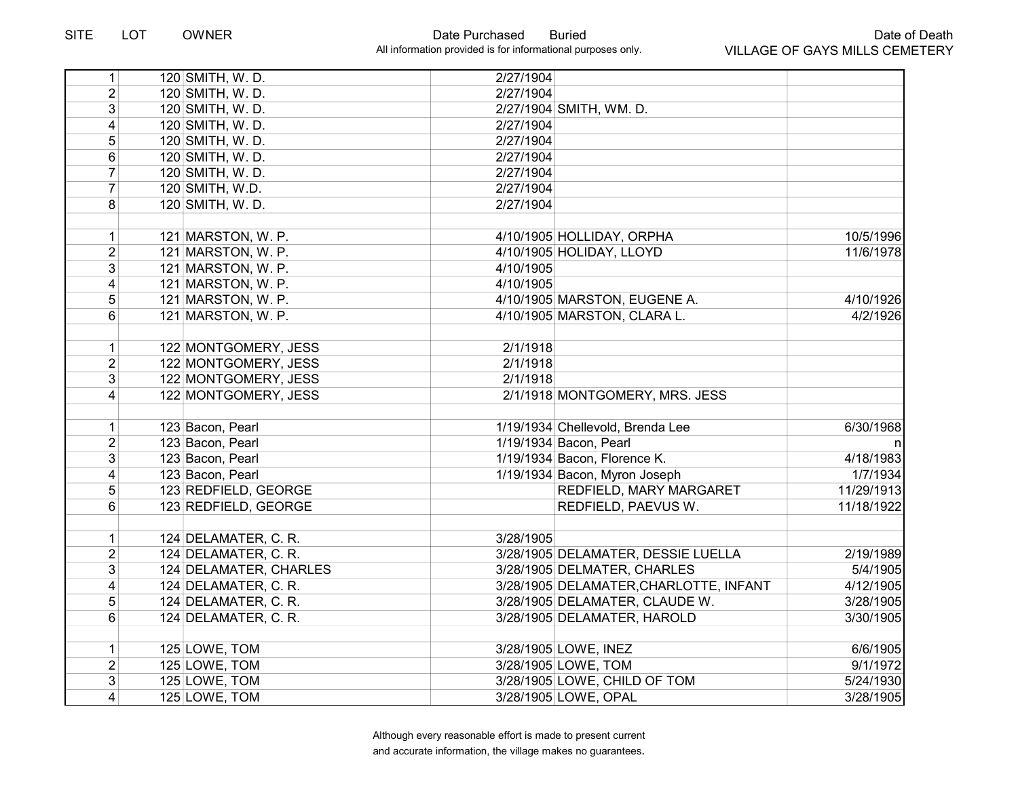| 1                       | 120 SMITH, W. D.       | 2/27/1904 |                                        |            |
|-------------------------|------------------------|-----------|----------------------------------------|------------|
| $\overline{2}$          | 120 SMITH, W. D.       | 2/27/1904 |                                        |            |
| 3                       | 120 SMITH, W. D.       |           | 2/27/1904 SMITH, WM. D.                |            |
| 4                       | 120 SMITH, W. D.       | 2/27/1904 |                                        |            |
| 5                       | 120 SMITH, W.D.        | 2/27/1904 |                                        |            |
| 6                       | 120 SMITH, W.D.        | 2/27/1904 |                                        |            |
| $\overline{7}$          | 120 SMITH, W. D.       | 2/27/1904 |                                        |            |
| $\overline{7}$          | 120 SMITH, W.D.        | 2/27/1904 |                                        |            |
| 8                       | 120 SMITH, W. D.       | 2/27/1904 |                                        |            |
|                         |                        |           |                                        |            |
| 1                       | 121 MARSTON, W. P.     |           | 4/10/1905 HOLLIDAY, ORPHA              | 10/5/1996  |
| $\overline{2}$          | 121 MARSTON, W. P.     |           | 4/10/1905 HOLIDAY, LLOYD               | 11/6/1978  |
| 3                       | 121 MARSTON, W. P.     | 4/10/1905 |                                        |            |
| $\overline{\mathbf{4}}$ | 121 MARSTON, W. P.     | 4/10/1905 |                                        |            |
| 5                       | 121 MARSTON, W. P.     |           | 4/10/1905 MARSTON, EUGENE A.           | 4/10/1926  |
| 6                       | 121 MARSTON, W. P.     |           | 4/10/1905 MARSTON, CLARA L.            | 4/2/1926   |
|                         |                        |           |                                        |            |
| 1                       | 122 MONTGOMERY, JESS   | 2/1/1918  |                                        |            |
| $\overline{2}$          | 122 MONTGOMERY, JESS   | 2/1/1918  |                                        |            |
| 3                       | 122 MONTGOMERY, JESS   | 2/1/1918  |                                        |            |
| $\overline{4}$          | 122 MONTGOMERY, JESS   |           | 2/1/1918 MONTGOMERY, MRS. JESS         |            |
|                         |                        |           |                                        |            |
| 1                       | 123 Bacon, Pearl       |           | 1/19/1934 Chellevold, Brenda Lee       | 6/30/1968  |
| 2                       | 123 Bacon, Pearl       |           | 1/19/1934 Bacon, Pearl                 | n          |
| 3                       | 123 Bacon, Pearl       |           | 1/19/1934 Bacon, Florence K.           | 4/18/1983  |
| 4                       | 123 Bacon, Pearl       |           | 1/19/1934 Bacon, Myron Joseph          | 1/7/1934   |
| 5                       | 123 REDFIELD, GEORGE   |           | REDFIELD, MARY MARGARET                | 11/29/1913 |
| 6                       | 123 REDFIELD, GEORGE   |           | REDFIELD, PAEVUS W.                    | 11/18/1922 |
|                         |                        |           |                                        |            |
| 1                       | 124 DELAMATER, C. R.   | 3/28/1905 |                                        |            |
| $\overline{2}$          | 124 DELAMATER, C. R.   |           | 3/28/1905 DELAMATER, DESSIE LUELLA     | 2/19/1989  |
| 3                       | 124 DELAMATER, CHARLES |           | 3/28/1905 DELMATER, CHARLES            | 5/4/1905   |
| 4                       | 124 DELAMATER, C. R.   |           | 3/28/1905 DELAMATER, CHARLOTTE, INFANT | 4/12/1905  |
| 5                       | 124 DELAMATER, C. R.   |           | 3/28/1905 DELAMATER, CLAUDE W.         | 3/28/1905  |
| 6                       | 124 DELAMATER, C. R.   |           | 3/28/1905 DELAMATER, HAROLD            | 3/30/1905  |
|                         |                        |           |                                        |            |
| $\mathbf{1}$            | 125 LOWE, TOM          |           | 3/28/1905 LOWE, INEZ                   | 6/6/1905   |
| $\overline{2}$          | 125 LOWE, TOM          |           | 3/28/1905 LOWE, TOM                    | 9/1/1972   |
| 3                       | 125 LOWE, TOM          |           | 3/28/1905 LOWE, CHILD OF TOM           | 5/24/1930  |
| 4                       | 125 LOWE, TOM          |           | 3/28/1905 LOWE, OPAL                   | 3/28/1905  |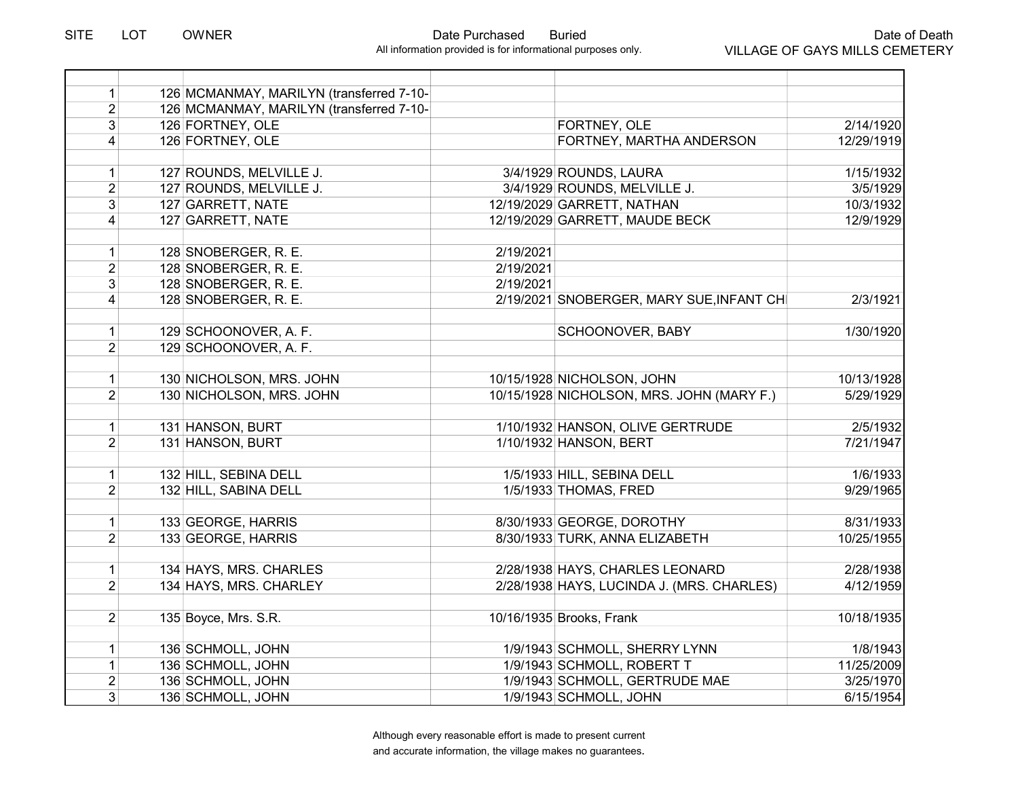| $\mathbf{1}$        | 126 MCMANMAY, MARILYN (transferred 7-10- |           |                                           |            |
|---------------------|------------------------------------------|-----------|-------------------------------------------|------------|
| $\overline{2}$      | 126 MCMANMAY, MARILYN (transferred 7-10- |           |                                           |            |
| $\overline{3}$      | 126 FORTNEY, OLE                         |           | FORTNEY, OLE                              | 2/14/1920  |
| $\overline{4}$      | 126 FORTNEY, OLE                         |           | FORTNEY, MARTHA ANDERSON                  | 12/29/1919 |
|                     |                                          |           |                                           |            |
| 1                   | 127 ROUNDS, MELVILLE J.                  |           | 3/4/1929 ROUNDS, LAURA                    | 1/15/1932  |
| $\overline{2}$      | 127 ROUNDS, MELVILLE J.                  |           | 3/4/1929 ROUNDS, MELVILLE J.              | 3/5/1929   |
| $\overline{3}$      | 127 GARRETT, NATE                        |           | 12/19/2029 GARRETT, NATHAN                | 10/3/1932  |
| 4                   | 127 GARRETT, NATE                        |           | 12/19/2029 GARRETT, MAUDE BECK            | 12/9/1929  |
|                     |                                          | 2/19/2021 |                                           |            |
| $\mathbf{1}$        | 128 SNOBERGER, R. E.                     | 2/19/2021 |                                           |            |
| $\overline{2}$      | 128 SNOBERGER, R. E.                     |           |                                           |            |
| $\overline{3}$      | 128 SNOBERGER, R. E.                     | 2/19/2021 |                                           |            |
| $\vert 4 \vert$     | 128 SNOBERGER, R. E.                     |           | 2/19/2021 SNOBERGER, MARY SUE, INFANT CHI | 2/3/1921   |
| $\mathbf{1}$        | 129 SCHOONOVER, A. F.                    |           | <b>SCHOONOVER, BABY</b>                   | 1/30/1920  |
| $\overline{2}$      | 129 SCHOONOVER, A. F.                    |           |                                           |            |
|                     |                                          |           |                                           |            |
| $\mathbf{1}$        | 130 NICHOLSON, MRS. JOHN                 |           | 10/15/1928 NICHOLSON, JOHN                | 10/13/1928 |
| $\overline{2}$      | 130 NICHOLSON, MRS. JOHN                 |           | 10/15/1928 NICHOLSON, MRS. JOHN (MARY F.) | 5/29/1929  |
|                     |                                          |           |                                           |            |
| $\mathbf{1}$        | 131 HANSON, BURT                         |           | 1/10/1932 HANSON, OLIVE GERTRUDE          | 2/5/1932   |
| $\overline{2}$      | 131 HANSON, BURT                         |           | 1/10/1932 HANSON, BERT                    | 7/21/1947  |
|                     |                                          |           |                                           |            |
| $\mathbf{1}$        | 132 HILL, SEBINA DELL                    |           | 1/5/1933 HILL, SEBINA DELL                | 1/6/1933   |
| $\overline{2}$      | 132 HILL, SABINA DELL                    |           | 1/5/1933 THOMAS, FRED                     | 9/29/1965  |
|                     |                                          |           |                                           |            |
| 1<br>$\overline{2}$ | 133 GEORGE, HARRIS                       |           | 8/30/1933 GEORGE, DOROTHY                 | 8/31/1933  |
|                     | 133 GEORGE, HARRIS                       |           | 8/30/1933 TURK, ANNA ELIZABETH            | 10/25/1955 |
| $\mathbf{1}$        | 134 HAYS, MRS. CHARLES                   |           | 2/28/1938 HAYS, CHARLES LEONARD           | 2/28/1938  |
| $\overline{2}$      | 134 HAYS, MRS. CHARLEY                   |           | 2/28/1938 HAYS, LUCINDA J. (MRS. CHARLES) | 4/12/1959  |
|                     |                                          |           |                                           |            |
| $\overline{2}$      | 135 Boyce, Mrs. S.R.                     |           | 10/16/1935 Brooks, Frank                  | 10/18/1935 |
|                     |                                          |           |                                           |            |
| $\mathbf{1}$        | 136 SCHMOLL, JOHN                        |           | 1/9/1943 SCHMOLL, SHERRY LYNN             | 1/8/1943   |
| $\mathbf{1}$        | 136 SCHMOLL, JOHN                        |           | 1/9/1943 SCHMOLL, ROBERT T                | 11/25/2009 |
| $\overline{2}$      | 136 SCHMOLL, JOHN                        |           | 1/9/1943 SCHMOLL, GERTRUDE MAE            | 3/25/1970  |
| 3                   | 136 SCHMOLL, JOHN                        |           | 1/9/1943 SCHMOLL, JOHN                    | 6/15/1954  |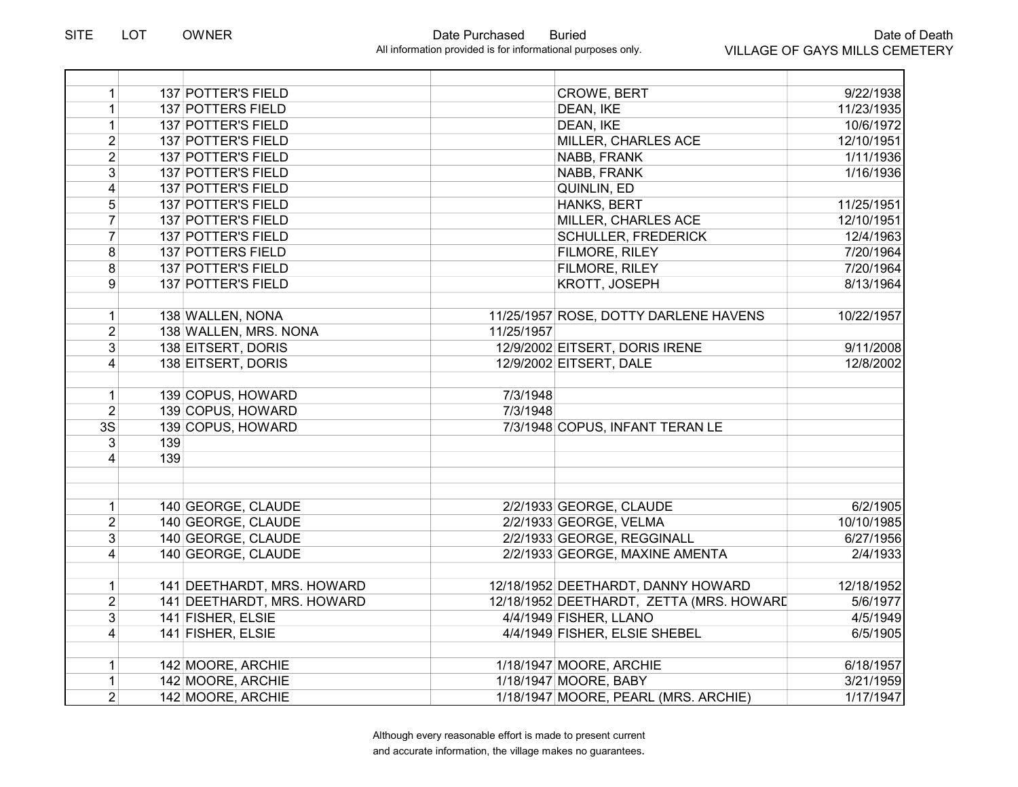| $\mathbf{1}$   |     | 137 POTTER'S FIELD         |            | <b>CROWE, BERT</b>                       | 9/22/1938  |
|----------------|-----|----------------------------|------------|------------------------------------------|------------|
| $\mathbf{1}$   |     | 137 POTTERS FIELD          |            | DEAN, IKE                                | 11/23/1935 |
| $\mathbf{1}$   |     | 137 POTTER'S FIELD         |            | DEAN, IKE                                | 10/6/1972  |
| $\overline{2}$ |     | <b>137 POTTER'S FIELD</b>  |            | MILLER, CHARLES ACE                      | 12/10/1951 |
| $\overline{2}$ |     | <b>137 POTTER'S FIELD</b>  |            | <b>NABB, FRANK</b>                       | 1/11/1936  |
| $\overline{3}$ |     | <b>137 POTTER'S FIELD</b>  |            | NABB, FRANK                              | 1/16/1936  |
| 4              |     | <b>137 POTTER'S FIELD</b>  |            | QUINLIN, ED                              |            |
| $\overline{5}$ |     | 137 POTTER'S FIELD         |            | HANKS, BERT                              | 11/25/1951 |
| $\overline{7}$ |     | <b>137 POTTER'S FIELD</b>  |            | MILLER, CHARLES ACE                      | 12/10/1951 |
| $\overline{7}$ |     | 137 POTTER'S FIELD         |            | <b>SCHULLER, FREDERICK</b>               | 12/4/1963  |
| $\overline{8}$ |     | <b>137 POTTERS FIELD</b>   |            | FILMORE, RILEY                           | 7/20/1964  |
| $\bf 8$        |     | 137 POTTER'S FIELD         |            | FILMORE, RILEY                           | 7/20/1964  |
| 9              |     | 137 POTTER'S FIELD         |            | KROTT, JOSEPH                            | 8/13/1964  |
|                |     |                            |            |                                          |            |
| $\mathbf{1}$   |     | 138 WALLEN, NONA           |            | 11/25/1957 ROSE, DOTTY DARLENE HAVENS    | 10/22/1957 |
| $\overline{2}$ |     | 138 WALLEN, MRS. NONA      | 11/25/1957 |                                          |            |
| 3              |     | 138 EITSERT, DORIS         |            | 12/9/2002 EITSERT, DORIS IRENE           | 9/11/2008  |
| 4              |     | 138 EITSERT, DORIS         |            | 12/9/2002 EITSERT, DALE                  | 12/8/2002  |
|                |     |                            |            |                                          |            |
| $\mathbf 1$    |     | 139 COPUS, HOWARD          | 7/3/1948   |                                          |            |
| $\overline{2}$ |     | 139 COPUS, HOWARD          | 7/3/1948   |                                          |            |
| 3S             |     | 139 COPUS, HOWARD          |            | 7/3/1948 COPUS, INFANT TERAN LE          |            |
| 3              | 139 |                            |            |                                          |            |
| $\overline{4}$ | 139 |                            |            |                                          |            |
|                |     |                            |            |                                          |            |
|                |     |                            |            |                                          |            |
| $\mathbf{1}$   |     | 140 GEORGE, CLAUDE         |            | 2/2/1933 GEORGE, CLAUDE                  | 6/2/1905   |
| $\overline{2}$ |     | 140 GEORGE, CLAUDE         |            | 2/2/1933 GEORGE, VELMA                   | 10/10/1985 |
| 3              |     | 140 GEORGE, CLAUDE         |            | 2/2/1933 GEORGE, REGGINALL               | 6/27/1956  |
| 4              |     | 140 GEORGE, CLAUDE         |            | 2/2/1933 GEORGE, MAXINE AMENTA           | 2/4/1933   |
| $\mathbf{1}$   |     | 141 DEETHARDT, MRS. HOWARD |            | 12/18/1952 DEETHARDT, DANNY HOWARD       | 12/18/1952 |
| $\overline{2}$ |     | 141 DEETHARDT, MRS. HOWARD |            | 12/18/1952 DEETHARDT, ZETTA (MRS. HOWARD | 5/6/1977   |
| 3              |     |                            |            |                                          |            |
|                |     | 141 FISHER, ELSIE          |            | 4/4/1949 FISHER, LLANO                   | 4/5/1949   |
| 4              |     | 141 FISHER, ELSIE          |            | 4/4/1949 FISHER, ELSIE SHEBEL            | 6/5/1905   |
| $\mathbf 1$    |     | 142 MOORE, ARCHIE          |            | 1/18/1947 MOORE, ARCHIE                  | 6/18/1957  |
| $\mathbf{1}$   |     | 142 MOORE, ARCHIE          |            | 1/18/1947 MOORE, BABY                    | 3/21/1959  |
| $\overline{2}$ |     | 142 MOORE, ARCHIE          |            | 1/18/1947 MOORE, PEARL (MRS. ARCHIE)     | 1/17/1947  |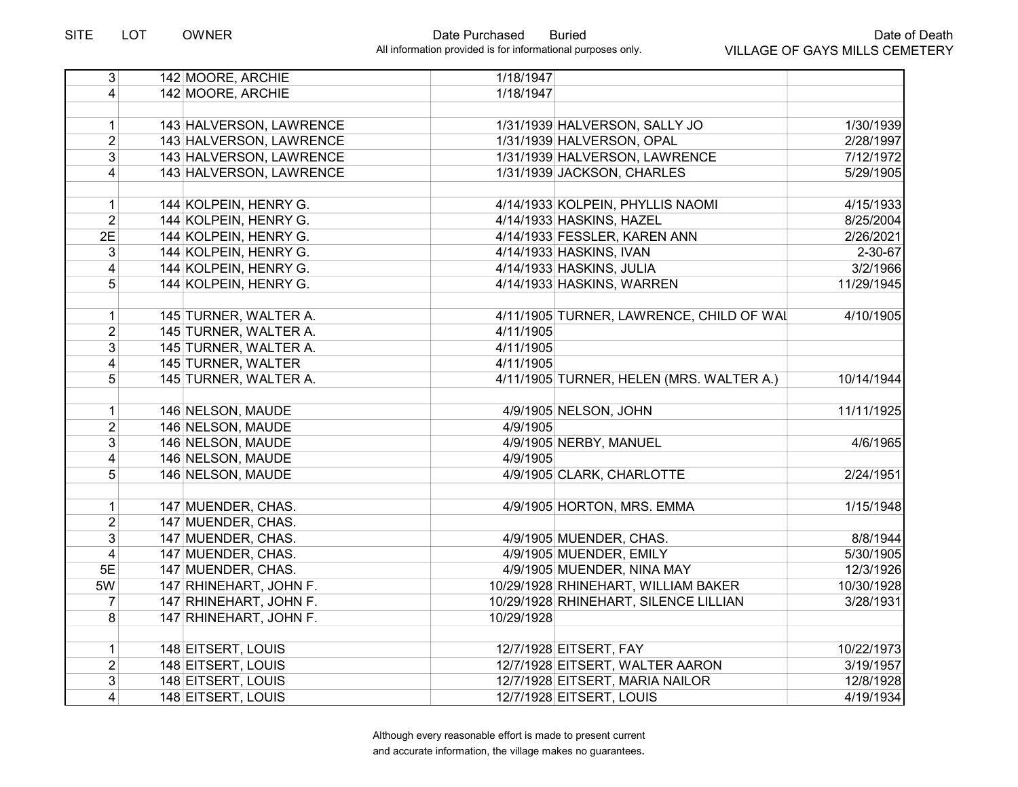| $\overline{3}$  | 142 MOORE, ARCHIE       | 1/18/1947                                |               |
|-----------------|-------------------------|------------------------------------------|---------------|
| $\vert 4 \vert$ | 142 MOORE, ARCHIE       | 1/18/1947                                |               |
|                 |                         |                                          |               |
| $\mathbf{1}$    | 143 HALVERSON, LAWRENCE | 1/31/1939 HALVERSON, SALLY JO            | 1/30/1939     |
| $\overline{2}$  | 143 HALVERSON, LAWRENCE | 1/31/1939 HALVERSON, OPAL                | 2/28/1997     |
| $\overline{3}$  | 143 HALVERSON, LAWRENCE | 1/31/1939 HALVERSON, LAWRENCE            | 7/12/1972     |
| $\overline{4}$  | 143 HALVERSON, LAWRENCE | 1/31/1939 JACKSON, CHARLES               | 5/29/1905     |
|                 |                         |                                          |               |
| $\mathbf 1$     | 144 KOLPEIN, HENRY G.   | 4/14/1933 KOLPEIN, PHYLLIS NAOMI         | 4/15/1933     |
| $\overline{2}$  | 144 KOLPEIN, HENRY G.   | 4/14/1933 HASKINS, HAZEL                 | 8/25/2004     |
| 2E              | 144 KOLPEIN, HENRY G.   | 4/14/1933 FESSLER, KAREN ANN             | 2/26/2021     |
| 3               | 144 KOLPEIN, HENRY G.   | 4/14/1933 HASKINS, IVAN                  | $2 - 30 - 67$ |
| $\overline{4}$  | 144 KOLPEIN, HENRY G.   | 4/14/1933 HASKINS, JULIA                 | 3/2/1966      |
| 5               | 144 KOLPEIN, HENRY G.   | 4/14/1933 HASKINS, WARREN                | 11/29/1945    |
|                 |                         |                                          |               |
| $\mathbf 1$     | 145 TURNER, WALTER A.   | 4/11/1905 TURNER, LAWRENCE, CHILD OF WAI | 4/10/1905     |
| $\overline{2}$  | 145 TURNER, WALTER A.   | 4/11/1905                                |               |
| 3 <sup>1</sup>  | 145 TURNER, WALTER A.   | 4/11/1905                                |               |
| $\vert 4 \vert$ | 145 TURNER, WALTER      | 4/11/1905                                |               |
| 5               | 145 TURNER, WALTER A.   | 4/11/1905 TURNER, HELEN (MRS. WALTER A.) | 10/14/1944    |
|                 |                         |                                          |               |
| 1               | 146 NELSON, MAUDE       | 4/9/1905 NELSON, JOHN                    | 11/11/1925    |
| $\overline{2}$  | 146 NELSON, MAUDE       | 4/9/1905                                 |               |
| 3               | 146 NELSON, MAUDE       | 4/9/1905 NERBY, MANUEL                   | 4/6/1965      |
| 4               | 146 NELSON, MAUDE       | 4/9/1905                                 |               |
| 5 <sup>2</sup>  | 146 NELSON, MAUDE       | 4/9/1905 CLARK, CHARLOTTE                | 2/24/1951     |
|                 |                         |                                          |               |
| $\mathbf{1}$    | 147 MUENDER, CHAS.      | 4/9/1905 HORTON, MRS. EMMA               | 1/15/1948     |
| $\overline{2}$  | 147 MUENDER, CHAS.      |                                          |               |
| $\overline{3}$  | 147 MUENDER, CHAS.      | 4/9/1905 MUENDER, CHAS.                  | 8/8/1944      |
| $\overline{4}$  | 147 MUENDER, CHAS.      | 4/9/1905 MUENDER, EMILY                  | 5/30/1905     |
| 5E              | 147 MUENDER, CHAS.      | 4/9/1905 MUENDER, NINA MAY               | 12/3/1926     |
| 5W              | 147 RHINEHART, JOHN F.  | 10/29/1928 RHINEHART, WILLIAM BAKER      | 10/30/1928    |
| $\overline{7}$  | 147 RHINEHART, JOHN F.  | 10/29/1928 RHINEHART, SILENCE LILLIAN    | 3/28/1931     |
| 8               | 147 RHINEHART, JOHN F.  | 10/29/1928                               |               |
|                 |                         |                                          |               |
| $\mathbf{1}$    | 148 EITSERT, LOUIS      | 12/7/1928 EITSERT, FAY                   | 10/22/1973    |
| $\overline{2}$  | 148 EITSERT, LOUIS      | 12/7/1928 EITSERT, WALTER AARON          | 3/19/1957     |
| $\overline{3}$  | 148 EITSERT, LOUIS      | 12/7/1928 EITSERT, MARIA NAILOR          | 12/8/1928     |
| $\vert 4 \vert$ | 148 EITSERT, LOUIS      | 12/7/1928 EITSERT, LOUIS                 | 4/19/1934     |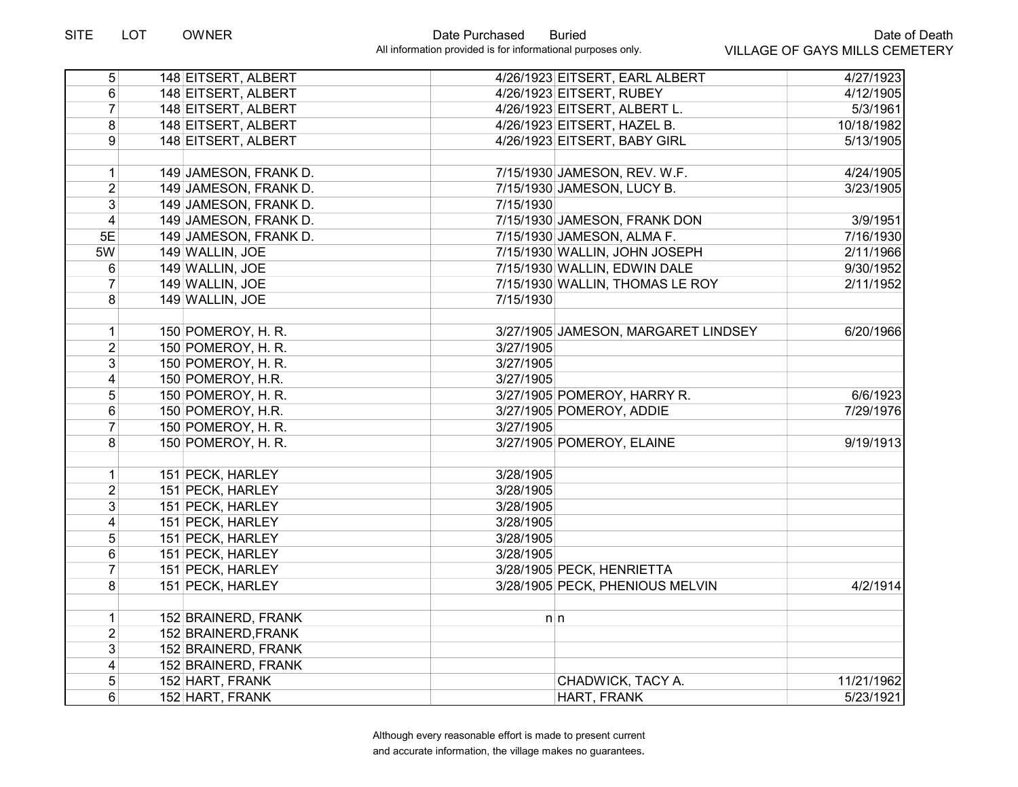| $\overline{5}$          | 148 EITSERT, ALBERT   | 4/26/1923 EITSERT, EARL ALBERT      | 4/27/1923  |
|-------------------------|-----------------------|-------------------------------------|------------|
| 6                       | 148 EITSERT, ALBERT   | 4/26/1923 EITSERT, RUBEY            | 4/12/1905  |
| $\overline{7}$          | 148 EITSERT, ALBERT   | 4/26/1923 EITSERT, ALBERT L.        | 5/3/1961   |
| 8                       | 148 EITSERT, ALBERT   | 4/26/1923 EITSERT, HAZEL B.         | 10/18/1982 |
| 9                       | 148 EITSERT, ALBERT   | 4/26/1923 EITSERT, BABY GIRL        | 5/13/1905  |
|                         |                       |                                     |            |
| $\mathbf{1}$            | 149 JAMESON, FRANK D. | 7/15/1930 JAMESON, REV. W.F.        | 4/24/1905  |
| $\overline{2}$          | 149 JAMESON, FRANK D. | 7/15/1930 JAMESON, LUCY B.          | 3/23/1905  |
| 3                       | 149 JAMESON, FRANK D. | 7/15/1930                           |            |
| 4                       | 149 JAMESON, FRANK D. | 7/15/1930 JAMESON, FRANK DON        | 3/9/1951   |
| 5E                      | 149 JAMESON, FRANK D. | 7/15/1930 JAMESON, ALMA F.          | 7/16/1930  |
| 5W                      | 149 WALLIN, JOE       | 7/15/1930 WALLIN, JOHN JOSEPH       | 2/11/1966  |
| 6                       | 149 WALLIN, JOE       | 7/15/1930 WALLIN, EDWIN DALE        | 9/30/1952  |
| $\overline{7}$          | 149 WALLIN, JOE       | 7/15/1930 WALLIN, THOMAS LE ROY     | 2/11/1952  |
| 8                       | 149 WALLIN, JOE       | 7/15/1930                           |            |
| $\mathbf{1}$            | 150 POMEROY, H. R.    | 3/27/1905 JAMESON, MARGARET LINDSEY | 6/20/1966  |
| $\overline{2}$          | 150 POMEROY, H. R.    | 3/27/1905                           |            |
| 3                       | 150 POMEROY, H. R.    | 3/27/1905                           |            |
| 4                       | 150 POMEROY, H.R.     | 3/27/1905                           |            |
| 5                       | 150 POMEROY, H. R.    | 3/27/1905 POMEROY, HARRY R.         | 6/6/1923   |
| 6                       | 150 POMEROY, H.R.     | 3/27/1905 POMEROY, ADDIE            | 7/29/1976  |
| $\overline{7}$          | 150 POMEROY, H. R.    | 3/27/1905                           |            |
| 8                       | 150 POMEROY, H. R.    | 3/27/1905 POMEROY, ELAINE           | 9/19/1913  |
|                         |                       |                                     |            |
| $\mathbf{1}$            | 151 PECK, HARLEY      | 3/28/1905                           |            |
| $\overline{2}$          | 151 PECK, HARLEY      | 3/28/1905                           |            |
| 3                       | 151 PECK, HARLEY      | 3/28/1905                           |            |
| $\overline{4}$          | 151 PECK, HARLEY      | 3/28/1905                           |            |
| 5                       | 151 PECK, HARLEY      | 3/28/1905                           |            |
| $\overline{6}$          | 151 PECK, HARLEY      | 3/28/1905                           |            |
| $\overline{7}$          | 151 PECK, HARLEY      | 3/28/1905 PECK, HENRIETTA           |            |
| 8                       | 151 PECK, HARLEY      | 3/28/1905 PECK, PHENIOUS MELVIN     | 4/2/1914   |
| $\mathbf{1}$            | 152 BRAINERD, FRANK   | n n                                 |            |
| $\overline{2}$          | 152 BRAINERD, FRANK   |                                     |            |
| $\overline{3}$          | 152 BRAINERD, FRANK   |                                     |            |
| $\overline{\mathbf{4}}$ | 152 BRAINERD, FRANK   |                                     |            |
| 5                       | 152 HART, FRANK       | CHADWICK, TACY A.                   | 11/21/1962 |
| 6                       | 152 HART, FRANK       | HART, FRANK                         | 5/23/1921  |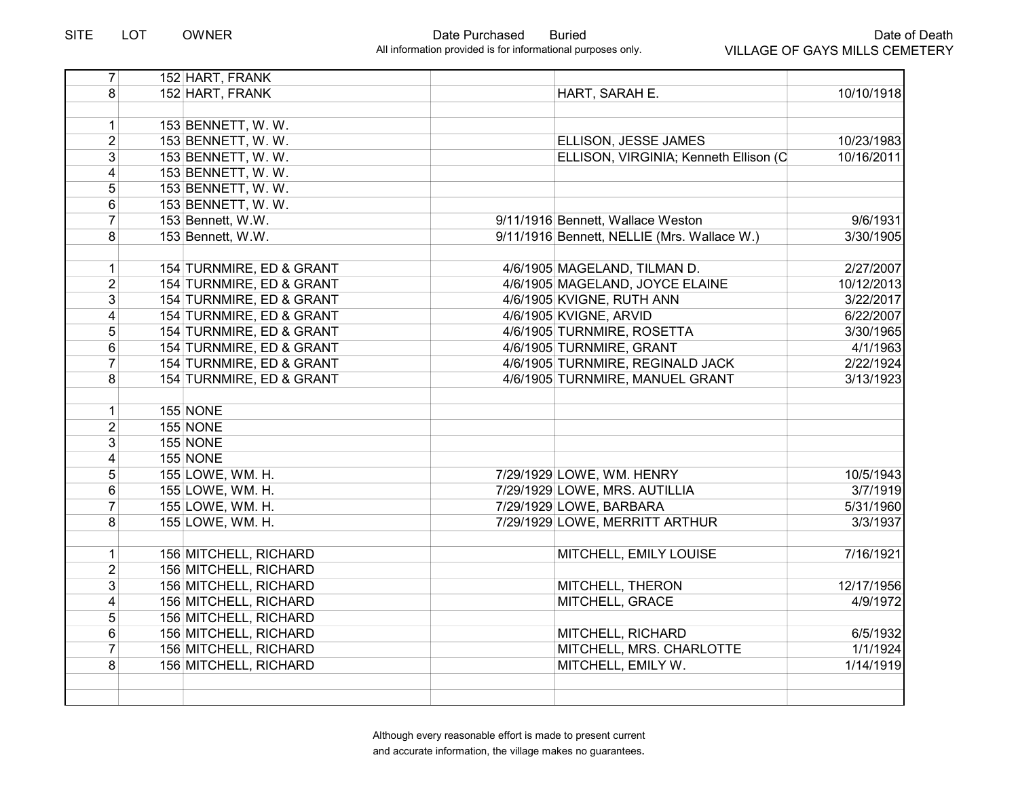| $\overline{7}$  | 152 HART, FRANK              |                                             |            |
|-----------------|------------------------------|---------------------------------------------|------------|
| 8               | 152 HART, FRANK              | HART, SARAH E.                              | 10/10/1918 |
|                 |                              |                                             |            |
| $\mathbf{1}$    | 153 BENNETT, W.W.            |                                             |            |
| $\overline{2}$  | 153 BENNETT, W. W.           | ELLISON, JESSE JAMES                        | 10/23/1983 |
| 3               | 153 BENNETT, W. W.           | ELLISON, VIRGINIA; Kenneth Ellison (C       | 10/16/2011 |
| $\overline{4}$  | 153 BENNETT, W.W.            |                                             |            |
| 5               | 153 BENNETT, W. W.           |                                             |            |
| 6               | 153 BENNETT, W. W.           |                                             |            |
| $\overline{7}$  | 153 Bennett, W.W.            | 9/11/1916 Bennett, Wallace Weston           | 9/6/1931   |
| 8               | 153 Bennett, W.W.            | 9/11/1916 Bennett, NELLIE (Mrs. Wallace W.) | 3/30/1905  |
|                 |                              |                                             |            |
| $\mathbf 1$     | 154 TURNMIRE, ED & GRANT     | 4/6/1905 MAGELAND, TILMAN D.                | 2/27/2007  |
| $\overline{2}$  | 154 TURNMIRE, ED & GRANT     | 4/6/1905 MAGELAND, JOYCE ELAINE             | 10/12/2013 |
| $\overline{3}$  | 154 TURNMIRE, ED & GRANT     | 4/6/1905 KVIGNE, RUTH ANN                   | 3/22/2017  |
| 4               | 154 TURNMIRE, ED & GRANT     | 4/6/1905 KVIGNE, ARVID                      | 6/22/2007  |
| 5               | 154 TURNMIRE, ED & GRANT     | 4/6/1905 TURNMIRE, ROSETTA                  | 3/30/1965  |
| 6               | 154 TURNMIRE, ED & GRANT     | 4/6/1905 TURNMIRE, GRANT                    | 4/1/1963   |
| $\overline{7}$  | 154 TURNMIRE, ED & GRANT     | 4/6/1905 TURNMIRE, REGINALD JACK            | 2/22/1924  |
| 8               | 154 TURNMIRE, ED & GRANT     | 4/6/1905 TURNMIRE, MANUEL GRANT             | 3/13/1923  |
|                 |                              |                                             |            |
| $\mathbf{1}$    | <b>155 NONE</b>              |                                             |            |
| $\overline{2}$  | <b>155 NONE</b>              |                                             |            |
| 3               | <b>155 NONE</b>              |                                             |            |
| 4               | <b>155 NONE</b>              |                                             |            |
| 5               | 155 LOWE, WM. H.             | 7/29/1929 LOWE, WM. HENRY                   | 10/5/1943  |
| 6               | 155 LOWE, WM. H.             | 7/29/1929 LOWE, MRS. AUTILLIA               | 3/7/1919   |
| $\overline{7}$  | 155 LOWE, WM. H.             | 7/29/1929 LOWE, BARBARA                     | 5/31/1960  |
| 8               | 155 LOWE, WM. H.             | 7/29/1929 LOWE, MERRITT ARTHUR              | 3/3/1937   |
|                 |                              |                                             |            |
| $\mathbf{1}$    | 156 MITCHELL, RICHARD        | MITCHELL, EMILY LOUISE                      | 7/16/1921  |
| $\overline{2}$  | 156 MITCHELL, RICHARD        |                                             |            |
| $\overline{3}$  | <b>156 MITCHELL, RICHARD</b> | MITCHELL, THERON                            | 12/17/1956 |
| 4               | 156 MITCHELL, RICHARD        | MITCHELL, GRACE                             | 4/9/1972   |
| 5               | 156 MITCHELL, RICHARD        |                                             |            |
| $6\overline{6}$ | 156 MITCHELL, RICHARD        | MITCHELL, RICHARD                           | 6/5/1932   |
| $\overline{7}$  | 156 MITCHELL, RICHARD        | MITCHELL, MRS. CHARLOTTE                    | 1/1/1924   |
| 8               | 156 MITCHELL, RICHARD        | MITCHELL, EMILY W.                          | 1/14/1919  |
|                 |                              |                                             |            |
|                 |                              |                                             |            |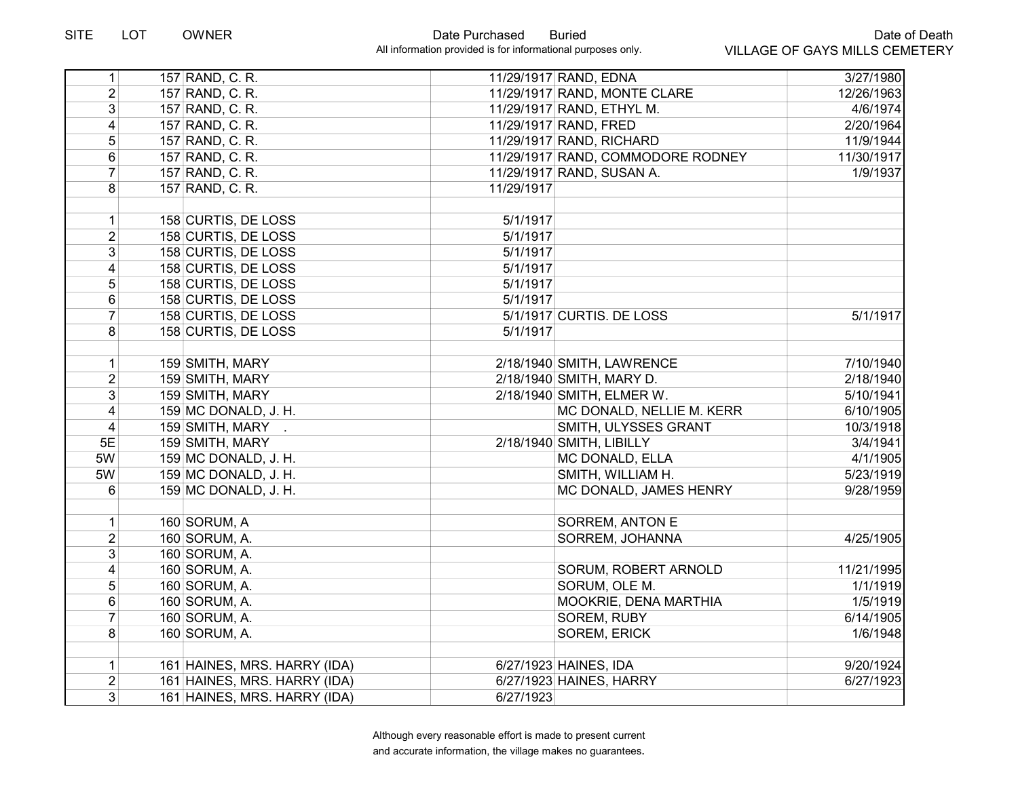| 1                       | 157 RAND, C. R.              |            | 11/29/1917 RAND, EDNA             | 3/27/1980  |
|-------------------------|------------------------------|------------|-----------------------------------|------------|
| $\overline{2}$          | 157 RAND, C. R.              |            | 11/29/1917 RAND, MONTE CLARE      | 12/26/1963 |
| 3                       | 157 RAND, C. R.              |            | 11/29/1917 RAND, ETHYL M.         | 4/6/1974   |
| 4                       | 157 RAND, C. R.              |            | 11/29/1917 RAND, FRED             | 2/20/1964  |
| 5                       | 157 RAND, C. R.              |            | 11/29/1917 RAND, RICHARD          | 11/9/1944  |
| $6\phantom{a}$          | 157 RAND, C. R.              |            | 11/29/1917 RAND, COMMODORE RODNEY | 11/30/1917 |
| $\overline{7}$          | 157 RAND, C. R.              |            | 11/29/1917 RAND, SUSAN A.         | 1/9/1937   |
| 8                       | 157 RAND, C. R.              | 11/29/1917 |                                   |            |
|                         |                              |            |                                   |            |
| $\mathbf 1$             | 158 CURTIS, DE LOSS          | 5/1/1917   |                                   |            |
| $\overline{2}$          | 158 CURTIS, DE LOSS          | 5/1/1917   |                                   |            |
| 3                       | 158 CURTIS, DE LOSS          | 5/1/1917   |                                   |            |
| 4                       | 158 CURTIS, DE LOSS          | 5/1/1917   |                                   |            |
| 5                       | 158 CURTIS, DE LOSS          | 5/1/1917   |                                   |            |
| $6\phantom{a}$          | 158 CURTIS, DE LOSS          | 5/1/1917   |                                   |            |
| $\overline{7}$          | 158 CURTIS, DE LOSS          |            | 5/1/1917 CURTIS. DE LOSS          | 5/1/1917   |
| 8                       | 158 CURTIS, DE LOSS          | 5/1/1917   |                                   |            |
|                         |                              |            |                                   |            |
| $\mathbf{1}$            | 159 SMITH, MARY              |            | 2/18/1940 SMITH, LAWRENCE         | 7/10/1940  |
| $\overline{2}$          | 159 SMITH, MARY              |            | 2/18/1940 SMITH, MARY D.          | 2/18/1940  |
| 3                       | 159 SMITH, MARY              |            | 2/18/1940 SMITH, ELMER W.         | 5/10/1941  |
| $\overline{\mathbf{4}}$ | 159 MC DONALD, J. H.         |            | MC DONALD, NELLIE M. KERR         | 6/10/1905  |
| $\overline{4}$          | 159 SMITH, MARY .            |            | SMITH, ULYSSES GRANT              | 10/3/1918  |
| 5E                      | 159 SMITH, MARY              |            | 2/18/1940 SMITH, LIBILLY          | 3/4/1941   |
| 5W                      | 159 MC DONALD, J. H.         |            | MC DONALD, ELLA                   | 4/1/1905   |
| 5W                      | 159 MC DONALD, J. H.         |            | SMITH, WILLIAM H.                 | 5/23/1919  |
| 6                       | 159 MC DONALD, J. H.         |            | MC DONALD, JAMES HENRY            | 9/28/1959  |
|                         |                              |            |                                   |            |
| $\mathbf{1}$            | 160 SORUM, A                 |            | SORREM, ANTON E                   |            |
| $\overline{2}$          | 160 SORUM, A.                |            | SORREM, JOHANNA                   | 4/25/1905  |
| 3                       | 160 SORUM, A.                |            |                                   |            |
| $\overline{\mathbf{4}}$ | 160 SORUM, A.                |            | SORUM, ROBERT ARNOLD              | 11/21/1995 |
| 5                       | 160 SORUM, A.                |            | SORUM, OLE M.                     | 1/1/1919   |
| 6                       | 160 SORUM, A.                |            | MOOKRIE, DENA MARTHIA             | 1/5/1919   |
| $\overline{7}$          | 160 SORUM, A.                |            | <b>SOREM, RUBY</b>                | 6/14/1905  |
| 8                       | 160 SORUM, A.                |            | SOREM, ERICK                      | 1/6/1948   |
|                         |                              |            |                                   |            |
| $\mathbf 1$             | 161 HAINES, MRS. HARRY (IDA) |            | 6/27/1923 HAINES, IDA             | 9/20/1924  |
| $\overline{2}$          | 161 HAINES, MRS. HARRY (IDA) |            | 6/27/1923 HAINES, HARRY           | 6/27/1923  |
| $\overline{3}$          | 161 HAINES, MRS. HARRY (IDA) | 6/27/1923  |                                   |            |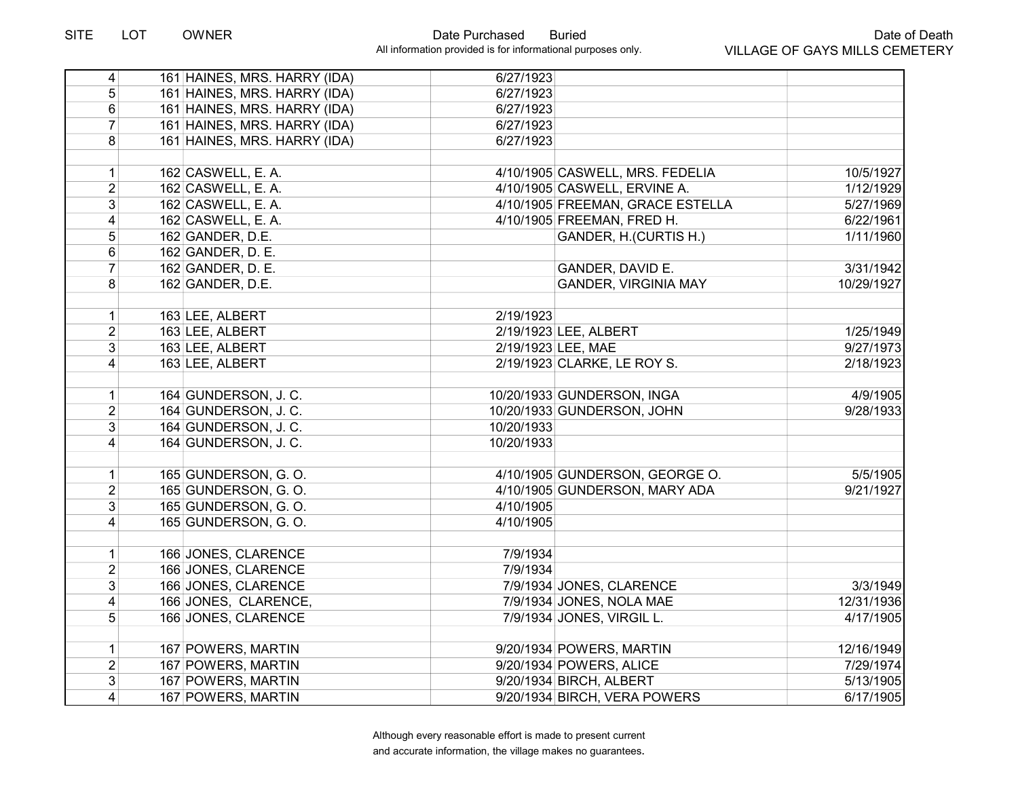| $\overline{4}$ | 161 HAINES, MRS. HARRY (IDA) | 6/27/1923  |                                  |            |
|----------------|------------------------------|------------|----------------------------------|------------|
| 5 <sup>1</sup> | 161 HAINES, MRS. HARRY (IDA) | 6/27/1923  |                                  |            |
| 6 <sup>1</sup> | 161 HAINES, MRS. HARRY (IDA) | 6/27/1923  |                                  |            |
| $\overline{7}$ | 161 HAINES, MRS. HARRY (IDA) | 6/27/1923  |                                  |            |
| 8              | 161 HAINES, MRS. HARRY (IDA) | 6/27/1923  |                                  |            |
|                |                              |            |                                  |            |
| 1              | 162 CASWELL, E. A.           |            | 4/10/1905 CASWELL, MRS. FEDELIA  | 10/5/1927  |
| $\overline{2}$ | 162 CASWELL, E. A.           |            | 4/10/1905 CASWELL, ERVINE A.     | 1/12/1929  |
| $\overline{3}$ | 162 CASWELL, E. A.           |            | 4/10/1905 FREEMAN, GRACE ESTELLA | 5/27/1969  |
| $\overline{4}$ | 162 CASWELL, E. A.           |            | 4/10/1905 FREEMAN, FRED H.       | 6/22/1961  |
| $\overline{5}$ | 162 GANDER, D.E.             |            | GANDER, H.(CURTIS H.)            | 1/11/1960  |
| 6              | 162 GANDER, D. E.            |            |                                  |            |
| $\overline{7}$ | 162 GANDER, D. E.            |            | GANDER, DAVID E.                 | 3/31/1942  |
| 8              | 162 GANDER, D.E.             |            | <b>GANDER, VIRGINIA MAY</b>      | 10/29/1927 |
|                |                              |            |                                  |            |
| 1              | 163 LEE, ALBERT              | 2/19/1923  |                                  |            |
| $\overline{2}$ | 163 LEE, ALBERT              |            | 2/19/1923 LEE, ALBERT            | 1/25/1949  |
| 3 <sup>1</sup> | 163 LEE, ALBERT              |            | 2/19/1923 LEE, MAE               | 9/27/1973  |
| $\vert$        | 163 LEE, ALBERT              |            | 2/19/1923 CLARKE, LE ROY S.      | 2/18/1923  |
| 1              | 164 GUNDERSON, J.C.          |            | 10/20/1933 GUNDERSON, INGA       | 4/9/1905   |
| $\overline{2}$ | 164 GUNDERSON, J.C.          |            | 10/20/1933 GUNDERSON, JOHN       | 9/28/1933  |
| 3              | 164 GUNDERSON, J.C.          | 10/20/1933 |                                  |            |
| $\vert$        | 164 GUNDERSON, J.C.          | 10/20/1933 |                                  |            |
| $\mathbf{1}$   | 165 GUNDERSON, G.O.          |            | 4/10/1905 GUNDERSON, GEORGE O.   | 5/5/1905   |
| $\overline{2}$ | 165 GUNDERSON, G.O.          |            | 4/10/1905 GUNDERSON, MARY ADA    | 9/21/1927  |
| $\overline{3}$ | 165 GUNDERSON, G.O.          | 4/10/1905  |                                  |            |
| $\overline{4}$ | 165 GUNDERSON, G.O.          | 4/10/1905  |                                  |            |
| 1              | 166 JONES, CLARENCE          | 7/9/1934   |                                  |            |
| $\overline{2}$ | 166 JONES, CLARENCE          | 7/9/1934   |                                  |            |
| $\overline{3}$ | 166 JONES, CLARENCE          |            | 7/9/1934 JONES, CLARENCE         | 3/3/1949   |
| $\overline{4}$ | 166 JONES, CLARENCE,         |            | 7/9/1934 JONES, NOLA MAE         | 12/31/1936 |
| 5 <sup>1</sup> | 166 JONES, CLARENCE          |            | 7/9/1934 JONES, VIRGIL L.        | 4/17/1905  |
|                |                              |            |                                  |            |
| $\mathbf{1}$   | 167 POWERS, MARTIN           |            | 9/20/1934 POWERS, MARTIN         | 12/16/1949 |
| $\overline{2}$ | 167 POWERS, MARTIN           |            | 9/20/1934 POWERS, ALICE          | 7/29/1974  |
| 3              | 167 POWERS, MARTIN           |            | 9/20/1934 BIRCH, ALBERT          | 5/13/1905  |
| $\overline{4}$ | 167 POWERS, MARTIN           |            | 9/20/1934 BIRCH, VERA POWERS     | 6/17/1905  |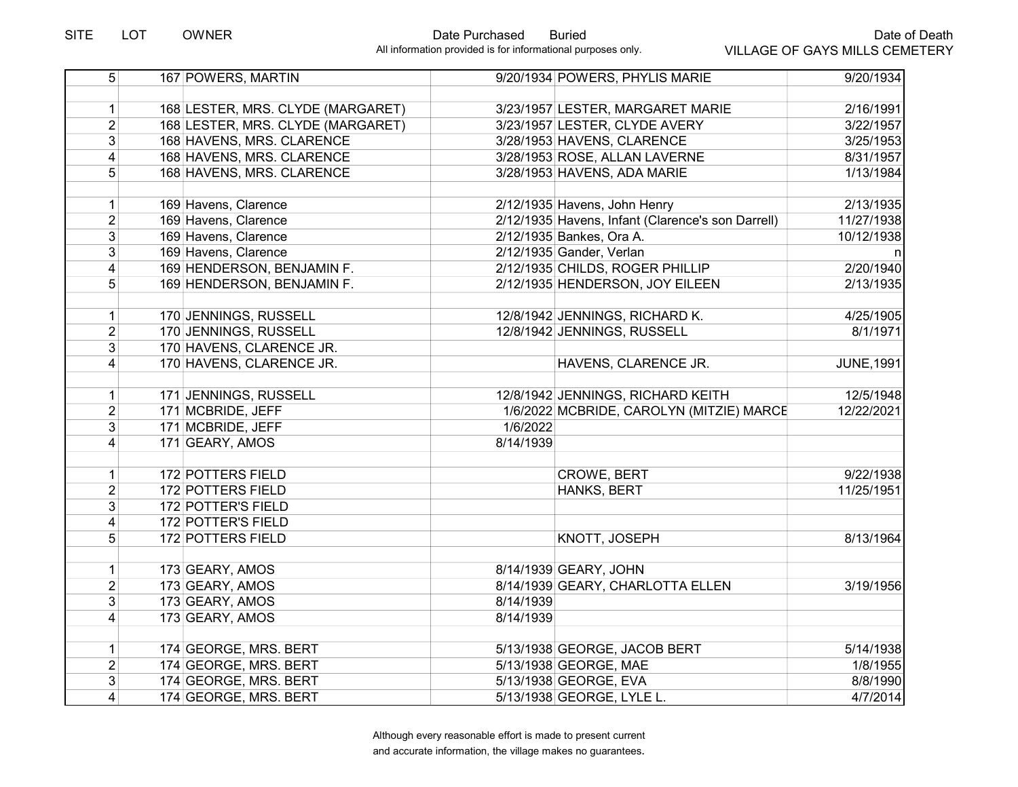| $\overline{5}$          | 167 POWERS, MARTIN                | 9/20/1934 POWERS, PHYLIS MARIE<br>9/20/1934                     |
|-------------------------|-----------------------------------|-----------------------------------------------------------------|
|                         |                                   |                                                                 |
| 1                       | 168 LESTER, MRS. CLYDE (MARGARET) | 3/23/1957 LESTER, MARGARET MARIE<br>2/16/1991                   |
| 2 <sup>1</sup>          | 168 LESTER, MRS. CLYDE (MARGARET) | 3/23/1957 LESTER, CLYDE AVERY<br>3/22/1957                      |
| $\overline{3}$          | 168 HAVENS, MRS. CLARENCE         | 3/28/1953 HAVENS, CLARENCE<br>3/25/1953                         |
| $\vert 4 \vert$         | 168 HAVENS, MRS. CLARENCE         | 3/28/1953 ROSE, ALLAN LAVERNE<br>8/31/1957                      |
| 5 <sup>1</sup>          | 168 HAVENS, MRS. CLARENCE         | 3/28/1953 HAVENS, ADA MARIE<br>1/13/1984                        |
|                         |                                   |                                                                 |
| $\mathbf{1}$            | 169 Havens, Clarence              | 2/12/1935 Havens, John Henry<br>2/13/1935                       |
| $\overline{2}$          | 169 Havens, Clarence              | 2/12/1935 Havens, Infant (Clarence's son Darrell)<br>11/27/1938 |
| 3 <sup>1</sup>          | 169 Havens, Clarence              | 2/12/1935 Bankes, Ora A.<br>10/12/1938                          |
| 3                       | 169 Havens, Clarence              | 2/12/1935 Gander, Verlan                                        |
| 4                       | 169 HENDERSON, BENJAMIN F.        | 2/12/1935 CHILDS, ROGER PHILLIP<br>2/20/1940                    |
| 5 <sup>1</sup>          | 169 HENDERSON, BENJAMIN F.        | 2/12/1935 HENDERSON, JOY EILEEN<br>2/13/1935                    |
|                         |                                   |                                                                 |
| 1                       | 170 JENNINGS, RUSSELL             | 12/8/1942 JENNINGS, RICHARD K.<br>4/25/1905                     |
| $\overline{2}$          | 170 JENNINGS, RUSSELL             | 12/8/1942 JENNINGS, RUSSELL<br>8/1/1971                         |
| $\overline{3}$          | 170 HAVENS, CLARENCE JR.          |                                                                 |
| $\vert 4 \vert$         | 170 HAVENS, CLARENCE JR.          | HAVENS, CLARENCE JR.<br><b>JUNE, 1991</b>                       |
|                         |                                   |                                                                 |
| 1                       | 171 JENNINGS, RUSSELL             | 12/8/1942 JENNINGS, RICHARD KEITH<br>12/5/1948                  |
| $\overline{2}$          | 171 MCBRIDE, JEFF                 | 1/6/2022 MCBRIDE, CAROLYN (MITZIE) MARCE<br>12/22/2021          |
| 3 <sup>1</sup>          | 171 MCBRIDE, JEFF                 | 1/6/2022                                                        |
| $\overline{4}$          | 171 GEARY, AMOS                   | 8/14/1939                                                       |
|                         |                                   |                                                                 |
| 1                       | 172 POTTERS FIELD                 | <b>CROWE, BERT</b><br>9/22/1938                                 |
| $\overline{2}$          | 172 POTTERS FIELD                 | HANKS, BERT<br>11/25/1951                                       |
| $\overline{3}$          | 172 POTTER'S FIELD                |                                                                 |
| $\overline{\mathbf{4}}$ | 172 POTTER'S FIELD                |                                                                 |
| 5 <sup>1</sup>          | 172 POTTERS FIELD                 | KNOTT, JOSEPH<br>8/13/1964                                      |
|                         |                                   |                                                                 |
| 1                       | 173 GEARY, AMOS                   | 8/14/1939 GEARY, JOHN                                           |
| $\overline{2}$          | 173 GEARY, AMOS                   | 8/14/1939 GEARY, CHARLOTTA ELLEN<br>3/19/1956                   |
| 3 <sup>1</sup>          | 173 GEARY, AMOS                   | 8/14/1939                                                       |
| $\vert 4 \vert$         | 173 GEARY, AMOS                   | 8/14/1939                                                       |
|                         |                                   |                                                                 |
| 1                       | 174 GEORGE, MRS. BERT             | 5/13/1938 GEORGE, JACOB BERT<br>5/14/1938                       |
| $\overline{2}$          | 174 GEORGE, MRS. BERT             | 5/13/1938 GEORGE, MAE<br>1/8/1955                               |
| 3                       | 174 GEORGE, MRS. BERT             | 5/13/1938 GEORGE, EVA<br>8/8/1990                               |
| $\vert 4 \vert$         | 174 GEORGE, MRS. BERT             | 5/13/1938 GEORGE, LYLE L.<br>4/7/2014                           |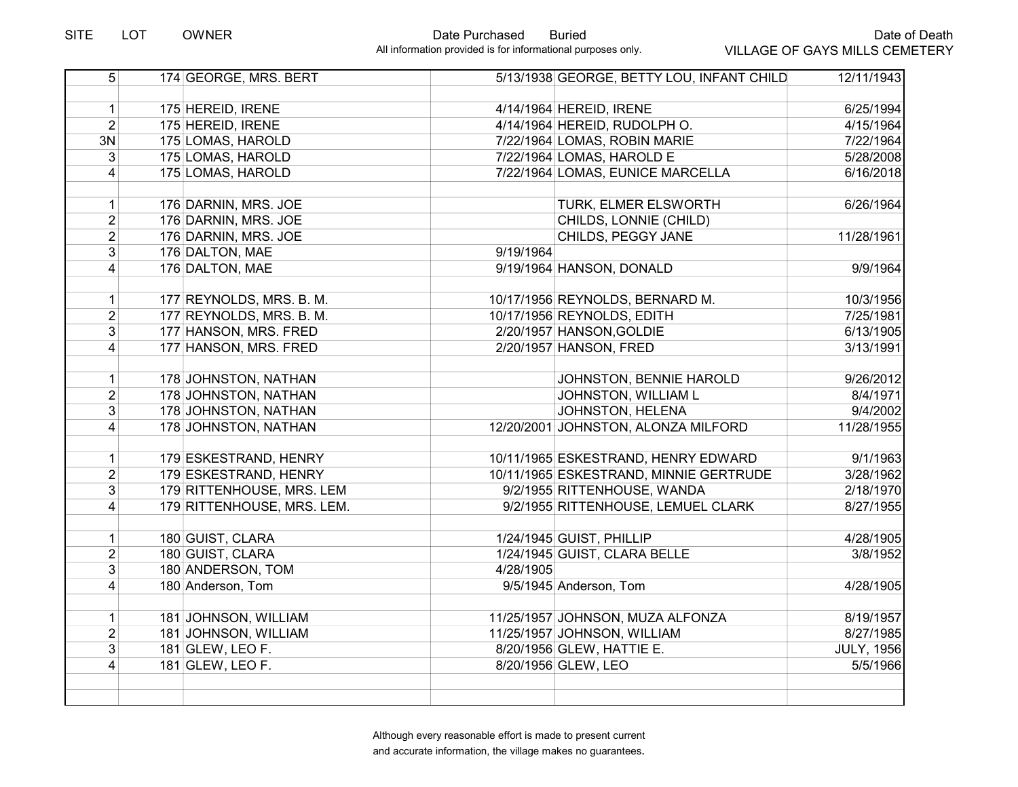| $\overline{5}$  | 174 GEORGE, MRS. BERT      |           | 5/13/1938 GEORGE, BETTY LOU, INFANT CHILD | 12/11/1943        |
|-----------------|----------------------------|-----------|-------------------------------------------|-------------------|
|                 |                            |           |                                           |                   |
| 1               | 175 HEREID, IRENE          |           | 4/14/1964 HEREID, IRENE                   | 6/25/1994         |
| $\overline{2}$  | 175 HEREID, IRENE          |           | 4/14/1964 HEREID, RUDOLPH O.              | 4/15/1964         |
| 3N              | 175 LOMAS, HAROLD          |           | 7/22/1964 LOMAS, ROBIN MARIE              | 7/22/1964         |
| 3               | 175 LOMAS, HAROLD          |           | 7/22/1964 LOMAS, HAROLD E                 | 5/28/2008         |
| $\vert 4 \vert$ | 175 LOMAS, HAROLD          |           | 7/22/1964 LOMAS, EUNICE MARCELLA          | 6/16/2018         |
|                 |                            |           |                                           |                   |
| $\mathbf{1}$    | 176 DARNIN, MRS. JOE       |           | TURK, ELMER ELSWORTH                      | 6/26/1964         |
| $\overline{2}$  | 176 DARNIN, MRS. JOE       |           | CHILDS, LONNIE (CHILD)                    |                   |
| $\overline{2}$  | 176 DARNIN, MRS. JOE       |           | CHILDS, PEGGY JANE                        | 11/28/1961        |
| $\overline{3}$  | 176 DALTON, MAE            | 9/19/1964 |                                           |                   |
| $\vert 4 \vert$ | 176 DALTON, MAE            |           | 9/19/1964 HANSON, DONALD                  | 9/9/1964          |
|                 |                            |           |                                           |                   |
| 1               | 177 REYNOLDS, MRS. B. M.   |           | 10/17/1956 REYNOLDS, BERNARD M.           | 10/3/1956         |
| $\overline{2}$  | 177 REYNOLDS, MRS. B. M.   |           | 10/17/1956 REYNOLDS, EDITH                | 7/25/1981         |
| $\overline{3}$  | 177 HANSON, MRS. FRED      |           | 2/20/1957 HANSON, GOLDIE                  | 6/13/1905         |
| $\overline{4}$  | 177 HANSON, MRS. FRED      |           | 2/20/1957 HANSON, FRED                    | 3/13/1991         |
|                 |                            |           |                                           |                   |
| 1               | 178 JOHNSTON, NATHAN       |           | JOHNSTON, BENNIE HAROLD                   | 9/26/2012         |
| $\overline{2}$  | 178 JOHNSTON, NATHAN       |           | JOHNSTON, WILLIAM L                       | 8/4/1971          |
| $\overline{3}$  | 178 JOHNSTON, NATHAN       |           | JOHNSTON, HELENA                          | 9/4/2002          |
| $\overline{4}$  | 178 JOHNSTON, NATHAN       |           | 12/20/2001 JOHNSTON, ALONZA MILFORD       | 11/28/1955        |
|                 |                            |           |                                           |                   |
| 1               | 179 ESKESTRAND, HENRY      |           | 10/11/1965 ESKESTRAND, HENRY EDWARD       | 9/1/1963          |
| $\overline{2}$  | 179 ESKESTRAND, HENRY      |           | 10/11/1965 ESKESTRAND, MINNIE GERTRUDE    | 3/28/1962         |
| 3               | 179 RITTENHOUSE, MRS. LEM  |           | 9/2/1955 RITTENHOUSE, WANDA               | 2/18/1970         |
| $\vert 4 \vert$ | 179 RITTENHOUSE, MRS. LEM. |           | 9/2/1955 RITTENHOUSE, LEMUEL CLARK        | 8/27/1955         |
|                 |                            |           |                                           |                   |
| $\mathbf{1}$    | 180 GUIST, CLARA           |           | 1/24/1945 GUIST, PHILLIP                  | 4/28/1905         |
| $\overline{2}$  | 180 GUIST, CLARA           |           | 1/24/1945 GUIST, CLARA BELLE              | 3/8/1952          |
| $\overline{3}$  | 180 ANDERSON, TOM          | 4/28/1905 |                                           |                   |
| $\vert 4 \vert$ | 180 Anderson, Tom          |           | 9/5/1945 Anderson, Tom                    | 4/28/1905         |
|                 |                            |           |                                           |                   |
| $\mathbf{1}$    | 181 JOHNSON, WILLIAM       |           | 11/25/1957 JOHNSON, MUZA ALFONZA          | 8/19/1957         |
| $\overline{2}$  | 181 JOHNSON, WILLIAM       |           | 11/25/1957 JOHNSON, WILLIAM               | 8/27/1985         |
| $\overline{3}$  | 181 GLEW, LEO F.           |           | 8/20/1956 GLEW, HATTIE E.                 | <b>JULY, 1956</b> |
| $\overline{4}$  | 181 GLEW, LEO F.           |           | 8/20/1956 GLEW, LEO                       | 5/5/1966          |
|                 |                            |           |                                           |                   |
|                 |                            |           |                                           |                   |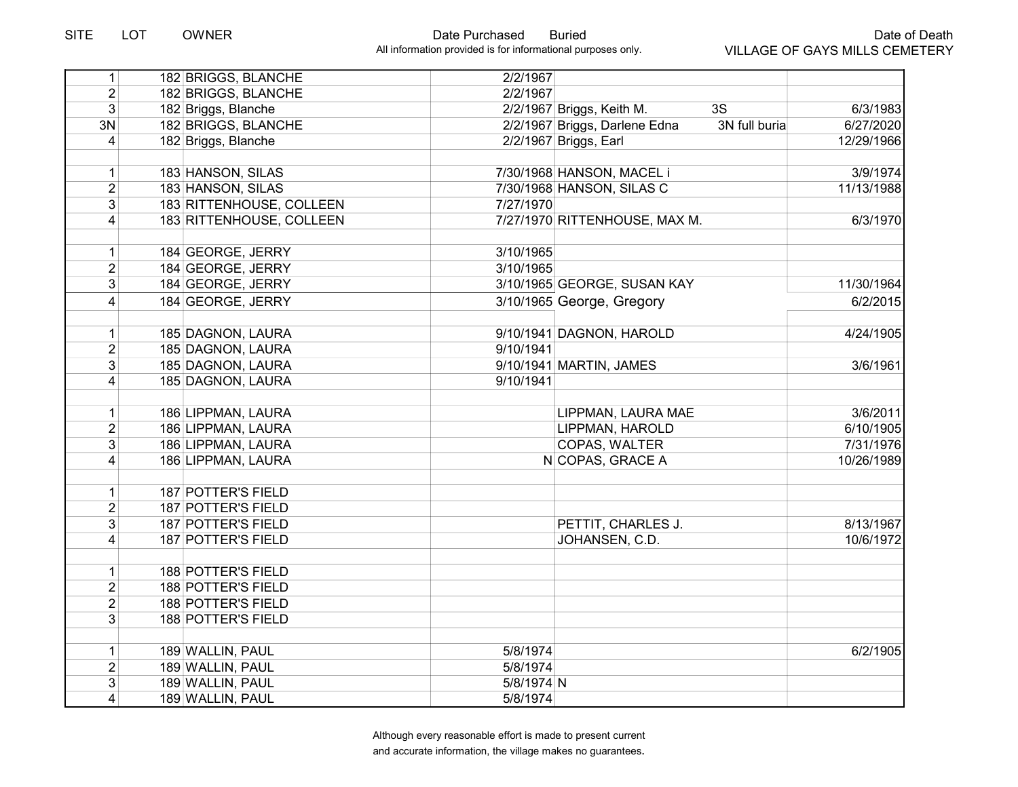| 1               | 182 BRIGGS, BLANCHE       | 2/2/1967   |                                                |            |
|-----------------|---------------------------|------------|------------------------------------------------|------------|
| $\overline{2}$  | 182 BRIGGS, BLANCHE       | 2/2/1967   |                                                |            |
| 3 <sup>1</sup>  | 182 Briggs, Blanche       |            | 3S<br>2/2/1967 Briggs, Keith M.                | 6/3/1983   |
| 3N              | 182 BRIGGS, BLANCHE       |            | 2/2/1967 Briggs, Darlene Edna<br>3N full buria | 6/27/2020  |
| 4               | 182 Briggs, Blanche       |            | 2/2/1967 Briggs, Earl                          | 12/29/1966 |
|                 |                           |            |                                                |            |
| $\mathbf{1}$    | 183 HANSON, SILAS         |            | 7/30/1968 HANSON, MACEL i                      | 3/9/1974   |
| $\overline{2}$  | 183 HANSON, SILAS         |            | 7/30/1968 HANSON, SILAS C                      | 11/13/1988 |
| $\overline{3}$  | 183 RITTENHOUSE, COLLEEN  | 7/27/1970  |                                                |            |
| $\vert 4 \vert$ | 183 RITTENHOUSE, COLLEEN  |            | 7/27/1970 RITTENHOUSE, MAX M.                  | 6/3/1970   |
|                 |                           |            |                                                |            |
| $\mathbf{1}$    | 184 GEORGE, JERRY         | 3/10/1965  |                                                |            |
| $\overline{2}$  | 184 GEORGE, JERRY         | 3/10/1965  |                                                |            |
| $\overline{3}$  | 184 GEORGE, JERRY         |            | 3/10/1965 GEORGE, SUSAN KAY                    | 11/30/1964 |
| $\vert 4 \vert$ | 184 GEORGE, JERRY         |            | 3/10/1965 George, Gregory                      | 6/2/2015   |
|                 |                           |            |                                                |            |
| 1               | 185 DAGNON, LAURA         |            | 9/10/1941 DAGNON, HAROLD                       | 4/24/1905  |
| $\overline{2}$  | 185 DAGNON, LAURA         | 9/10/1941  |                                                |            |
| 3               | 185 DAGNON, LAURA         |            | 9/10/1941 MARTIN, JAMES                        | 3/6/1961   |
| $\vert$         | 185 DAGNON, LAURA         | 9/10/1941  |                                                |            |
|                 |                           |            |                                                |            |
| $\mathbf{1}$    | 186 LIPPMAN, LAURA        |            | LIPPMAN, LAURA MAE                             | 3/6/2011   |
| $\overline{2}$  | 186 LIPPMAN, LAURA        |            | LIPPMAN, HAROLD                                | 6/10/1905  |
| $\overline{3}$  | 186 LIPPMAN, LAURA        |            | <b>COPAS, WALTER</b>                           | 7/31/1976  |
| $\vert 4 \vert$ | 186 LIPPMAN, LAURA        |            | N COPAS, GRACE A                               | 10/26/1989 |
|                 |                           |            |                                                |            |
| 1               | <b>187 POTTER'S FIELD</b> |            |                                                |            |
| $\overline{2}$  | 187 POTTER'S FIELD        |            |                                                |            |
| $\overline{3}$  | 187 POTTER'S FIELD        |            | PETTIT, CHARLES J.                             | 8/13/1967  |
| $\overline{4}$  | 187 POTTER'S FIELD        |            | JOHANSEN, C.D.                                 | 10/6/1972  |
|                 |                           |            |                                                |            |
| $\mathbf{1}$    | 188 POTTER'S FIELD        |            |                                                |            |
| $\overline{2}$  | 188 POTTER'S FIELD        |            |                                                |            |
| $\overline{2}$  | 188 POTTER'S FIELD        |            |                                                |            |
| $\overline{3}$  | 188 POTTER'S FIELD        |            |                                                |            |
|                 |                           |            |                                                |            |
| 1               | 189 WALLIN, PAUL          | 5/8/1974   |                                                | 6/2/1905   |
| $\overline{2}$  | 189 WALLIN, PAUL          | 5/8/1974   |                                                |            |
| 3               | 189 WALLIN, PAUL          | 5/8/1974 N |                                                |            |
| $\vert 4 \vert$ | 189 WALLIN, PAUL          | 5/8/1974   |                                                |            |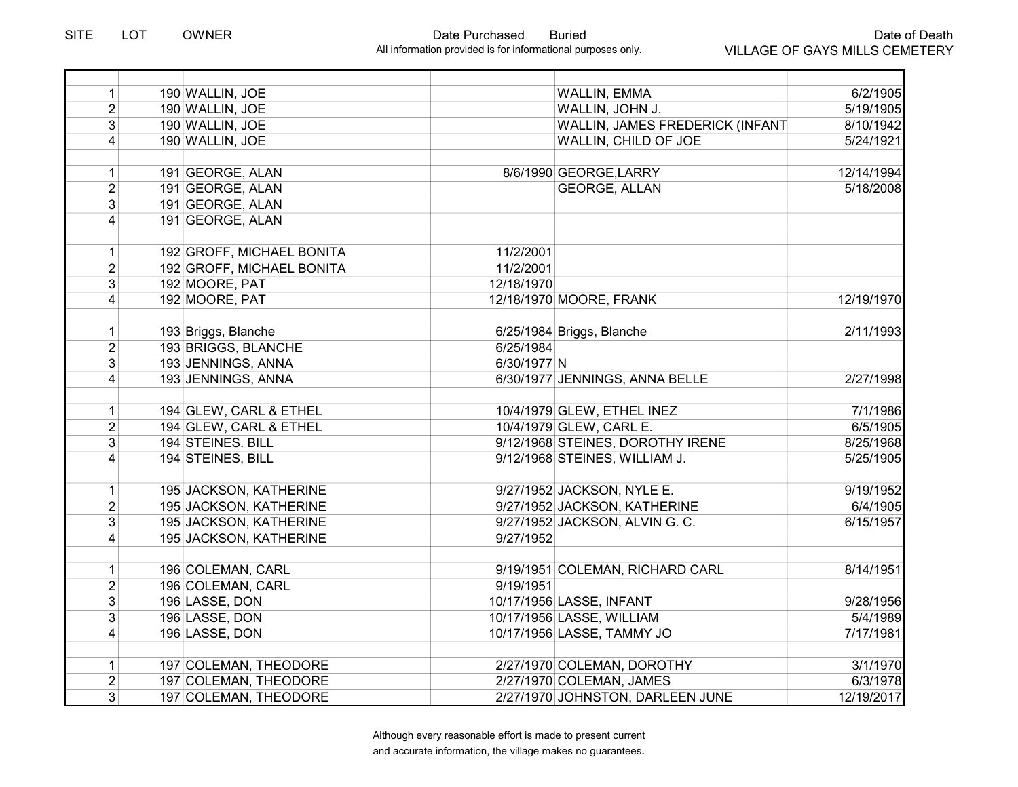| $\mathbf{1}$   | 190 WALLIN, JOE           | <b>WALLIN, EMMA</b>              | 6/2/1905   |
|----------------|---------------------------|----------------------------------|------------|
| $\overline{2}$ | 190 WALLIN, JOE           | WALLIN, JOHN J.                  | 5/19/1905  |
| $\overline{3}$ | 190 WALLIN, JOE           | WALLIN, JAMES FREDERICK (INFANT  | 8/10/1942  |
| $\overline{4}$ | 190 WALLIN, JOE           | WALLIN, CHILD OF JOE             | 5/24/1921  |
| $\mathbf{1}$   | 191 GEORGE, ALAN          | 8/6/1990 GEORGE, LARRY           | 12/14/1994 |
| $\overline{2}$ | 191 GEORGE, ALAN          | <b>GEORGE, ALLAN</b>             | 5/18/2008  |
| $\overline{3}$ | 191 GEORGE, ALAN          |                                  |            |
| $\overline{4}$ | 191 GEORGE, ALAN          |                                  |            |
| $\mathbf{1}$   | 192 GROFF, MICHAEL BONITA | 11/2/2001                        |            |
| $\overline{2}$ | 192 GROFF, MICHAEL BONITA | 11/2/2001                        |            |
| 3              | 192 MOORE, PAT            | 12/18/1970                       |            |
| $\overline{4}$ | 192 MOORE, PAT            | 12/18/1970 MOORE, FRANK          | 12/19/1970 |
| 1              | 193 Briggs, Blanche       | 6/25/1984 Briggs, Blanche        | 2/11/1993  |
| $\overline{2}$ | 193 BRIGGS, BLANCHE       | 6/25/1984                        |            |
| 3              | 193 JENNINGS, ANNA        | 6/30/1977 N                      |            |
| $\overline{4}$ | 193 JENNINGS, ANNA        | 6/30/1977 JENNINGS, ANNA BELLE   | 2/27/1998  |
| 1              | 194 GLEW, CARL & ETHEL    | 10/4/1979 GLEW, ETHEL INEZ       | 7/1/1986   |
| $\overline{2}$ | 194 GLEW, CARL & ETHEL    | 10/4/1979 GLEW, CARL E.          | 6/5/1905   |
| 3              | 194 STEINES. BILL         | 9/12/1968 STEINES, DOROTHY IRENE | 8/25/1968  |
| 4              | 194 STEINES, BILL         | 9/12/1968 STEINES, WILLIAM J.    | 5/25/1905  |
| $\mathbf{1}$   | 195 JACKSON, KATHERINE    | 9/27/1952 JACKSON, NYLE E.       | 9/19/1952  |
| $\overline{2}$ | 195 JACKSON, KATHERINE    | 9/27/1952 JACKSON, KATHERINE     | 6/4/1905   |
| $\overline{3}$ | 195 JACKSON, KATHERINE    | 9/27/1952 JACKSON, ALVIN G. C.   | 6/15/1957  |
| $\overline{4}$ | 195 JACKSON, KATHERINE    | 9/27/1952                        |            |
| $\mathbf{1}$   | 196 COLEMAN, CARL         | 9/19/1951 COLEMAN, RICHARD CARL  | 8/14/1951  |
| $\overline{2}$ | 196 COLEMAN, CARL         | 9/19/1951                        |            |
| $\overline{3}$ | 196 LASSE, DON            | 10/17/1956 LASSE, INFANT         | 9/28/1956  |
| $\overline{3}$ | 196 LASSE, DON            | 10/17/1956 LASSE, WILLIAM        | 5/4/1989   |
| $\overline{4}$ | 196 LASSE, DON            | 10/17/1956 LASSE, TAMMY JO       | 7/17/1981  |
| 1              | 197 COLEMAN, THEODORE     | 2/27/1970 COLEMAN, DOROTHY       | 3/1/1970   |
| $\overline{2}$ | 197 COLEMAN, THEODORE     | 2/27/1970 COLEMAN, JAMES         | 6/3/1978   |
| 3 <sup>1</sup> | 197 COLEMAN, THEODORE     | 2/27/1970 JOHNSTON, DARLEEN JUNE | 12/19/2017 |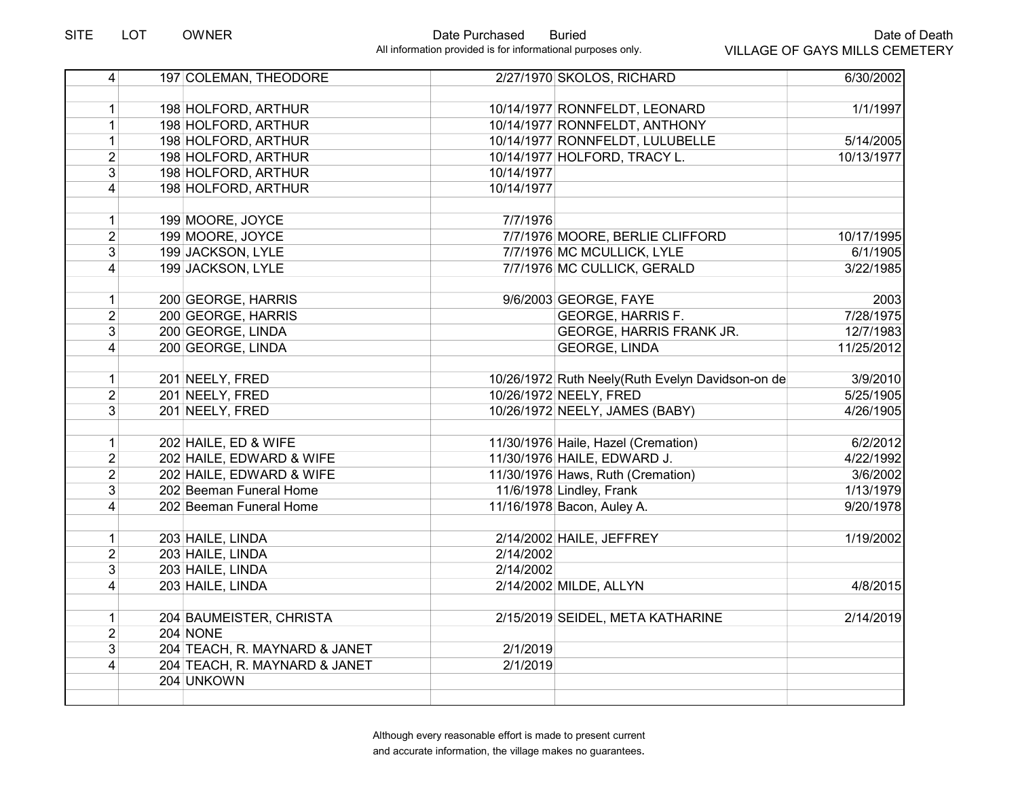| $\overline{4}$ | 197 COLEMAN, THEODORE         |            | 2/27/1970 SKOLOS, RICHARD                        | 6/30/2002  |
|----------------|-------------------------------|------------|--------------------------------------------------|------------|
|                |                               |            |                                                  |            |
| 1              | 198 HOLFORD, ARTHUR           |            | 10/14/1977 RONNFELDT, LEONARD                    | 1/1/1997   |
| $\mathbf{1}$   | 198 HOLFORD, ARTHUR           |            | 10/14/1977 RONNFELDT, ANTHONY                    |            |
| $\mathbf{1}$   | 198 HOLFORD, ARTHUR           |            | 10/14/1977 RONNFELDT, LULUBELLE                  | 5/14/2005  |
| $\overline{2}$ | 198 HOLFORD, ARTHUR           |            | 10/14/1977 HOLFORD, TRACY L.                     | 10/13/1977 |
| $\overline{3}$ | 198 HOLFORD, ARTHUR           | 10/14/1977 |                                                  |            |
| $\overline{4}$ | 198 HOLFORD, ARTHUR           | 10/14/1977 |                                                  |            |
|                |                               |            |                                                  |            |
| 1              | 199 MOORE, JOYCE              | 7/7/1976   |                                                  |            |
| $\overline{2}$ | 199 MOORE, JOYCE              |            | 7/7/1976 MOORE, BERLIE CLIFFORD                  | 10/17/1995 |
| 3              | 199 JACKSON, LYLE             |            | 7/7/1976 MC MCULLICK, LYLE                       | 6/1/1905   |
| $\overline{4}$ | 199 JACKSON, LYLE             |            | 7/7/1976 MC CULLICK, GERALD                      | 3/22/1985  |
|                |                               |            |                                                  |            |
| $\mathbf{1}$   | 200 GEORGE, HARRIS            |            | 9/6/2003 GEORGE, FAYE                            | 2003       |
| $\overline{2}$ | 200 GEORGE, HARRIS            |            | <b>GEORGE, HARRIS F.</b>                         | 7/28/1975  |
| 3 <sup>1</sup> | 200 GEORGE, LINDA             |            | GEORGE, HARRIS FRANK JR.                         | 12/7/1983  |
| $\vert$        | 200 GEORGE, LINDA             |            | <b>GEORGE, LINDA</b>                             | 11/25/2012 |
|                |                               |            |                                                  |            |
| 1              | 201 NEELY, FRED               |            | 10/26/1972 Ruth Neely(Ruth Evelyn Davidson-on de | 3/9/2010   |
| $\overline{2}$ | 201 NEELY, FRED               |            | 10/26/1972 NEELY, FRED                           | 5/25/1905  |
| 3 <sup>1</sup> | 201 NEELY, FRED               |            | 10/26/1972 NEELY, JAMES (BABY)                   | 4/26/1905  |
|                |                               |            |                                                  |            |
| $\mathbf{1}$   | 202 HAILE, ED & WIFE          |            | 11/30/1976 Haile, Hazel (Cremation)              | 6/2/2012   |
| $\overline{2}$ | 202 HAILE, EDWARD & WIFE      |            | 11/30/1976 HAILE, EDWARD J.                      | 4/22/1992  |
| $\overline{2}$ | 202 HAILE, EDWARD & WIFE      |            | 11/30/1976 Haws, Ruth (Cremation)                | 3/6/2002   |
| 3              | 202 Beeman Funeral Home       |            | 11/6/1978 Lindley, Frank                         | 1/13/1979  |
| 4              | 202 Beeman Funeral Home       |            | 11/16/1978 Bacon, Auley A.                       | 9/20/1978  |
|                |                               |            |                                                  |            |
| $\mathbf{1}$   | 203 HAILE, LINDA              |            | 2/14/2002 HAILE, JEFFREY                         | 1/19/2002  |
| $\overline{2}$ | 203 HAILE, LINDA              | 2/14/2002  |                                                  |            |
| $\overline{3}$ | 203 HAILE, LINDA              | 2/14/2002  |                                                  |            |
| $\vert$        | 203 HAILE, LINDA              |            | 2/14/2002 MILDE, ALLYN                           | 4/8/2015   |
|                |                               |            |                                                  |            |
| $\mathbf{1}$   | 204 BAUMEISTER, CHRISTA       |            | 2/15/2019 SEIDEL, META KATHARINE                 | 2/14/2019  |
| $\overline{2}$ | <b>204 NONE</b>               |            |                                                  |            |
| $\overline{3}$ | 204 TEACH, R. MAYNARD & JANET | 2/1/2019   |                                                  |            |
| $\overline{4}$ | 204 TEACH, R. MAYNARD & JANET | 2/1/2019   |                                                  |            |
|                | 204 UNKOWN                    |            |                                                  |            |
|                |                               |            |                                                  |            |
|                |                               |            |                                                  |            |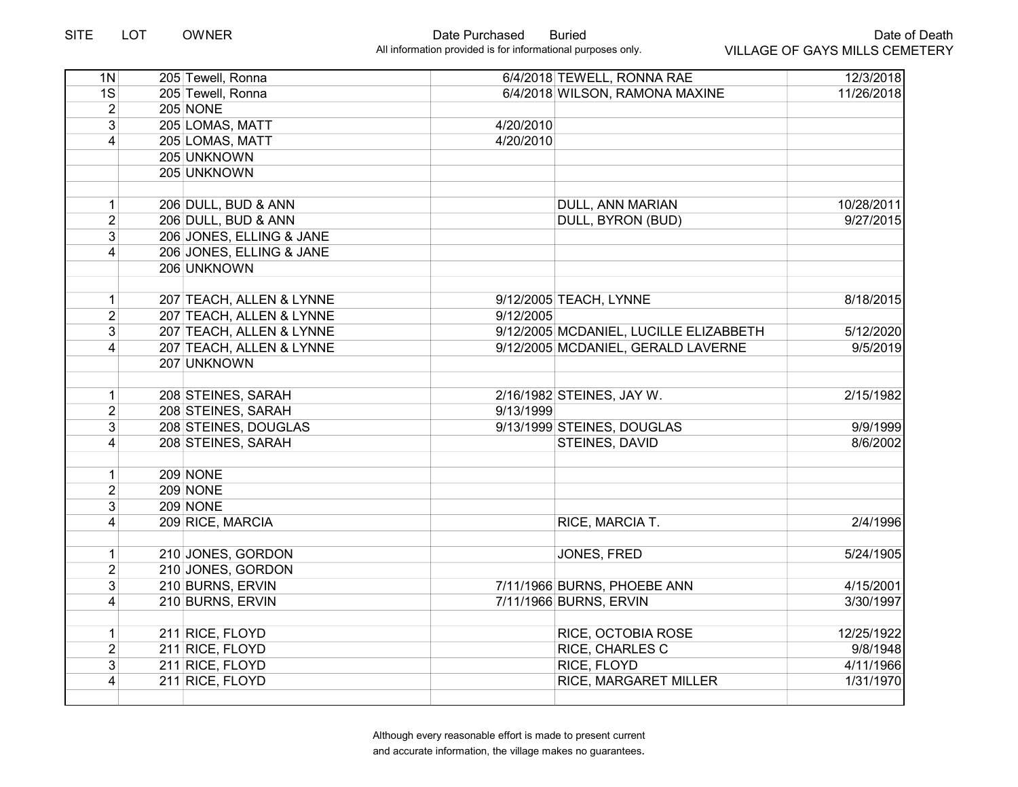| 1N             | 205 Tewell, Ronna        |           | 6/4/2018 TEWELL, RONNA RAE             | 12/3/2018  |
|----------------|--------------------------|-----------|----------------------------------------|------------|
| 1S             | 205 Tewell, Ronna        |           | 6/4/2018 WILSON, RAMONA MAXINE         | 11/26/2018 |
| $\overline{2}$ | 205 NONE                 |           |                                        |            |
| $\overline{3}$ | 205 LOMAS, MATT          | 4/20/2010 |                                        |            |
| 4              | 205 LOMAS, MATT          | 4/20/2010 |                                        |            |
|                | 205 UNKNOWN              |           |                                        |            |
|                | 205 UNKNOWN              |           |                                        |            |
|                |                          |           |                                        |            |
| $\mathbf{1}$   | 206 DULL, BUD & ANN      |           | DULL, ANN MARIAN                       | 10/28/2011 |
| $\overline{2}$ | 206 DULL, BUD & ANN      |           | DULL, BYRON (BUD)                      | 9/27/2015  |
| 3              | 206 JONES, ELLING & JANE |           |                                        |            |
| $\overline{4}$ | 206 JONES, ELLING & JANE |           |                                        |            |
|                | 206 UNKNOWN              |           |                                        |            |
|                |                          |           |                                        |            |
| $\mathbf{1}$   | 207 TEACH, ALLEN & LYNNE |           | 9/12/2005 TEACH, LYNNE                 | 8/18/2015  |
| $\overline{2}$ | 207 TEACH, ALLEN & LYNNE | 9/12/2005 |                                        |            |
| 3 <sup>1</sup> | 207 TEACH, ALLEN & LYNNE |           | 9/12/2005 MCDANIEL, LUCILLE ELIZABBETH | 5/12/2020  |
| $\vert$        | 207 TEACH, ALLEN & LYNNE |           | 9/12/2005 MCDANIEL, GERALD LAVERNE     | 9/5/2019   |
|                | 207 UNKNOWN              |           |                                        |            |
|                |                          |           |                                        |            |
| $\mathbf{1}$   | 208 STEINES, SARAH       |           | 2/16/1982 STEINES, JAY W.              | 2/15/1982  |
| $\overline{2}$ | 208 STEINES, SARAH       | 9/13/1999 |                                        |            |
| $\overline{3}$ | 208 STEINES, DOUGLAS     |           | 9/13/1999 STEINES, DOUGLAS             | 9/9/1999   |
| $\overline{4}$ | 208 STEINES, SARAH       |           | STEINES, DAVID                         | 8/6/2002   |
|                |                          |           |                                        |            |
| $\mathbf{1}$   | 209 NONE                 |           |                                        |            |
| $\overline{2}$ | 209 NONE                 |           |                                        |            |
| 3              | 209 NONE                 |           |                                        |            |
| $\overline{4}$ | 209 RICE, MARCIA         |           | RICE, MARCIA T.                        | 2/4/1996   |
|                |                          |           |                                        |            |
| $\mathbf{1}$   | 210 JONES, GORDON        |           | JONES, FRED                            | 5/24/1905  |
| $\overline{2}$ | 210 JONES, GORDON        |           |                                        |            |
| 3 <sup>1</sup> | 210 BURNS, ERVIN         |           | 7/11/1966 BURNS, PHOEBE ANN            | 4/15/2001  |
| $\vert$        | 210 BURNS, ERVIN         |           | 7/11/1966 BURNS, ERVIN                 | 3/30/1997  |
|                |                          |           |                                        |            |
| $\mathbf{1}$   | 211 RICE, FLOYD          |           | RICE, OCTOBIA ROSE                     | 12/25/1922 |
| $\overline{2}$ | 211 RICE, FLOYD          |           | RICE, CHARLES C                        | 9/8/1948   |
| $\overline{3}$ | 211 RICE, FLOYD          |           | RICE, FLOYD                            | 4/11/1966  |
| 4              | 211 RICE, FLOYD          |           | RICE, MARGARET MILLER                  | 1/31/1970  |
|                |                          |           |                                        |            |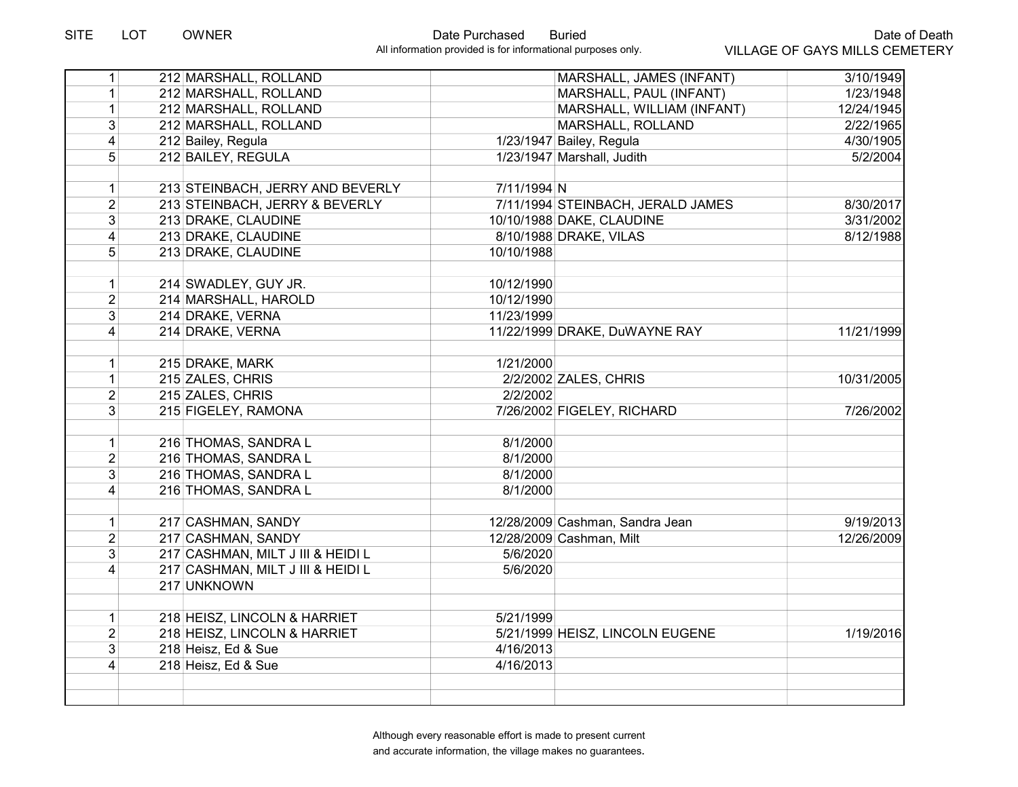| 1                       | 212 MARSHALL, ROLLAND             |             | MARSHALL, JAMES (INFANT)          | 3/10/1949  |
|-------------------------|-----------------------------------|-------------|-----------------------------------|------------|
| $\mathbf{1}$            | 212 MARSHALL, ROLLAND             |             | MARSHALL, PAUL (INFANT)           | 1/23/1948  |
| $\mathbf{1}$            | 212 MARSHALL, ROLLAND             |             | MARSHALL, WILLIAM (INFANT)        | 12/24/1945 |
| 3                       | 212 MARSHALL, ROLLAND             |             | MARSHALL, ROLLAND                 | 2/22/1965  |
| $\overline{\mathbf{4}}$ | 212 Bailey, Regula                |             | 1/23/1947 Bailey, Regula          | 4/30/1905  |
| 5                       | 212 BAILEY, REGULA                |             | 1/23/1947 Marshall, Judith        | 5/2/2004   |
|                         |                                   |             |                                   |            |
| $\mathbf 1$             | 213 STEINBACH, JERRY AND BEVERLY  | 7/11/1994 N |                                   |            |
| $\overline{2}$          | 213 STEINBACH, JERRY & BEVERLY    |             | 7/11/1994 STEINBACH, JERALD JAMES | 8/30/2017  |
| $\overline{3}$          | 213 DRAKE, CLAUDINE               |             | 10/10/1988 DAKE, CLAUDINE         | 3/31/2002  |
| 4                       | 213 DRAKE, CLAUDINE               |             | 8/10/1988 DRAKE, VILAS            | 8/12/1988  |
| 5                       | 213 DRAKE, CLAUDINE               | 10/10/1988  |                                   |            |
|                         |                                   |             |                                   |            |
| $\mathbf{1}$            | 214 SWADLEY, GUY JR.              | 10/12/1990  |                                   |            |
| $\overline{2}$          | 214 MARSHALL, HAROLD              | 10/12/1990  |                                   |            |
| 3                       | 214 DRAKE, VERNA                  | 11/23/1999  |                                   |            |
| 4                       | 214 DRAKE, VERNA                  |             | 11/22/1999 DRAKE, DuWAYNE RAY     | 11/21/1999 |
|                         |                                   |             |                                   |            |
| $\mathbf 1$             | 215 DRAKE, MARK                   | 1/21/2000   |                                   |            |
| $\mathbf{1}$            | 215 ZALES, CHRIS                  |             | 2/2/2002 ZALES, CHRIS             | 10/31/2005 |
| $\overline{2}$          | 215 ZALES, CHRIS                  | 2/2/2002    |                                   |            |
| 3                       | 215 FIGELEY, RAMONA               |             | 7/26/2002 FIGELEY, RICHARD        | 7/26/2002  |
| $\mathbf 1$             | 216 THOMAS, SANDRA L              | 8/1/2000    |                                   |            |
| $\overline{2}$          | 216 THOMAS, SANDRA L              | 8/1/2000    |                                   |            |
| 3                       | 216 THOMAS, SANDRA L              | 8/1/2000    |                                   |            |
| 4                       | 216 THOMAS, SANDRA L              | 8/1/2000    |                                   |            |
|                         |                                   |             |                                   |            |
| $\mathbf{1}$            | 217 CASHMAN, SANDY                |             | 12/28/2009 Cashman, Sandra Jean   | 9/19/2013  |
| $\overline{2}$          | 217 CASHMAN, SANDY                |             | 12/28/2009 Cashman, Milt          | 12/26/2009 |
| $\overline{3}$          | 217 CASHMAN, MILT J III & HEIDI L | 5/6/2020    |                                   |            |
| $\overline{4}$          | 217 CASHMAN, MILT J III & HEIDI L | 5/6/2020    |                                   |            |
|                         | 217 UNKNOWN                       |             |                                   |            |
|                         |                                   |             |                                   |            |
| $\mathbf{1}$            | 218 HEISZ, LINCOLN & HARRIET      | 5/21/1999   |                                   |            |
| $\overline{2}$          | 218 HEISZ, LINCOLN & HARRIET      |             | 5/21/1999 HEISZ, LINCOLN EUGENE   | 1/19/2016  |
| $\overline{3}$          | 218 Heisz, Ed & Sue               | 4/16/2013   |                                   |            |
| 4                       | 218 Heisz, Ed & Sue               | 4/16/2013   |                                   |            |
|                         |                                   |             |                                   |            |
|                         |                                   |             |                                   |            |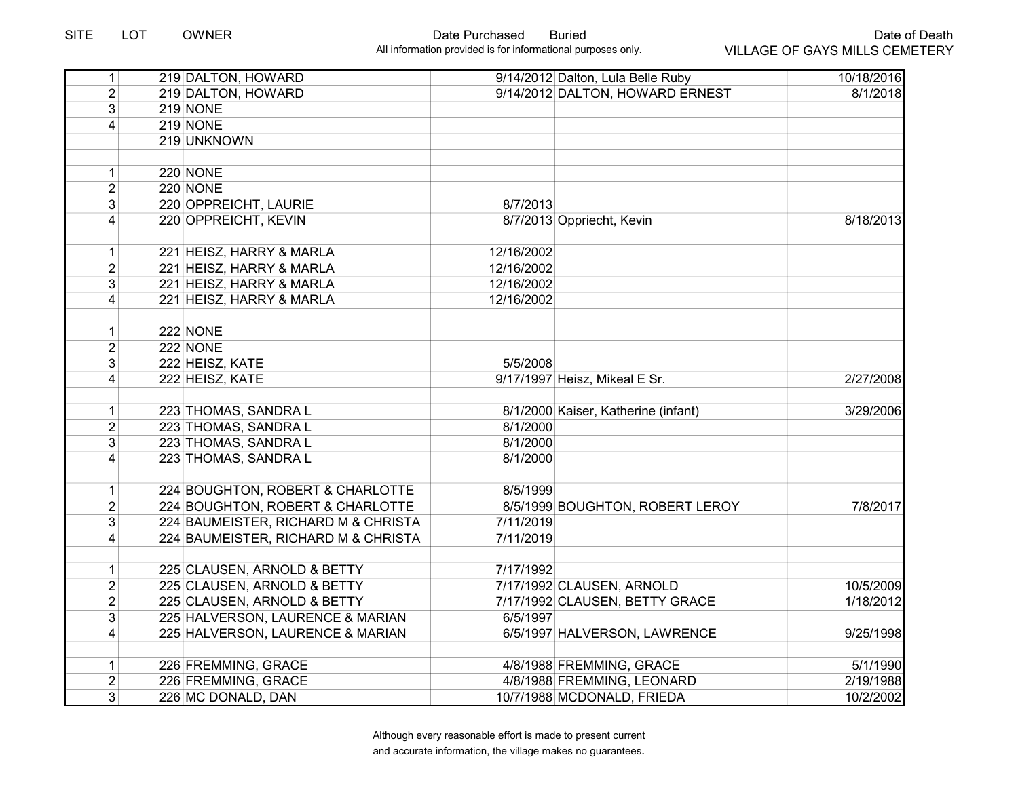| $\vert$         | 219 DALTON, HOWARD                  |            | 9/14/2012 Dalton, Lula Belle Ruby   | 10/18/2016 |
|-----------------|-------------------------------------|------------|-------------------------------------|------------|
| $\overline{2}$  | 219 DALTON, HOWARD                  |            | 9/14/2012 DALTON, HOWARD ERNEST     | 8/1/2018   |
| $\overline{3}$  | 219 NONE                            |            |                                     |            |
| $\vert 4 \vert$ | 219 NONE                            |            |                                     |            |
|                 | 219 UNKNOWN                         |            |                                     |            |
|                 |                                     |            |                                     |            |
| $\mathbf{1}$    | <b>220 NONE</b>                     |            |                                     |            |
| $\overline{2}$  | 220 NONE                            |            |                                     |            |
| $\overline{3}$  | 220 OPPREICHT, LAURIE               | 8/7/2013   |                                     |            |
| 4               | 220 OPPREICHT, KEVIN                |            | 8/7/2013 Oppriecht, Kevin           | 8/18/2013  |
| $\mathbf{1}$    | 221 HEISZ, HARRY & MARLA            | 12/16/2002 |                                     |            |
| $\overline{2}$  | 221 HEISZ, HARRY & MARLA            | 12/16/2002 |                                     |            |
| $\overline{3}$  | 221 HEISZ, HARRY & MARLA            | 12/16/2002 |                                     |            |
| $\overline{4}$  | 221 HEISZ, HARRY & MARLA            | 12/16/2002 |                                     |            |
| 1               | 222 NONE                            |            |                                     |            |
| $\overline{2}$  | 222 NONE                            |            |                                     |            |
| 3               | 222 HEISZ, KATE                     | 5/5/2008   |                                     |            |
| 4               | 222 HEISZ, KATE                     |            | 9/17/1997 Heisz, Mikeal E Sr.       | 2/27/2008  |
| $\mathbf{1}$    | 223 THOMAS, SANDRA L                |            | 8/1/2000 Kaiser, Katherine (infant) | 3/29/2006  |
| $\overline{2}$  | 223 THOMAS, SANDRA L                | 8/1/2000   |                                     |            |
| 3               | 223 THOMAS, SANDRA L                | 8/1/2000   |                                     |            |
| 4               | 223 THOMAS, SANDRA L                | 8/1/2000   |                                     |            |
| $\mathbf{1}$    | 224 BOUGHTON, ROBERT & CHARLOTTE    | 8/5/1999   |                                     |            |
| $\overline{2}$  | 224 BOUGHTON, ROBERT & CHARLOTTE    |            | 8/5/1999 BOUGHTON, ROBERT LEROY     | 7/8/2017   |
| $\overline{3}$  | 224 BAUMEISTER, RICHARD M & CHRISTA | 7/11/2019  |                                     |            |
| 4               | 224 BAUMEISTER, RICHARD M & CHRISTA | 7/11/2019  |                                     |            |
| 1               | 225 CLAUSEN, ARNOLD & BETTY         | 7/17/1992  |                                     |            |
| $\overline{2}$  | 225 CLAUSEN, ARNOLD & BETTY         |            | 7/17/1992 CLAUSEN, ARNOLD           | 10/5/2009  |
| $\overline{2}$  | 225 CLAUSEN, ARNOLD & BETTY         |            | 7/17/1992 CLAUSEN, BETTY GRACE      | 1/18/2012  |
| 3 <sup>1</sup>  | 225 HALVERSON, LAURENCE & MARIAN    | 6/5/1997   |                                     |            |
| $\vert 4 \vert$ | 225 HALVERSON, LAURENCE & MARIAN    |            | 6/5/1997 HALVERSON, LAWRENCE        | 9/25/1998  |
| 1               | 226 FREMMING, GRACE                 |            | 4/8/1988 FREMMING, GRACE            | 5/1/1990   |
| $\overline{2}$  | 226 FREMMING, GRACE                 |            | 4/8/1988 FREMMING, LEONARD          | 2/19/1988  |
| 3 <sup>1</sup>  | 226 MC DONALD, DAN                  |            | 10/7/1988 MCDONALD, FRIEDA          | 10/2/2002  |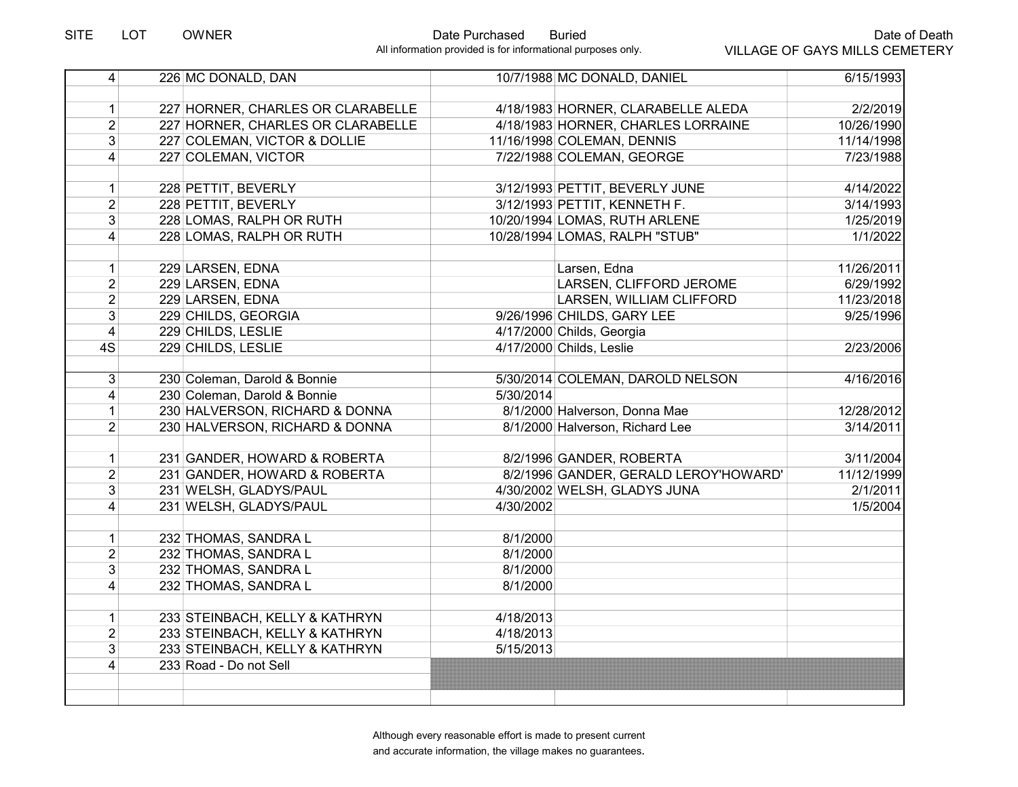| $\overline{4}$  | 226 MC DONALD, DAN                | 10/7/1988 MC DONALD, DANIEL           | 6/15/1993  |
|-----------------|-----------------------------------|---------------------------------------|------------|
|                 |                                   |                                       |            |
| 1               | 227 HORNER, CHARLES OR CLARABELLE | 4/18/1983 HORNER, CLARABELLE ALEDA    | 2/2/2019   |
| $\overline{2}$  | 227 HORNER, CHARLES OR CLARABELLE | 4/18/1983 HORNER, CHARLES LORRAINE    | 10/26/1990 |
| $\overline{3}$  | 227 COLEMAN, VICTOR & DOLLIE      | 11/16/1998 COLEMAN, DENNIS            | 11/14/1998 |
| $\overline{4}$  | 227 COLEMAN, VICTOR               | 7/22/1988 COLEMAN, GEORGE             | 7/23/1988  |
|                 |                                   |                                       |            |
| 1               | 228 PETTIT, BEVERLY               | 3/12/1993 PETTIT, BEVERLY JUNE        | 4/14/2022  |
| $\overline{2}$  | 228 PETTIT, BEVERLY               | 3/12/1993 PETTIT, KENNETH F.          | 3/14/1993  |
| $\overline{3}$  | 228 LOMAS, RALPH OR RUTH          | 10/20/1994 LOMAS, RUTH ARLENE         | 1/25/2019  |
| 4               | 228 LOMAS, RALPH OR RUTH          | 10/28/1994 LOMAS, RALPH "STUB"        | 1/1/2022   |
|                 |                                   |                                       |            |
| 1               | 229 LARSEN, EDNA                  | Larsen, Edna                          | 11/26/2011 |
| $\overline{2}$  | 229 LARSEN, EDNA                  | LARSEN, CLIFFORD JEROME               | 6/29/1992  |
| $\overline{2}$  | 229 LARSEN, EDNA                  | LARSEN, WILLIAM CLIFFORD              | 11/23/2018 |
| $\overline{3}$  | 229 CHILDS, GEORGIA               | 9/26/1996 CHILDS, GARY LEE            | 9/25/1996  |
| $\overline{4}$  | 229 CHILDS, LESLIE                | 4/17/2000 Childs, Georgia             |            |
| 4S              | 229 CHILDS, LESLIE                | 4/17/2000 Childs, Leslie              | 2/23/2006  |
|                 |                                   |                                       |            |
| 3 <sup>2</sup>  | 230 Coleman, Darold & Bonnie      | 5/30/2014 COLEMAN, DAROLD NELSON      | 4/16/2016  |
| $\vert 4 \vert$ | 230 Coleman, Darold & Bonnie      | 5/30/2014                             |            |
| 1               | 230 HALVERSON, RICHARD & DONNA    | 8/1/2000 Halverson, Donna Mae         | 12/28/2012 |
| $\overline{2}$  | 230 HALVERSON, RICHARD & DONNA    | 8/1/2000 Halverson, Richard Lee       | 3/14/2011  |
|                 |                                   |                                       |            |
| 1               | 231 GANDER, HOWARD & ROBERTA      | 8/2/1996 GANDER, ROBERTA              | 3/11/2004  |
| $\overline{2}$  | 231 GANDER, HOWARD & ROBERTA      | 8/2/1996 GANDER, GERALD LEROY'HOWARD' | 11/12/1999 |
| 3               | 231 WELSH, GLADYS/PAUL            | 4/30/2002 WELSH, GLADYS JUNA          | 2/1/2011   |
| $\vert 4 \vert$ | 231 WELSH, GLADYS/PAUL            | 4/30/2002                             | 1/5/2004   |
|                 |                                   |                                       |            |
| 1 <sup>1</sup>  | 232 THOMAS, SANDRA L              | 8/1/2000                              |            |
| $\overline{2}$  | 232 THOMAS, SANDRA L              | 8/1/2000                              |            |
| $\overline{3}$  | 232 THOMAS, SANDRA L              | 8/1/2000                              |            |
| $\vert 4 \vert$ | 232 THOMAS, SANDRA L              | 8/1/2000                              |            |
|                 |                                   |                                       |            |
| 1               | 233 STEINBACH, KELLY & KATHRYN    | 4/18/2013                             |            |
| $\overline{2}$  | 233 STEINBACH, KELLY & KATHRYN    | 4/18/2013                             |            |
| $\overline{3}$  | 233 STEINBACH, KELLY & KATHRYN    | 5/15/2013                             |            |
| $\overline{4}$  | 233 Road - Do not Sell            |                                       |            |
|                 |                                   |                                       |            |
|                 |                                   |                                       |            |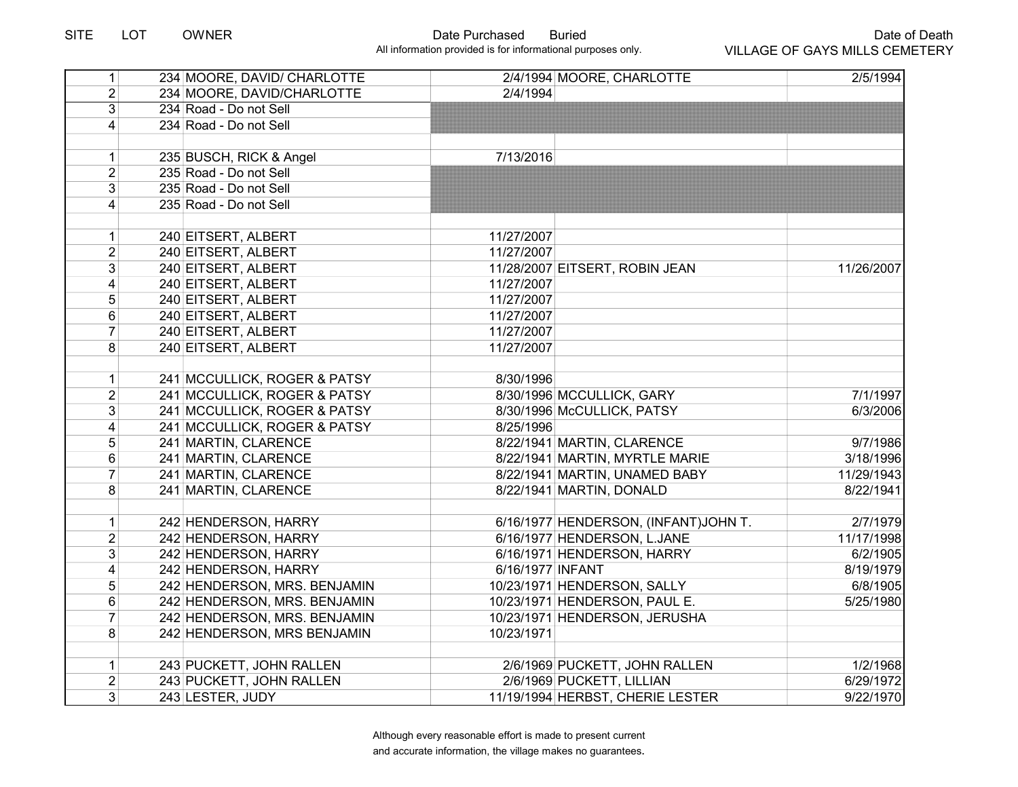# SITE LOT OWNER Date Purchased Buried

All information provided is for informational purposes only.

| 1                       | 234 MOORE, DAVID/ CHARLOTTE  |                  | 2/4/1994 MOORE, CHARLOTTE            | 2/5/1994   |
|-------------------------|------------------------------|------------------|--------------------------------------|------------|
| 2 <sup>1</sup>          | 234 MOORE, DAVID/CHARLOTTE   | 2/4/1994         |                                      |            |
| $\overline{3}$          | 234 Road - Do not Sell       |                  |                                      |            |
| $\vert 4 \vert$         | 234 Road - Do not Sell       |                  |                                      |            |
|                         |                              |                  |                                      |            |
| 1                       | 235 BUSCH, RICK & Angel      | 7/13/2016        |                                      |            |
| $\overline{2}$          | 235 Road - Do not Sell       |                  |                                      |            |
| 3 <sup>1</sup>          | 235 Road - Do not Sell       |                  |                                      |            |
| $\overline{4}$          | 235 Road - Do not Sell       |                  |                                      |            |
|                         |                              |                  |                                      |            |
| 1                       | 240 EITSERT, ALBERT          | 11/27/2007       |                                      |            |
| $\overline{2}$          | 240 EITSERT, ALBERT          | 11/27/2007       |                                      |            |
| 3                       | 240 EITSERT, ALBERT          |                  | 11/28/2007 EITSERT, ROBIN JEAN       | 11/26/2007 |
| 4                       | 240 EITSERT, ALBERT          | 11/27/2007       |                                      |            |
| 5                       | 240 EITSERT, ALBERT          | 11/27/2007       |                                      |            |
| $6\phantom{1}$          | 240 EITSERT, ALBERT          | 11/27/2007       |                                      |            |
| $\overline{7}$          | 240 EITSERT, ALBERT          | 11/27/2007       |                                      |            |
| 8                       | 240 EITSERT, ALBERT          | 11/27/2007       |                                      |            |
|                         |                              |                  |                                      |            |
| 1                       | 241 MCCULLICK, ROGER & PATSY | 8/30/1996        |                                      |            |
| $\overline{2}$          | 241 MCCULLICK, ROGER & PATSY |                  | 8/30/1996 MCCULLICK, GARY            | 7/1/1997   |
| 3 <sup>1</sup>          | 241 MCCULLICK, ROGER & PATSY |                  | 8/30/1996 McCULLICK, PATSY           | 6/3/2006   |
| $\vert 4 \vert$         | 241 MCCULLICK, ROGER & PATSY | 8/25/1996        |                                      |            |
| 5                       | 241 MARTIN, CLARENCE         |                  | 8/22/1941 MARTIN, CLARENCE           | 9/7/1986   |
| $\,6\,$                 | 241 MARTIN, CLARENCE         |                  | 8/22/1941 MARTIN, MYRTLE MARIE       | 3/18/1996  |
| $\overline{7}$          | 241 MARTIN, CLARENCE         |                  | 8/22/1941 MARTIN, UNAMED BABY        | 11/29/1943 |
| 8                       | 241 MARTIN, CLARENCE         |                  | 8/22/1941 MARTIN, DONALD             | 8/22/1941  |
|                         |                              |                  |                                      |            |
| 1                       | 242 HENDERSON, HARRY         |                  | 6/16/1977 HENDERSON, (INFANT)JOHN T. | 2/7/1979   |
| $\overline{2}$          | 242 HENDERSON, HARRY         |                  | 6/16/1977 HENDERSON, L.JANE          | 11/17/1998 |
| $\overline{3}$          | 242 HENDERSON, HARRY         |                  | 6/16/1971 HENDERSON, HARRY           | 6/2/1905   |
| $\overline{\mathbf{4}}$ | 242 HENDERSON, HARRY         | 6/16/1977 INFANT |                                      | 8/19/1979  |
| 5 <sup>5</sup>          | 242 HENDERSON, MRS. BENJAMIN |                  | 10/23/1971 HENDERSON, SALLY          | 6/8/1905   |
| 6                       | 242 HENDERSON, MRS. BENJAMIN |                  | 10/23/1971 HENDERSON, PAUL E.        | 5/25/1980  |
| $\overline{7}$          | 242 HENDERSON, MRS. BENJAMIN |                  | 10/23/1971 HENDERSON, JERUSHA        |            |
| 8 <sup>1</sup>          | 242 HENDERSON, MRS BENJAMIN  | 10/23/1971       |                                      |            |
|                         |                              |                  |                                      |            |
| 1                       | 243 PUCKETT, JOHN RALLEN     |                  | 2/6/1969 PUCKETT, JOHN RALLEN        | 1/2/1968   |
| $\overline{2}$          | 243 PUCKETT, JOHN RALLEN     |                  | 2/6/1969 PUCKETT, LILLIAN            | 6/29/1972  |
| 3 <sup>2</sup>          | 243 LESTER, JUDY             |                  | 11/19/1994 HERBST, CHERIE LESTER     | 9/22/1970  |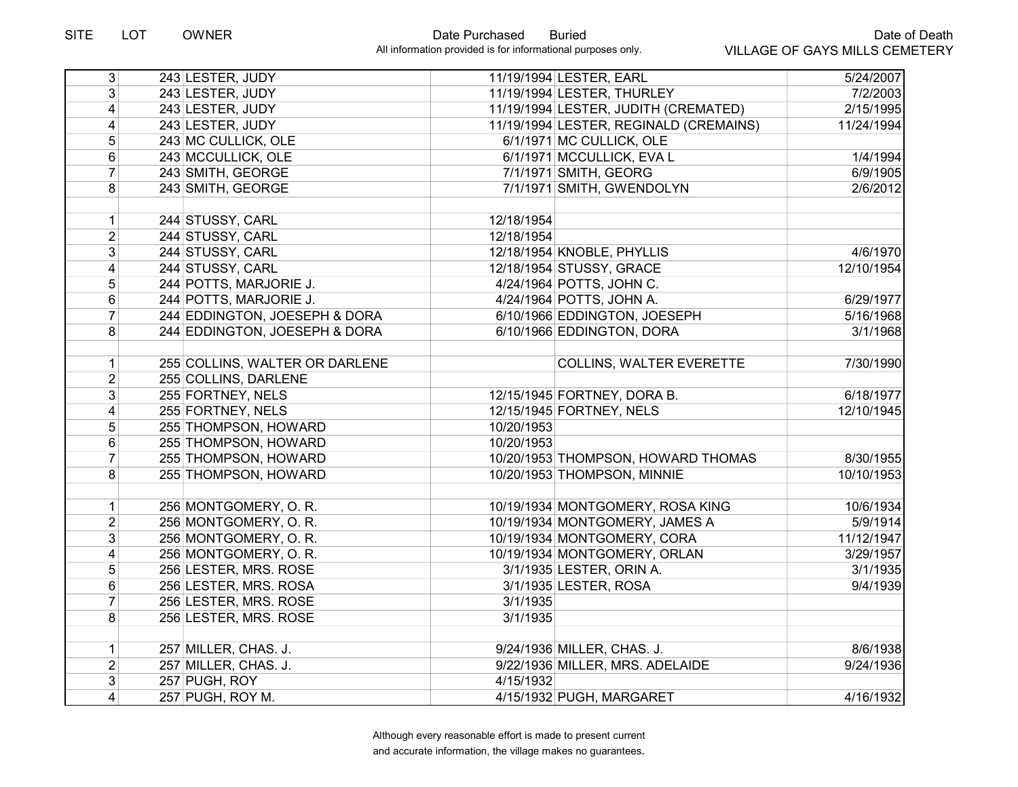| 3 <sup>2</sup>          | 243 LESTER, JUDY               |            | 11/19/1994 LESTER, EARL                | 5/24/2007  |
|-------------------------|--------------------------------|------------|----------------------------------------|------------|
| 3 <sup>1</sup>          | 243 LESTER, JUDY               |            | 11/19/1994 LESTER, THURLEY             | 7/2/2003   |
| $\vert 4 \vert$         | 243 LESTER, JUDY               |            | 11/19/1994 LESTER, JUDITH (CREMATED)   | 2/15/1995  |
| $\overline{4}$          | 243 LESTER, JUDY               |            | 11/19/1994 LESTER, REGINALD (CREMAINS) | 11/24/1994 |
| 5 <sup>1</sup>          | 243 MC CULLICK, OLE            |            | 6/1/1971 MC CULLICK, OLE               |            |
| $6\phantom{1}$          | 243 MCCULLICK, OLE             |            | 6/1/1971 MCCULLICK, EVA L              | 1/4/1994   |
| $\overline{7}$          | 243 SMITH, GEORGE              |            | 7/1/1971 SMITH, GEORG                  | 6/9/1905   |
| 8                       | 243 SMITH, GEORGE              |            | 7/1/1971 SMITH, GWENDOLYN              | 2/6/2012   |
|                         |                                |            |                                        |            |
| 1                       | 244 STUSSY, CARL               | 12/18/1954 |                                        |            |
| $\overline{2}$          | 244 STUSSY, CARL               | 12/18/1954 |                                        |            |
| 3 <sup>1</sup>          | 244 STUSSY, CARL               |            | 12/18/1954 KNOBLE, PHYLLIS             | 4/6/1970   |
| $\overline{4}$          | 244 STUSSY, CARL               |            | 12/18/1954 STUSSY, GRACE               | 12/10/1954 |
| 5                       | 244 POTTS, MARJORIE J.         |            | 4/24/1964 POTTS, JOHN C.               |            |
| $6\phantom{a}$          | 244 POTTS, MARJORIE J.         |            | 4/24/1964 POTTS, JOHN A.               | 6/29/1977  |
| $\overline{7}$          | 244 EDDINGTON, JOESEPH & DORA  |            | 6/10/1966 EDDINGTON, JOESEPH           | 5/16/1968  |
| 8 <sup>1</sup>          | 244 EDDINGTON, JOESEPH & DORA  |            | 6/10/1966 EDDINGTON, DORA              | 3/1/1968   |
|                         |                                |            |                                        |            |
| 1                       | 255 COLLINS, WALTER OR DARLENE |            | <b>COLLINS, WALTER EVERETTE</b>        | 7/30/1990  |
| $\overline{2}$          | 255 COLLINS, DARLENE           |            |                                        |            |
| 3 <sup>1</sup>          | 255 FORTNEY, NELS              |            | 12/15/1945 FORTNEY, DORA B.            | 6/18/1977  |
| $\vert 4 \vert$         | 255 FORTNEY, NELS              |            | 12/15/1945 FORTNEY, NELS               | 12/10/1945 |
| $\sqrt{5}$              | 255 THOMPSON, HOWARD           | 10/20/1953 |                                        |            |
| $\,6\,$                 | 255 THOMPSON, HOWARD           | 10/20/1953 |                                        |            |
| $\overline{7}$          | 255 THOMPSON, HOWARD           |            | 10/20/1953 THOMPSON, HOWARD THOMAS     | 8/30/1955  |
| 8                       | 255 THOMPSON, HOWARD           |            | 10/20/1953 THOMPSON, MINNIE            | 10/10/1953 |
|                         |                                |            |                                        |            |
| 1                       | 256 MONTGOMERY, O.R.           |            | 10/19/1934 MONTGOMERY, ROSA KING       | 10/6/1934  |
| $\overline{2}$          | 256 MONTGOMERY, O.R.           |            | 10/19/1934 MONTGOMERY, JAMES A         | 5/9/1914   |
| $\overline{3}$          | 256 MONTGOMERY, O.R.           |            | 10/19/1934 MONTGOMERY, CORA            | 11/12/1947 |
| $\overline{\mathbf{4}}$ | 256 MONTGOMERY, O.R.           |            | 10/19/1934 MONTGOMERY, ORLAN           | 3/29/1957  |
| 5                       | 256 LESTER, MRS. ROSE          |            | 3/1/1935 LESTER, ORIN A.               | 3/1/1935   |
| $\,6\,$                 | 256 LESTER, MRS. ROSA          |            | 3/1/1935 LESTER, ROSA                  | 9/4/1939   |
| $\overline{7}$          | 256 LESTER, MRS. ROSE          | 3/1/1935   |                                        |            |
| 8 <sup>1</sup>          | 256 LESTER, MRS. ROSE          | 3/1/1935   |                                        |            |
|                         |                                |            |                                        |            |
| 1                       | 257 MILLER, CHAS. J.           |            | 9/24/1936 MILLER, CHAS. J.             | 8/6/1938   |
| $\overline{2}$          | 257 MILLER, CHAS. J.           |            | 9/22/1936 MILLER, MRS. ADELAIDE        | 9/24/1936  |
| $\overline{3}$          | 257 PUGH, ROY                  | 4/15/1932  |                                        |            |
| $\overline{4}$          | 257 PUGH, ROY M.               |            | 4/15/1932 PUGH, MARGARET               | 4/16/1932  |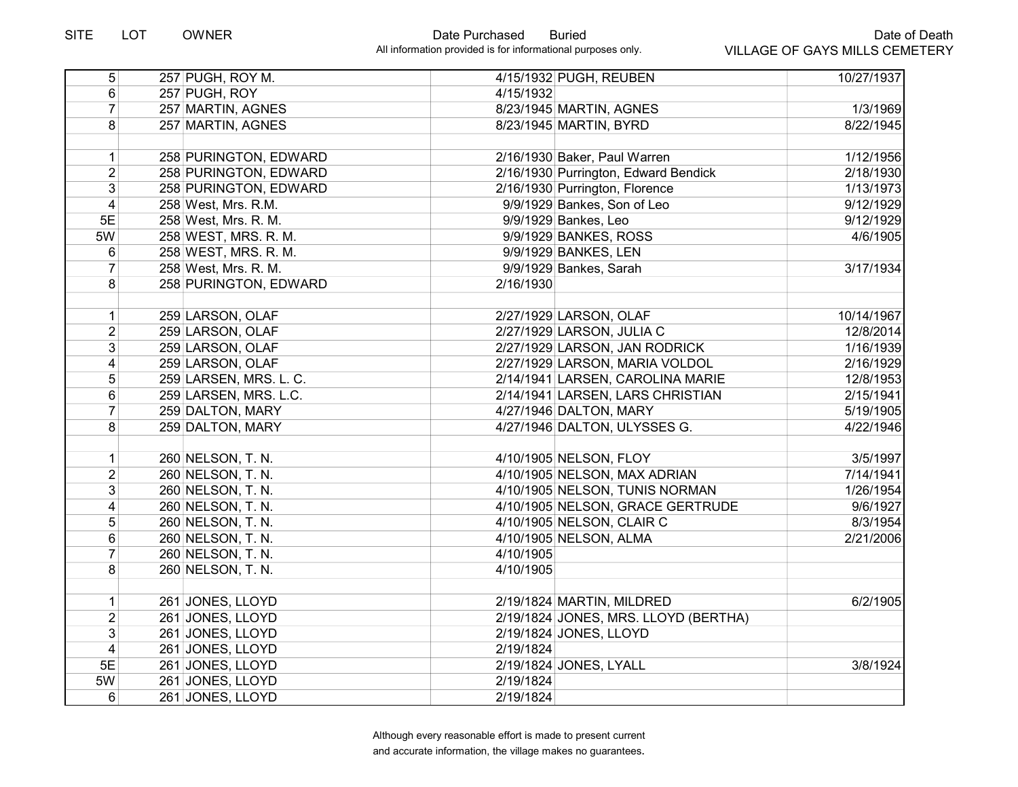| $\overline{5}$ | 257 PUGH, ROY M.       |           | 4/15/1932 PUGH, REUBEN               | 10/27/1937 |
|----------------|------------------------|-----------|--------------------------------------|------------|
| 6              | 257 PUGH, ROY          | 4/15/1932 |                                      |            |
| $\overline{7}$ | 257 MARTIN, AGNES      |           | 8/23/1945 MARTIN, AGNES              | 1/3/1969   |
| 8              | 257 MARTIN, AGNES      |           | 8/23/1945 MARTIN, BYRD               | 8/22/1945  |
|                |                        |           |                                      |            |
| 1              | 258 PURINGTON, EDWARD  |           | 2/16/1930 Baker, Paul Warren         | 1/12/1956  |
| $\overline{2}$ | 258 PURINGTON, EDWARD  |           | 2/16/1930 Purrington, Edward Bendick | 2/18/1930  |
| $\overline{3}$ | 258 PURINGTON, EDWARD  |           | 2/16/1930 Purrington, Florence       | 1/13/1973  |
| $\overline{4}$ | 258 West, Mrs. R.M.    |           | 9/9/1929 Bankes, Son of Leo          | 9/12/1929  |
| 5E             | 258 West, Mrs. R. M.   |           | 9/9/1929 Bankes, Leo                 | 9/12/1929  |
| 5W             | 258 WEST, MRS. R. M.   |           | 9/9/1929 BANKES, ROSS                | 4/6/1905   |
| 6              | 258 WEST, MRS. R. M.   |           | 9/9/1929 BANKES, LEN                 |            |
| 7              | 258 West, Mrs. R. M.   |           | 9/9/1929 Bankes, Sarah               | 3/17/1934  |
| 8              | 258 PURINGTON, EDWARD  | 2/16/1930 |                                      |            |
| 1              | 259 LARSON, OLAF       |           | 2/27/1929 LARSON, OLAF               | 10/14/1967 |
| $\overline{c}$ | 259 LARSON, OLAF       |           | 2/27/1929 LARSON, JULIA C            | 12/8/2014  |
| 3              | 259 LARSON, OLAF       |           | 2/27/1929 LARSON, JAN RODRICK        | 1/16/1939  |
| 4              | 259 LARSON, OLAF       |           | 2/27/1929 LARSON, MARIA VOLDOL       | 2/16/1929  |
| 5              | 259 LARSEN, MRS. L. C. |           | 2/14/1941 LARSEN, CAROLINA MARIE     | 12/8/1953  |
| 6              | 259 LARSEN, MRS. L.C.  |           | 2/14/1941 LARSEN, LARS CHRISTIAN     | 2/15/1941  |
| $\overline{7}$ | 259 DALTON, MARY       |           | 4/27/1946 DALTON, MARY               | 5/19/1905  |
| 8              | 259 DALTON, MARY       |           | 4/27/1946 DALTON, ULYSSES G.         | 4/22/1946  |
|                |                        |           |                                      |            |
| 1              | 260 NELSON, T. N.      |           | 4/10/1905 NELSON, FLOY               | 3/5/1997   |
| $\overline{2}$ | 260 NELSON, T. N.      |           | 4/10/1905 NELSON, MAX ADRIAN         | 7/14/1941  |
| 3              | 260 NELSON, T. N.      |           | 4/10/1905 NELSON, TUNIS NORMAN       | 1/26/1954  |
| 4              | 260 NELSON, T. N.      |           | 4/10/1905 NELSON, GRACE GERTRUDE     | 9/6/1927   |
| $\overline{5}$ | 260 NELSON, T. N.      |           | 4/10/1905 NELSON, CLAIR C            | 8/3/1954   |
| 6              | 260 NELSON, T. N.      |           | 4/10/1905 NELSON, ALMA               | 2/21/2006  |
| $\overline{7}$ | 260 NELSON, T. N.      | 4/10/1905 |                                      |            |
| 8              | 260 NELSON, T. N.      | 4/10/1905 |                                      |            |
| $\mathbf{1}$   | 261 JONES, LLOYD       |           | 2/19/1824 MARTIN, MILDRED            | 6/2/1905   |
| $\overline{2}$ | 261 JONES, LLOYD       |           | 2/19/1824 JONES, MRS. LLOYD (BERTHA) |            |
| $\overline{3}$ | 261 JONES, LLOYD       |           | 2/19/1824 JONES, LLOYD               |            |
| $\overline{4}$ | 261 JONES, LLOYD       | 2/19/1824 |                                      |            |
| 5E             | 261 JONES, LLOYD       |           | 2/19/1824 JONES, LYALL               | 3/8/1924   |
| 5W             | 261 JONES, LLOYD       | 2/19/1824 |                                      |            |
| 6              | 261 JONES, LLOYD       | 2/19/1824 |                                      |            |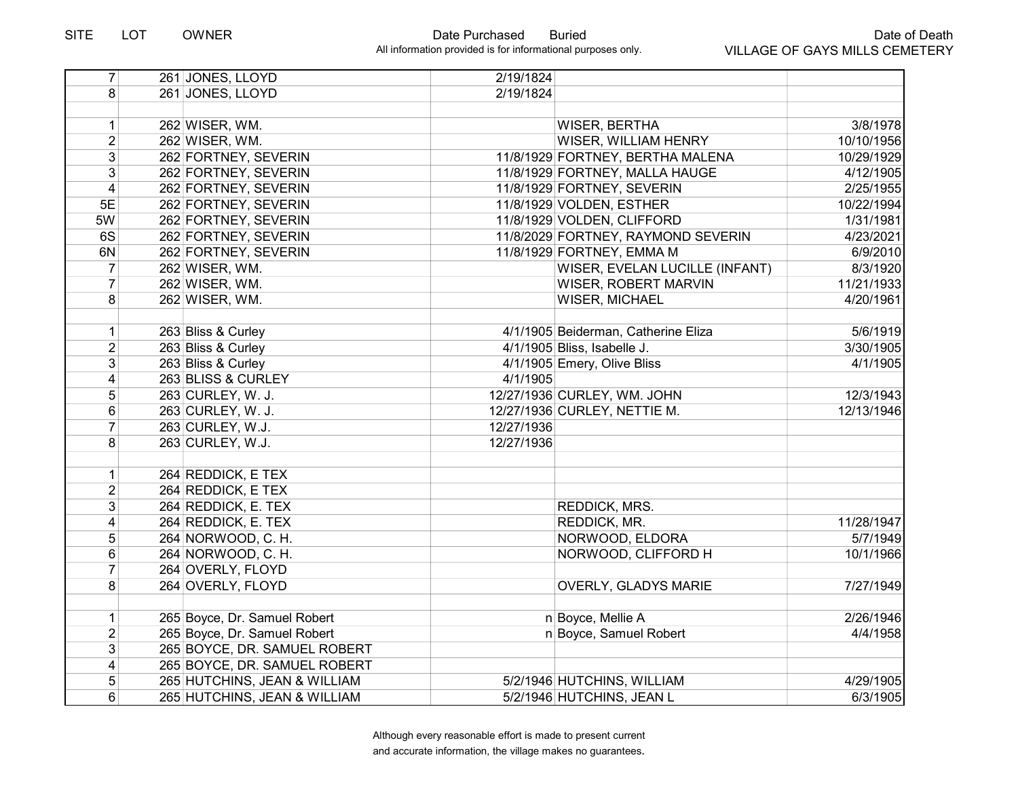| $\overline{7}$          | 261 JONES, LLOYD             | 2/19/1824  |                                     |            |
|-------------------------|------------------------------|------------|-------------------------------------|------------|
| 8                       | 261 JONES, LLOYD             | 2/19/1824  |                                     |            |
|                         |                              |            |                                     |            |
| $\mathbf{1}$            | 262 WISER, WM.               |            | WISER, BERTHA                       | 3/8/1978   |
| $\overline{2}$          | 262 WISER, WM.               |            | WISER, WILLIAM HENRY                | 10/10/1956 |
| 3                       | 262 FORTNEY, SEVERIN         |            | 11/8/1929 FORTNEY, BERTHA MALENA    | 10/29/1929 |
| 3                       | 262 FORTNEY, SEVERIN         |            | 11/8/1929 FORTNEY, MALLA HAUGE      | 4/12/1905  |
| $\overline{\mathbf{4}}$ | 262 FORTNEY, SEVERIN         |            | 11/8/1929 FORTNEY, SEVERIN          | 2/25/1955  |
| 5E                      | 262 FORTNEY, SEVERIN         |            | 11/8/1929 VOLDEN, ESTHER            | 10/22/1994 |
| 5W                      | 262 FORTNEY, SEVERIN         |            | 11/8/1929 VOLDEN, CLIFFORD          | 1/31/1981  |
| 6S                      | 262 FORTNEY, SEVERIN         |            | 11/8/2029 FORTNEY, RAYMOND SEVERIN  | 4/23/2021  |
| 6N                      | 262 FORTNEY, SEVERIN         |            | 11/8/1929 FORTNEY, EMMA M           | 6/9/2010   |
| 7                       | 262 WISER, WM.               |            | WISER, EVELAN LUCILLE (INFANT)      | 8/3/1920   |
| $\overline{7}$          | 262 WISER, WM.               |            | <b>WISER, ROBERT MARVIN</b>         | 11/21/1933 |
| 8                       | 262 WISER, WM.               |            | WISER, MICHAEL                      | 4/20/1961  |
| $\mathbf{1}$            | 263 Bliss & Curley           |            | 4/1/1905 Beiderman, Catherine Eliza | 5/6/1919   |
| $\overline{2}$          | 263 Bliss & Curley           |            | 4/1/1905 Bliss, Isabelle J.         | 3/30/1905  |
| 3                       | 263 Bliss & Curley           |            | 4/1/1905 Emery, Olive Bliss         | 4/1/1905   |
| 4                       | 263 BLISS & CURLEY           | 4/1/1905   |                                     |            |
| 5                       | 263 CURLEY, W. J.            |            | 12/27/1936 CURLEY, WM. JOHN         | 12/3/1943  |
| 6                       | 263 CURLEY, W. J.            |            | 12/27/1936 CURLEY, NETTIE M.        | 12/13/1946 |
| $\overline{7}$          | 263 CURLEY, W.J.             | 12/27/1936 |                                     |            |
| 8                       | 263 CURLEY, W.J.             | 12/27/1936 |                                     |            |
| 1                       | 264 REDDICK, E TEX           |            |                                     |            |
| $\overline{2}$          | 264 REDDICK, E TEX           |            |                                     |            |
| 3                       | 264 REDDICK, E. TEX          |            | REDDICK, MRS.                       |            |
| 4                       | 264 REDDICK, E. TEX          |            | REDDICK, MR.                        | 11/28/1947 |
| 5                       | 264 NORWOOD, C.H.            |            | NORWOOD, ELDORA                     | 5/7/1949   |
| 6                       | 264 NORWOOD, C. H.           |            | NORWOOD, CLIFFORD H                 | 10/1/1966  |
| $\overline{7}$          | 264 OVERLY, FLOYD            |            |                                     |            |
| 8                       | 264 OVERLY, FLOYD            |            | OVERLY, GLADYS MARIE                | 7/27/1949  |
| 1                       | 265 Boyce, Dr. Samuel Robert |            | n Boyce, Mellie A                   | 2/26/1946  |
| $\overline{2}$          | 265 Boyce, Dr. Samuel Robert |            | n Boyce, Samuel Robert              | 4/4/1958   |
| 3                       | 265 BOYCE, DR. SAMUEL ROBERT |            |                                     |            |
| 4                       | 265 BOYCE, DR. SAMUEL ROBERT |            |                                     |            |
| 5                       | 265 HUTCHINS, JEAN & WILLIAM |            | 5/2/1946 HUTCHINS, WILLIAM          | 4/29/1905  |
| 6                       | 265 HUTCHINS, JEAN & WILLIAM |            | 5/2/1946 HUTCHINS, JEAN L           | 6/3/1905   |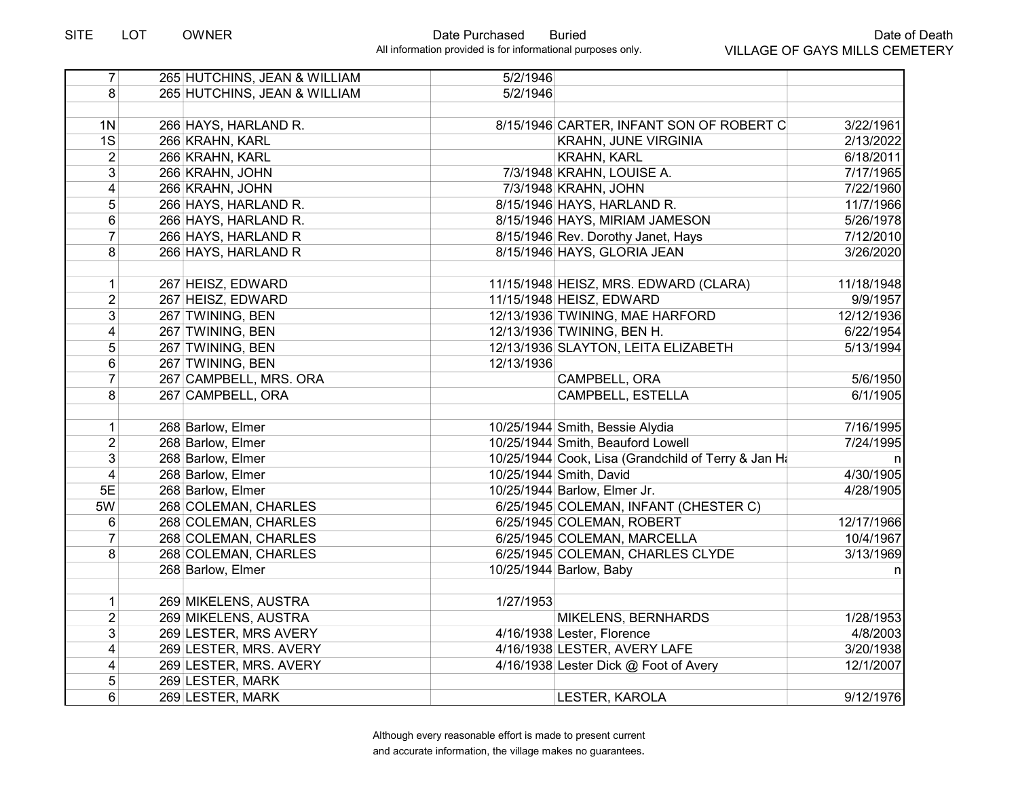| $\overline{7}$ | 265 HUTCHINS, JEAN & WILLIAM | 5/2/1946   |                                                     |            |
|----------------|------------------------------|------------|-----------------------------------------------------|------------|
| 8              | 265 HUTCHINS, JEAN & WILLIAM | 5/2/1946   |                                                     |            |
|                |                              |            |                                                     |            |
| 1 <sub>N</sub> | 266 HAYS, HARLAND R.         |            | 8/15/1946 CARTER, INFANT SON OF ROBERT C            | 3/22/1961  |
| 1S             | 266 KRAHN, KARL              |            | <b>KRAHN, JUNE VIRGINIA</b>                         | 2/13/2022  |
| $\overline{2}$ | 266 KRAHN, KARL              |            | <b>KRAHN, KARL</b>                                  | 6/18/2011  |
| $\overline{3}$ | 266 KRAHN, JOHN              |            | 7/3/1948 KRAHN, LOUISE A.                           | 7/17/1965  |
| $\overline{4}$ | 266 KRAHN, JOHN              |            | 7/3/1948 KRAHN, JOHN                                | 7/22/1960  |
| 5              | 266 HAYS, HARLAND R.         |            | 8/15/1946 HAYS, HARLAND R.                          | 11/7/1966  |
| 6              | 266 HAYS, HARLAND R.         |            | 8/15/1946 HAYS, MIRIAM JAMESON                      | 5/26/1978  |
| $\overline{7}$ | 266 HAYS, HARLAND R          |            | 8/15/1946 Rev. Dorothy Janet, Hays                  | 7/12/2010  |
| 8              | 266 HAYS, HARLAND R          |            | 8/15/1946 HAYS, GLORIA JEAN                         | 3/26/2020  |
|                |                              |            |                                                     |            |
| $\mathbf 1$    | 267 HEISZ, EDWARD            |            | 11/15/1948 HEISZ, MRS. EDWARD (CLARA)               | 11/18/1948 |
| $\overline{2}$ | 267 HEISZ, EDWARD            |            | 11/15/1948 HEISZ, EDWARD                            | 9/9/1957   |
| 3              | 267 TWINING, BEN             |            | 12/13/1936 TWINING, MAE HARFORD                     | 12/12/1936 |
| 4              | 267 TWINING, BEN             |            | 12/13/1936 TWINING, BEN H.                          | 6/22/1954  |
| 5              | 267 TWINING, BEN             |            | 12/13/1936 SLAYTON, LEITA ELIZABETH                 | 5/13/1994  |
| 6              | 267 TWINING, BEN             | 12/13/1936 |                                                     |            |
| $\overline{7}$ | 267 CAMPBELL, MRS. ORA       |            | CAMPBELL, ORA                                       | 5/6/1950   |
| 8              | 267 CAMPBELL, ORA            |            | CAMPBELL, ESTELLA                                   | 6/1/1905   |
|                |                              |            |                                                     |            |
| $\mathbf 1$    | 268 Barlow, Elmer            |            | 10/25/1944 Smith, Bessie Alydia                     | 7/16/1995  |
| $\overline{2}$ | 268 Barlow, Elmer            |            | 10/25/1944 Smith, Beauford Lowell                   | 7/24/1995  |
| 3              | 268 Barlow, Elmer            |            | 10/25/1944 Cook, Lisa (Grandchild of Terry & Jan Ha | n          |
| $\overline{4}$ | 268 Barlow, Elmer            |            | 10/25/1944 Smith, David                             | 4/30/1905  |
| 5E             | 268 Barlow, Elmer            |            | 10/25/1944 Barlow, Elmer Jr.                        | 4/28/1905  |
| 5W             | 268 COLEMAN, CHARLES         |            | 6/25/1945 COLEMAN, INFANT (CHESTER C)               |            |
| 6              | 268 COLEMAN, CHARLES         |            | 6/25/1945 COLEMAN, ROBERT                           | 12/17/1966 |
| $\overline{7}$ | 268 COLEMAN, CHARLES         |            | 6/25/1945 COLEMAN, MARCELLA                         | 10/4/1967  |
| 8              | 268 COLEMAN, CHARLES         |            | 6/25/1945 COLEMAN, CHARLES CLYDE                    | 3/13/1969  |
|                | 268 Barlow, Elmer            |            | 10/25/1944 Barlow, Baby                             | n          |
|                |                              |            |                                                     |            |
| $\mathbf 1$    | 269 MIKELENS, AUSTRA         | 1/27/1953  |                                                     |            |
| $\overline{2}$ | 269 MIKELENS, AUSTRA         |            | MIKELENS, BERNHARDS                                 | 1/28/1953  |
| $\overline{3}$ | 269 LESTER, MRS AVERY        |            | 4/16/1938 Lester, Florence                          | 4/8/2003   |
| 4              | 269 LESTER, MRS. AVERY       |            | 4/16/1938 LESTER, AVERY LAFE                        | 3/20/1938  |
| 4              | 269 LESTER, MRS. AVERY       |            | 4/16/1938 Lester Dick @ Foot of Avery               | 12/1/2007  |
| 5              | 269 LESTER, MARK             |            |                                                     |            |
| 6              | 269 LESTER, MARK             |            | LESTER, KAROLA                                      | 9/12/1976  |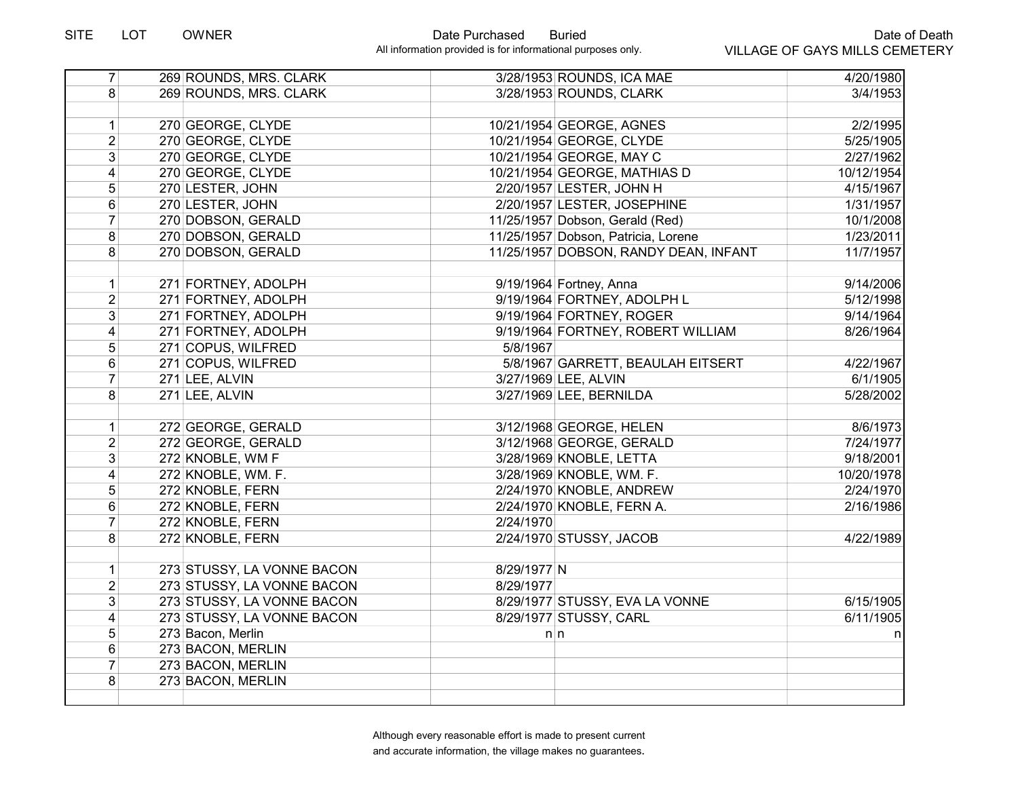# SITE LOT OWNER Date Purchased Buried

| $\overline{7}$          | 269 ROUNDS, MRS. CLARK     |             | 3/28/1953 ROUNDS, ICA MAE             | 4/20/1980  |
|-------------------------|----------------------------|-------------|---------------------------------------|------------|
| 8 <sup>1</sup>          | 269 ROUNDS, MRS. CLARK     |             | 3/28/1953 ROUNDS, CLARK               | 3/4/1953   |
|                         |                            |             |                                       |            |
| $\mathbf{1}$            | 270 GEORGE, CLYDE          |             | 10/21/1954 GEORGE, AGNES              | 2/2/1995   |
| $\overline{2}$          | 270 GEORGE, CLYDE          |             | 10/21/1954 GEORGE, CLYDE              | 5/25/1905  |
| $\overline{3}$          | 270 GEORGE, CLYDE          |             | 10/21/1954 GEORGE, MAY C              | 2/27/1962  |
| $\overline{\mathbf{4}}$ | 270 GEORGE, CLYDE          |             | 10/21/1954 GEORGE, MATHIAS D          | 10/12/1954 |
| 5                       | 270 LESTER, JOHN           |             | 2/20/1957 LESTER, JOHN H              | 4/15/1967  |
| 6                       | 270 LESTER, JOHN           |             | 2/20/1957 LESTER, JOSEPHINE           | 1/31/1957  |
| $\overline{7}$          | 270 DOBSON, GERALD         |             | 11/25/1957 Dobson, Gerald (Red)       | 10/1/2008  |
| 8                       | 270 DOBSON, GERALD         |             | 11/25/1957 Dobson, Patricia, Lorene   | 1/23/2011  |
| 8                       | 270 DOBSON, GERALD         |             | 11/25/1957 DOBSON, RANDY DEAN, INFANT | 11/7/1957  |
|                         |                            |             |                                       |            |
| $\mathbf 1$             | 271 FORTNEY, ADOLPH        |             | 9/19/1964 Fortney, Anna               | 9/14/2006  |
| $\overline{2}$          | 271 FORTNEY, ADOLPH        |             | 9/19/1964 FORTNEY, ADOLPH L           | 5/12/1998  |
| 3 <sup>1</sup>          | 271 FORTNEY, ADOLPH        |             | 9/19/1964 FORTNEY, ROGER              | 9/14/1964  |
| $\vert 4 \vert$         | 271 FORTNEY, ADOLPH        |             | 9/19/1964 FORTNEY, ROBERT WILLIAM     | 8/26/1964  |
| 5                       | 271 COPUS, WILFRED         | 5/8/1967    |                                       |            |
| 6                       | 271 COPUS, WILFRED         |             | 5/8/1967 GARRETT, BEAULAH EITSERT     | 4/22/1967  |
| $\overline{7}$          | 271 LEE, ALVIN             |             | 3/27/1969 LEE, ALVIN                  | 6/1/1905   |
| 8                       | 271 LEE, ALVIN             |             | 3/27/1969 LEE, BERNILDA               | 5/28/2002  |
|                         |                            |             |                                       |            |
| 1                       | 272 GEORGE, GERALD         |             | 3/12/1968 GEORGE, HELEN               | 8/6/1973   |
| $\overline{2}$          | 272 GEORGE, GERALD         |             | 3/12/1968 GEORGE, GERALD              | 7/24/1977  |
| 3                       | 272 KNOBLE, WM F           |             | 3/28/1969 KNOBLE, LETTA               | 9/18/2001  |
| $\overline{4}$          | 272 KNOBLE, WM. F.         |             | 3/28/1969 KNOBLE, WM. F.              | 10/20/1978 |
| 5                       | 272 KNOBLE, FERN           |             | 2/24/1970 KNOBLE, ANDREW              | 2/24/1970  |
| 6                       | 272 KNOBLE, FERN           |             | 2/24/1970 KNOBLE, FERN A.             | 2/16/1986  |
| $\overline{7}$          | 272 KNOBLE, FERN           | 2/24/1970   |                                       |            |
| 8                       | 272 KNOBLE, FERN           |             | 2/24/1970 STUSSY, JACOB               | 4/22/1989  |
|                         |                            |             |                                       |            |
| $\mathbf{1}$            | 273 STUSSY, LA VONNE BACON | 8/29/1977 N |                                       |            |
| $\overline{2}$          | 273 STUSSY, LA VONNE BACON | 8/29/1977   |                                       |            |
| $\overline{3}$          | 273 STUSSY, LA VONNE BACON |             | 8/29/1977 STUSSY, EVA LA VONNE        | 6/15/1905  |
| $\overline{4}$          | 273 STUSSY, LA VONNE BACON |             | 8/29/1977 STUSSY, CARL                | 6/11/1905  |
| 5                       | 273 Bacon, Merlin          |             | $n \, n$                              | nl         |
| 6                       | 273 BACON, MERLIN          |             |                                       |            |
| $\overline{7}$          | 273 BACON, MERLIN          |             |                                       |            |
| 8                       | 273 BACON, MERLIN          |             |                                       |            |
|                         |                            |             |                                       |            |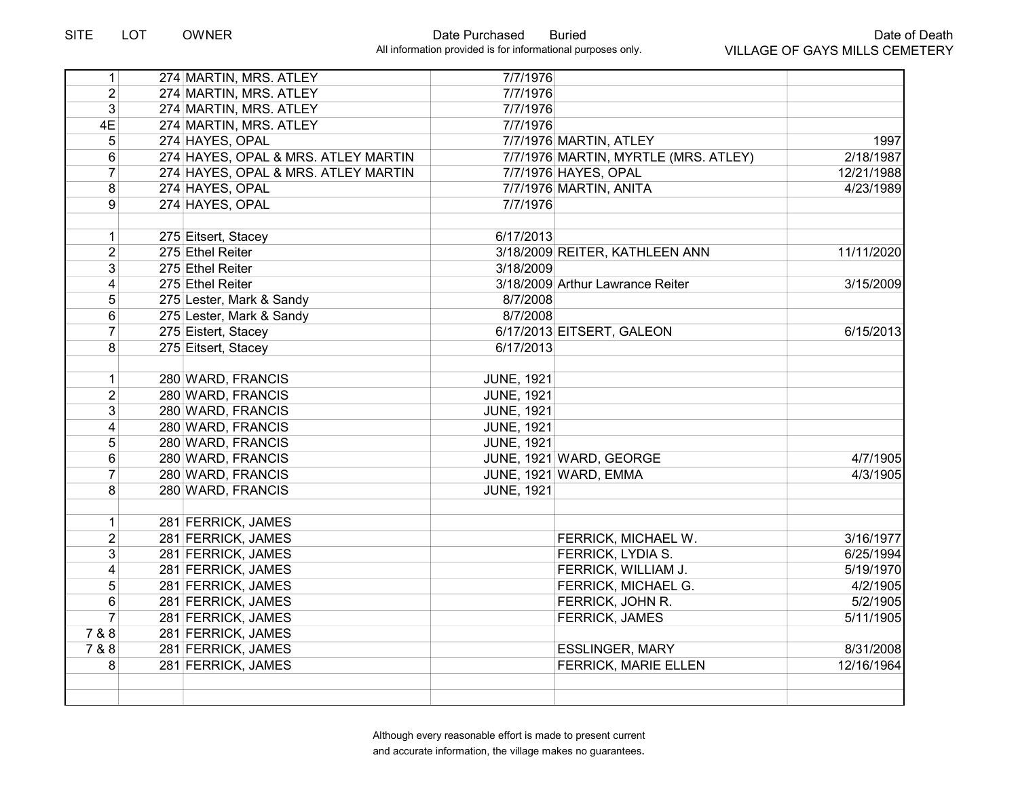| 1 <sup>1</sup>          | 274 MARTIN, MRS. ATLEY              | 7/7/1976          |                                      |            |
|-------------------------|-------------------------------------|-------------------|--------------------------------------|------------|
| $\overline{2}$          | 274 MARTIN, MRS. ATLEY              | 7/7/1976          |                                      |            |
| 3                       | 274 MARTIN, MRS. ATLEY              | 7/7/1976          |                                      |            |
| 4E                      | 274 MARTIN, MRS. ATLEY              | 7/7/1976          |                                      |            |
| 5                       | 274 HAYES, OPAL                     |                   | 7/7/1976 MARTIN, ATLEY               | 1997       |
| 6                       | 274 HAYES, OPAL & MRS. ATLEY MARTIN |                   | 7/7/1976 MARTIN, MYRTLE (MRS. ATLEY) | 2/18/1987  |
| $\overline{7}$          | 274 HAYES, OPAL & MRS. ATLEY MARTIN |                   | 7/7/1976 HAYES, OPAL                 | 12/21/1988 |
| 8                       | 274 HAYES, OPAL                     |                   | 7/7/1976 MARTIN, ANITA               | 4/23/1989  |
| 9                       | 274 HAYES, OPAL                     | 7/7/1976          |                                      |            |
|                         |                                     |                   |                                      |            |
| 1                       | 275 Eitsert, Stacey                 | 6/17/2013         |                                      |            |
| $\overline{2}$          | 275 Ethel Reiter                    |                   | 3/18/2009 REITER, KATHLEEN ANN       | 11/11/2020 |
| 3                       | 275 Ethel Reiter                    | 3/18/2009         |                                      |            |
| $\overline{\mathbf{4}}$ | 275 Ethel Reiter                    |                   | 3/18/2009 Arthur Lawrance Reiter     | 3/15/2009  |
| 5                       | 275 Lester, Mark & Sandy            | 8/7/2008          |                                      |            |
| 6                       | 275 Lester, Mark & Sandy            | 8/7/2008          |                                      |            |
| $\overline{7}$          | 275 Eistert, Stacey                 |                   | 6/17/2013 EITSERT, GALEON            | 6/15/2013  |
| 8                       | 275 Eitsert, Stacey                 | 6/17/2013         |                                      |            |
|                         |                                     |                   |                                      |            |
| $\mathbf 1$             | 280 WARD, FRANCIS                   | <b>JUNE, 1921</b> |                                      |            |
| $\overline{\mathbf{c}}$ | 280 WARD, FRANCIS                   | <b>JUNE, 1921</b> |                                      |            |
| 3                       | 280 WARD, FRANCIS                   | <b>JUNE, 1921</b> |                                      |            |
| 4                       | 280 WARD, FRANCIS                   | <b>JUNE, 1921</b> |                                      |            |
| 5                       | 280 WARD, FRANCIS                   | <b>JUNE, 1921</b> |                                      |            |
| 6                       | 280 WARD, FRANCIS                   |                   | JUNE, 1921 WARD, GEORGE              | 4/7/1905   |
| $\overline{7}$          | 280 WARD, FRANCIS                   |                   | JUNE, 1921 WARD, EMMA                | 4/3/1905   |
| 8                       | 280 WARD, FRANCIS                   | <b>JUNE, 1921</b> |                                      |            |
|                         |                                     |                   |                                      |            |
| $\mathbf 1$             | 281 FERRICK, JAMES                  |                   |                                      |            |
| $\overline{2}$          | 281 FERRICK, JAMES                  |                   | FERRICK, MICHAEL W.                  | 3/16/1977  |
| 3                       | 281 FERRICK, JAMES                  |                   | <b>FERRICK, LYDIA S.</b>             | 6/25/1994  |
| $\overline{\mathbf{4}}$ | 281 FERRICK, JAMES                  |                   | FERRICK, WILLIAM J.                  | 5/19/1970  |
| 5                       | 281 FERRICK, JAMES                  |                   | FERRICK, MICHAEL G.                  | 4/2/1905   |
| 6                       | 281 FERRICK, JAMES                  |                   | FERRICK, JOHN R.                     | 5/2/1905   |
| 7                       | 281 FERRICK, JAMES                  |                   | <b>FERRICK, JAMES</b>                | 5/11/1905  |
| 7 & 8                   | 281 FERRICK, JAMES                  |                   |                                      |            |
| 7 & 8                   | 281 FERRICK, JAMES                  |                   | <b>ESSLINGER, MARY</b>               | 8/31/2008  |
| 8                       | 281 FERRICK, JAMES                  |                   | <b>FERRICK, MARIE ELLEN</b>          | 12/16/1964 |
|                         |                                     |                   |                                      |            |
|                         |                                     |                   |                                      |            |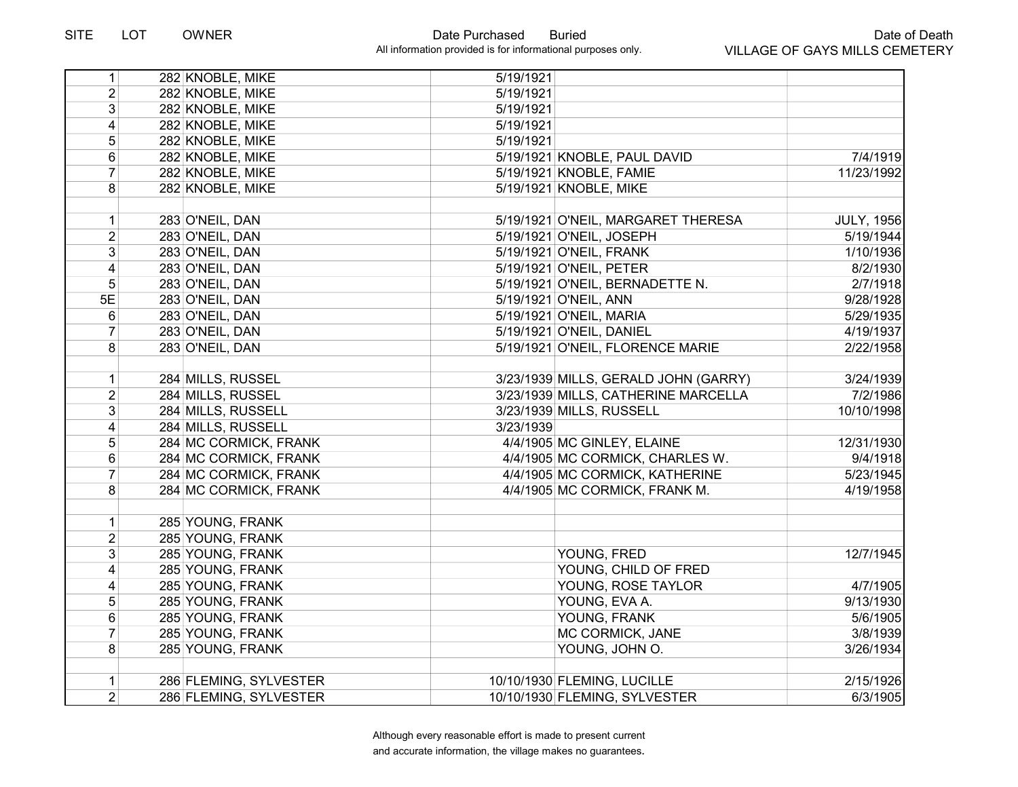| 1              | 282 KNOBLE, MIKE       | 5/19/1921 |                                      |                   |
|----------------|------------------------|-----------|--------------------------------------|-------------------|
| $\overline{2}$ | 282 KNOBLE, MIKE       | 5/19/1921 |                                      |                   |
| 3              | 282 KNOBLE, MIKE       | 5/19/1921 |                                      |                   |
| 4              | 282 KNOBLE, MIKE       | 5/19/1921 |                                      |                   |
| 5              | 282 KNOBLE, MIKE       | 5/19/1921 |                                      |                   |
| 6              | 282 KNOBLE, MIKE       |           | 5/19/1921 KNOBLE, PAUL DAVID         | 7/4/1919          |
| $\overline{7}$ | 282 KNOBLE, MIKE       |           | 5/19/1921 KNOBLE, FAMIE              | 11/23/1992        |
| 8              | 282 KNOBLE, MIKE       |           | 5/19/1921 KNOBLE, MIKE               |                   |
|                |                        |           |                                      |                   |
| $\mathbf{1}$   | 283 O'NEIL, DAN        |           | 5/19/1921 O'NEIL, MARGARET THERESA   | <b>JULY, 1956</b> |
| $\overline{2}$ | 283 O'NEIL, DAN        |           | 5/19/1921 O'NEIL, JOSEPH             | 5/19/1944         |
| 3              | 283 O'NEIL, DAN        |           | 5/19/1921 O'NEIL, FRANK              | 1/10/1936         |
| 4              | 283 O'NEIL, DAN        |           | 5/19/1921 O'NEIL, PETER              | 8/2/1930          |
| 5              | 283 O'NEIL, DAN        |           | 5/19/1921 O'NEIL, BERNADETTE N.      | 2/7/1918          |
| 5E             | 283 O'NEIL, DAN        |           | 5/19/1921 O'NEIL, ANN                | 9/28/1928         |
| $6\phantom{1}$ | 283 O'NEIL, DAN        |           | 5/19/1921 O'NEIL, MARIA              | 5/29/1935         |
| $\overline{7}$ | 283 O'NEIL, DAN        |           | 5/19/1921 O'NEIL, DANIEL             | 4/19/1937         |
| 8              | 283 O'NEIL, DAN        |           | 5/19/1921 O'NEIL, FLORENCE MARIE     | 2/22/1958         |
|                |                        |           |                                      |                   |
| 1              | 284 MILLS, RUSSEL      |           | 3/23/1939 MILLS, GERALD JOHN (GARRY) | 3/24/1939         |
| $\overline{2}$ | 284 MILLS, RUSSEL      |           | 3/23/1939 MILLS, CATHERINE MARCELLA  | 7/2/1986          |
| 3              | 284 MILLS, RUSSELL     |           | 3/23/1939 MILLS, RUSSELL             | 10/10/1998        |
| 4              | 284 MILLS, RUSSELL     | 3/23/1939 |                                      |                   |
| 5              | 284 MC CORMICK, FRANK  |           | 4/4/1905 MC GINLEY, ELAINE           | 12/31/1930        |
| 6              | 284 MC CORMICK, FRANK  |           | 4/4/1905 MC CORMICK, CHARLES W.      | 9/4/1918          |
| $\overline{7}$ | 284 MC CORMICK, FRANK  |           | 4/4/1905 MC CORMICK, KATHERINE       | 5/23/1945         |
| 8              | 284 MC CORMICK, FRANK  |           | 4/4/1905 MC CORMICK, FRANK M.        | 4/19/1958         |
|                |                        |           |                                      |                   |
| 1              | 285 YOUNG, FRANK       |           |                                      |                   |
| $\overline{2}$ | 285 YOUNG, FRANK       |           |                                      |                   |
| 3              | 285 YOUNG, FRANK       |           | YOUNG, FRED                          | 12/7/1945         |
| 4              | 285 YOUNG, FRANK       |           | YOUNG, CHILD OF FRED                 |                   |
| 4              | 285 YOUNG, FRANK       |           | YOUNG, ROSE TAYLOR                   | 4/7/1905          |
| 5              | 285 YOUNG, FRANK       |           | YOUNG, EVA A.                        | 9/13/1930         |
| 6              | 285 YOUNG, FRANK       |           | YOUNG, FRANK                         | 5/6/1905          |
| $\overline{7}$ | 285 YOUNG, FRANK       |           | MC CORMICK, JANE                     | 3/8/1939          |
| 8              | 285 YOUNG, FRANK       |           | YOUNG, JOHN O.                       | 3/26/1934         |
|                |                        |           |                                      |                   |
| 1              | 286 FLEMING, SYLVESTER |           | 10/10/1930 FLEMING, LUCILLE          | 2/15/1926         |
| $\overline{2}$ | 286 FLEMING, SYLVESTER |           | 10/10/1930 FLEMING, SYLVESTER        | 6/3/1905          |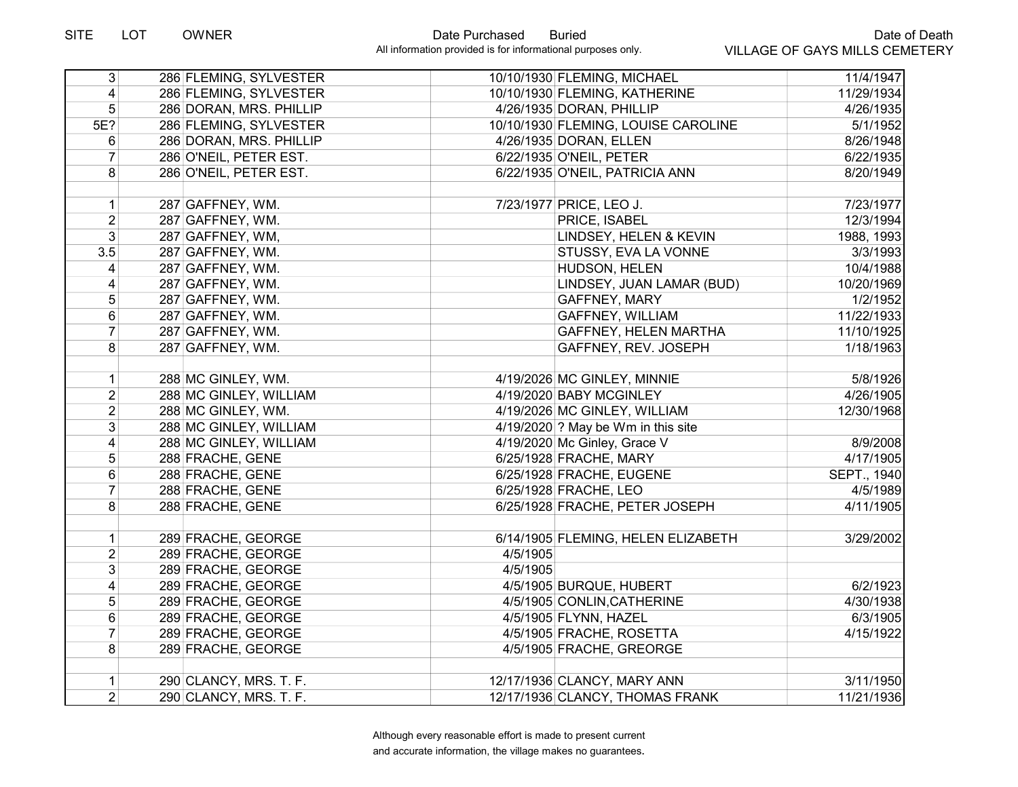| $\overline{3}$          | 286 FLEMING, SYLVESTER  |          | 10/10/1930 FLEMING, MICHAEL         | 11/4/1947          |
|-------------------------|-------------------------|----------|-------------------------------------|--------------------|
| $\overline{\mathbf{4}}$ | 286 FLEMING, SYLVESTER  |          | 10/10/1930 FLEMING, KATHERINE       | 11/29/1934         |
| 5                       | 286 DORAN, MRS. PHILLIP |          | 4/26/1935 DORAN, PHILLIP            | 4/26/1935          |
| 5E?                     | 286 FLEMING, SYLVESTER  |          | 10/10/1930 FLEMING, LOUISE CAROLINE | 5/1/1952           |
| 6                       | 286 DORAN, MRS. PHILLIP |          | 4/26/1935 DORAN, ELLEN              | 8/26/1948          |
| 7                       | 286 O'NEIL, PETER EST.  |          | 6/22/1935 O'NEIL, PETER             | 6/22/1935          |
| 8                       | 286 O'NEIL, PETER EST.  |          | 6/22/1935 O'NEIL, PATRICIA ANN      | 8/20/1949          |
|                         |                         |          |                                     |                    |
| $\mathbf 1$             | 287 GAFFNEY, WM.        |          | 7/23/1977 PRICE, LEO J.             | 7/23/1977          |
| $\overline{2}$          | 287 GAFFNEY, WM.        |          | PRICE, ISABEL                       | 12/3/1994          |
| 3                       | 287 GAFFNEY, WM,        |          | LINDSEY, HELEN & KEVIN              | 1988, 1993         |
| 3.5                     | 287 GAFFNEY, WM.        |          | STUSSY, EVA LA VONNE                | 3/3/1993           |
| 4                       | 287 GAFFNEY, WM.        |          | HUDSON, HELEN                       | 10/4/1988          |
| $\overline{\mathbf{4}}$ | 287 GAFFNEY, WM.        |          | LINDSEY, JUAN LAMAR (BUD)           | 10/20/1969         |
| 5                       | 287 GAFFNEY, WM.        |          | <b>GAFFNEY, MARY</b>                | 1/2/1952           |
| 6                       | 287 GAFFNEY, WM.        |          | <b>GAFFNEY, WILLIAM</b>             | 11/22/1933         |
| $\overline{7}$          | 287 GAFFNEY, WM.        |          | GAFFNEY, HELEN MARTHA               | 11/10/1925         |
| 8                       | 287 GAFFNEY, WM.        |          | GAFFNEY, REV. JOSEPH                | 1/18/1963          |
|                         |                         |          |                                     |                    |
| $\mathbf 1$             | 288 MC GINLEY, WM.      |          | 4/19/2026 MC GINLEY, MINNIE         | 5/8/1926           |
| $\overline{2}$          | 288 MC GINLEY, WILLIAM  |          | 4/19/2020 BABY MCGINLEY             | 4/26/1905          |
| $\overline{2}$          | 288 MC GINLEY, WM.      |          | 4/19/2026 MC GINLEY, WILLIAM        | 12/30/1968         |
| $\overline{3}$          | 288 MC GINLEY, WILLIAM  |          | 4/19/2020 ? May be Wm in this site  |                    |
| 4                       | 288 MC GINLEY, WILLIAM  |          | 4/19/2020 Mc Ginley, Grace V        | 8/9/2008           |
| $\overline{5}$          | 288 FRACHE, GENE        |          | 6/25/1928 FRACHE, MARY              | 4/17/1905          |
| 6                       | 288 FRACHE, GENE        |          | 6/25/1928 FRACHE, EUGENE            | <b>SEPT., 1940</b> |
| $\overline{7}$          | 288 FRACHE, GENE        |          | 6/25/1928 FRACHE, LEO               | 4/5/1989           |
| 8                       | 288 FRACHE, GENE        |          | 6/25/1928 FRACHE, PETER JOSEPH      | 4/11/1905          |
|                         |                         |          |                                     |                    |
| $\mathbf{1}$            | 289 FRACHE, GEORGE      |          | 6/14/1905 FLEMING, HELEN ELIZABETH  | 3/29/2002          |
| $\overline{2}$          | 289 FRACHE, GEORGE      | 4/5/1905 |                                     |                    |
| $\overline{3}$          | 289 FRACHE, GEORGE      | 4/5/1905 |                                     |                    |
| 4                       | 289 FRACHE, GEORGE      |          | 4/5/1905 BURQUE, HUBERT             | 6/2/1923           |
| 5                       | 289 FRACHE, GEORGE      |          | 4/5/1905 CONLIN, CATHERINE          | 4/30/1938          |
| 6                       | 289 FRACHE, GEORGE      |          | 4/5/1905 FLYNN, HAZEL               | 6/3/1905           |
| $\overline{7}$          | 289 FRACHE, GEORGE      |          | 4/5/1905 FRACHE, ROSETTA            | 4/15/1922          |
| 8                       | 289 FRACHE, GEORGE      |          | 4/5/1905 FRACHE, GREORGE            |                    |
|                         |                         |          |                                     |                    |
| 1                       | 290 CLANCY, MRS. T. F.  |          | 12/17/1936 CLANCY, MARY ANN         | 3/11/1950          |
| $\overline{2}$          | 290 CLANCY, MRS. T. F.  |          | 12/17/1936 CLANCY, THOMAS FRANK     | 11/21/1936         |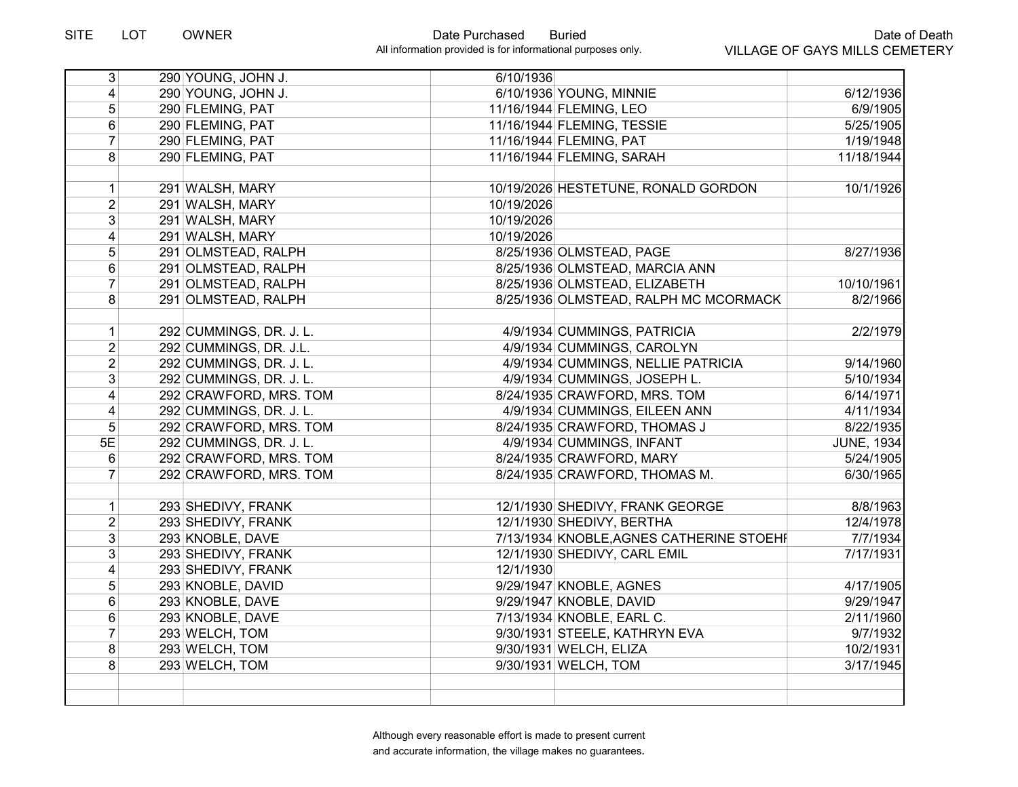| $\overline{3}$          | 290 YOUNG, JOHN J.                 | 6/10/1936  |                                                |                        |
|-------------------------|------------------------------------|------------|------------------------------------------------|------------------------|
| 4                       | 290 YOUNG, JOHN J.                 |            | 6/10/1936 YOUNG, MINNIE                        | 6/12/1936              |
| 5 <sup>1</sup>          | 290 FLEMING, PAT                   |            | 11/16/1944 FLEMING, LEO                        | 6/9/1905               |
| 6                       | 290 FLEMING, PAT                   |            | 11/16/1944 FLEMING, TESSIE                     | 5/25/1905              |
| $\overline{7}$          | 290 FLEMING, PAT                   |            | 11/16/1944 FLEMING, PAT                        | 1/19/1948              |
| 8                       | 290 FLEMING, PAT                   |            | 11/16/1944 FLEMING, SARAH                      | 11/18/1944             |
|                         |                                    |            |                                                |                        |
| $\mathbf 1$             | 291 WALSH, MARY                    |            | 10/19/2026 HESTETUNE, RONALD GORDON            | 10/1/1926              |
| $\overline{2}$          | 291 WALSH, MARY                    | 10/19/2026 |                                                |                        |
| 3                       | 291 WALSH, MARY                    | 10/19/2026 |                                                |                        |
| 4                       | 291 WALSH, MARY                    | 10/19/2026 |                                                |                        |
| 5                       | 291 OLMSTEAD, RALPH                |            | 8/25/1936 OLMSTEAD, PAGE                       | 8/27/1936              |
| 6                       | 291 OLMSTEAD, RALPH                |            | 8/25/1936 OLMSTEAD, MARCIA ANN                 |                        |
| $\overline{7}$          | 291 OLMSTEAD, RALPH                |            | 8/25/1936 OLMSTEAD, ELIZABETH                  | 10/10/1961             |
| 8                       | 291 OLMSTEAD, RALPH                |            | 8/25/1936 OLMSTEAD, RALPH MC MCORMACK          | 8/2/1966               |
|                         |                                    |            |                                                |                        |
| 1 <sup>1</sup>          | 292 CUMMINGS, DR. J. L.            |            | 4/9/1934 CUMMINGS, PATRICIA                    | 2/2/1979               |
| $\overline{2}$          | 292 CUMMINGS, DR. J.L.             |            | 4/9/1934 CUMMINGS, CAROLYN                     |                        |
| $\overline{2}$          | 292 CUMMINGS, DR. J. L.            |            | 4/9/1934 CUMMINGS, NELLIE PATRICIA             | 9/14/1960              |
| 3                       | 292 CUMMINGS, DR. J. L.            |            | 4/9/1934 CUMMINGS, JOSEPH L.                   | 5/10/1934              |
| $\overline{4}$          | 292 CRAWFORD, MRS. TOM             |            | 8/24/1935 CRAWFORD, MRS. TOM                   | 6/14/1971              |
| $\overline{\mathbf{4}}$ | 292 CUMMINGS, DR. J. L.            |            | 4/9/1934 CUMMINGS, EILEEN ANN                  | 4/11/1934              |
| 5                       | 292 CRAWFORD, MRS. TOM             |            | 8/24/1935 CRAWFORD, THOMAS J                   | 8/22/1935              |
| 5E                      | 292 CUMMINGS, DR. J. L.            |            | 4/9/1934 CUMMINGS, INFANT                      | <b>JUNE, 1934</b>      |
| 6                       | 292 CRAWFORD, MRS. TOM             |            | 8/24/1935 CRAWFORD, MARY                       | 5/24/1905              |
| 7                       | 292 CRAWFORD, MRS. TOM             |            | 8/24/1935 CRAWFORD, THOMAS M.                  | 6/30/1965              |
|                         | 293 SHEDIVY, FRANK                 |            | 12/1/1930 SHEDIVY, FRANK GEORGE                | 8/8/1963               |
| 1<br>$\overline{2}$     | 293 SHEDIVY, FRANK                 |            | 12/1/1930 SHEDIVY, BERTHA                      | 12/4/1978              |
| $\overline{3}$          | 293 KNOBLE, DAVE                   |            | 7/13/1934 KNOBLE, AGNES CATHERINE STOEHF       | 7/7/1934               |
| $\overline{3}$          | 293 SHEDIVY, FRANK                 |            | 12/1/1930 SHEDIVY, CARL EMIL                   | 7/17/1931              |
| $\overline{\mathbf{4}}$ | 293 SHEDIVY, FRANK                 | 12/1/1930  |                                                |                        |
|                         |                                    |            | 9/29/1947 KNOBLE, AGNES                        |                        |
| $\overline{5}$          | 293 KNOBLE, DAVID                  |            | 9/29/1947 KNOBLE, DAVID                        | 4/17/1905              |
| 6<br>6                  | 293 KNOBLE, DAVE                   |            | 7/13/1934 KNOBLE, EARL C.                      | 9/29/1947<br>2/11/1960 |
| $\overline{7}$          | 293 KNOBLE, DAVE<br>293 WELCH, TOM |            |                                                | 9/7/1932               |
|                         |                                    |            | 9/30/1931 STEELE, KATHRYN EVA                  |                        |
| 8<br>8                  | 293 WELCH, TOM<br>293 WELCH, TOM   |            | 9/30/1931 WELCH, ELIZA<br>9/30/1931 WELCH, TOM | 10/2/1931<br>3/17/1945 |
|                         |                                    |            |                                                |                        |
|                         |                                    |            |                                                |                        |
|                         |                                    |            |                                                |                        |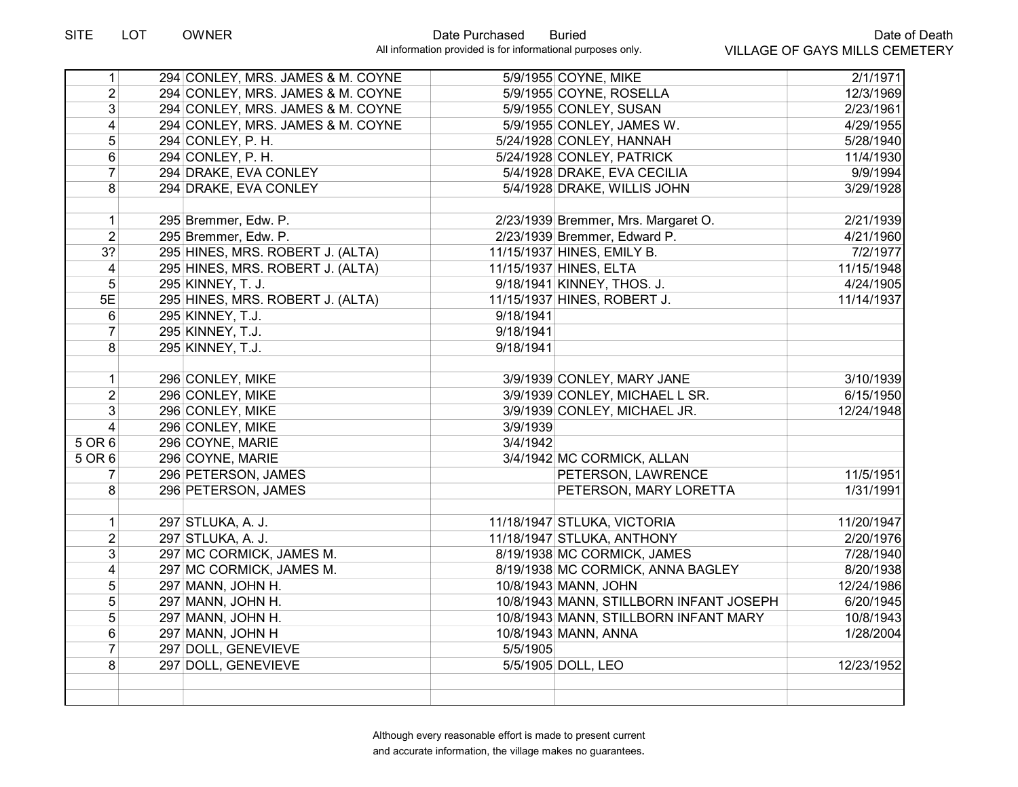| 1                       | 294 CONLEY, MRS. JAMES & M. COYNE |           | 5/9/1955 COYNE, MIKE                    | 2/1/1971   |
|-------------------------|-----------------------------------|-----------|-----------------------------------------|------------|
| $\overline{2}$          | 294 CONLEY, MRS. JAMES & M. COYNE |           | 5/9/1955 COYNE, ROSELLA                 | 12/3/1969  |
| $\overline{3}$          | 294 CONLEY, MRS. JAMES & M. COYNE |           | 5/9/1955 CONLEY, SUSAN                  | 2/23/1961  |
| $\vert 4 \vert$         | 294 CONLEY, MRS. JAMES & M. COYNE |           | 5/9/1955 CONLEY, JAMES W.               | 4/29/1955  |
| 5 <sup>5</sup>          | 294 CONLEY, P.H.                  |           | 5/24/1928 CONLEY, HANNAH                | 5/28/1940  |
| 6                       | 294 CONLEY, P. H.                 |           | 5/24/1928 CONLEY, PATRICK               | 11/4/1930  |
| $\overline{7}$          | 294 DRAKE, EVA CONLEY             |           | 5/4/1928 DRAKE, EVA CECILIA             | 9/9/1994   |
| 8                       | 294 DRAKE, EVA CONLEY             |           | 5/4/1928 DRAKE, WILLIS JOHN             | 3/29/1928  |
|                         |                                   |           |                                         |            |
| $\mathbf{1}$            | 295 Bremmer, Edw. P.              |           | 2/23/1939 Bremmer, Mrs. Margaret O.     | 2/21/1939  |
| $\overline{2}$          | 295 Bremmer, Edw. P.              |           | 2/23/1939 Bremmer, Edward P.            | 4/21/1960  |
| 3 <sup>2</sup>          | 295 HINES, MRS. ROBERT J. (ALTA)  |           | 11/15/1937 HINES, EMILY B.              | 7/2/1977   |
| $\overline{\mathbf{4}}$ | 295 HINES, MRS. ROBERT J. (ALTA)  |           | 11/15/1937 HINES, ELTA                  | 11/15/1948 |
| 5                       | 295 KINNEY, T. J.                 |           | 9/18/1941 KINNEY, THOS. J.              | 4/24/1905  |
| 5E                      | 295 HINES, MRS. ROBERT J. (ALTA)  |           | 11/15/1937 HINES, ROBERT J.             | 11/14/1937 |
| $6\phantom{1}$          | 295 KINNEY, T.J.                  | 9/18/1941 |                                         |            |
| $\overline{7}$          | 295 KINNEY, T.J.                  | 9/18/1941 |                                         |            |
| 8 <sup>1</sup>          | 295 KINNEY, T.J.                  | 9/18/1941 |                                         |            |
|                         |                                   |           |                                         |            |
| $\mathbf{1}$            | 296 CONLEY, MIKE                  |           | 3/9/1939 CONLEY, MARY JANE              | 3/10/1939  |
| 2 <sup>1</sup>          | 296 CONLEY, MIKE                  |           | 3/9/1939 CONLEY, MICHAEL L SR.          | 6/15/1950  |
| 3                       | 296 CONLEY, MIKE                  |           | 3/9/1939 CONLEY, MICHAEL JR.            | 12/24/1948 |
| $\overline{\mathbf{4}}$ | 296 CONLEY, MIKE                  | 3/9/1939  |                                         |            |
| 5 OR 6                  | 296 COYNE, MARIE                  | 3/4/1942  |                                         |            |
| 5 OR 6                  | 296 COYNE, MARIE                  |           | 3/4/1942 MC CORMICK, ALLAN              |            |
| 7                       | 296 PETERSON, JAMES               |           | PETERSON, LAWRENCE                      | 11/5/1951  |
| 8 <sup>1</sup>          | 296 PETERSON, JAMES               |           | PETERSON, MARY LORETTA                  | 1/31/1991  |
|                         |                                   |           |                                         |            |
| $\mathbf{1}$            | 297 STLUKA, A. J.                 |           | 11/18/1947 STLUKA, VICTORIA             | 11/20/1947 |
| $\overline{2}$          | 297 STLUKA, A. J.                 |           | 11/18/1947 STLUKA, ANTHONY              | 2/20/1976  |
| $\overline{3}$          | 297 MC CORMICK, JAMES M.          |           | 8/19/1938 MC CORMICK, JAMES             | 7/28/1940  |
| $\overline{4}$          | 297 MC CORMICK, JAMES M.          |           | 8/19/1938 MC CORMICK, ANNA BAGLEY       | 8/20/1938  |
| $\overline{5}$          | 297 MANN, JOHN H.                 |           | 10/8/1943 MANN, JOHN                    | 12/24/1986 |
| $\overline{5}$          | 297 MANN, JOHN H.                 |           | 10/8/1943 MANN, STILLBORN INFANT JOSEPH | 6/20/1945  |
| 5                       | 297 MANN, JOHN H.                 |           | 10/8/1943 MANN, STILLBORN INFANT MARY   | 10/8/1943  |
| 6                       | 297 MANN, JOHN H                  |           | 10/8/1943 MANN, ANNA                    | 1/28/2004  |
| $\overline{7}$          | 297 DOLL, GENEVIEVE               | 5/5/1905  |                                         |            |
| 8                       | 297 DOLL, GENEVIEVE               |           | 5/5/1905 DOLL, LEO                      | 12/23/1952 |
|                         |                                   |           |                                         |            |
|                         |                                   |           |                                         |            |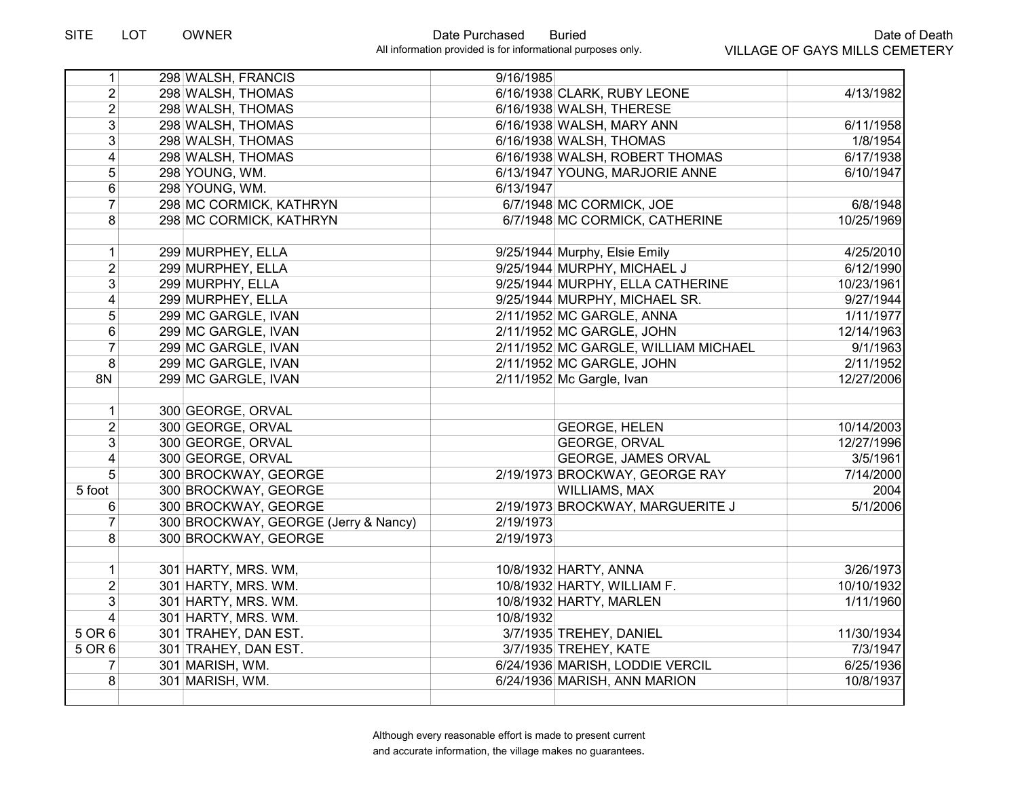| 1                       | 298 WALSH, FRANCIS                   | 9/16/1985 |                                      |            |
|-------------------------|--------------------------------------|-----------|--------------------------------------|------------|
| $\overline{2}$          | 298 WALSH, THOMAS                    |           | 6/16/1938 CLARK, RUBY LEONE          | 4/13/1982  |
| $\overline{2}$          | 298 WALSH, THOMAS                    |           | 6/16/1938 WALSH, THERESE             |            |
| $\overline{3}$          | 298 WALSH, THOMAS                    |           | 6/16/1938 WALSH, MARY ANN            | 6/11/1958  |
| 3 <sup>1</sup>          | 298 WALSH, THOMAS                    |           | 6/16/1938 WALSH, THOMAS              | 1/8/1954   |
| 4                       | 298 WALSH, THOMAS                    |           | 6/16/1938 WALSH, ROBERT THOMAS       | 6/17/1938  |
| $\overline{5}$          | 298 YOUNG, WM.                       |           | 6/13/1947 YOUNG, MARJORIE ANNE       | 6/10/1947  |
| $6\phantom{a}$          | 298 YOUNG, WM.                       | 6/13/1947 |                                      |            |
| $\overline{7}$          | 298 MC CORMICK, KATHRYN              |           | 6/7/1948 MC CORMICK, JOE             | 6/8/1948   |
| 8                       | 298 MC CORMICK, KATHRYN              |           | 6/7/1948 MC CORMICK, CATHERINE       | 10/25/1969 |
|                         |                                      |           |                                      |            |
| $\mathbf{1}$            | 299 MURPHEY, ELLA                    |           | 9/25/1944 Murphy, Elsie Emily        | 4/25/2010  |
| $\overline{2}$          | 299 MURPHEY, ELLA                    |           | 9/25/1944 MURPHY, MICHAEL J          | 6/12/1990  |
| $\overline{3}$          | 299 MURPHY, ELLA                     |           | 9/25/1944 MURPHY, ELLA CATHERINE     | 10/23/1961 |
| $\overline{\mathbf{4}}$ | 299 MURPHEY, ELLA                    |           | 9/25/1944 MURPHY, MICHAEL SR.        | 9/27/1944  |
| 5                       | 299 MC GARGLE, IVAN                  |           | 2/11/1952 MC GARGLE, ANNA            | 1/11/1977  |
| $\,6$                   | 299 MC GARGLE, IVAN                  |           | 2/11/1952 MC GARGLE, JOHN            | 12/14/1963 |
| $\overline{7}$          | 299 MC GARGLE, IVAN                  |           | 2/11/1952 MC GARGLE, WILLIAM MICHAEL | 9/1/1963   |
| 8                       | 299 MC GARGLE, IVAN                  |           | 2/11/1952 MC GARGLE, JOHN            | 2/11/1952  |
| 8N                      | 299 MC GARGLE, IVAN                  |           | 2/11/1952 Mc Gargle, Ivan            | 12/27/2006 |
|                         |                                      |           |                                      |            |
| $\mathbf{1}$            | 300 GEORGE, ORVAL                    |           |                                      |            |
| $\overline{2}$          | 300 GEORGE, ORVAL                    |           | <b>GEORGE, HELEN</b>                 | 10/14/2003 |
| 3 <sup>1</sup>          | 300 GEORGE, ORVAL                    |           | <b>GEORGE, ORVAL</b>                 | 12/27/1996 |
| 4                       | 300 GEORGE, ORVAL                    |           | <b>GEORGE, JAMES ORVAL</b>           | 3/5/1961   |
| 5 <sup>1</sup>          | 300 BROCKWAY, GEORGE                 |           | 2/19/1973 BROCKWAY, GEORGE RAY       | 7/14/2000  |
| 5 foot                  | 300 BROCKWAY, GEORGE                 |           | <b>WILLIAMS, MAX</b>                 | 2004       |
| 6                       | 300 BROCKWAY, GEORGE                 |           | 2/19/1973 BROCKWAY, MARGUERITE J     | 5/1/2006   |
| $\overline{7}$          | 300 BROCKWAY, GEORGE (Jerry & Nancy) | 2/19/1973 |                                      |            |
| $\overline{8}$          | 300 BROCKWAY, GEORGE                 | 2/19/1973 |                                      |            |
|                         |                                      |           |                                      |            |
| 1                       | 301 HARTY, MRS. WM,                  |           | 10/8/1932 HARTY, ANNA                | 3/26/1973  |
| $\overline{2}$          | 301 HARTY, MRS. WM.                  |           | 10/8/1932 HARTY, WILLIAM F.          | 10/10/1932 |
| 3                       | 301 HARTY, MRS. WM.                  |           | 10/8/1932 HARTY, MARLEN              | 1/11/1960  |
| 4                       | 301 HARTY, MRS. WM.                  | 10/8/1932 |                                      |            |
| 5 OR 6                  | 301 TRAHEY, DAN EST.                 |           | 3/7/1935 TREHEY, DANIEL              | 11/30/1934 |
| 5 OR 6                  | 301 TRAHEY, DAN EST.                 |           | 3/7/1935 TREHEY, KATE                | 7/3/1947   |
| 7                       | 301 MARISH, WM.                      |           | 6/24/1936 MARISH, LODDIE VERCIL      | 6/25/1936  |
| 8                       | 301 MARISH, WM.                      |           | 6/24/1936 MARISH, ANN MARION         | 10/8/1937  |
|                         |                                      |           |                                      |            |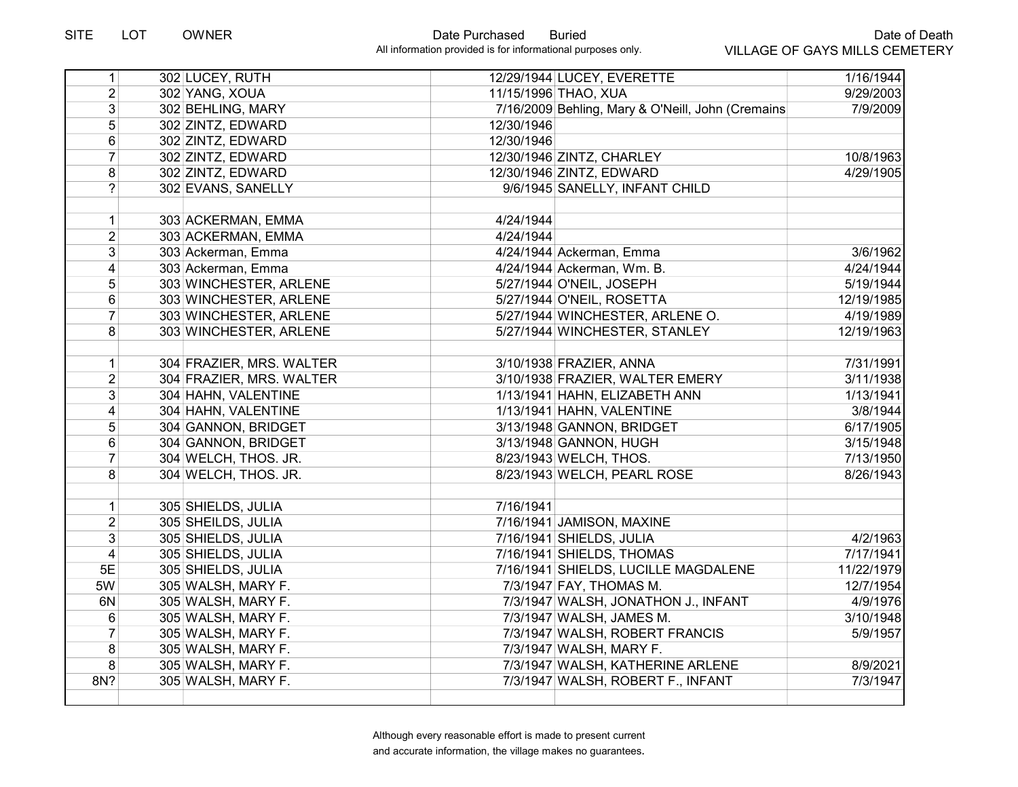| 1              | 302 LUCEY, RUTH          | 12/29/1944 LUCEY, EVERETTE                        | 1/16/1944  |
|----------------|--------------------------|---------------------------------------------------|------------|
| $\overline{2}$ | 302 YANG, XOUA           | 11/15/1996 THAO, XUA                              | 9/29/2003  |
| $\overline{3}$ | 302 BEHLING, MARY        | 7/16/2009 Behling, Mary & O'Neill, John (Cremains | 7/9/2009   |
| $\overline{5}$ | 302 ZINTZ, EDWARD        | 12/30/1946                                        |            |
| 6              | 302 ZINTZ, EDWARD        | 12/30/1946                                        |            |
| $\overline{7}$ | 302 ZINTZ, EDWARD        | 12/30/1946 ZINTZ, CHARLEY                         | 10/8/1963  |
| 8              | 302 ZINTZ, EDWARD        | 12/30/1946 ZINTZ, EDWARD                          | 4/29/1905  |
| $\overline{?}$ | 302 EVANS, SANELLY       | 9/6/1945 SANELLY, INFANT CHILD                    |            |
| $\mathbf{1}$   | 303 ACKERMAN, EMMA       | 4/24/1944                                         |            |
| $\overline{2}$ | 303 ACKERMAN, EMMA       | 4/24/1944                                         |            |
| 3 <sup>1</sup> | 303 Ackerman, Emma       | 4/24/1944 Ackerman, Emma                          | 3/6/1962   |
| 4              | 303 Ackerman, Emma       | 4/24/1944 Ackerman, Wm. B.                        | 4/24/1944  |
| 5              | 303 WINCHESTER, ARLENE   | 5/27/1944 O'NEIL, JOSEPH                          | 5/19/1944  |
| 6              | 303 WINCHESTER, ARLENE   | 5/27/1944 O'NEIL, ROSETTA                         | 12/19/1985 |
| $\overline{7}$ | 303 WINCHESTER, ARLENE   | 5/27/1944 WINCHESTER, ARLENE O.                   | 4/19/1989  |
| 8              | 303 WINCHESTER, ARLENE   | 5/27/1944 WINCHESTER, STANLEY                     | 12/19/1963 |
| 1              | 304 FRAZIER, MRS. WALTER | 3/10/1938 FRAZIER, ANNA                           | 7/31/1991  |
| $\overline{2}$ | 304 FRAZIER, MRS. WALTER | 3/10/1938 FRAZIER, WALTER EMERY                   | 3/11/1938  |
| 3              | 304 HAHN, VALENTINE      | 1/13/1941 HAHN, ELIZABETH ANN                     | 1/13/1941  |
| $\overline{4}$ | 304 HAHN, VALENTINE      | 1/13/1941 HAHN, VALENTINE                         | 3/8/1944   |
| 5 <sup>1</sup> | 304 GANNON, BRIDGET      | 3/13/1948 GANNON, BRIDGET                         | 6/17/1905  |
| 6              | 304 GANNON, BRIDGET      | 3/13/1948 GANNON, HUGH                            | 3/15/1948  |
| $\overline{7}$ | 304 WELCH, THOS. JR.     | 8/23/1943 WELCH, THOS.                            | 7/13/1950  |
| 8              | 304 WELCH, THOS. JR.     | 8/23/1943 WELCH, PEARL ROSE                       | 8/26/1943  |
| 1              | 305 SHIELDS, JULIA       | 7/16/1941                                         |            |
| $\overline{2}$ | 305 SHEILDS, JULIA       | 7/16/1941 JAMISON, MAXINE                         |            |
| $\overline{3}$ | 305 SHIELDS, JULIA       | 7/16/1941 SHIELDS, JULIA                          | 4/2/1963   |
| $\overline{4}$ | 305 SHIELDS, JULIA       | 7/16/1941 SHIELDS, THOMAS                         | 7/17/1941  |
| 5E             | 305 SHIELDS, JULIA       | 7/16/1941 SHIELDS, LUCILLE MAGDALENE              | 11/22/1979 |
| 5W             | 305 WALSH, MARY F.       | 7/3/1947 FAY, THOMAS M.                           | 12/7/1954  |
| 6N             | 305 WALSH, MARY F.       | 7/3/1947 WALSH, JONATHON J., INFANT               | 4/9/1976   |
| 6              | 305 WALSH, MARY F.       | 7/3/1947 WALSH, JAMES M.                          | 3/10/1948  |
| $\overline{7}$ | 305 WALSH, MARY F.       | 7/3/1947 WALSH, ROBERT FRANCIS                    | 5/9/1957   |
| 8              | 305 WALSH, MARY F.       | 7/3/1947 WALSH, MARY F.                           |            |
| 8              | 305 WALSH, MARY F.       | 7/3/1947 WALSH, KATHERINE ARLENE                  | 8/9/2021   |
| 8N?            | 305 WALSH, MARY F.       | 7/3/1947 WALSH, ROBERT F., INFANT                 | 7/3/1947   |
|                |                          |                                                   |            |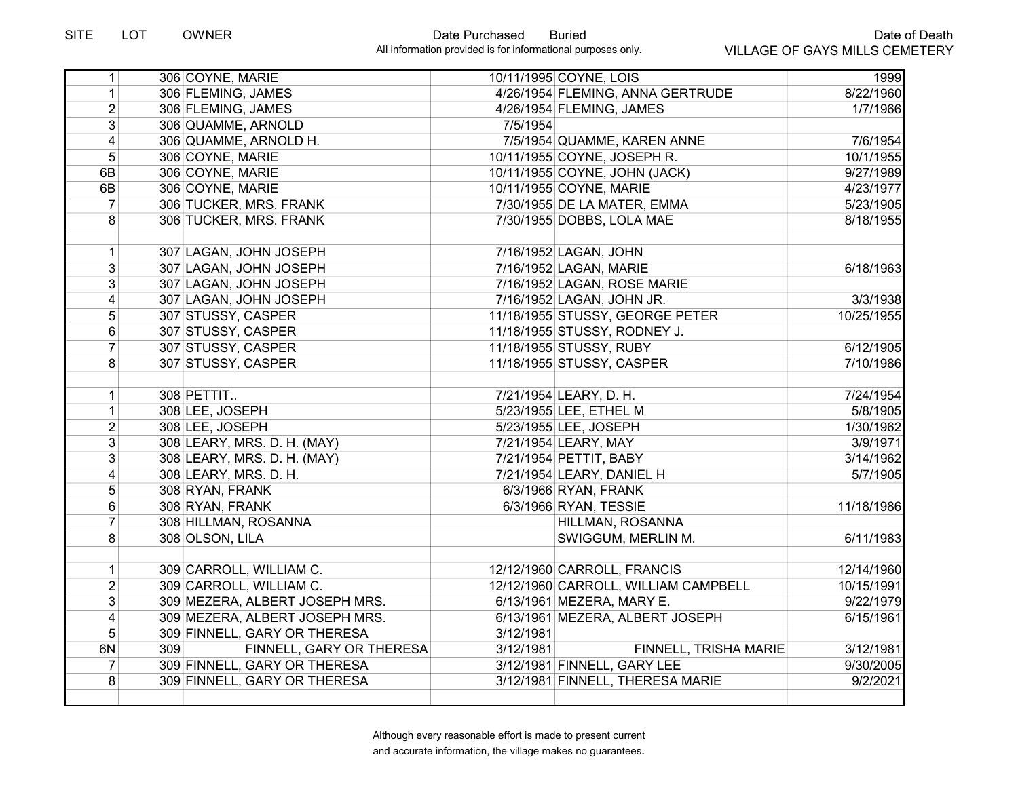| 306 COYNE, MARIE<br>1<br>306 FLEMING, JAMES<br>4/26/1954 FLEMING, ANNA GERTRUDE<br>$\overline{2}$<br>306 FLEMING, JAMES<br>4/26/1954 FLEMING, JAMES<br>$\overline{3}$<br>306 QUAMME, ARNOLD<br>7/5/1954<br>$\overline{\mathbf{4}}$<br>7/5/1954 QUAMME, KAREN ANNE<br>306 QUAMME, ARNOLD H.<br>5 <sup>1</sup><br>306 COYNE, MARIE<br>10/11/1955 COYNE, JOSEPH R.<br>6B<br>306 COYNE, MARIE<br>10/11/1955 COYNE, JOHN (JACK)<br>6B<br>306 COYNE, MARIE<br>10/11/1955 COYNE, MARIE<br>$\overline{7}$<br>306 TUCKER, MRS. FRANK<br>7/30/1955 DE LA MATER, EMMA<br>8<br>306 TUCKER, MRS. FRANK<br>7/30/1955 DOBBS, LOLA MAE<br>307 LAGAN, JOHN JOSEPH<br>7/16/1952 LAGAN, JOHN<br>1<br>3<br>307 LAGAN, JOHN JOSEPH<br>7/16/1952 LAGAN, MARIE<br>3<br>307 LAGAN, JOHN JOSEPH<br>7/16/1952 LAGAN, ROSE MARIE<br>$\overline{4}$<br>307 LAGAN, JOHN JOSEPH<br>7/16/1952 LAGAN, JOHN JR.<br>$\overline{5}$<br>307 STUSSY, CASPER<br>11/18/1955 STUSSY, GEORGE PETER<br>$6\phantom{.}$<br>307 STUSSY, CASPER<br>11/18/1955 STUSSY, RODNEY J.<br>$\overline{7}$<br>307 STUSSY, CASPER<br>11/18/1955 STUSSY, RUBY<br>8<br>307 STUSSY, CASPER<br>11/18/1955 STUSSY, CASPER<br>308 PETTIT<br>7/21/1954 LEARY, D. H.<br>$\mathbf{1}$<br>5/23/1955 LEE, ETHEL M<br>$\mathbf{1}$<br>308 LEE, JOSEPH<br>$\overline{2}$<br>5/23/1955 LEE, JOSEPH<br>308 LEE, JOSEPH<br>$\overline{3}$<br>308 LEARY, MRS. D. H. (MAY)<br>7/21/1954 LEARY, MAY<br>$\overline{3}$<br>308 LEARY, MRS. D. H. (MAY)<br>7/21/1954 PETTIT, BABY<br>4<br>308 LEARY, MRS. D. H.<br>7/21/1954 LEARY, DANIEL H<br>5<br>6/3/1966 RYAN, FRANK<br>308 RYAN, FRANK<br>6<br>6/3/1966 RYAN, TESSIE<br>308 RYAN, FRANK<br>$\overline{7}$<br>308 HILLMAN, ROSANNA<br>HILLMAN, ROSANNA<br>8<br>308 OLSON, LILA<br>SWIGGUM, MERLIN M.<br>$\mathbf{1}$<br>309 CARROLL, WILLIAM C.<br>12/12/1960 CARROLL, FRANCIS<br>$\overline{2}$<br>309 CARROLL, WILLIAM C.<br>12/12/1960 CARROLL, WILLIAM CAMPBELL<br>$\overline{3}$<br>309 MEZERA, ALBERT JOSEPH MRS.<br>6/13/1961 MEZERA, MARY E.<br>$\vert 4 \vert$<br>309 MEZERA, ALBERT JOSEPH MRS.<br>6/13/1961 MEZERA, ALBERT JOSEPH<br>5 <sup>1</sup><br>309 FINNELL, GARY OR THERESA<br>3/12/1981<br>6N<br>309<br>FINNELL, GARY OR THERESA<br>3/12/1981<br>FINNELL, TRISHA MARIE<br>3/12/1981 FINNELL, GARY LEE<br>$\overline{7}$<br>309 FINNELL, GARY OR THERESA<br>8<br>309 FINNELL, GARY OR THERESA<br>3/12/1981 FINNELL, THERESA MARIE |   |  |                        |            |
|-----------------------------------------------------------------------------------------------------------------------------------------------------------------------------------------------------------------------------------------------------------------------------------------------------------------------------------------------------------------------------------------------------------------------------------------------------------------------------------------------------------------------------------------------------------------------------------------------------------------------------------------------------------------------------------------------------------------------------------------------------------------------------------------------------------------------------------------------------------------------------------------------------------------------------------------------------------------------------------------------------------------------------------------------------------------------------------------------------------------------------------------------------------------------------------------------------------------------------------------------------------------------------------------------------------------------------------------------------------------------------------------------------------------------------------------------------------------------------------------------------------------------------------------------------------------------------------------------------------------------------------------------------------------------------------------------------------------------------------------------------------------------------------------------------------------------------------------------------------------------------------------------------------------------------------------------------------------------------------------------------------------------------------------------------------------------------------------------------------------------------------------------------------------------------------------------------------------------------------------------------------------------------------------------------------------------------------------------------------------------------------------------------------------------------|---|--|------------------------|------------|
|                                                                                                                                                                                                                                                                                                                                                                                                                                                                                                                                                                                                                                                                                                                                                                                                                                                                                                                                                                                                                                                                                                                                                                                                                                                                                                                                                                                                                                                                                                                                                                                                                                                                                                                                                                                                                                                                                                                                                                                                                                                                                                                                                                                                                                                                                                                                                                                                                             | 1 |  | 10/11/1995 COYNE, LOIS | 1999       |
|                                                                                                                                                                                                                                                                                                                                                                                                                                                                                                                                                                                                                                                                                                                                                                                                                                                                                                                                                                                                                                                                                                                                                                                                                                                                                                                                                                                                                                                                                                                                                                                                                                                                                                                                                                                                                                                                                                                                                                                                                                                                                                                                                                                                                                                                                                                                                                                                                             |   |  |                        | 8/22/1960  |
|                                                                                                                                                                                                                                                                                                                                                                                                                                                                                                                                                                                                                                                                                                                                                                                                                                                                                                                                                                                                                                                                                                                                                                                                                                                                                                                                                                                                                                                                                                                                                                                                                                                                                                                                                                                                                                                                                                                                                                                                                                                                                                                                                                                                                                                                                                                                                                                                                             |   |  |                        | 1/7/1966   |
|                                                                                                                                                                                                                                                                                                                                                                                                                                                                                                                                                                                                                                                                                                                                                                                                                                                                                                                                                                                                                                                                                                                                                                                                                                                                                                                                                                                                                                                                                                                                                                                                                                                                                                                                                                                                                                                                                                                                                                                                                                                                                                                                                                                                                                                                                                                                                                                                                             |   |  |                        |            |
|                                                                                                                                                                                                                                                                                                                                                                                                                                                                                                                                                                                                                                                                                                                                                                                                                                                                                                                                                                                                                                                                                                                                                                                                                                                                                                                                                                                                                                                                                                                                                                                                                                                                                                                                                                                                                                                                                                                                                                                                                                                                                                                                                                                                                                                                                                                                                                                                                             |   |  |                        | 7/6/1954   |
|                                                                                                                                                                                                                                                                                                                                                                                                                                                                                                                                                                                                                                                                                                                                                                                                                                                                                                                                                                                                                                                                                                                                                                                                                                                                                                                                                                                                                                                                                                                                                                                                                                                                                                                                                                                                                                                                                                                                                                                                                                                                                                                                                                                                                                                                                                                                                                                                                             |   |  |                        | 10/1/1955  |
|                                                                                                                                                                                                                                                                                                                                                                                                                                                                                                                                                                                                                                                                                                                                                                                                                                                                                                                                                                                                                                                                                                                                                                                                                                                                                                                                                                                                                                                                                                                                                                                                                                                                                                                                                                                                                                                                                                                                                                                                                                                                                                                                                                                                                                                                                                                                                                                                                             |   |  |                        | 9/27/1989  |
|                                                                                                                                                                                                                                                                                                                                                                                                                                                                                                                                                                                                                                                                                                                                                                                                                                                                                                                                                                                                                                                                                                                                                                                                                                                                                                                                                                                                                                                                                                                                                                                                                                                                                                                                                                                                                                                                                                                                                                                                                                                                                                                                                                                                                                                                                                                                                                                                                             |   |  |                        | 4/23/1977  |
|                                                                                                                                                                                                                                                                                                                                                                                                                                                                                                                                                                                                                                                                                                                                                                                                                                                                                                                                                                                                                                                                                                                                                                                                                                                                                                                                                                                                                                                                                                                                                                                                                                                                                                                                                                                                                                                                                                                                                                                                                                                                                                                                                                                                                                                                                                                                                                                                                             |   |  |                        | 5/23/1905  |
|                                                                                                                                                                                                                                                                                                                                                                                                                                                                                                                                                                                                                                                                                                                                                                                                                                                                                                                                                                                                                                                                                                                                                                                                                                                                                                                                                                                                                                                                                                                                                                                                                                                                                                                                                                                                                                                                                                                                                                                                                                                                                                                                                                                                                                                                                                                                                                                                                             |   |  |                        | 8/18/1955  |
|                                                                                                                                                                                                                                                                                                                                                                                                                                                                                                                                                                                                                                                                                                                                                                                                                                                                                                                                                                                                                                                                                                                                                                                                                                                                                                                                                                                                                                                                                                                                                                                                                                                                                                                                                                                                                                                                                                                                                                                                                                                                                                                                                                                                                                                                                                                                                                                                                             |   |  |                        |            |
|                                                                                                                                                                                                                                                                                                                                                                                                                                                                                                                                                                                                                                                                                                                                                                                                                                                                                                                                                                                                                                                                                                                                                                                                                                                                                                                                                                                                                                                                                                                                                                                                                                                                                                                                                                                                                                                                                                                                                                                                                                                                                                                                                                                                                                                                                                                                                                                                                             |   |  |                        | 6/18/1963  |
|                                                                                                                                                                                                                                                                                                                                                                                                                                                                                                                                                                                                                                                                                                                                                                                                                                                                                                                                                                                                                                                                                                                                                                                                                                                                                                                                                                                                                                                                                                                                                                                                                                                                                                                                                                                                                                                                                                                                                                                                                                                                                                                                                                                                                                                                                                                                                                                                                             |   |  |                        |            |
|                                                                                                                                                                                                                                                                                                                                                                                                                                                                                                                                                                                                                                                                                                                                                                                                                                                                                                                                                                                                                                                                                                                                                                                                                                                                                                                                                                                                                                                                                                                                                                                                                                                                                                                                                                                                                                                                                                                                                                                                                                                                                                                                                                                                                                                                                                                                                                                                                             |   |  |                        | 3/3/1938   |
|                                                                                                                                                                                                                                                                                                                                                                                                                                                                                                                                                                                                                                                                                                                                                                                                                                                                                                                                                                                                                                                                                                                                                                                                                                                                                                                                                                                                                                                                                                                                                                                                                                                                                                                                                                                                                                                                                                                                                                                                                                                                                                                                                                                                                                                                                                                                                                                                                             |   |  |                        | 10/25/1955 |
|                                                                                                                                                                                                                                                                                                                                                                                                                                                                                                                                                                                                                                                                                                                                                                                                                                                                                                                                                                                                                                                                                                                                                                                                                                                                                                                                                                                                                                                                                                                                                                                                                                                                                                                                                                                                                                                                                                                                                                                                                                                                                                                                                                                                                                                                                                                                                                                                                             |   |  |                        |            |
|                                                                                                                                                                                                                                                                                                                                                                                                                                                                                                                                                                                                                                                                                                                                                                                                                                                                                                                                                                                                                                                                                                                                                                                                                                                                                                                                                                                                                                                                                                                                                                                                                                                                                                                                                                                                                                                                                                                                                                                                                                                                                                                                                                                                                                                                                                                                                                                                                             |   |  |                        | 6/12/1905  |
|                                                                                                                                                                                                                                                                                                                                                                                                                                                                                                                                                                                                                                                                                                                                                                                                                                                                                                                                                                                                                                                                                                                                                                                                                                                                                                                                                                                                                                                                                                                                                                                                                                                                                                                                                                                                                                                                                                                                                                                                                                                                                                                                                                                                                                                                                                                                                                                                                             |   |  |                        | 7/10/1986  |
|                                                                                                                                                                                                                                                                                                                                                                                                                                                                                                                                                                                                                                                                                                                                                                                                                                                                                                                                                                                                                                                                                                                                                                                                                                                                                                                                                                                                                                                                                                                                                                                                                                                                                                                                                                                                                                                                                                                                                                                                                                                                                                                                                                                                                                                                                                                                                                                                                             |   |  |                        |            |
|                                                                                                                                                                                                                                                                                                                                                                                                                                                                                                                                                                                                                                                                                                                                                                                                                                                                                                                                                                                                                                                                                                                                                                                                                                                                                                                                                                                                                                                                                                                                                                                                                                                                                                                                                                                                                                                                                                                                                                                                                                                                                                                                                                                                                                                                                                                                                                                                                             |   |  |                        | 7/24/1954  |
|                                                                                                                                                                                                                                                                                                                                                                                                                                                                                                                                                                                                                                                                                                                                                                                                                                                                                                                                                                                                                                                                                                                                                                                                                                                                                                                                                                                                                                                                                                                                                                                                                                                                                                                                                                                                                                                                                                                                                                                                                                                                                                                                                                                                                                                                                                                                                                                                                             |   |  |                        | 5/8/1905   |
|                                                                                                                                                                                                                                                                                                                                                                                                                                                                                                                                                                                                                                                                                                                                                                                                                                                                                                                                                                                                                                                                                                                                                                                                                                                                                                                                                                                                                                                                                                                                                                                                                                                                                                                                                                                                                                                                                                                                                                                                                                                                                                                                                                                                                                                                                                                                                                                                                             |   |  |                        | 1/30/1962  |
|                                                                                                                                                                                                                                                                                                                                                                                                                                                                                                                                                                                                                                                                                                                                                                                                                                                                                                                                                                                                                                                                                                                                                                                                                                                                                                                                                                                                                                                                                                                                                                                                                                                                                                                                                                                                                                                                                                                                                                                                                                                                                                                                                                                                                                                                                                                                                                                                                             |   |  |                        | 3/9/1971   |
|                                                                                                                                                                                                                                                                                                                                                                                                                                                                                                                                                                                                                                                                                                                                                                                                                                                                                                                                                                                                                                                                                                                                                                                                                                                                                                                                                                                                                                                                                                                                                                                                                                                                                                                                                                                                                                                                                                                                                                                                                                                                                                                                                                                                                                                                                                                                                                                                                             |   |  |                        | 3/14/1962  |
|                                                                                                                                                                                                                                                                                                                                                                                                                                                                                                                                                                                                                                                                                                                                                                                                                                                                                                                                                                                                                                                                                                                                                                                                                                                                                                                                                                                                                                                                                                                                                                                                                                                                                                                                                                                                                                                                                                                                                                                                                                                                                                                                                                                                                                                                                                                                                                                                                             |   |  |                        | 5/7/1905   |
|                                                                                                                                                                                                                                                                                                                                                                                                                                                                                                                                                                                                                                                                                                                                                                                                                                                                                                                                                                                                                                                                                                                                                                                                                                                                                                                                                                                                                                                                                                                                                                                                                                                                                                                                                                                                                                                                                                                                                                                                                                                                                                                                                                                                                                                                                                                                                                                                                             |   |  |                        |            |
|                                                                                                                                                                                                                                                                                                                                                                                                                                                                                                                                                                                                                                                                                                                                                                                                                                                                                                                                                                                                                                                                                                                                                                                                                                                                                                                                                                                                                                                                                                                                                                                                                                                                                                                                                                                                                                                                                                                                                                                                                                                                                                                                                                                                                                                                                                                                                                                                                             |   |  |                        | 11/18/1986 |
|                                                                                                                                                                                                                                                                                                                                                                                                                                                                                                                                                                                                                                                                                                                                                                                                                                                                                                                                                                                                                                                                                                                                                                                                                                                                                                                                                                                                                                                                                                                                                                                                                                                                                                                                                                                                                                                                                                                                                                                                                                                                                                                                                                                                                                                                                                                                                                                                                             |   |  |                        |            |
|                                                                                                                                                                                                                                                                                                                                                                                                                                                                                                                                                                                                                                                                                                                                                                                                                                                                                                                                                                                                                                                                                                                                                                                                                                                                                                                                                                                                                                                                                                                                                                                                                                                                                                                                                                                                                                                                                                                                                                                                                                                                                                                                                                                                                                                                                                                                                                                                                             |   |  |                        | 6/11/1983  |
|                                                                                                                                                                                                                                                                                                                                                                                                                                                                                                                                                                                                                                                                                                                                                                                                                                                                                                                                                                                                                                                                                                                                                                                                                                                                                                                                                                                                                                                                                                                                                                                                                                                                                                                                                                                                                                                                                                                                                                                                                                                                                                                                                                                                                                                                                                                                                                                                                             |   |  |                        | 12/14/1960 |
|                                                                                                                                                                                                                                                                                                                                                                                                                                                                                                                                                                                                                                                                                                                                                                                                                                                                                                                                                                                                                                                                                                                                                                                                                                                                                                                                                                                                                                                                                                                                                                                                                                                                                                                                                                                                                                                                                                                                                                                                                                                                                                                                                                                                                                                                                                                                                                                                                             |   |  |                        | 10/15/1991 |
|                                                                                                                                                                                                                                                                                                                                                                                                                                                                                                                                                                                                                                                                                                                                                                                                                                                                                                                                                                                                                                                                                                                                                                                                                                                                                                                                                                                                                                                                                                                                                                                                                                                                                                                                                                                                                                                                                                                                                                                                                                                                                                                                                                                                                                                                                                                                                                                                                             |   |  |                        | 9/22/1979  |
|                                                                                                                                                                                                                                                                                                                                                                                                                                                                                                                                                                                                                                                                                                                                                                                                                                                                                                                                                                                                                                                                                                                                                                                                                                                                                                                                                                                                                                                                                                                                                                                                                                                                                                                                                                                                                                                                                                                                                                                                                                                                                                                                                                                                                                                                                                                                                                                                                             |   |  |                        | 6/15/1961  |
|                                                                                                                                                                                                                                                                                                                                                                                                                                                                                                                                                                                                                                                                                                                                                                                                                                                                                                                                                                                                                                                                                                                                                                                                                                                                                                                                                                                                                                                                                                                                                                                                                                                                                                                                                                                                                                                                                                                                                                                                                                                                                                                                                                                                                                                                                                                                                                                                                             |   |  |                        |            |
|                                                                                                                                                                                                                                                                                                                                                                                                                                                                                                                                                                                                                                                                                                                                                                                                                                                                                                                                                                                                                                                                                                                                                                                                                                                                                                                                                                                                                                                                                                                                                                                                                                                                                                                                                                                                                                                                                                                                                                                                                                                                                                                                                                                                                                                                                                                                                                                                                             |   |  |                        | 3/12/1981  |
|                                                                                                                                                                                                                                                                                                                                                                                                                                                                                                                                                                                                                                                                                                                                                                                                                                                                                                                                                                                                                                                                                                                                                                                                                                                                                                                                                                                                                                                                                                                                                                                                                                                                                                                                                                                                                                                                                                                                                                                                                                                                                                                                                                                                                                                                                                                                                                                                                             |   |  |                        | 9/30/2005  |
|                                                                                                                                                                                                                                                                                                                                                                                                                                                                                                                                                                                                                                                                                                                                                                                                                                                                                                                                                                                                                                                                                                                                                                                                                                                                                                                                                                                                                                                                                                                                                                                                                                                                                                                                                                                                                                                                                                                                                                                                                                                                                                                                                                                                                                                                                                                                                                                                                             |   |  |                        | 9/2/2021   |
|                                                                                                                                                                                                                                                                                                                                                                                                                                                                                                                                                                                                                                                                                                                                                                                                                                                                                                                                                                                                                                                                                                                                                                                                                                                                                                                                                                                                                                                                                                                                                                                                                                                                                                                                                                                                                                                                                                                                                                                                                                                                                                                                                                                                                                                                                                                                                                                                                             |   |  |                        |            |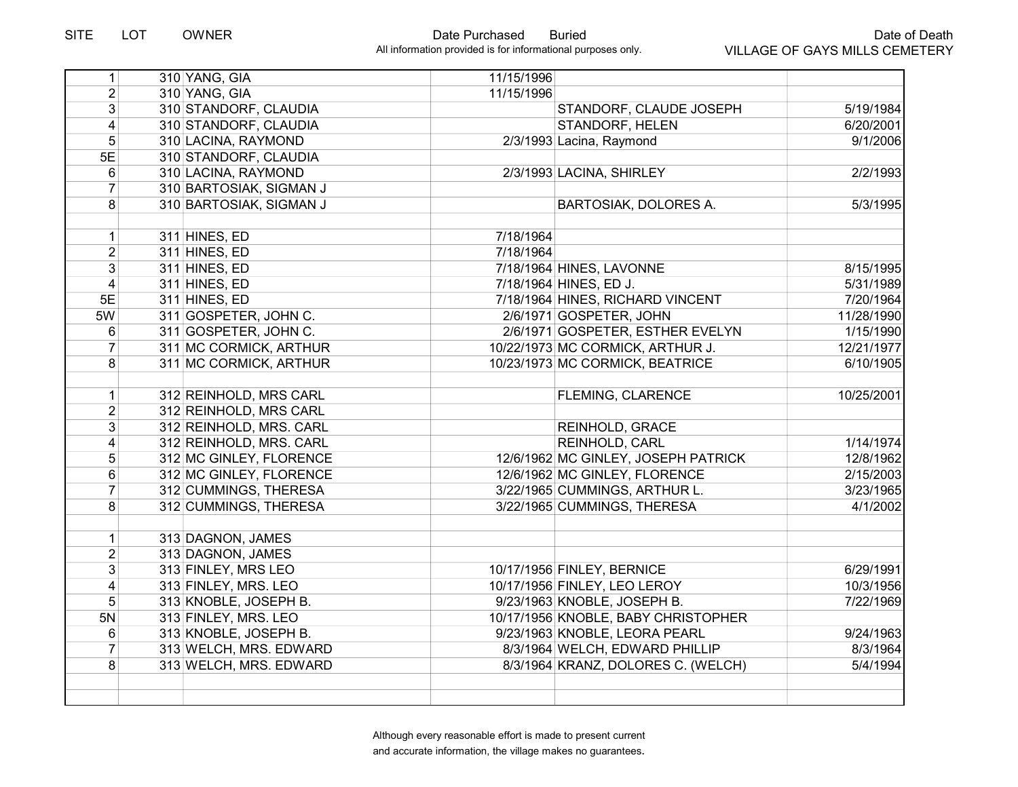| 1                       | 310 YANG, GIA           | 11/15/1996 |                                     |            |
|-------------------------|-------------------------|------------|-------------------------------------|------------|
| $\overline{2}$          | 310 YANG, GIA           | 11/15/1996 |                                     |            |
| $\overline{3}$          | 310 STANDORF, CLAUDIA   |            | STANDORF, CLAUDE JOSEPH             | 5/19/1984  |
| $\overline{4}$          | 310 STANDORF, CLAUDIA   |            | <b>STANDORF, HELEN</b>              | 6/20/2001  |
| 5                       | 310 LACINA, RAYMOND     |            | 2/3/1993 Lacina, Raymond            | 9/1/2006   |
| 5E                      | 310 STANDORF, CLAUDIA   |            |                                     |            |
| $\overline{6}$          | 310 LACINA, RAYMOND     |            | 2/3/1993 LACINA, SHIRLEY            | 2/2/1993   |
| $\overline{7}$          | 310 BARTOSIAK, SIGMAN J |            |                                     |            |
| 8                       | 310 BARTOSIAK, SIGMAN J |            | <b>BARTOSIAK, DOLORES A.</b>        | 5/3/1995   |
|                         |                         |            |                                     |            |
| $\mathbf{1}$            | 311 HINES, ED           | 7/18/1964  |                                     |            |
| $\overline{2}$          | 311 HINES, ED           | 7/18/1964  |                                     |            |
| $\overline{3}$          | 311 HINES, ED           |            | 7/18/1964 HINES, LAVONNE            | 8/15/1995  |
| $\overline{\mathbf{4}}$ | 311 HINES, ED           |            | 7/18/1964 HINES, ED J.              | 5/31/1989  |
| 5E                      | 311 HINES, ED           |            | 7/18/1964 HINES, RICHARD VINCENT    | 7/20/1964  |
| 5W                      | 311 GOSPETER, JOHN C.   |            | 2/6/1971 GOSPETER, JOHN             | 11/28/1990 |
| 6                       | 311 GOSPETER, JOHN C.   |            | 2/6/1971 GOSPETER, ESTHER EVELYN    | 1/15/1990  |
| $\overline{7}$          | 311 MC CORMICK, ARTHUR  |            | 10/22/1973 MC CORMICK, ARTHUR J.    | 12/21/1977 |
| 8                       | 311 MC CORMICK, ARTHUR  |            | 10/23/1973 MC CORMICK, BEATRICE     | 6/10/1905  |
|                         |                         |            |                                     |            |
| $\mathbf{1}$            | 312 REINHOLD, MRS CARL  |            | FLEMING, CLARENCE                   | 10/25/2001 |
| $\overline{2}$          | 312 REINHOLD, MRS CARL  |            |                                     |            |
| $\overline{3}$          | 312 REINHOLD, MRS. CARL |            | REINHOLD, GRACE                     |            |
| $\overline{\mathbf{4}}$ | 312 REINHOLD, MRS. CARL |            | REINHOLD, CARL                      | 1/14/1974  |
| $\sqrt{5}$              | 312 MC GINLEY, FLORENCE |            | 12/6/1962 MC GINLEY, JOSEPH PATRICK | 12/8/1962  |
| 6                       | 312 MC GINLEY, FLORENCE |            | 12/6/1962 MC GINLEY, FLORENCE       | 2/15/2003  |
| $\overline{7}$          | 312 CUMMINGS, THERESA   |            | 3/22/1965 CUMMINGS, ARTHUR L.       | 3/23/1965  |
| 8                       | 312 CUMMINGS, THERESA   |            | 3/22/1965 CUMMINGS, THERESA         | 4/1/2002   |
|                         |                         |            |                                     |            |
| $\mathbf{1}$            | 313 DAGNON, JAMES       |            |                                     |            |
| $\overline{2}$          | 313 DAGNON, JAMES       |            |                                     |            |
| $\overline{3}$          | 313 FINLEY, MRS LEO     |            | 10/17/1956 FINLEY, BERNICE          | 6/29/1991  |
| $\overline{4}$          | 313 FINLEY, MRS. LEO    |            | 10/17/1956 FINLEY, LEO LEROY        | 10/3/1956  |
| 5                       | 313 KNOBLE, JOSEPH B.   |            | 9/23/1963 KNOBLE, JOSEPH B.         | 7/22/1969  |
| 5N                      | 313 FINLEY, MRS. LEO    |            | 10/17/1956 KNOBLE, BABY CHRISTOPHER |            |
| 6                       | 313 KNOBLE, JOSEPH B.   |            | 9/23/1963 KNOBLE, LEORA PEARL       | 9/24/1963  |
| $\overline{7}$          | 313 WELCH, MRS. EDWARD  |            | 8/3/1964 WELCH, EDWARD PHILLIP      | 8/3/1964   |
| 8                       | 313 WELCH, MRS. EDWARD  |            | 8/3/1964 KRANZ, DOLORES C. (WELCH)  | 5/4/1994   |
|                         |                         |            |                                     |            |
|                         |                         |            |                                     |            |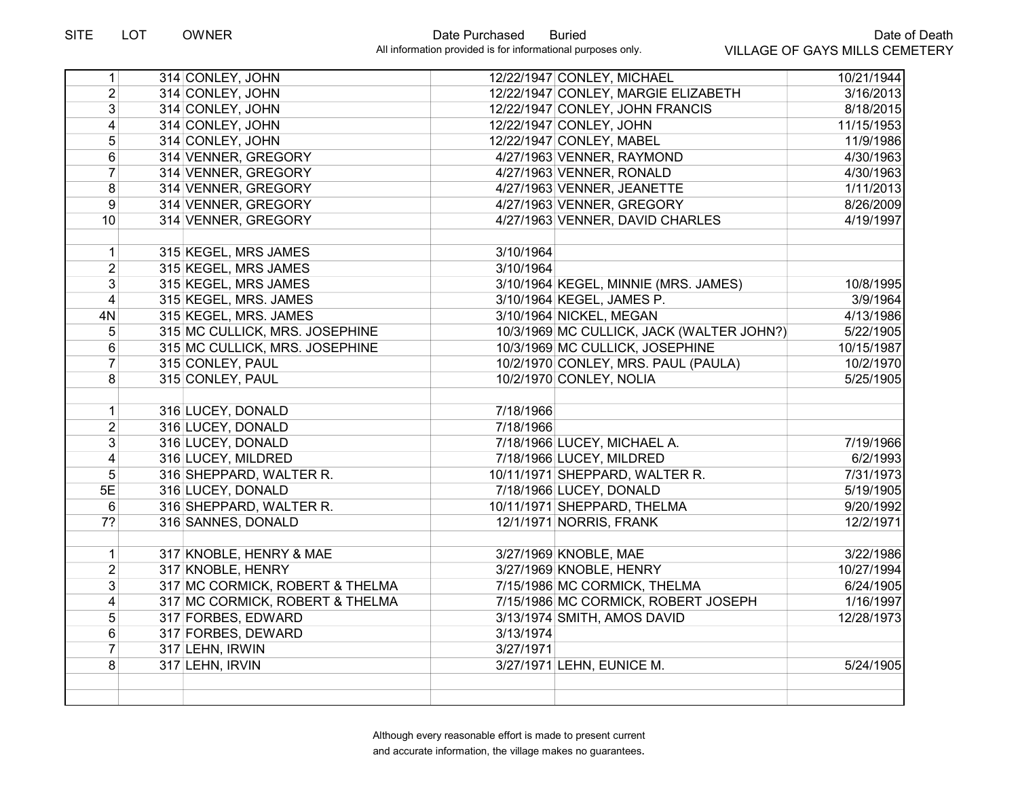| 1              | 314 CONLEY, JOHN                |           | 12/22/1947 CONLEY, MICHAEL                | 10/21/1944 |
|----------------|---------------------------------|-----------|-------------------------------------------|------------|
| $\overline{2}$ | 314 CONLEY, JOHN                |           | 12/22/1947 CONLEY, MARGIE ELIZABETH       | 3/16/2013  |
| 3              | 314 CONLEY, JOHN                |           | 12/22/1947 CONLEY, JOHN FRANCIS           | 8/18/2015  |
| 4              | 314 CONLEY, JOHN                |           | 12/22/1947 CONLEY, JOHN                   | 11/15/1953 |
| 5              | 314 CONLEY, JOHN                |           | 12/22/1947 CONLEY, MABEL                  | 11/9/1986  |
| 6              | 314 VENNER, GREGORY             |           | 4/27/1963 VENNER, RAYMOND                 | 4/30/1963  |
| $\overline{7}$ | 314 VENNER, GREGORY             |           | 4/27/1963 VENNER, RONALD                  | 4/30/1963  |
| 8              | 314 VENNER, GREGORY             |           | 4/27/1963 VENNER, JEANETTE                | 1/11/2013  |
| 9              | 314 VENNER, GREGORY             |           | 4/27/1963 VENNER, GREGORY                 | 8/26/2009  |
| 10             | 314 VENNER, GREGORY             |           | 4/27/1963 VENNER, DAVID CHARLES           | 4/19/1997  |
| 1              | 315 KEGEL, MRS JAMES            | 3/10/1964 |                                           |            |
| $\overline{2}$ | 315 KEGEL, MRS JAMES            | 3/10/1964 |                                           |            |
| 3              | 315 KEGEL, MRS JAMES            |           | 3/10/1964 KEGEL, MINNIE (MRS. JAMES)      | 10/8/1995  |
| $\overline{4}$ | 315 KEGEL, MRS. JAMES           |           | 3/10/1964 KEGEL, JAMES P.                 | 3/9/1964   |
| 4N             | 315 KEGEL, MRS. JAMES           |           | 3/10/1964 NICKEL, MEGAN                   | 4/13/1986  |
| 5              | 315 MC CULLICK, MRS. JOSEPHINE  |           | 10/3/1969 MC CULLICK, JACK (WALTER JOHN?) | 5/22/1905  |
| 6              | 315 MC CULLICK, MRS. JOSEPHINE  |           | 10/3/1969 MC CULLICK, JOSEPHINE           | 10/15/1987 |
| $\overline{7}$ | 315 CONLEY, PAUL                |           | 10/2/1970 CONLEY, MRS. PAUL (PAULA)       | 10/2/1970  |
| 8              | 315 CONLEY, PAUL                |           | 10/2/1970 CONLEY, NOLIA                   | 5/25/1905  |
| $\mathbf{1}$   | 316 LUCEY, DONALD               | 7/18/1966 |                                           |            |
| $\overline{2}$ | 316 LUCEY, DONALD               | 7/18/1966 |                                           |            |
| 3              | 316 LUCEY, DONALD               |           | 7/18/1966 LUCEY, MICHAEL A.               | 7/19/1966  |
| 4              | 316 LUCEY, MILDRED              |           | 7/18/1966 LUCEY, MILDRED                  | 6/2/1993   |
| 5              | 316 SHEPPARD, WALTER R.         |           | 10/11/1971 SHEPPARD, WALTER R.            | 7/31/1973  |
| 5E             | 316 LUCEY, DONALD               |           | 7/18/1966 LUCEY, DONALD                   | 5/19/1905  |
| 6              | 316 SHEPPARD, WALTER R.         |           | 10/11/1971 SHEPPARD, THELMA               | 9/20/1992  |
| 7?             | 316 SANNES, DONALD              |           | 12/1/1971 NORRIS, FRANK                   | 12/2/1971  |
| $\mathbf{1}$   | 317 KNOBLE, HENRY & MAE         |           | 3/27/1969 KNOBLE, MAE                     | 3/22/1986  |
| $\overline{2}$ | 317 KNOBLE, HENRY               |           | 3/27/1969 KNOBLE, HENRY                   | 10/27/1994 |
| 3              | 317 MC CORMICK, ROBERT & THELMA |           | 7/15/1986 MC CORMICK, THELMA              | 6/24/1905  |
| 4              | 317 MC CORMICK, ROBERT & THELMA |           | 7/15/1986 MC CORMICK, ROBERT JOSEPH       | 1/16/1997  |
| 5              | 317 FORBES, EDWARD              |           | 3/13/1974 SMITH, AMOS DAVID               | 12/28/1973 |
| 6              | 317 FORBES, DEWARD              | 3/13/1974 |                                           |            |
| $\overline{7}$ | 317 LEHN, IRWIN                 | 3/27/1971 |                                           |            |
| 8              | 317 LEHN, IRVIN                 |           | 3/27/1971 LEHN, EUNICE M.                 | 5/24/1905  |
|                |                                 |           |                                           |            |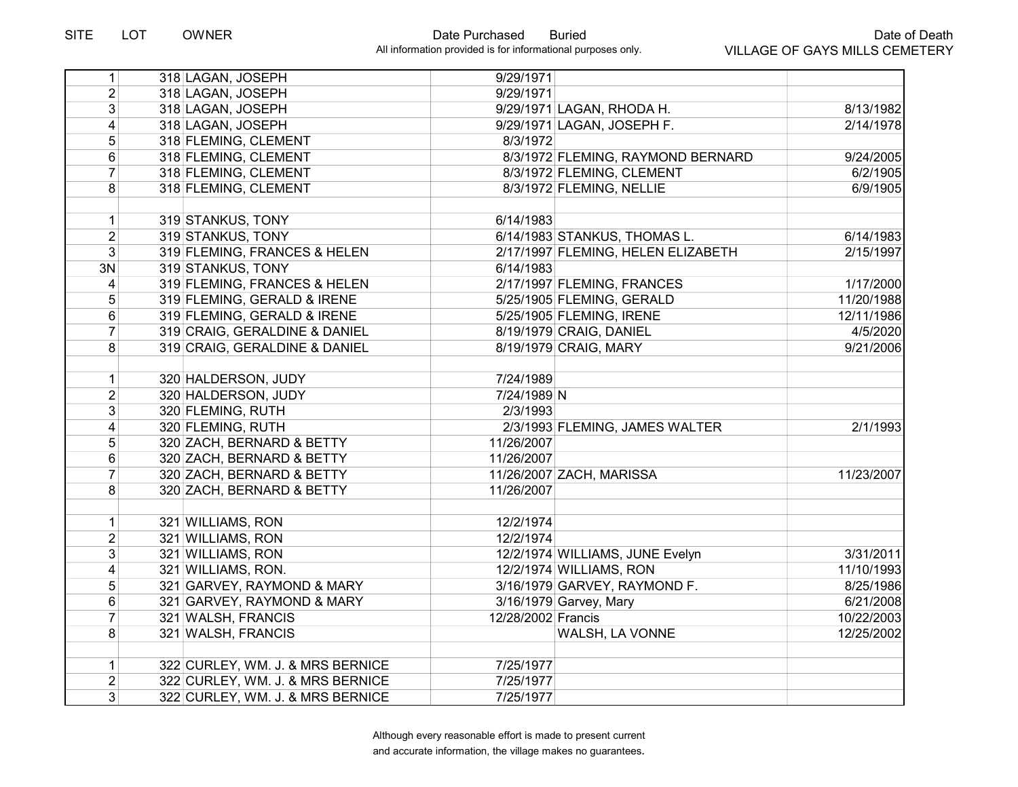| 1               | 318 LAGAN, JOSEPH                | 9/29/1971                          |            |
|-----------------|----------------------------------|------------------------------------|------------|
| $\overline{2}$  | 318 LAGAN, JOSEPH                | 9/29/1971                          |            |
| 3 <sup>1</sup>  | 318 LAGAN, JOSEPH                | 9/29/1971 LAGAN, RHODA H.          | 8/13/1982  |
| $\vert 4 \vert$ | 318 LAGAN, JOSEPH                | 9/29/1971 LAGAN, JOSEPH F.         | 2/14/1978  |
| 5 <sup>1</sup>  | 318 FLEMING, CLEMENT             | 8/3/1972                           |            |
| $6\phantom{1}$  | 318 FLEMING, CLEMENT             | 8/3/1972 FLEMING, RAYMOND BERNARD  | 9/24/2005  |
| $\overline{7}$  | 318 FLEMING, CLEMENT             | 8/3/1972 FLEMING, CLEMENT          | 6/2/1905   |
| 8               | 318 FLEMING, CLEMENT             | 8/3/1972 FLEMING, NELLIE           | 6/9/1905   |
|                 |                                  |                                    |            |
| 1               | 319 STANKUS, TONY                | 6/14/1983                          |            |
| $\overline{2}$  | 319 STANKUS, TONY                | 6/14/1983 STANKUS, THOMAS L.       | 6/14/1983  |
| 3 <sup>1</sup>  | 319 FLEMING, FRANCES & HELEN     | 2/17/1997 FLEMING, HELEN ELIZABETH | 2/15/1997  |
| 3N              | 319 STANKUS, TONY                | 6/14/1983                          |            |
| $\overline{4}$  | 319 FLEMING, FRANCES & HELEN     | 2/17/1997 FLEMING, FRANCES         | 1/17/2000  |
| 5               | 319 FLEMING, GERALD & IRENE      | 5/25/1905 FLEMING, GERALD          | 11/20/1988 |
| $\,6$           | 319 FLEMING, GERALD & IRENE      | 5/25/1905 FLEMING, IRENE           | 12/11/1986 |
| $\overline{7}$  | 319 CRAIG, GERALDINE & DANIEL    | 8/19/1979 CRAIG, DANIEL            | 4/5/2020   |
| 8               | 319 CRAIG, GERALDINE & DANIEL    | 8/19/1979 CRAIG, MARY              | 9/21/2006  |
|                 |                                  |                                    |            |
| 1               | 320 HALDERSON, JUDY              | 7/24/1989                          |            |
| 2 <sup>1</sup>  | 320 HALDERSON, JUDY              | 7/24/1989 N                        |            |
| $\overline{3}$  | 320 FLEMING, RUTH                | 2/3/1993                           |            |
| 4               | 320 FLEMING, RUTH                | 2/3/1993 FLEMING, JAMES WALTER     | 2/1/1993   |
| 5               | 320 ZACH, BERNARD & BETTY        | 11/26/2007                         |            |
| $6\phantom{1}$  | 320 ZACH, BERNARD & BETTY        | 11/26/2007                         |            |
| $\overline{7}$  | 320 ZACH, BERNARD & BETTY        | 11/26/2007 ZACH, MARISSA           | 11/23/2007 |
| 8 <sup>1</sup>  | 320 ZACH, BERNARD & BETTY        | 11/26/2007                         |            |
|                 |                                  |                                    |            |
| $\mathbf{1}$    | 321 WILLIAMS, RON                | 12/2/1974                          |            |
| $\overline{2}$  | 321 WILLIAMS, RON                | 12/2/1974                          |            |
| 3 <sup>1</sup>  | 321 WILLIAMS, RON                | 12/2/1974 WILLIAMS, JUNE Evelyn    | 3/31/2011  |
| $\vert 4 \vert$ | 321 WILLIAMS, RON.               | 12/2/1974 WILLIAMS, RON            | 11/10/1993 |
| 5               | 321 GARVEY, RAYMOND & MARY       | 3/16/1979 GARVEY, RAYMOND F.       | 8/25/1986  |
| 6               | 321 GARVEY, RAYMOND & MARY       | 3/16/1979 Garvey, Mary             | 6/21/2008  |
| $\overline{7}$  | 321 WALSH, FRANCIS               | 12/28/2002 Francis                 | 10/22/2003 |
| 8               | 321 WALSH, FRANCIS               | WALSH, LA VONNE                    | 12/25/2002 |
|                 |                                  |                                    |            |
| 1               | 322 CURLEY, WM. J. & MRS BERNICE | 7/25/1977                          |            |
| $\overline{2}$  | 322 CURLEY, WM. J. & MRS BERNICE | 7/25/1977                          |            |
| 3 <sup>2</sup>  | 322 CURLEY, WM. J. & MRS BERNICE | 7/25/1977                          |            |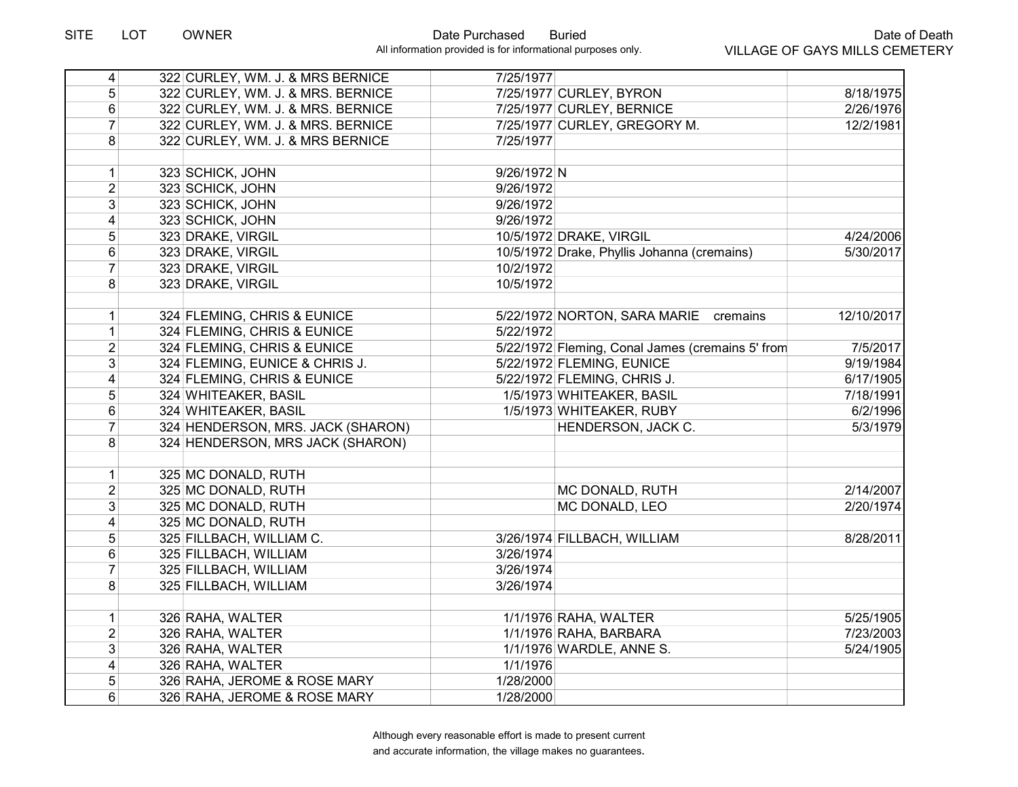| $\vert 4 \vert$         | 322 CURLEY, WM. J. & MRS BERNICE  | 7/25/1977                                        |            |
|-------------------------|-----------------------------------|--------------------------------------------------|------------|
| 5                       | 322 CURLEY, WM. J. & MRS. BERNICE | 7/25/1977 CURLEY, BYRON                          | 8/18/1975  |
| 6                       | 322 CURLEY, WM. J. & MRS. BERNICE | 7/25/1977 CURLEY, BERNICE                        | 2/26/1976  |
| $\overline{7}$          | 322 CURLEY, WM. J. & MRS. BERNICE | 7/25/1977 CURLEY, GREGORY M.                     | 12/2/1981  |
| $\overline{8}$          | 322 CURLEY, WM. J. & MRS BERNICE  | 7/25/1977                                        |            |
|                         |                                   |                                                  |            |
| $\mathbf{1}$            | 323 SCHICK, JOHN                  | 9/26/1972 N                                      |            |
| $\overline{2}$          | 323 SCHICK, JOHN                  | 9/26/1972                                        |            |
| $\overline{3}$          | 323 SCHICK, JOHN                  | 9/26/1972                                        |            |
| $\overline{\mathbf{4}}$ | 323 SCHICK, JOHN                  | 9/26/1972                                        |            |
| 5                       | 323 DRAKE, VIRGIL                 | 10/5/1972 DRAKE, VIRGIL                          | 4/24/2006  |
| 6                       | 323 DRAKE, VIRGIL                 | 10/5/1972 Drake, Phyllis Johanna (cremains)      | 5/30/2017  |
| $\overline{7}$          | 323 DRAKE, VIRGIL                 | 10/2/1972                                        |            |
| 8                       | 323 DRAKE, VIRGIL                 | 10/5/1972                                        |            |
|                         |                                   |                                                  |            |
| $\mathbf{1}$            | 324 FLEMING, CHRIS & EUNICE       | 5/22/1972 NORTON, SARA MARIE cremains            | 12/10/2017 |
| $\mathbf{1}$            | 324 FLEMING, CHRIS & EUNICE       | 5/22/1972                                        |            |
| $\overline{2}$          | 324 FLEMING, CHRIS & EUNICE       | 5/22/1972 Fleming, Conal James (cremains 5' from | 7/5/2017   |
| 3                       | 324 FLEMING, EUNICE & CHRIS J.    | 5/22/1972 FLEMING, EUNICE                        | 9/19/1984  |
| $\overline{\mathbf{4}}$ | 324 FLEMING, CHRIS & EUNICE       | 5/22/1972 FLEMING, CHRIS J.                      | 6/17/1905  |
| $\sqrt{5}$              | 324 WHITEAKER, BASIL              | 1/5/1973 WHITEAKER, BASIL                        | 7/18/1991  |
| 6                       | 324 WHITEAKER, BASIL              | 1/5/1973 WHITEAKER, RUBY                         | 6/2/1996   |
| $\overline{7}$          | 324 HENDERSON, MRS. JACK (SHARON) | HENDERSON, JACK C.                               | 5/3/1979   |
| 8                       | 324 HENDERSON, MRS JACK (SHARON)  |                                                  |            |
|                         |                                   |                                                  |            |
| $\mathbf{1}$            | 325 MC DONALD, RUTH               |                                                  |            |
| $\overline{2}$          | 325 MC DONALD, RUTH               | MC DONALD, RUTH                                  | 2/14/2007  |
| 3                       | 325 MC DONALD, RUTH               | MC DONALD, LEO                                   | 2/20/1974  |
| $\overline{4}$          | 325 MC DONALD, RUTH               |                                                  |            |
| $\overline{5}$          | 325 FILLBACH, WILLIAM C.          | 3/26/1974 FILLBACH, WILLIAM                      | 8/28/2011  |
| 6                       | 325 FILLBACH, WILLIAM             | 3/26/1974                                        |            |
| $\overline{7}$          | 325 FILLBACH, WILLIAM             | 3/26/1974                                        |            |
| 8                       | 325 FILLBACH, WILLIAM             | 3/26/1974                                        |            |
|                         |                                   |                                                  |            |
| $\mathbf{1}$            | 326 RAHA, WALTER                  | 1/1/1976 RAHA, WALTER                            | 5/25/1905  |
| $\overline{2}$          | 326 RAHA, WALTER                  | 1/1/1976 RAHA, BARBARA                           | 7/23/2003  |
| $\overline{3}$          | 326 RAHA, WALTER                  | 1/1/1976 WARDLE, ANNE S.                         | 5/24/1905  |
| 4                       | 326 RAHA, WALTER                  | 1/1/1976                                         |            |
| 5                       | 326 RAHA, JEROME & ROSE MARY      | 1/28/2000                                        |            |
| 6                       | 326 RAHA, JEROME & ROSE MARY      | 1/28/2000                                        |            |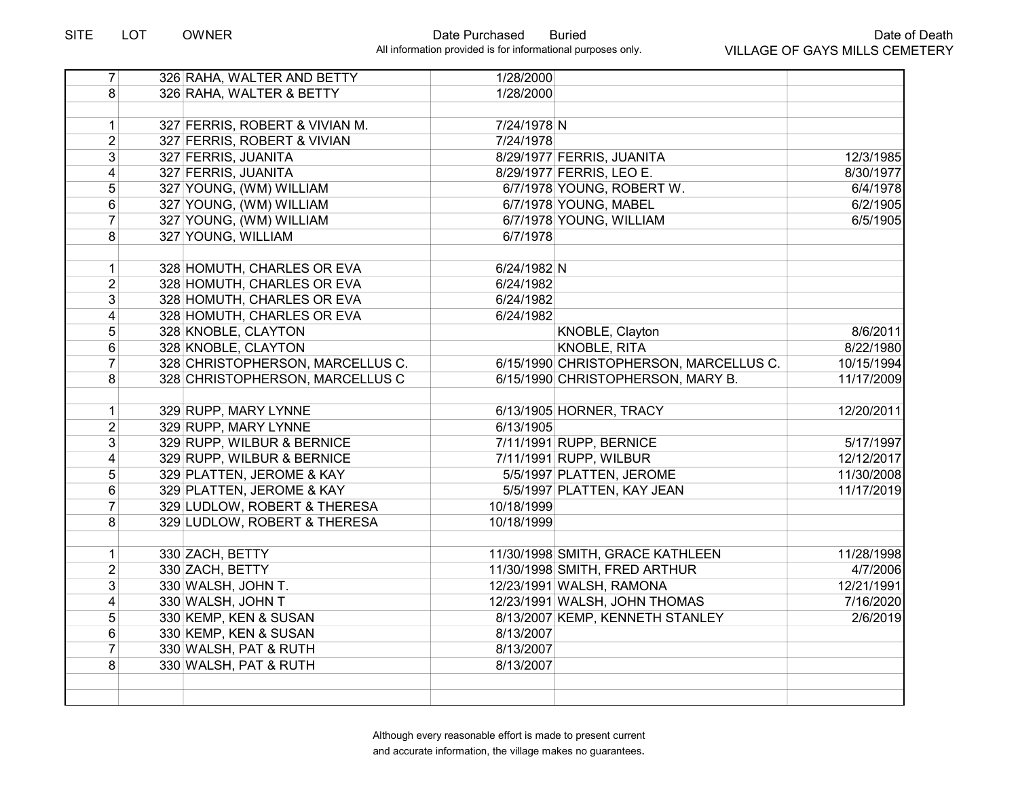| $\overline{7}$          | 326 RAHA, WALTER AND BETTY       | 1/28/2000                              |            |
|-------------------------|----------------------------------|----------------------------------------|------------|
| 8                       | 326 RAHA, WALTER & BETTY         | 1/28/2000                              |            |
|                         |                                  |                                        |            |
| 1                       | 327 FERRIS, ROBERT & VIVIAN M.   | 7/24/1978 N                            |            |
| $\overline{2}$          | 327 FERRIS, ROBERT & VIVIAN      | 7/24/1978                              |            |
| $\overline{3}$          | 327 FERRIS, JUANITA              | 8/29/1977 FERRIS, JUANITA              | 12/3/1985  |
| $\overline{4}$          | 327 FERRIS, JUANITA              | 8/29/1977 FERRIS, LEO E.               | 8/30/1977  |
| $\overline{5}$          | 327 YOUNG, (WM) WILLIAM          | 6/7/1978 YOUNG, ROBERT W.              | 6/4/1978   |
| 6                       | 327 YOUNG, (WM) WILLIAM          | 6/7/1978 YOUNG, MABEL                  | 6/2/1905   |
| $\overline{7}$          | 327 YOUNG, (WM) WILLIAM          | 6/7/1978 YOUNG, WILLIAM                | 6/5/1905   |
| 8                       | 327 YOUNG, WILLIAM               | 6/7/1978                               |            |
|                         |                                  |                                        |            |
| $\mathbf{1}$            | 328 HOMUTH, CHARLES OR EVA       | 6/24/1982 N                            |            |
| $\overline{2}$          | 328 HOMUTH, CHARLES OR EVA       | 6/24/1982                              |            |
| $\overline{3}$          | 328 HOMUTH, CHARLES OR EVA       | 6/24/1982                              |            |
| $\overline{\mathbf{4}}$ | 328 HOMUTH, CHARLES OR EVA       | 6/24/1982                              |            |
| $\overline{5}$          | 328 KNOBLE, CLAYTON              | KNOBLE, Clayton                        | 8/6/2011   |
| 6                       | 328 KNOBLE, CLAYTON              | <b>KNOBLE, RITA</b>                    | 8/22/1980  |
| $\overline{7}$          | 328 CHRISTOPHERSON, MARCELLUS C. | 6/15/1990 CHRISTOPHERSON, MARCELLUS C. | 10/15/1994 |
| 8                       | 328 CHRISTOPHERSON, MARCELLUS C  | 6/15/1990 CHRISTOPHERSON, MARY B.      | 11/17/2009 |
|                         |                                  |                                        |            |
| $\vert$                 | 329 RUPP, MARY LYNNE             | 6/13/1905 HORNER, TRACY                | 12/20/2011 |
| $\overline{2}$          | 329 RUPP, MARY LYNNE             | 6/13/1905                              |            |
| 3 <sup>1</sup>          | 329 RUPP, WILBUR & BERNICE       | 7/11/1991 RUPP, BERNICE                | 5/17/1997  |
| $\overline{4}$          | 329 RUPP, WILBUR & BERNICE       | 7/11/1991 RUPP, WILBUR                 | 12/12/2017 |
| 5                       | 329 PLATTEN, JEROME & KAY        | 5/5/1997 PLATTEN, JEROME               | 11/30/2008 |
| 6                       | 329 PLATTEN, JEROME & KAY        | 5/5/1997 PLATTEN, KAY JEAN             | 11/17/2019 |
| $\overline{7}$          | 329 LUDLOW, ROBERT & THERESA     | 10/18/1999                             |            |
| $\overline{8}$          | 329 LUDLOW, ROBERT & THERESA     | 10/18/1999                             |            |
|                         |                                  |                                        |            |
| 1                       | 330 ZACH, BETTY                  | 11/30/1998 SMITH, GRACE KATHLEEN       | 11/28/1998 |
| $\overline{2}$          | 330 ZACH, BETTY                  | 11/30/1998 SMITH, FRED ARTHUR          | 4/7/2006   |
| 3                       | 330 WALSH, JOHN T.               | 12/23/1991 WALSH, RAMONA               | 12/21/1991 |
| $\overline{4}$          | 330 WALSH, JOHN T                | 12/23/1991 WALSH, JOHN THOMAS          | 7/16/2020  |
| 5                       | 330 KEMP, KEN & SUSAN            | 8/13/2007 KEMP, KENNETH STANLEY        | 2/6/2019   |
| 6                       | 330 KEMP, KEN & SUSAN            | 8/13/2007                              |            |
| $\overline{7}$          | 330 WALSH, PAT & RUTH            | 8/13/2007                              |            |
| 8                       | 330 WALSH, PAT & RUTH            | 8/13/2007                              |            |
|                         |                                  |                                        |            |
|                         |                                  |                                        |            |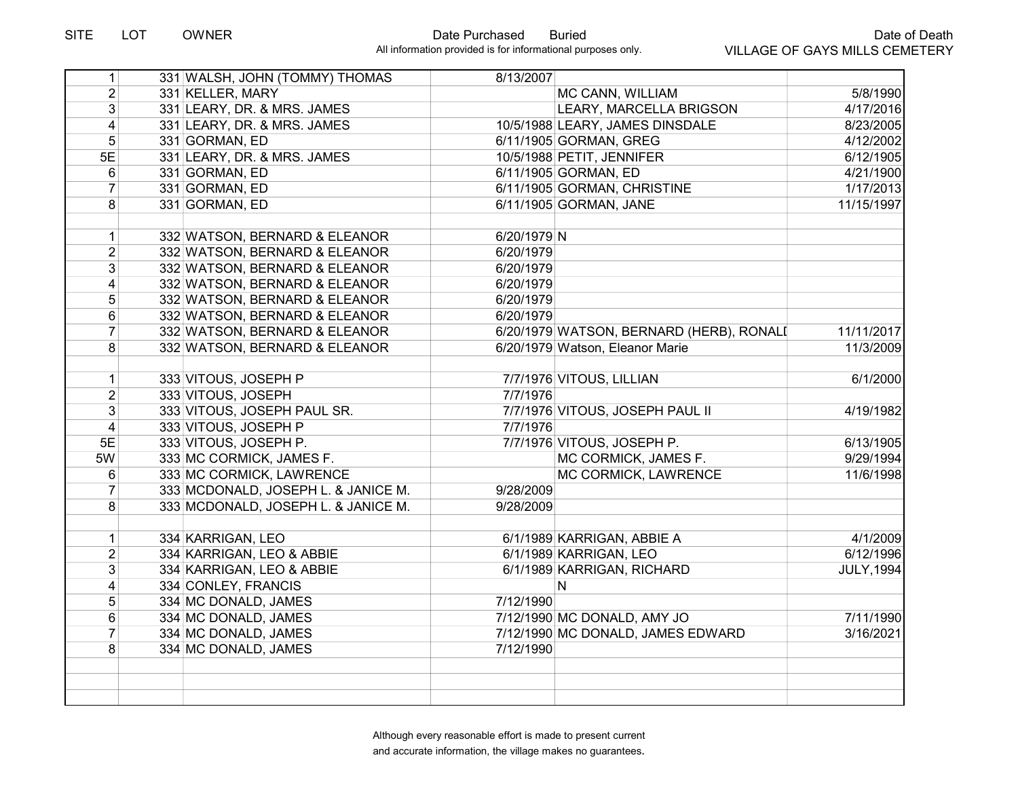| 1                       | 331 WALSH, JOHN (TOMMY) THOMAS      | 8/13/2007                                |                   |
|-------------------------|-------------------------------------|------------------------------------------|-------------------|
| $\overline{2}$          | 331 KELLER, MARY                    | MC CANN, WILLIAM                         | 5/8/1990          |
| $\overline{3}$          | 331 LEARY, DR. & MRS. JAMES         | LEARY, MARCELLA BRIGSON                  | 4/17/2016         |
| $\vert 4 \vert$         | 331 LEARY, DR. & MRS. JAMES         | 10/5/1988 LEARY, JAMES DINSDALE          | 8/23/2005         |
| $\overline{5}$          | 331 GORMAN, ED                      | 6/11/1905 GORMAN, GREG                   | 4/12/2002         |
| 5E                      | 331 LEARY, DR. & MRS. JAMES         | 10/5/1988 PETIT, JENNIFER                | 6/12/1905         |
| 6                       | 331 GORMAN, ED                      | 6/11/1905 GORMAN, ED                     | 4/21/1900         |
| $\overline{7}$          | 331 GORMAN, ED                      | 6/11/1905 GORMAN, CHRISTINE              | 1/17/2013         |
| 8                       | 331 GORMAN, ED                      | 6/11/1905 GORMAN, JANE                   | 11/15/1997        |
|                         |                                     |                                          |                   |
| $\mathbf{1}$            | 332 WATSON, BERNARD & ELEANOR       | 6/20/1979 N                              |                   |
| $\overline{2}$          | 332 WATSON, BERNARD & ELEANOR       | 6/20/1979                                |                   |
| 3                       | 332 WATSON, BERNARD & ELEANOR       | 6/20/1979                                |                   |
| $\overline{\mathbf{4}}$ | 332 WATSON, BERNARD & ELEANOR       | 6/20/1979                                |                   |
| $\overline{5}$          | 332 WATSON, BERNARD & ELEANOR       | 6/20/1979                                |                   |
| $6\,$                   | 332 WATSON, BERNARD & ELEANOR       | 6/20/1979                                |                   |
| $\overline{7}$          | 332 WATSON, BERNARD & ELEANOR       | 6/20/1979 WATSON, BERNARD (HERB), RONALI | 11/11/2017        |
| 8                       | 332 WATSON, BERNARD & ELEANOR       | 6/20/1979 Watson, Eleanor Marie          | 11/3/2009         |
|                         |                                     |                                          |                   |
| $\mathbf{1}$            | 333 VITOUS, JOSEPH P                | 7/7/1976 VITOUS, LILLIAN                 | 6/1/2000          |
| $\overline{2}$          | 333 VITOUS, JOSEPH                  | 7/7/1976                                 |                   |
| 3                       | 333 VITOUS, JOSEPH PAUL SR.         | 7/7/1976 VITOUS, JOSEPH PAUL II          | 4/19/1982         |
| $\overline{\mathbf{4}}$ | 333 VITOUS, JOSEPH P                | 7/7/1976                                 |                   |
| 5E                      | 333 VITOUS, JOSEPH P.               | 7/7/1976 VITOUS, JOSEPH P.               | 6/13/1905         |
| 5W                      | 333 MC CORMICK, JAMES F.            | MC CORMICK, JAMES F.                     | 9/29/1994         |
| 6                       | 333 MC CORMICK, LAWRENCE            | MC CORMICK, LAWRENCE                     | 11/6/1998         |
| $\overline{7}$          | 333 MCDONALD, JOSEPH L. & JANICE M. | 9/28/2009                                |                   |
| 8                       | 333 MCDONALD, JOSEPH L. & JANICE M. | 9/28/2009                                |                   |
|                         |                                     |                                          |                   |
| $\mathbf{1}$            | 334 KARRIGAN, LEO                   | 6/1/1989 KARRIGAN, ABBIE A               | 4/1/2009          |
| $\overline{2}$          | 334 KARRIGAN, LEO & ABBIE           | 6/1/1989 KARRIGAN, LEO                   | 6/12/1996         |
| 3                       | 334 KARRIGAN, LEO & ABBIE           | 6/1/1989 KARRIGAN, RICHARD               | <b>JULY, 1994</b> |
| $\overline{\mathbf{4}}$ | 334 CONLEY, FRANCIS                 | N                                        |                   |
| 5                       | 334 MC DONALD, JAMES                | 7/12/1990                                |                   |
| 6                       | 334 MC DONALD, JAMES                | 7/12/1990 MC DONALD, AMY JO              | 7/11/1990         |
| $\overline{7}$          | 334 MC DONALD, JAMES                | 7/12/1990 MC DONALD, JAMES EDWARD        | 3/16/2021         |
| 8                       | 334 MC DONALD, JAMES                | 7/12/1990                                |                   |
|                         |                                     |                                          |                   |
|                         |                                     |                                          |                   |
|                         |                                     |                                          |                   |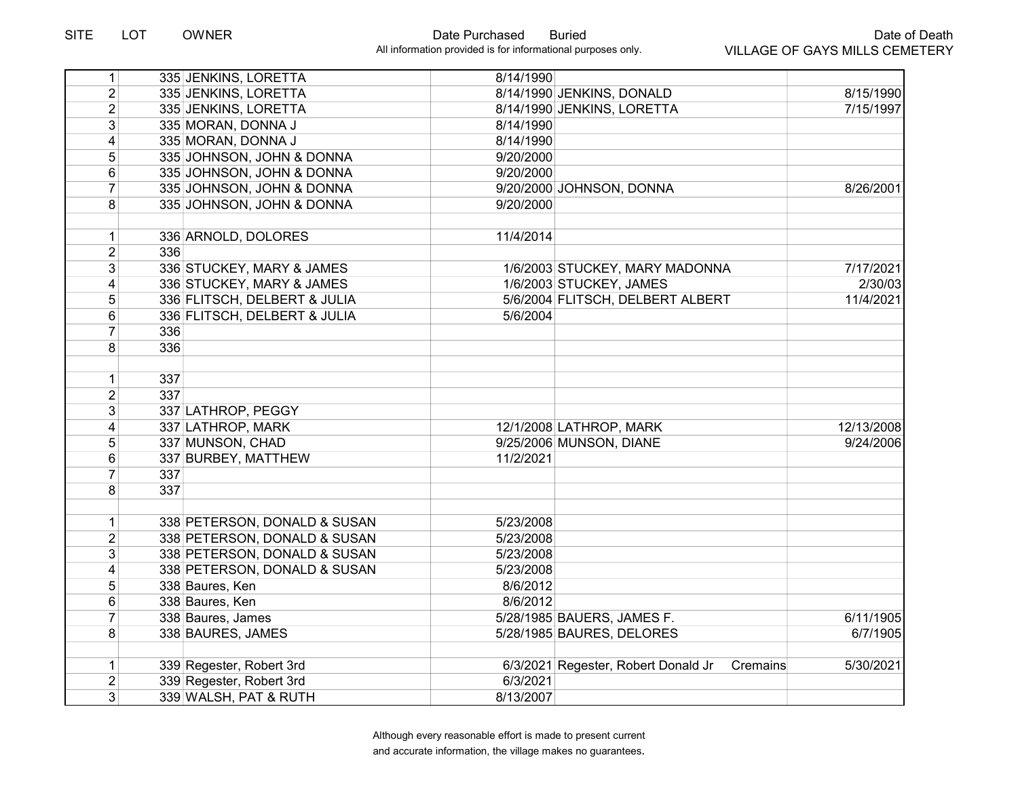| 1              | 335 JENKINS, LORETTA         | 8/14/1990                                       |            |
|----------------|------------------------------|-------------------------------------------------|------------|
| $\overline{2}$ | 335 JENKINS, LORETTA         | 8/14/1990 JENKINS, DONALD                       | 8/15/1990  |
| $\overline{2}$ | 335 JENKINS, LORETTA         | 8/14/1990 JENKINS, LORETTA                      | 7/15/1997  |
| 3              | 335 MORAN, DONNA J           | 8/14/1990                                       |            |
| 4              | 335 MORAN, DONNA J           | 8/14/1990                                       |            |
| 5              | 335 JOHNSON, JOHN & DONNA    | 9/20/2000                                       |            |
| 6              | 335 JOHNSON, JOHN & DONNA    | 9/20/2000                                       |            |
| $\overline{7}$ | 335 JOHNSON, JOHN & DONNA    | 9/20/2000 JOHNSON, DONNA                        | 8/26/2001  |
| 8              | 335 JOHNSON, JOHN & DONNA    | 9/20/2000                                       |            |
|                |                              |                                                 |            |
| 1              | 336 ARNOLD, DOLORES          | 11/4/2014                                       |            |
| $\overline{2}$ | 336                          |                                                 |            |
| 3              | 336 STUCKEY, MARY & JAMES    | 1/6/2003 STUCKEY, MARY MADONNA                  | 7/17/2021  |
| 4              | 336 STUCKEY, MARY & JAMES    | 1/6/2003 STUCKEY, JAMES                         | 2/30/03    |
| 5              | 336 FLITSCH, DELBERT & JULIA | 5/6/2004 FLITSCH, DELBERT ALBERT                | 11/4/2021  |
| $\,6\,$        | 336 FLITSCH, DELBERT & JULIA | 5/6/2004                                        |            |
| $\overline{7}$ | 336                          |                                                 |            |
| 8              | 336                          |                                                 |            |
| $\mathbf 1$    | 337                          |                                                 |            |
| $\overline{2}$ | 337                          |                                                 |            |
| $\mathfrak{B}$ | 337 LATHROP, PEGGY           |                                                 |            |
| 4              | 337 LATHROP, MARK            | 12/1/2008 LATHROP, MARK                         | 12/13/2008 |
| 5              | 337 MUNSON, CHAD             | 9/25/2006 MUNSON, DIANE                         | 9/24/2006  |
| 6              | 337 BURBEY, MATTHEW          | 11/2/2021                                       |            |
| 7              | 337                          |                                                 |            |
| 8              | 337                          |                                                 |            |
| $\mathbf{1}$   | 338 PETERSON, DONALD & SUSAN | 5/23/2008                                       |            |
| $\overline{2}$ | 338 PETERSON, DONALD & SUSAN | 5/23/2008                                       |            |
| $\overline{3}$ | 338 PETERSON, DONALD & SUSAN | 5/23/2008                                       |            |
| 4              | 338 PETERSON, DONALD & SUSAN | 5/23/2008                                       |            |
| 5              | 338 Baures, Ken              | 8/6/2012                                        |            |
| 6              | 338 Baures, Ken              | 8/6/2012                                        |            |
| $\overline{7}$ | 338 Baures, James            | 5/28/1985 BAUERS, JAMES F.                      | 6/11/1905  |
| 8              | 338 BAURES, JAMES            | 5/28/1985 BAURES, DELORES                       | 6/7/1905   |
|                |                              |                                                 |            |
| $\mathbf 1$    | 339 Regester, Robert 3rd     | 6/3/2021 Regester, Robert Donald Jr<br>Cremains | 5/30/2021  |
| $\overline{2}$ | 339 Regester, Robert 3rd     | 6/3/2021                                        |            |
| 3              | 339 WALSH, PAT & RUTH        | 8/13/2007                                       |            |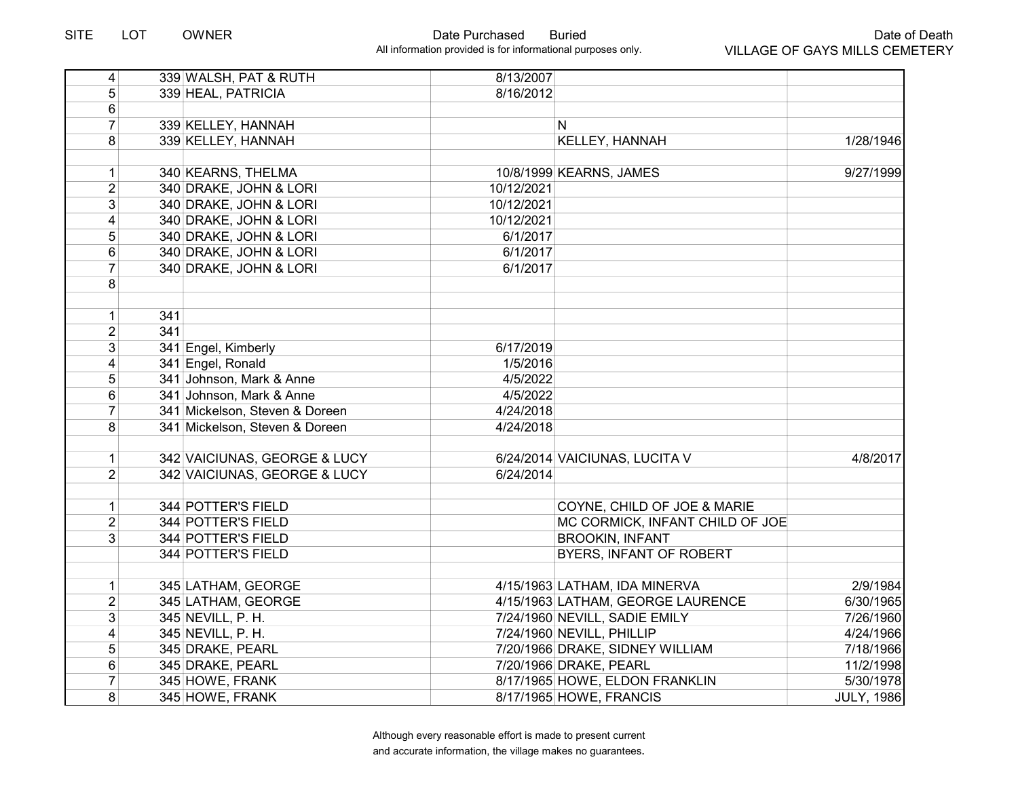| $\vert$        |     | 339 WALSH, PAT & RUTH          | 8/13/2007  |                                   |                   |
|----------------|-----|--------------------------------|------------|-----------------------------------|-------------------|
| 5              |     | 339 HEAL, PATRICIA             | 8/16/2012  |                                   |                   |
| $\,6\,$        |     |                                |            |                                   |                   |
| $\overline{7}$ |     | 339 KELLEY, HANNAH             |            | N                                 |                   |
| 8              |     | 339 KELLEY, HANNAH             |            | KELLEY, HANNAH                    | 1/28/1946         |
|                |     |                                |            |                                   |                   |
| 1              |     | 340 KEARNS, THELMA             |            | 10/8/1999 KEARNS, JAMES           | 9/27/1999         |
| $\overline{2}$ |     | 340 DRAKE, JOHN & LORI         | 10/12/2021 |                                   |                   |
| 3              |     | 340 DRAKE, JOHN & LORI         | 10/12/2021 |                                   |                   |
| 4              |     | 340 DRAKE, JOHN & LORI         | 10/12/2021 |                                   |                   |
| 5              |     | 340 DRAKE, JOHN & LORI         | 6/1/2017   |                                   |                   |
| 6              |     | 340 DRAKE, JOHN & LORI         | 6/1/2017   |                                   |                   |
| $\overline{7}$ |     | 340 DRAKE, JOHN & LORI         | 6/1/2017   |                                   |                   |
| 8              |     |                                |            |                                   |                   |
|                |     |                                |            |                                   |                   |
| 1              | 341 |                                |            |                                   |                   |
| $\overline{2}$ | 341 |                                |            |                                   |                   |
| 3 <sup>1</sup> |     | 341 Engel, Kimberly            | 6/17/2019  |                                   |                   |
| 4              |     | 341 Engel, Ronald              | 1/5/2016   |                                   |                   |
| 5              |     | 341 Johnson, Mark & Anne       | 4/5/2022   |                                   |                   |
| $6\phantom{1}$ |     | 341 Johnson, Mark & Anne       | 4/5/2022   |                                   |                   |
| $\overline{7}$ |     | 341 Mickelson, Steven & Doreen | 4/24/2018  |                                   |                   |
| 8              |     | 341 Mickelson, Steven & Doreen | 4/24/2018  |                                   |                   |
|                |     |                                |            |                                   |                   |
| 1              |     | 342 VAICIUNAS, GEORGE & LUCY   |            | 6/24/2014 VAICIUNAS, LUCITA V     | 4/8/2017          |
| $\overline{2}$ |     | 342 VAICIUNAS, GEORGE & LUCY   | 6/24/2014  |                                   |                   |
|                |     |                                |            |                                   |                   |
| 1              |     | <b>344 POTTER'S FIELD</b>      |            | COYNE, CHILD OF JOE & MARIE       |                   |
| $\overline{2}$ |     | 344 POTTER'S FIELD             |            | MC CORMICK, INFANT CHILD OF JOE   |                   |
| 3 <sup>1</sup> |     | 344 POTTER'S FIELD             |            | <b>BROOKIN, INFANT</b>            |                   |
|                |     | 344 POTTER'S FIELD             |            | BYERS, INFANT OF ROBERT           |                   |
|                |     |                                |            |                                   |                   |
| 1              |     | 345 LATHAM, GEORGE             |            | 4/15/1963 LATHAM, IDA MINERVA     | 2/9/1984          |
| $\overline{2}$ |     | 345 LATHAM, GEORGE             |            | 4/15/1963 LATHAM, GEORGE LAURENCE | 6/30/1965         |
| 3 <sup>1</sup> |     | 345 NEVILL, P. H.              |            | 7/24/1960 NEVILL, SADIE EMILY     | 7/26/1960         |
| $\overline{4}$ |     | 345 NEVILL, P. H.              |            | 7/24/1960 NEVILL, PHILLIP         | 4/24/1966         |
| 5              |     | 345 DRAKE, PEARL               |            | 7/20/1966 DRAKE, SIDNEY WILLIAM   | 7/18/1966         |
| 6              |     | 345 DRAKE, PEARL               |            | 7/20/1966 DRAKE, PEARL            | 11/2/1998         |
| $\overline{7}$ |     | 345 HOWE, FRANK                |            | 8/17/1965 HOWE, ELDON FRANKLIN    | 5/30/1978         |
| 8              |     | 345 HOWE, FRANK                |            | 8/17/1965 HOWE, FRANCIS           | <b>JULY, 1986</b> |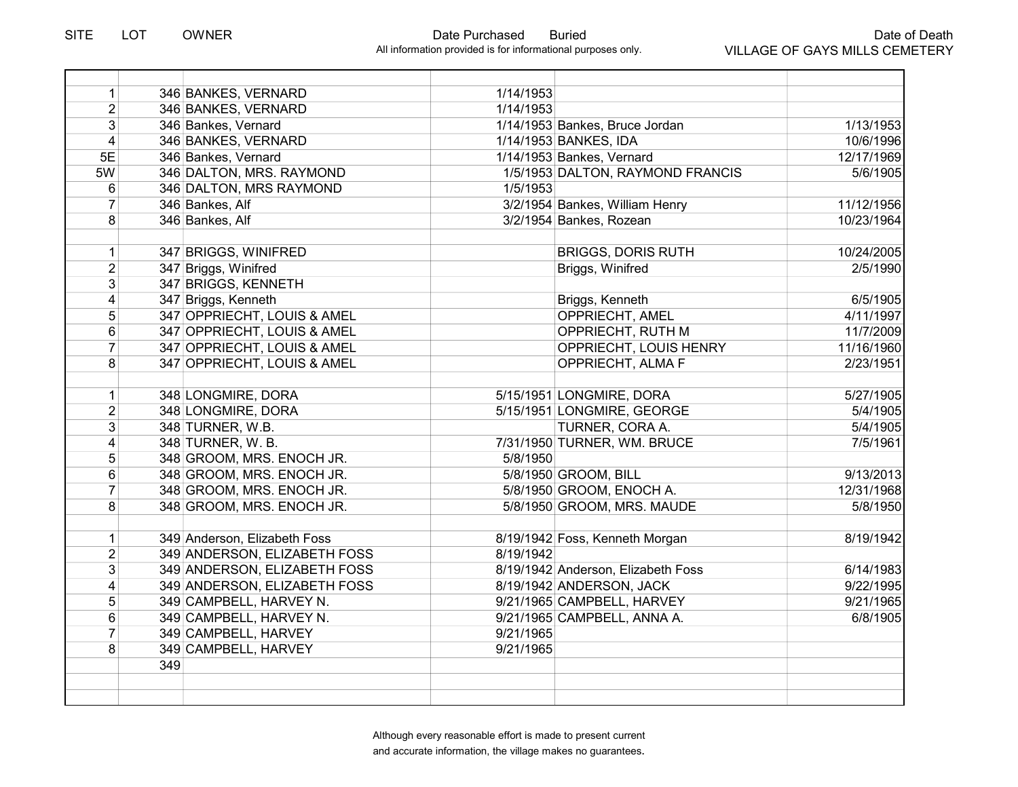| 1                       |     | 346 BANKES, VERNARD          | 1/14/1953 |                                    |            |
|-------------------------|-----|------------------------------|-----------|------------------------------------|------------|
| $\overline{2}$          |     | 346 BANKES, VERNARD          | 1/14/1953 |                                    |            |
| $\overline{3}$          |     | 346 Bankes, Vernard          |           | 1/14/1953 Bankes, Bruce Jordan     | 1/13/1953  |
| $\overline{\mathbf{4}}$ |     | 346 BANKES, VERNARD          |           | 1/14/1953 BANKES, IDA              | 10/6/1996  |
| 5E                      |     | 346 Bankes, Vernard          |           | 1/14/1953 Bankes, Vernard          | 12/17/1969 |
| 5W                      |     | 346 DALTON, MRS. RAYMOND     |           | 1/5/1953 DALTON, RAYMOND FRANCIS   | 5/6/1905   |
| 6                       |     | 346 DALTON, MRS RAYMOND      | 1/5/1953  |                                    |            |
| $\overline{7}$          |     | 346 Bankes, Alf              |           | 3/2/1954 Bankes, William Henry     | 11/12/1956 |
| 8                       |     | 346 Bankes, Alf              |           | 3/2/1954 Bankes, Rozean            | 10/23/1964 |
|                         |     |                              |           |                                    |            |
| $\mathbf{1}$            |     | 347 BRIGGS, WINIFRED         |           | <b>BRIGGS, DORIS RUTH</b>          | 10/24/2005 |
| $\overline{2}$          |     | 347 Briggs, Winifred         |           | Briggs, Winifred                   | 2/5/1990   |
| 3                       |     | 347 BRIGGS, KENNETH          |           |                                    |            |
| $\overline{\mathbf{4}}$ |     | 347 Briggs, Kenneth          |           | Briggs, Kenneth                    | 6/5/1905   |
| 5                       |     | 347 OPPRIECHT, LOUIS & AMEL  |           | OPPRIECHT, AMEL                    | 4/11/1997  |
| 6                       |     | 347 OPPRIECHT, LOUIS & AMEL  |           | OPPRIECHT, RUTH M                  | 11/7/2009  |
| $\overline{7}$          |     | 347 OPPRIECHT, LOUIS & AMEL  |           | OPPRIECHT, LOUIS HENRY             | 11/16/1960 |
| 8                       |     | 347 OPPRIECHT, LOUIS & AMEL  |           | OPPRIECHT, ALMA F                  | 2/23/1951  |
|                         |     |                              |           |                                    |            |
| $\mathbf{1}$            |     | 348 LONGMIRE, DORA           |           | 5/15/1951 LONGMIRE, DORA           | 5/27/1905  |
| $\overline{2}$          |     | 348 LONGMIRE, DORA           |           | 5/15/1951 LONGMIRE, GEORGE         | 5/4/1905   |
| 3                       |     | 348 TURNER, W.B.             |           | TURNER, CORA A.                    | 5/4/1905   |
| $\overline{4}$          |     | 348 TURNER, W. B.            |           | 7/31/1950 TURNER, WM. BRUCE        | 7/5/1961   |
| 5                       |     | 348 GROOM, MRS. ENOCH JR.    | 5/8/1950  |                                    |            |
| 6                       |     | 348 GROOM, MRS. ENOCH JR.    |           | 5/8/1950 GROOM, BILL               | 9/13/2013  |
| 7                       |     | 348 GROOM, MRS. ENOCH JR.    |           | 5/8/1950 GROOM, ENOCH A.           | 12/31/1968 |
| 8                       |     | 348 GROOM, MRS. ENOCH JR.    |           | 5/8/1950 GROOM, MRS. MAUDE         | 5/8/1950   |
|                         |     |                              |           |                                    |            |
| $\mathbf{1}$            |     | 349 Anderson, Elizabeth Foss |           | 8/19/1942 Foss, Kenneth Morgan     | 8/19/1942  |
| $\overline{2}$          |     | 349 ANDERSON, ELIZABETH FOSS | 8/19/1942 |                                    |            |
| $\mathfrak{B}$          |     | 349 ANDERSON, ELIZABETH FOSS |           | 8/19/1942 Anderson, Elizabeth Foss | 6/14/1983  |
| 4                       |     | 349 ANDERSON, ELIZABETH FOSS |           | 8/19/1942 ANDERSON, JACK           | 9/22/1995  |
| 5                       |     | 349 CAMPBELL, HARVEY N.      |           | 9/21/1965 CAMPBELL, HARVEY         | 9/21/1965  |
| 6                       |     | 349 CAMPBELL, HARVEY N.      |           | 9/21/1965 CAMPBELL, ANNA A.        | 6/8/1905   |
| $\overline{7}$          |     | 349 CAMPBELL, HARVEY         | 9/21/1965 |                                    |            |
| 8                       |     | 349 CAMPBELL, HARVEY         | 9/21/1965 |                                    |            |
|                         | 349 |                              |           |                                    |            |
|                         |     |                              |           |                                    |            |
|                         |     |                              |           |                                    |            |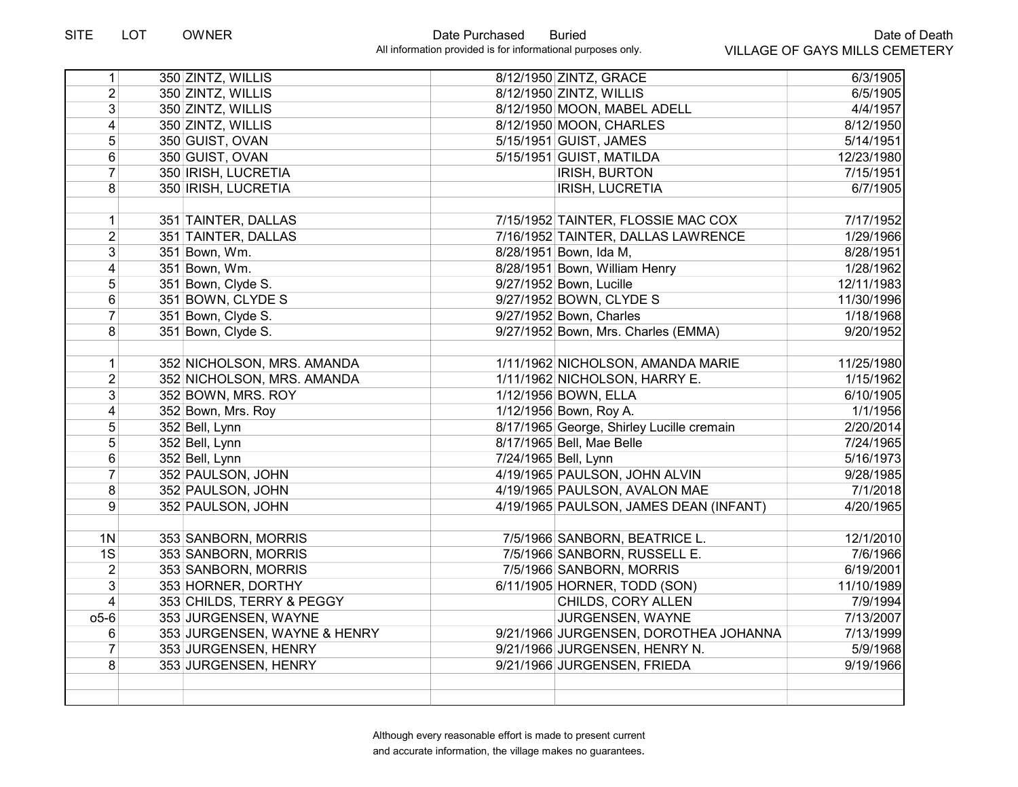| 1                       | 350 ZINTZ, WILLIS            | 8/12/1950 ZINTZ, GRACE                    | 6/3/1905   |
|-------------------------|------------------------------|-------------------------------------------|------------|
| $\overline{2}$          | 350 ZINTZ, WILLIS            | 8/12/1950 ZINTZ, WILLIS                   | 6/5/1905   |
| 3                       | 350 ZINTZ, WILLIS            | 8/12/1950 MOON, MABEL ADELL               | 4/4/1957   |
| 4                       | 350 ZINTZ, WILLIS            | 8/12/1950 MOON, CHARLES                   | 8/12/1950  |
| 5                       | 350 GUIST, OVAN              | 5/15/1951 GUIST, JAMES                    | 5/14/1951  |
| 6                       | 350 GUIST, OVAN              | 5/15/1951 GUIST, MATILDA                  | 12/23/1980 |
| $\overline{7}$          | 350 IRISH, LUCRETIA          | <b>IRISH, BURTON</b>                      | 7/15/1951  |
| 8                       | 350 IRISH, LUCRETIA          | <b>IRISH, LUCRETIA</b>                    | 6/7/1905   |
|                         |                              |                                           |            |
| $\mathbf 1$             | 351 TAINTER, DALLAS          | 7/15/1952 TAINTER, FLOSSIE MAC COX        | 7/17/1952  |
| $\overline{2}$          | 351 TAINTER, DALLAS          | 7/16/1952 TAINTER, DALLAS LAWRENCE        | 1/29/1966  |
| 3                       | 351 Bown, Wm.                | 8/28/1951 Bown, Ida M,                    | 8/28/1951  |
| 4                       | 351 Bown, Wm.                | 8/28/1951 Bown, William Henry             | 1/28/1962  |
| 5                       | 351 Bown, Clyde S.           | 9/27/1952 Bown, Lucille                   | 12/11/1983 |
| 6                       | 351 BOWN, CLYDE S            | 9/27/1952 BOWN, CLYDE S                   | 11/30/1996 |
| $\overline{7}$          | 351 Bown, Clyde S.           | 9/27/1952 Bown, Charles                   | 1/18/1968  |
| 8                       | 351 Bown, Clyde S.           | 9/27/1952 Bown, Mrs. Charles (EMMA)       | 9/20/1952  |
|                         |                              |                                           |            |
| $\mathbf 1$             | 352 NICHOLSON, MRS. AMANDA   | 1/11/1962 NICHOLSON, AMANDA MARIE         | 11/25/1980 |
| $\overline{2}$          | 352 NICHOLSON, MRS. AMANDA   | 1/11/1962 NICHOLSON, HARRY E.             | 1/15/1962  |
| 3                       | 352 BOWN, MRS. ROY           | 1/12/1956 BOWN, ELLA                      | 6/10/1905  |
| $\overline{\mathbf{4}}$ | 352 Bown, Mrs. Roy           | 1/12/1956 Bown, Roy A.                    | 1/1/1956   |
| 5                       | 352 Bell, Lynn               | 8/17/1965 George, Shirley Lucille cremain | 2/20/2014  |
| 5                       | 352 Bell, Lynn               | 8/17/1965 Bell, Mae Belle                 | 7/24/1965  |
| 6                       | 352 Bell, Lynn               | 7/24/1965 Bell, Lynn                      | 5/16/1973  |
| $\overline{7}$          | 352 PAULSON, JOHN            | 4/19/1965 PAULSON, JOHN ALVIN             | 9/28/1985  |
| 8                       | 352 PAULSON, JOHN            | 4/19/1965 PAULSON, AVALON MAE             | 7/1/2018   |
| 9                       | 352 PAULSON, JOHN            | 4/19/1965 PAULSON, JAMES DEAN (INFANT)    | 4/20/1965  |
|                         |                              |                                           |            |
| 1 <sub>N</sub>          | 353 SANBORN, MORRIS          | 7/5/1966 SANBORN, BEATRICE L.             | 12/1/2010  |
| 1S                      | 353 SANBORN, MORRIS          | 7/5/1966 SANBORN, RUSSELL E.              | 7/6/1966   |
| $\overline{2}$          | 353 SANBORN, MORRIS          | 7/5/1966 SANBORN, MORRIS                  | 6/19/2001  |
| 3                       | 353 HORNER, DORTHY           | 6/11/1905 HORNER, TODD (SON)              | 11/10/1989 |
| $\overline{4}$          | 353 CHILDS, TERRY & PEGGY    | CHILDS, CORY ALLEN                        | 7/9/1994   |
| $05-6$                  | 353 JURGENSEN, WAYNE         | JURGENSEN, WAYNE                          | 7/13/2007  |
| 6                       | 353 JURGENSEN, WAYNE & HENRY | 9/21/1966 JURGENSEN, DOROTHEA JOHANNA     | 7/13/1999  |
| $\overline{7}$          | 353 JURGENSEN, HENRY         | 9/21/1966 JURGENSEN, HENRY N.             | 5/9/1968   |
| 8                       | 353 JURGENSEN, HENRY         | 9/21/1966 JURGENSEN, FRIEDA               | 9/19/1966  |
|                         |                              |                                           |            |
|                         |                              |                                           |            |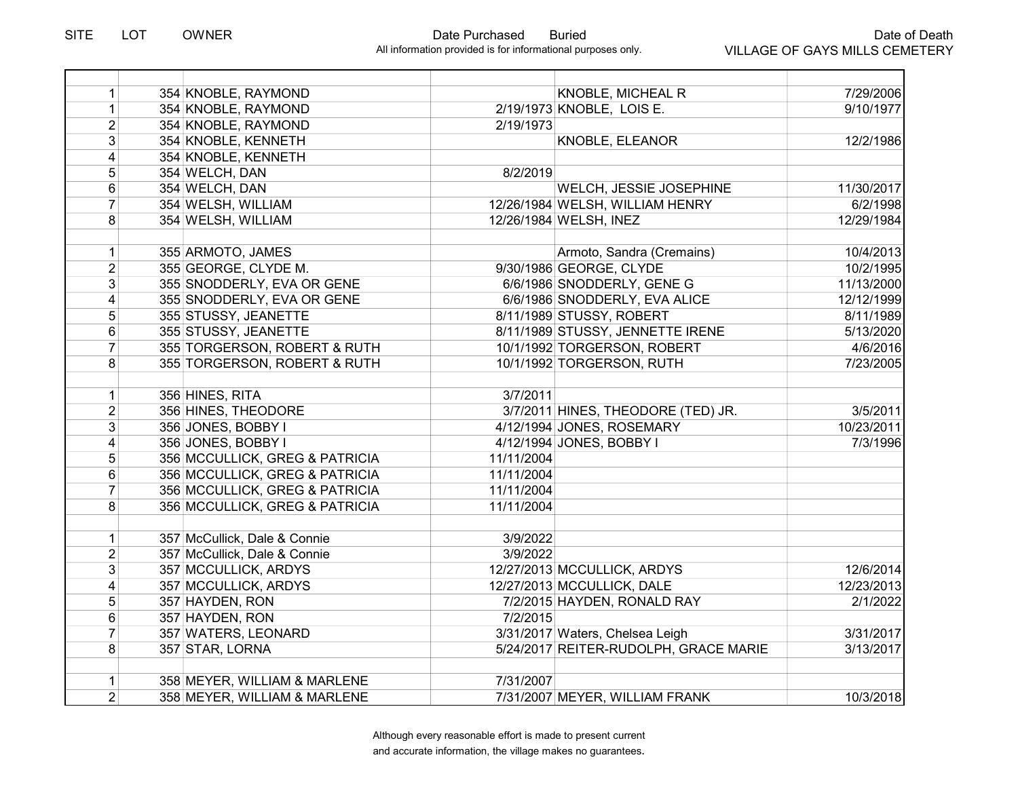|  |                                                                                                                                                                                                                                                                                                                                                                                                                                                                                                                                                                                                                                                                                                                                                                                                                                                                                                                        | <b>KNOBLE, MICHEAL R</b>  | 7/29/2006                                                                                                                                                                                                                                                                                                                                                                                                                                                                                                                                                                                                                                                                                                                                                           |
|--|------------------------------------------------------------------------------------------------------------------------------------------------------------------------------------------------------------------------------------------------------------------------------------------------------------------------------------------------------------------------------------------------------------------------------------------------------------------------------------------------------------------------------------------------------------------------------------------------------------------------------------------------------------------------------------------------------------------------------------------------------------------------------------------------------------------------------------------------------------------------------------------------------------------------|---------------------------|---------------------------------------------------------------------------------------------------------------------------------------------------------------------------------------------------------------------------------------------------------------------------------------------------------------------------------------------------------------------------------------------------------------------------------------------------------------------------------------------------------------------------------------------------------------------------------------------------------------------------------------------------------------------------------------------------------------------------------------------------------------------|
|  |                                                                                                                                                                                                                                                                                                                                                                                                                                                                                                                                                                                                                                                                                                                                                                                                                                                                                                                        |                           | 9/10/1977                                                                                                                                                                                                                                                                                                                                                                                                                                                                                                                                                                                                                                                                                                                                                           |
|  |                                                                                                                                                                                                                                                                                                                                                                                                                                                                                                                                                                                                                                                                                                                                                                                                                                                                                                                        |                           |                                                                                                                                                                                                                                                                                                                                                                                                                                                                                                                                                                                                                                                                                                                                                                     |
|  |                                                                                                                                                                                                                                                                                                                                                                                                                                                                                                                                                                                                                                                                                                                                                                                                                                                                                                                        | KNOBLE, ELEANOR           | 12/2/1986                                                                                                                                                                                                                                                                                                                                                                                                                                                                                                                                                                                                                                                                                                                                                           |
|  |                                                                                                                                                                                                                                                                                                                                                                                                                                                                                                                                                                                                                                                                                                                                                                                                                                                                                                                        |                           |                                                                                                                                                                                                                                                                                                                                                                                                                                                                                                                                                                                                                                                                                                                                                                     |
|  |                                                                                                                                                                                                                                                                                                                                                                                                                                                                                                                                                                                                                                                                                                                                                                                                                                                                                                                        |                           |                                                                                                                                                                                                                                                                                                                                                                                                                                                                                                                                                                                                                                                                                                                                                                     |
|  |                                                                                                                                                                                                                                                                                                                                                                                                                                                                                                                                                                                                                                                                                                                                                                                                                                                                                                                        | WELCH, JESSIE JOSEPHINE   | 11/30/2017                                                                                                                                                                                                                                                                                                                                                                                                                                                                                                                                                                                                                                                                                                                                                          |
|  |                                                                                                                                                                                                                                                                                                                                                                                                                                                                                                                                                                                                                                                                                                                                                                                                                                                                                                                        |                           | 6/2/1998                                                                                                                                                                                                                                                                                                                                                                                                                                                                                                                                                                                                                                                                                                                                                            |
|  |                                                                                                                                                                                                                                                                                                                                                                                                                                                                                                                                                                                                                                                                                                                                                                                                                                                                                                                        |                           | 12/29/1984                                                                                                                                                                                                                                                                                                                                                                                                                                                                                                                                                                                                                                                                                                                                                          |
|  |                                                                                                                                                                                                                                                                                                                                                                                                                                                                                                                                                                                                                                                                                                                                                                                                                                                                                                                        |                           |                                                                                                                                                                                                                                                                                                                                                                                                                                                                                                                                                                                                                                                                                                                                                                     |
|  |                                                                                                                                                                                                                                                                                                                                                                                                                                                                                                                                                                                                                                                                                                                                                                                                                                                                                                                        | Armoto, Sandra (Cremains) | 10/4/2013                                                                                                                                                                                                                                                                                                                                                                                                                                                                                                                                                                                                                                                                                                                                                           |
|  |                                                                                                                                                                                                                                                                                                                                                                                                                                                                                                                                                                                                                                                                                                                                                                                                                                                                                                                        |                           | 10/2/1995                                                                                                                                                                                                                                                                                                                                                                                                                                                                                                                                                                                                                                                                                                                                                           |
|  |                                                                                                                                                                                                                                                                                                                                                                                                                                                                                                                                                                                                                                                                                                                                                                                                                                                                                                                        |                           | 11/13/2000                                                                                                                                                                                                                                                                                                                                                                                                                                                                                                                                                                                                                                                                                                                                                          |
|  |                                                                                                                                                                                                                                                                                                                                                                                                                                                                                                                                                                                                                                                                                                                                                                                                                                                                                                                        |                           | 12/12/1999                                                                                                                                                                                                                                                                                                                                                                                                                                                                                                                                                                                                                                                                                                                                                          |
|  |                                                                                                                                                                                                                                                                                                                                                                                                                                                                                                                                                                                                                                                                                                                                                                                                                                                                                                                        |                           | 8/11/1989                                                                                                                                                                                                                                                                                                                                                                                                                                                                                                                                                                                                                                                                                                                                                           |
|  |                                                                                                                                                                                                                                                                                                                                                                                                                                                                                                                                                                                                                                                                                                                                                                                                                                                                                                                        |                           | 5/13/2020                                                                                                                                                                                                                                                                                                                                                                                                                                                                                                                                                                                                                                                                                                                                                           |
|  |                                                                                                                                                                                                                                                                                                                                                                                                                                                                                                                                                                                                                                                                                                                                                                                                                                                                                                                        |                           | 4/6/2016                                                                                                                                                                                                                                                                                                                                                                                                                                                                                                                                                                                                                                                                                                                                                            |
|  |                                                                                                                                                                                                                                                                                                                                                                                                                                                                                                                                                                                                                                                                                                                                                                                                                                                                                                                        |                           | 7/23/2005                                                                                                                                                                                                                                                                                                                                                                                                                                                                                                                                                                                                                                                                                                                                                           |
|  |                                                                                                                                                                                                                                                                                                                                                                                                                                                                                                                                                                                                                                                                                                                                                                                                                                                                                                                        |                           |                                                                                                                                                                                                                                                                                                                                                                                                                                                                                                                                                                                                                                                                                                                                                                     |
|  |                                                                                                                                                                                                                                                                                                                                                                                                                                                                                                                                                                                                                                                                                                                                                                                                                                                                                                                        |                           |                                                                                                                                                                                                                                                                                                                                                                                                                                                                                                                                                                                                                                                                                                                                                                     |
|  |                                                                                                                                                                                                                                                                                                                                                                                                                                                                                                                                                                                                                                                                                                                                                                                                                                                                                                                        |                           | 3/5/2011                                                                                                                                                                                                                                                                                                                                                                                                                                                                                                                                                                                                                                                                                                                                                            |
|  |                                                                                                                                                                                                                                                                                                                                                                                                                                                                                                                                                                                                                                                                                                                                                                                                                                                                                                                        |                           | 10/23/2011                                                                                                                                                                                                                                                                                                                                                                                                                                                                                                                                                                                                                                                                                                                                                          |
|  |                                                                                                                                                                                                                                                                                                                                                                                                                                                                                                                                                                                                                                                                                                                                                                                                                                                                                                                        |                           | 7/3/1996                                                                                                                                                                                                                                                                                                                                                                                                                                                                                                                                                                                                                                                                                                                                                            |
|  |                                                                                                                                                                                                                                                                                                                                                                                                                                                                                                                                                                                                                                                                                                                                                                                                                                                                                                                        |                           |                                                                                                                                                                                                                                                                                                                                                                                                                                                                                                                                                                                                                                                                                                                                                                     |
|  |                                                                                                                                                                                                                                                                                                                                                                                                                                                                                                                                                                                                                                                                                                                                                                                                                                                                                                                        |                           |                                                                                                                                                                                                                                                                                                                                                                                                                                                                                                                                                                                                                                                                                                                                                                     |
|  |                                                                                                                                                                                                                                                                                                                                                                                                                                                                                                                                                                                                                                                                                                                                                                                                                                                                                                                        |                           |                                                                                                                                                                                                                                                                                                                                                                                                                                                                                                                                                                                                                                                                                                                                                                     |
|  |                                                                                                                                                                                                                                                                                                                                                                                                                                                                                                                                                                                                                                                                                                                                                                                                                                                                                                                        |                           |                                                                                                                                                                                                                                                                                                                                                                                                                                                                                                                                                                                                                                                                                                                                                                     |
|  |                                                                                                                                                                                                                                                                                                                                                                                                                                                                                                                                                                                                                                                                                                                                                                                                                                                                                                                        |                           |                                                                                                                                                                                                                                                                                                                                                                                                                                                                                                                                                                                                                                                                                                                                                                     |
|  |                                                                                                                                                                                                                                                                                                                                                                                                                                                                                                                                                                                                                                                                                                                                                                                                                                                                                                                        |                           |                                                                                                                                                                                                                                                                                                                                                                                                                                                                                                                                                                                                                                                                                                                                                                     |
|  |                                                                                                                                                                                                                                                                                                                                                                                                                                                                                                                                                                                                                                                                                                                                                                                                                                                                                                                        |                           |                                                                                                                                                                                                                                                                                                                                                                                                                                                                                                                                                                                                                                                                                                                                                                     |
|  |                                                                                                                                                                                                                                                                                                                                                                                                                                                                                                                                                                                                                                                                                                                                                                                                                                                                                                                        |                           | 12/6/2014                                                                                                                                                                                                                                                                                                                                                                                                                                                                                                                                                                                                                                                                                                                                                           |
|  |                                                                                                                                                                                                                                                                                                                                                                                                                                                                                                                                                                                                                                                                                                                                                                                                                                                                                                                        |                           | 12/23/2013                                                                                                                                                                                                                                                                                                                                                                                                                                                                                                                                                                                                                                                                                                                                                          |
|  |                                                                                                                                                                                                                                                                                                                                                                                                                                                                                                                                                                                                                                                                                                                                                                                                                                                                                                                        |                           | 2/1/2022                                                                                                                                                                                                                                                                                                                                                                                                                                                                                                                                                                                                                                                                                                                                                            |
|  |                                                                                                                                                                                                                                                                                                                                                                                                                                                                                                                                                                                                                                                                                                                                                                                                                                                                                                                        |                           |                                                                                                                                                                                                                                                                                                                                                                                                                                                                                                                                                                                                                                                                                                                                                                     |
|  |                                                                                                                                                                                                                                                                                                                                                                                                                                                                                                                                                                                                                                                                                                                                                                                                                                                                                                                        |                           | 3/31/2017                                                                                                                                                                                                                                                                                                                                                                                                                                                                                                                                                                                                                                                                                                                                                           |
|  |                                                                                                                                                                                                                                                                                                                                                                                                                                                                                                                                                                                                                                                                                                                                                                                                                                                                                                                        |                           | 3/13/2017                                                                                                                                                                                                                                                                                                                                                                                                                                                                                                                                                                                                                                                                                                                                                           |
|  |                                                                                                                                                                                                                                                                                                                                                                                                                                                                                                                                                                                                                                                                                                                                                                                                                                                                                                                        |                           |                                                                                                                                                                                                                                                                                                                                                                                                                                                                                                                                                                                                                                                                                                                                                                     |
|  |                                                                                                                                                                                                                                                                                                                                                                                                                                                                                                                                                                                                                                                                                                                                                                                                                                                                                                                        |                           |                                                                                                                                                                                                                                                                                                                                                                                                                                                                                                                                                                                                                                                                                                                                                                     |
|  |                                                                                                                                                                                                                                                                                                                                                                                                                                                                                                                                                                                                                                                                                                                                                                                                                                                                                                                        |                           | 10/3/2018                                                                                                                                                                                                                                                                                                                                                                                                                                                                                                                                                                                                                                                                                                                                                           |
|  | 354 KNOBLE, RAYMOND<br>354 KNOBLE, RAYMOND<br>354 KNOBLE, RAYMOND<br>354 KNOBLE, KENNETH<br>354 KNOBLE, KENNETH<br>354 WELCH, DAN<br>354 WELCH, DAN<br>354 WELSH, WILLIAM<br>354 WELSH, WILLIAM<br>355 ARMOTO, JAMES<br>355 GEORGE, CLYDE M.<br>355 SNODDERLY, EVA OR GENE<br>355 SNODDERLY, EVA OR GENE<br>355 STUSSY, JEANETTE<br>355 STUSSY, JEANETTE<br>355 TORGERSON, ROBERT & RUTH<br>355 TORGERSON, ROBERT & RUTH<br>356 HINES, RITA<br>356 HINES, THEODORE<br>356 JONES, BOBBY I<br>356 JONES, BOBBY I<br>356 MCCULLICK, GREG & PATRICIA<br>356 MCCULLICK, GREG & PATRICIA<br>356 MCCULLICK, GREG & PATRICIA<br>356 MCCULLICK, GREG & PATRICIA<br>357 McCullick, Dale & Connie<br>357 McCullick, Dale & Connie<br>357 MCCULLICK, ARDYS<br>357 MCCULLICK, ARDYS<br>357 HAYDEN, RON<br>357 HAYDEN, RON<br>357 WATERS, LEONARD<br>357 STAR, LORNA<br>358 MEYER, WILLIAM & MARLENE<br>358 MEYER, WILLIAM & MARLENE |                           | 2/19/1973 KNOBLE, LOIS E.<br>2/19/1973<br>8/2/2019<br>12/26/1984 WELSH, WILLIAM HENRY<br>12/26/1984 WELSH, INEZ<br>9/30/1986 GEORGE, CLYDE<br>6/6/1986 SNODDERLY, GENE G<br>6/6/1986 SNODDERLY, EVA ALICE<br>8/11/1989 STUSSY, ROBERT<br>8/11/1989 STUSSY, JENNETTE IRENE<br>10/1/1992 TORGERSON, ROBERT<br>10/1/1992 TORGERSON, RUTH<br>3/7/2011<br>3/7/2011 HINES, THEODORE (TED) JR.<br>4/12/1994 JONES, ROSEMARY<br>4/12/1994 JONES, BOBBY I<br>11/11/2004<br>11/11/2004<br>11/11/2004<br>11/11/2004<br>3/9/2022<br>3/9/2022<br>12/27/2013 MCCULLICK, ARDYS<br>12/27/2013 MCCULLICK, DALE<br>7/2/2015 HAYDEN, RONALD RAY<br>7/2/2015<br>3/31/2017 Waters, Chelsea Leigh<br>5/24/2017 REITER-RUDOLPH, GRACE MARIE<br>7/31/2007<br>7/31/2007 MEYER, WILLIAM FRANK |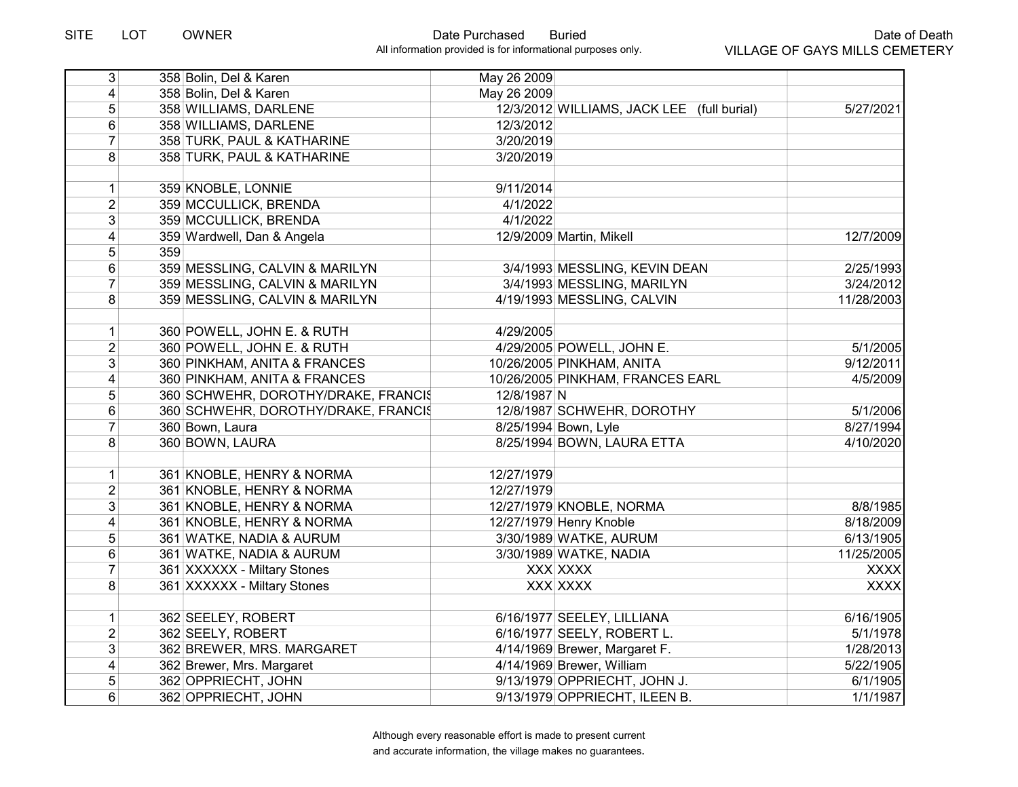| 3 <sup>1</sup>          |     | 358 Bolin, Del & Karen              | May 26 2009 |                                            |             |
|-------------------------|-----|-------------------------------------|-------------|--------------------------------------------|-------------|
| $\overline{4}$          |     | 358 Bolin, Del & Karen              | May 26 2009 |                                            |             |
| 5                       |     | 358 WILLIAMS, DARLENE               |             | 12/3/2012 WILLIAMS, JACK LEE (full burial) | 5/27/2021   |
| 6                       |     | 358 WILLIAMS, DARLENE               | 12/3/2012   |                                            |             |
| $\overline{7}$          |     | 358 TURK, PAUL & KATHARINE          | 3/20/2019   |                                            |             |
| 8                       |     | 358 TURK, PAUL & KATHARINE          | 3/20/2019   |                                            |             |
|                         |     |                                     |             |                                            |             |
| $\mathbf{1}$            |     | 359 KNOBLE, LONNIE                  | 9/11/2014   |                                            |             |
| $\overline{2}$          |     | 359 MCCULLICK, BRENDA               | 4/1/2022    |                                            |             |
| $\overline{3}$          |     | 359 MCCULLICK, BRENDA               | 4/1/2022    |                                            |             |
| 4                       |     | 359 Wardwell, Dan & Angela          |             | 12/9/2009 Martin, Mikell                   | 12/7/2009   |
| 5                       | 359 |                                     |             |                                            |             |
| 6                       |     | 359 MESSLING, CALVIN & MARILYN      |             | 3/4/1993 MESSLING, KEVIN DEAN              | 2/25/1993   |
| $\overline{7}$          |     | 359 MESSLING, CALVIN & MARILYN      |             | 3/4/1993 MESSLING, MARILYN                 | 3/24/2012   |
| 8                       |     | 359 MESSLING, CALVIN & MARILYN      |             | 4/19/1993 MESSLING, CALVIN                 | 11/28/2003  |
|                         |     |                                     |             |                                            |             |
| 1                       |     | 360 POWELL, JOHN E. & RUTH          | 4/29/2005   |                                            |             |
| $\overline{2}$          |     | 360 POWELL, JOHN E. & RUTH          |             | 4/29/2005 POWELL, JOHN E.                  | 5/1/2005    |
| 3                       |     | 360 PINKHAM, ANITA & FRANCES        |             | 10/26/2005 PINKHAM, ANITA                  | 9/12/2011   |
| 4                       |     | 360 PINKHAM, ANITA & FRANCES        |             | 10/26/2005 PINKHAM, FRANCES EARL           | 4/5/2009    |
| 5                       |     | 360 SCHWEHR, DOROTHY/DRAKE, FRANCIS | 12/8/1987 N |                                            |             |
| 6                       |     | 360 SCHWEHR, DOROTHY/DRAKE, FRANCIS |             | 12/8/1987 SCHWEHR, DOROTHY                 | 5/1/2006    |
| $\overline{7}$          |     | 360 Bown, Laura                     |             | 8/25/1994 Bown, Lyle                       | 8/27/1994   |
| 8                       |     | 360 BOWN, LAURA                     |             | 8/25/1994 BOWN, LAURA ETTA                 | 4/10/2020   |
|                         |     |                                     |             |                                            |             |
| $\mathbf{1}$            |     | 361 KNOBLE, HENRY & NORMA           | 12/27/1979  |                                            |             |
| $\overline{2}$          |     | 361 KNOBLE, HENRY & NORMA           | 12/27/1979  |                                            |             |
| 3                       |     | 361 KNOBLE, HENRY & NORMA           |             | 12/27/1979 KNOBLE, NORMA                   | 8/8/1985    |
| $\overline{\mathbf{4}}$ |     | 361 KNOBLE, HENRY & NORMA           |             | 12/27/1979 Henry Knoble                    | 8/18/2009   |
| 5                       |     | 361 WATKE, NADIA & AURUM            |             | 3/30/1989 WATKE, AURUM                     | 6/13/1905   |
| 6                       |     | 361 WATKE, NADIA & AURUM            |             | 3/30/1989 WATKE, NADIA                     | 11/25/2005  |
| $\overline{7}$          |     | 361 XXXXXX - Miltary Stones         |             | XXX XXXX                                   | <b>XXXX</b> |
| 8                       |     | 361 XXXXXX - Miltary Stones         |             | XXX XXXX                                   | <b>XXXX</b> |
|                         |     |                                     |             |                                            |             |
| $\mathbf{1}$            |     | 362 SEELEY, ROBERT                  |             | 6/16/1977 SEELEY, LILLIANA                 | 6/16/1905   |
| $\overline{2}$          |     | 362 SEELY, ROBERT                   |             | 6/16/1977 SEELY, ROBERT L.                 | 5/1/1978    |
| $\overline{3}$          |     | 362 BREWER, MRS. MARGARET           |             | 4/14/1969 Brewer, Margaret F.              | 1/28/2013   |
| $\overline{4}$          |     | 362 Brewer, Mrs. Margaret           |             | 4/14/1969 Brewer, William                  | 5/22/1905   |
| 5                       |     | 362 OPPRIECHT, JOHN                 |             | 9/13/1979 OPPRIECHT, JOHN J.               | 6/1/1905    |
| $6 \mid$                |     | 362 OPPRIECHT, JOHN                 |             | 9/13/1979 OPPRIECHT, ILEEN B.              | 1/1/1987    |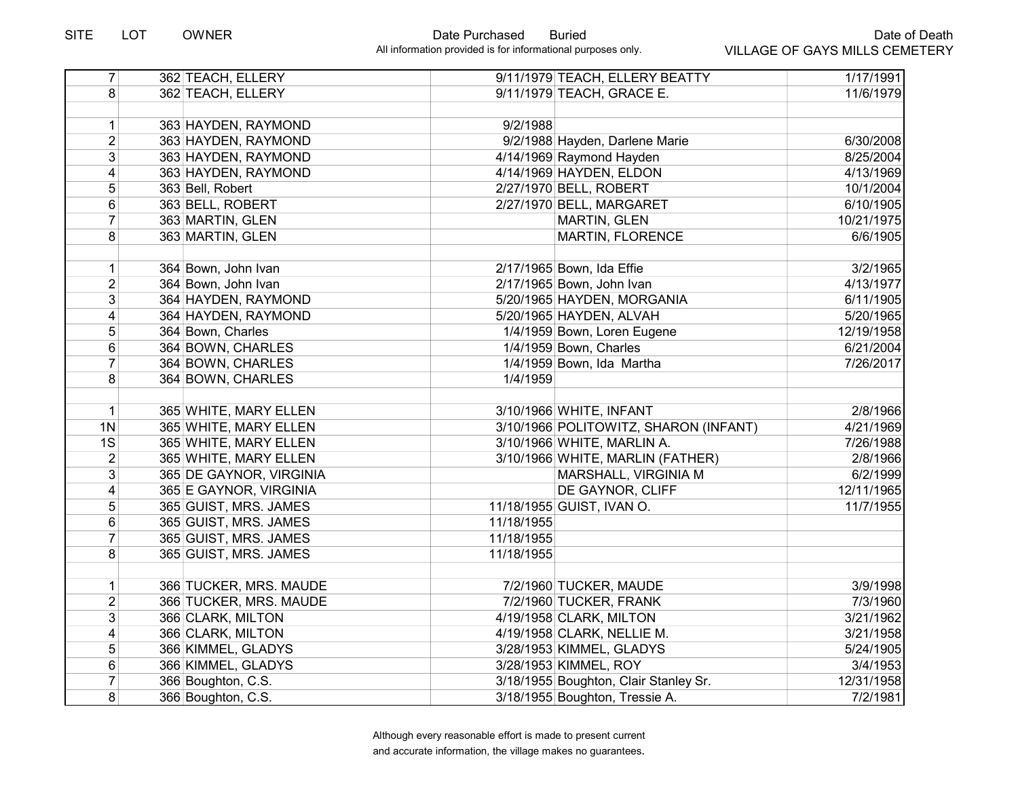| $\overline{7}$  | 362 TEACH, ELLERY       |            | 9/11/1979 TEACH, ELLERY BEATTY        | 1/17/1991  |
|-----------------|-------------------------|------------|---------------------------------------|------------|
| 8 <sup>1</sup>  | 362 TEACH, ELLERY       |            | 9/11/1979 TEACH, GRACE E.             | 11/6/1979  |
|                 |                         |            |                                       |            |
| 1               | 363 HAYDEN, RAYMOND     | 9/2/1988   |                                       |            |
| $\overline{2}$  | 363 HAYDEN, RAYMOND     |            | 9/2/1988 Hayden, Darlene Marie        | 6/30/2008  |
| 3 <sup>1</sup>  | 363 HAYDEN, RAYMOND     |            | 4/14/1969 Raymond Hayden              | 8/25/2004  |
| $\overline{4}$  | 363 HAYDEN, RAYMOND     |            | 4/14/1969 HAYDEN, ELDON               | 4/13/1969  |
| 5               | 363 Bell, Robert        |            | 2/27/1970 BELL, ROBERT                | 10/1/2004  |
| $6\phantom{1}$  | 363 BELL, ROBERT        |            | 2/27/1970 BELL, MARGARET              | 6/10/1905  |
| $\overline{7}$  | 363 MARTIN, GLEN        |            | MARTIN, GLEN                          | 10/21/1975 |
| 8               | 363 MARTIN, GLEN        |            | <b>MARTIN, FLORENCE</b>               | 6/6/1905   |
|                 |                         |            |                                       |            |
| $\mathbf{1}$    | 364 Bown, John Ivan     |            | 2/17/1965 Bown, Ida Effie             | 3/2/1965   |
| $\overline{2}$  | 364 Bown, John Ivan     |            | 2/17/1965 Bown, John Ivan             | 4/13/1977  |
| $\overline{3}$  | 364 HAYDEN, RAYMOND     |            | 5/20/1965 HAYDEN, MORGANIA            | 6/11/1905  |
| $\vert 4 \vert$ | 364 HAYDEN, RAYMOND     |            | 5/20/1965 HAYDEN, ALVAH               | 5/20/1965  |
| 5 <sup>1</sup>  | 364 Bown, Charles       |            | 1/4/1959 Bown, Loren Eugene           | 12/19/1958 |
| $6\phantom{1}$  | 364 BOWN, CHARLES       |            | 1/4/1959 Bown, Charles                | 6/21/2004  |
| $\overline{7}$  | 364 BOWN, CHARLES       |            | 1/4/1959 Bown, Ida Martha             | 7/26/2017  |
| 8 <sup>1</sup>  | 364 BOWN, CHARLES       | 1/4/1959   |                                       |            |
|                 |                         |            |                                       |            |
| 1               | 365 WHITE, MARY ELLEN   |            | 3/10/1966 WHITE, INFANT               | 2/8/1966   |
| 1 <sub>N</sub>  | 365 WHITE, MARY ELLEN   |            | 3/10/1966 POLITOWITZ, SHARON (INFANT) | 4/21/1969  |
| 1S              | 365 WHITE, MARY ELLEN   |            | 3/10/1966 WHITE, MARLIN A.            | 7/26/1988  |
| $\overline{2}$  | 365 WHITE, MARY ELLEN   |            | 3/10/1966 WHITE, MARLIN (FATHER)      | 2/8/1966   |
| 3 <sup>1</sup>  | 365 DE GAYNOR, VIRGINIA |            | MARSHALL, VIRGINIA M                  | 6/2/1999   |
| 4               | 365 E GAYNOR, VIRGINIA  |            | DE GAYNOR, CLIFF                      | 12/11/1965 |
| 5 <sup>5</sup>  | 365 GUIST, MRS. JAMES   |            | 11/18/1955 GUIST, IVAN O.             | 11/7/1955  |
| $6\phantom{1}$  | 365 GUIST, MRS. JAMES   | 11/18/1955 |                                       |            |
| $\overline{7}$  | 365 GUIST, MRS. JAMES   | 11/18/1955 |                                       |            |
| 8 <sup>1</sup>  | 365 GUIST, MRS. JAMES   | 11/18/1955 |                                       |            |
|                 |                         |            |                                       |            |
| 1               | 366 TUCKER, MRS. MAUDE  |            | 7/2/1960 TUCKER, MAUDE                | 3/9/1998   |
| $\overline{2}$  | 366 TUCKER, MRS. MAUDE  |            | 7/2/1960 TUCKER, FRANK                | 7/3/1960   |
| 3 <sup>1</sup>  | 366 CLARK, MILTON       |            | 4/19/1958 CLARK, MILTON               | 3/21/1962  |
| $\vert 4 \vert$ | 366 CLARK, MILTON       |            | 4/19/1958 CLARK, NELLIE M.            | 3/21/1958  |
| 5 <sup>1</sup>  | 366 KIMMEL, GLADYS      |            | 3/28/1953 KIMMEL, GLADYS              | 5/24/1905  |
| 6               | 366 KIMMEL, GLADYS      |            | 3/28/1953 KIMMEL, ROY                 | 3/4/1953   |
| $\overline{7}$  | 366 Boughton, C.S.      |            | 3/18/1955 Boughton, Clair Stanley Sr. | 12/31/1958 |
| 8 <sup>1</sup>  | 366 Boughton, C.S.      |            | 3/18/1955 Boughton, Tressie A.        | 7/2/1981   |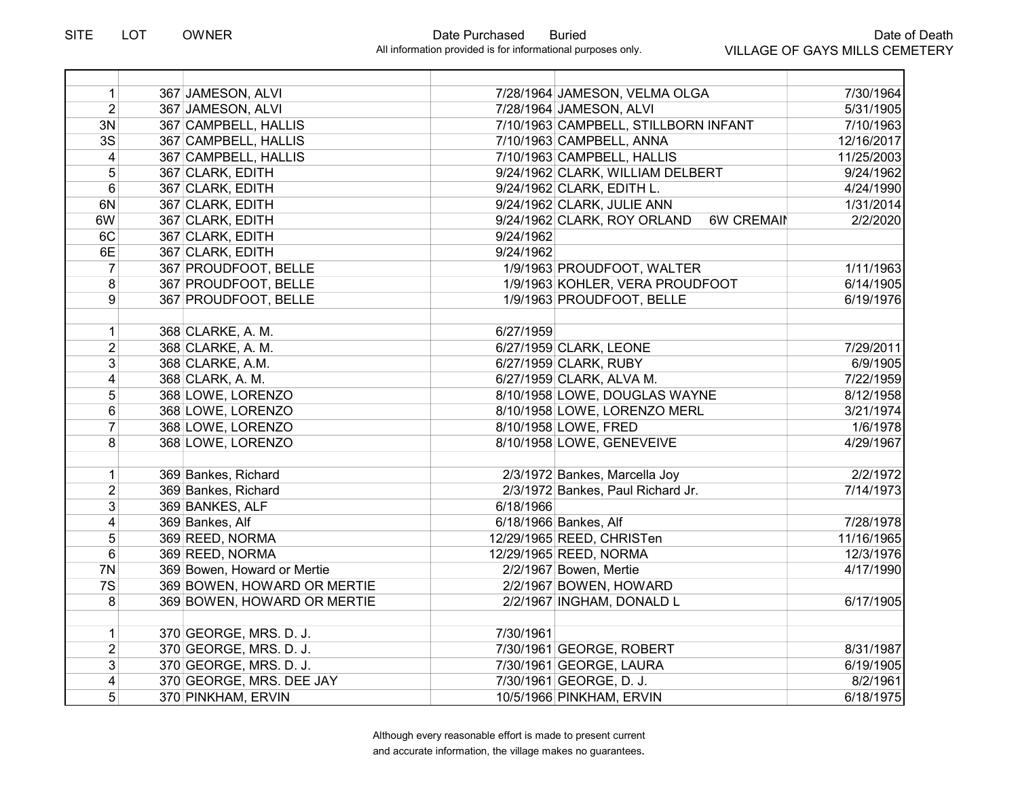| $\mathbf{1}$    | 367 JAMESON, ALVI           |           | 7/28/1964 JAMESON, VELMA OLGA                    | 7/30/1964  |
|-----------------|-----------------------------|-----------|--------------------------------------------------|------------|
| $\overline{2}$  | 367 JAMESON, ALVI           |           | 7/28/1964 JAMESON, ALVI                          | 5/31/1905  |
| 3N              | 367 CAMPBELL, HALLIS        |           | 7/10/1963 CAMPBELL, STILLBORN INFANT             | 7/10/1963  |
| $\overline{3S}$ | 367 CAMPBELL, HALLIS        |           | 7/10/1963 CAMPBELL, ANNA                         | 12/16/2017 |
| 4               | 367 CAMPBELL, HALLIS        |           | 7/10/1963 CAMPBELL, HALLIS                       | 11/25/2003 |
| 5               | 367 CLARK, EDITH            |           | 9/24/1962 CLARK, WILLIAM DELBERT                 | 9/24/1962  |
| 6               | 367 CLARK, EDITH            |           | 9/24/1962 CLARK, EDITH L.                        | 4/24/1990  |
| 6N              | 367 CLARK, EDITH            |           | 9/24/1962 CLARK, JULIE ANN                       | 1/31/2014  |
| 6W              | 367 CLARK, EDITH            |           | <b>6W CREMAIN</b><br>9/24/1962 CLARK, ROY ORLAND | 2/2/2020   |
| 6C              | 367 CLARK, EDITH            | 9/24/1962 |                                                  |            |
| 6E              | 367 CLARK, EDITH            | 9/24/1962 |                                                  |            |
| $\overline{7}$  | 367 PROUDFOOT, BELLE        |           | 1/9/1963 PROUDFOOT, WALTER                       | 1/11/1963  |
| 8               | 367 PROUDFOOT, BELLE        |           | 1/9/1963 KOHLER, VERA PROUDFOOT                  | 6/14/1905  |
| 9               | 367 PROUDFOOT, BELLE        |           | 1/9/1963 PROUDFOOT, BELLE                        | 6/19/1976  |
|                 |                             |           |                                                  |            |
| 1               | 368 CLARKE, A. M.           | 6/27/1959 |                                                  |            |
| $\overline{2}$  | 368 CLARKE, A. M.           |           | 6/27/1959 CLARK, LEONE                           | 7/29/2011  |
| 3               | 368 CLARKE, A.M.            |           | 6/27/1959 CLARK, RUBY                            | 6/9/1905   |
| 4               | 368 CLARK, A. M.            |           | 6/27/1959 CLARK, ALVA M.                         | 7/22/1959  |
| 5               | 368 LOWE, LORENZO           |           | 8/10/1958 LOWE, DOUGLAS WAYNE                    | 8/12/1958  |
| 6               | 368 LOWE, LORENZO           |           | 8/10/1958 LOWE, LORENZO MERL                     | 3/21/1974  |
| $\overline{7}$  | 368 LOWE, LORENZO           |           | 8/10/1958 LOWE, FRED                             | 1/6/1978   |
| 8               | 368 LOWE, LORENZO           |           | 8/10/1958 LOWE, GENEVEIVE                        | 4/29/1967  |
|                 |                             |           |                                                  |            |
| 1               | 369 Bankes, Richard         |           | 2/3/1972 Bankes, Marcella Joy                    | 2/2/1972   |
| $\overline{2}$  | 369 Bankes, Richard         |           | 2/3/1972 Bankes, Paul Richard Jr.                | 7/14/1973  |
| $\overline{3}$  | 369 BANKES, ALF             | 6/18/1966 |                                                  |            |
| $\overline{4}$  | 369 Bankes, Alf             |           | 6/18/1966 Bankes, Alf                            | 7/28/1978  |
| $\overline{5}$  | 369 REED, NORMA             |           | 12/29/1965 REED, CHRISTen                        | 11/16/1965 |
| 6               | 369 REED, NORMA             |           | 12/29/1965 REED, NORMA                           | 12/3/1976  |
| 7N              | 369 Bowen, Howard or Mertie |           | 2/2/1967 Bowen, Mertie                           | 4/17/1990  |
| 7S              | 369 BOWEN, HOWARD OR MERTIE |           | 2/2/1967 BOWEN, HOWARD                           |            |
| 8               | 369 BOWEN, HOWARD OR MERTIE |           | 2/2/1967 INGHAM, DONALD L                        | 6/17/1905  |
|                 |                             |           |                                                  |            |
| $\mathbf{1}$    | 370 GEORGE, MRS. D. J.      | 7/30/1961 |                                                  |            |
| $\overline{2}$  | 370 GEORGE, MRS. D. J.      |           | 7/30/1961 GEORGE, ROBERT                         | 8/31/1987  |
| 3               | 370 GEORGE, MRS. D. J.      |           | 7/30/1961 GEORGE, LAURA                          | 6/19/1905  |
| 4               | 370 GEORGE, MRS. DEE JAY    |           | 7/30/1961 GEORGE, D. J.                          | 8/2/1961   |
| 5               | 370 PINKHAM, ERVIN          |           | 10/5/1966 PINKHAM, ERVIN                         | 6/18/1975  |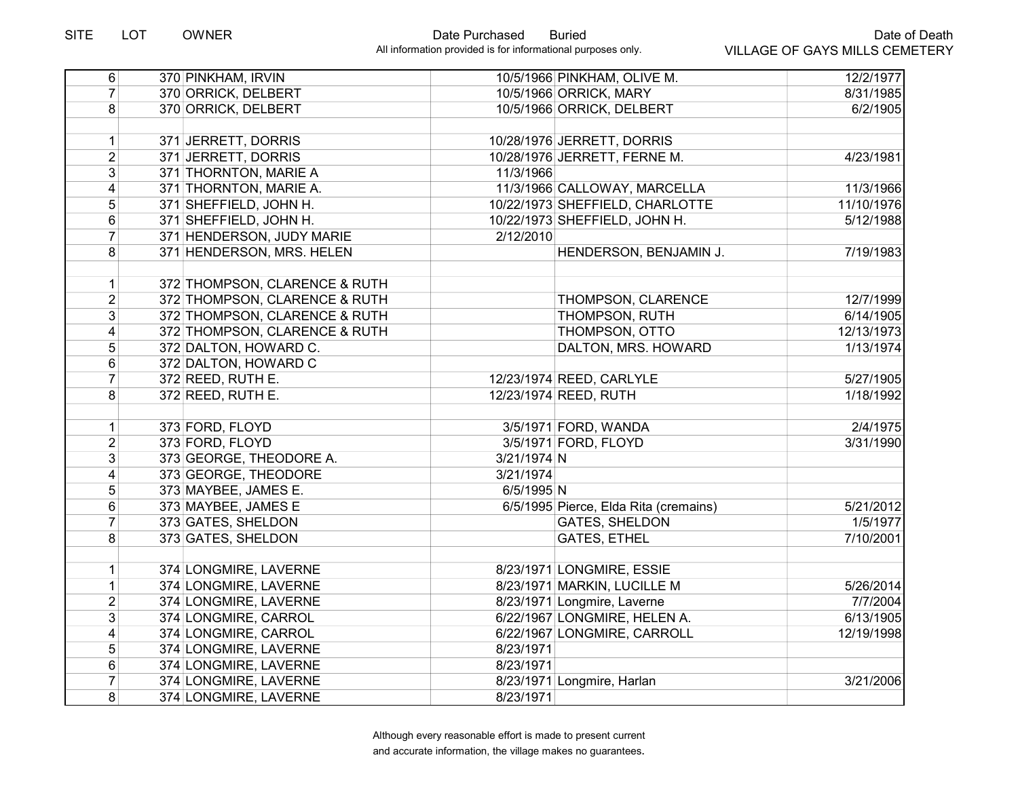| 6                       | 370 PINKHAM, IRVIN            | 10/5/1966 PINKHAM, OLIVE M.           | 12/2/1977  |
|-------------------------|-------------------------------|---------------------------------------|------------|
| $\overline{7}$          | 370 ORRICK, DELBERT           | 10/5/1966 ORRICK, MARY                | 8/31/1985  |
| 8                       | 370 ORRICK, DELBERT           | 10/5/1966 ORRICK, DELBERT             | 6/2/1905   |
|                         |                               |                                       |            |
| $\mathbf{1}$            | 371 JERRETT, DORRIS           | 10/28/1976 JERRETT, DORRIS            |            |
| $\overline{2}$          | 371 JERRETT, DORRIS           | 10/28/1976 JERRETT, FERNE M.          | 4/23/1981  |
| $\overline{3}$          | 371 THORNTON, MARIE A         | 11/3/1966                             |            |
| $\overline{4}$          | 371 THORNTON, MARIE A.        | 11/3/1966 CALLOWAY, MARCELLA          | 11/3/1966  |
| 5                       | 371 SHEFFIELD, JOHN H.        | 10/22/1973 SHEFFIELD, CHARLOTTE       | 11/10/1976 |
| 6                       | 371 SHEFFIELD, JOHN H.        | 10/22/1973 SHEFFIELD, JOHN H.         | 5/12/1988  |
| $\overline{7}$          | 371 HENDERSON, JUDY MARIE     | 2/12/2010                             |            |
| 8                       | 371 HENDERSON, MRS. HELEN     | HENDERSON, BENJAMIN J.                | 7/19/1983  |
|                         |                               |                                       |            |
| $\mathbf{1}$            | 372 THOMPSON, CLARENCE & RUTH |                                       |            |
| $\overline{2}$          | 372 THOMPSON, CLARENCE & RUTH | THOMPSON, CLARENCE                    | 12/7/1999  |
| $\overline{3}$          | 372 THOMPSON, CLARENCE & RUTH | THOMPSON, RUTH                        | 6/14/1905  |
| $\overline{\mathbf{4}}$ | 372 THOMPSON, CLARENCE & RUTH | THOMPSON, OTTO                        | 12/13/1973 |
| 5 <sup>1</sup>          | 372 DALTON, HOWARD C.         | DALTON, MRS. HOWARD                   | 1/13/1974  |
| 6                       | 372 DALTON, HOWARD C          |                                       |            |
| $\overline{7}$          | 372 REED, RUTH E.             | 12/23/1974 REED, CARLYLE              | 5/27/1905  |
| 8 <sup>1</sup>          | 372 REED, RUTH E.             | 12/23/1974 REED, RUTH                 | 1/18/1992  |
|                         |                               |                                       |            |
| $\mathbf{1}$            | 373 FORD, FLOYD               | 3/5/1971 FORD, WANDA                  | 2/4/1975   |
| $\overline{2}$          | 373 FORD, FLOYD               | 3/5/1971 FORD, FLOYD                  | 3/31/1990  |
| 3 <sup>1</sup>          | 373 GEORGE, THEODORE A.       | 3/21/1974 N                           |            |
| $\overline{\mathbf{4}}$ | 373 GEORGE, THEODORE          | 3/21/1974                             |            |
| 5                       | 373 MAYBEE, JAMES E.          | 6/5/1995 N                            |            |
| 6                       | 373 MAYBEE, JAMES E           | 6/5/1995 Pierce, Elda Rita (cremains) | 5/21/2012  |
| $\overline{7}$          | 373 GATES, SHELDON            | <b>GATES, SHELDON</b>                 | 1/5/1977   |
| 8                       | 373 GATES, SHELDON            | <b>GATES, ETHEL</b>                   | 7/10/2001  |
| 1                       | 374 LONGMIRE, LAVERNE         | 8/23/1971 LONGMIRE, ESSIE             |            |
| $\mathbf{1}$            | 374 LONGMIRE, LAVERNE         | 8/23/1971 MARKIN, LUCILLE M           | 5/26/2014  |
| $\overline{2}$          | 374 LONGMIRE, LAVERNE         | 8/23/1971 Longmire, Laverne           | 7/7/2004   |
| 3 <sup>1</sup>          | 374 LONGMIRE, CARROL          | 6/22/1967 LONGMIRE, HELEN A.          | 6/13/1905  |
| $\overline{\mathbf{4}}$ | 374 LONGMIRE, CARROL          | 6/22/1967 LONGMIRE, CARROLL           | 12/19/1998 |
| 5                       | 374 LONGMIRE, LAVERNE         | 8/23/1971                             |            |
| 6                       | 374 LONGMIRE, LAVERNE         | 8/23/1971                             |            |
| $\overline{7}$          | 374 LONGMIRE, LAVERNE         | 8/23/1971 Longmire, Harlan            | 3/21/2006  |
| $\bf{8}$                | 374 LONGMIRE, LAVERNE         | 8/23/1971                             |            |
|                         |                               |                                       |            |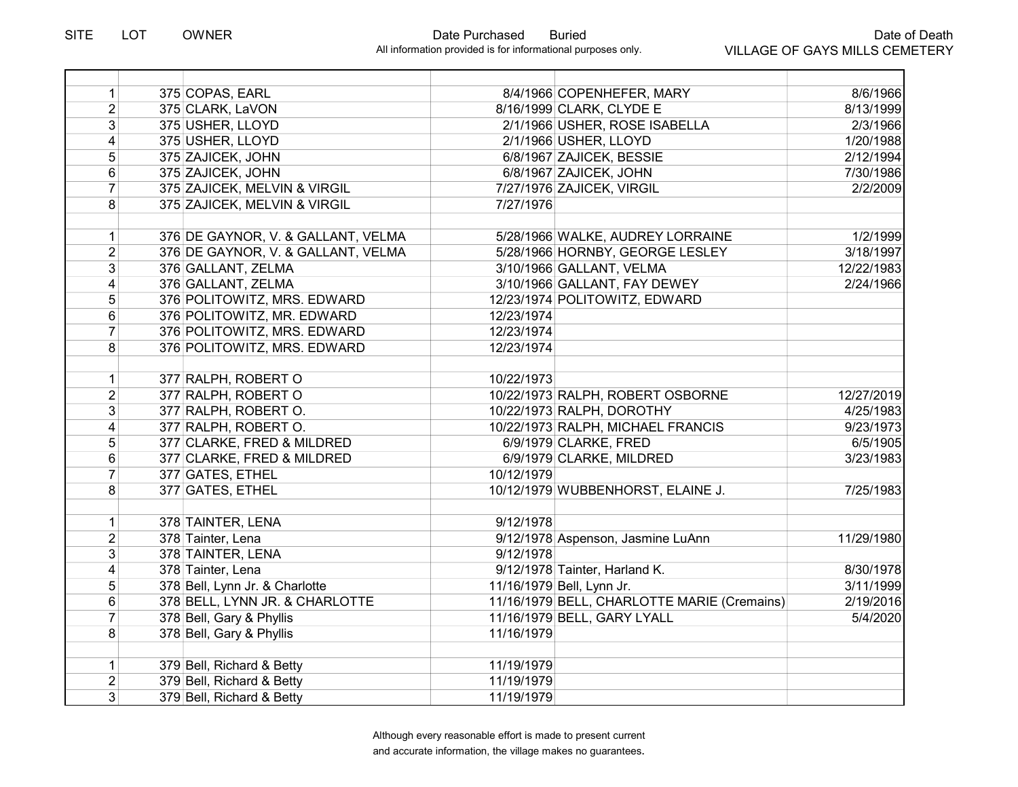| $\mathbf{1}$   | 375 COPAS, EARL                    | 8/4/1966 COPENHEFER, MARY                   | 8/6/1966   |
|----------------|------------------------------------|---------------------------------------------|------------|
| $\overline{2}$ | 375 CLARK, LaVON                   | 8/16/1999 CLARK, CLYDE E                    | 8/13/1999  |
| $\overline{3}$ | 375 USHER, LLOYD                   | 2/1/1966 USHER, ROSE ISABELLA               | 2/3/1966   |
| 4              | 375 USHER, LLOYD                   | 2/1/1966 USHER, LLOYD                       | 1/20/1988  |
| 5              | 375 ZAJICEK, JOHN                  | 6/8/1967 ZAJICEK, BESSIE                    | 2/12/1994  |
| 6              | 375 ZAJICEK, JOHN                  | 6/8/1967 ZAJICEK, JOHN                      | 7/30/1986  |
| $\overline{7}$ | 375 ZAJICEK, MELVIN & VIRGIL       | 7/27/1976 ZAJICEK, VIRGIL                   | 2/2/2009   |
| 8              | 375 ZAJICEK, MELVIN & VIRGIL       | 7/27/1976                                   |            |
|                |                                    |                                             |            |
| $\mathbf 1$    | 376 DE GAYNOR, V. & GALLANT, VELMA | 5/28/1966 WALKE, AUDREY LORRAINE            | 1/2/1999   |
| $\overline{2}$ | 376 DE GAYNOR, V. & GALLANT, VELMA | 5/28/1966 HORNBY, GEORGE LESLEY             | 3/18/1997  |
| $\overline{3}$ | 376 GALLANT, ZELMA                 | 3/10/1966 GALLANT, VELMA                    | 12/22/1983 |
| $\overline{4}$ | 376 GALLANT, ZELMA                 | 3/10/1966 GALLANT, FAY DEWEY                | 2/24/1966  |
| 5              | 376 POLITOWITZ, MRS. EDWARD        | 12/23/1974 POLITOWITZ, EDWARD               |            |
| 6              | 376 POLITOWITZ, MR. EDWARD         | 12/23/1974                                  |            |
| $\overline{7}$ | 376 POLITOWITZ, MRS. EDWARD        | 12/23/1974                                  |            |
| 8              | 376 POLITOWITZ, MRS. EDWARD        | 12/23/1974                                  |            |
|                |                                    |                                             |            |
| $\mathbf{1}$   | 377 RALPH, ROBERT O                | 10/22/1973                                  |            |
| $\overline{2}$ | 377 RALPH, ROBERT O                | 10/22/1973 RALPH, ROBERT OSBORNE            | 12/27/2019 |
| 3              | 377 RALPH, ROBERT O.               | 10/22/1973 RALPH, DOROTHY                   | 4/25/1983  |
| $\overline{4}$ | 377 RALPH, ROBERT O.               | 10/22/1973 RALPH, MICHAEL FRANCIS           | 9/23/1973  |
| 5              | 377 CLARKE, FRED & MILDRED         | 6/9/1979 CLARKE, FRED                       | 6/5/1905   |
| 6              | 377 CLARKE, FRED & MILDRED         | 6/9/1979 CLARKE, MILDRED                    | 3/23/1983  |
| $\overline{7}$ | 377 GATES, ETHEL                   | 10/12/1979                                  |            |
| 8              | 377 GATES, ETHEL                   | 10/12/1979 WUBBENHORST, ELAINE J.           | 7/25/1983  |
|                |                                    |                                             |            |
| $\mathbf 1$    | 378 TAINTER, LENA                  | 9/12/1978                                   |            |
| $\overline{2}$ | 378 Tainter, Lena                  | 9/12/1978 Aspenson, Jasmine LuAnn           | 11/29/1980 |
| 3              | 378 TAINTER, LENA                  | 9/12/1978                                   |            |
| 4              | 378 Tainter, Lena                  | 9/12/1978 Tainter, Harland K.               | 8/30/1978  |
| 5              | 378 Bell, Lynn Jr. & Charlotte     | 11/16/1979 Bell, Lynn Jr.                   | 3/11/1999  |
| 6              | 378 BELL, LYNN JR. & CHARLOTTE     | 11/16/1979 BELL, CHARLOTTE MARIE (Cremains) | 2/19/2016  |
| $\overline{7}$ | 378 Bell, Gary & Phyllis           | 11/16/1979 BELL, GARY LYALL                 | 5/4/2020   |
| 8              | 378 Bell, Gary & Phyllis           | 11/16/1979                                  |            |
|                |                                    |                                             |            |
| $\mathbf{1}$   | 379 Bell, Richard & Betty          | 11/19/1979                                  |            |
| $\overline{2}$ | 379 Bell, Richard & Betty          | 11/19/1979                                  |            |
| 3 <sup>1</sup> | 379 Bell, Richard & Betty          | 11/19/1979                                  |            |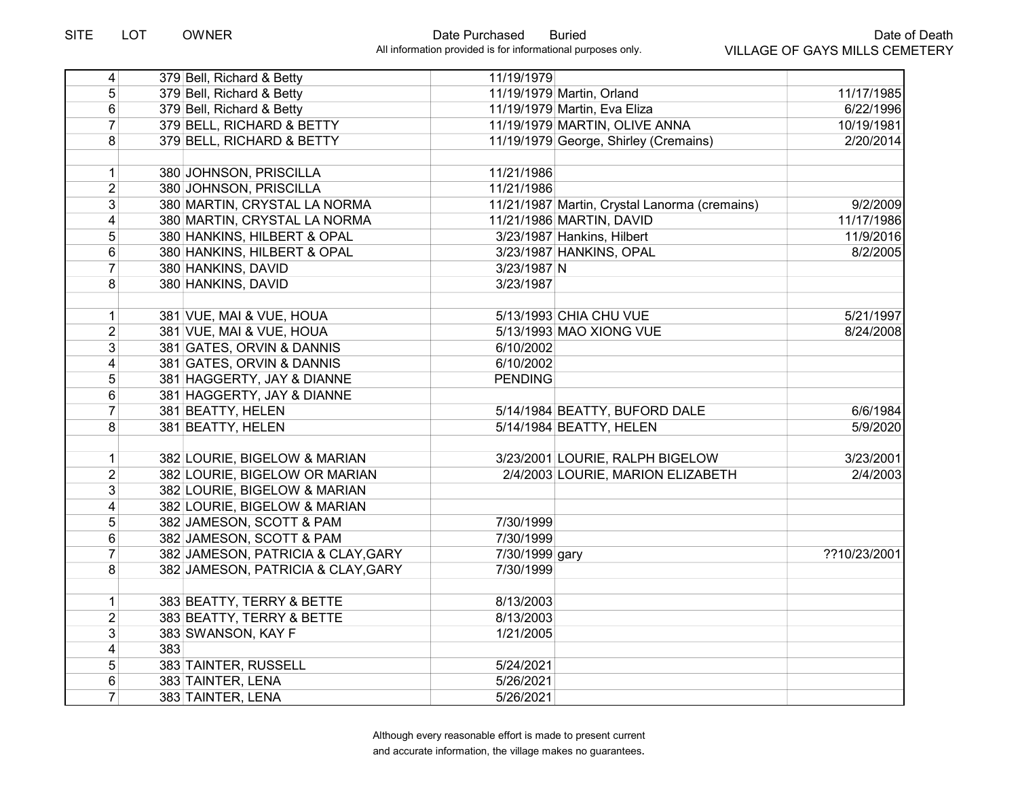| $\overline{4}$          |     | 379 Bell, Richard & Betty          | 11/19/1979     |                                               |              |
|-------------------------|-----|------------------------------------|----------------|-----------------------------------------------|--------------|
| 5 <sup>1</sup>          |     | 379 Bell, Richard & Betty          |                | 11/19/1979 Martin, Orland                     | 11/17/1985   |
| 6                       |     | 379 Bell, Richard & Betty          |                | 11/19/1979 Martin, Eva Eliza                  | 6/22/1996    |
| $\overline{7}$          |     | 379 BELL, RICHARD & BETTY          |                | 11/19/1979 MARTIN, OLIVE ANNA                 | 10/19/1981   |
| 8                       |     | 379 BELL, RICHARD & BETTY          |                | 11/19/1979 George, Shirley (Cremains)         | 2/20/2014    |
|                         |     |                                    |                |                                               |              |
| $\mathbf{1}$            |     | 380 JOHNSON, PRISCILLA             | 11/21/1986     |                                               |              |
| $\overline{2}$          |     | 380 JOHNSON, PRISCILLA             | 11/21/1986     |                                               |              |
| 3                       |     | 380 MARTIN, CRYSTAL LA NORMA       |                | 11/21/1987 Martin, Crystal Lanorma (cremains) | 9/2/2009     |
| $\overline{4}$          |     | 380 MARTIN, CRYSTAL LA NORMA       |                | 11/21/1986 MARTIN, DAVID                      | 11/17/1986   |
| $\overline{5}$          |     | 380 HANKINS, HILBERT & OPAL        |                | 3/23/1987 Hankins, Hilbert                    | 11/9/2016    |
| 6                       |     | 380 HANKINS, HILBERT & OPAL        |                | 3/23/1987 HANKINS, OPAL                       | 8/2/2005     |
| $\overline{7}$          |     | 380 HANKINS, DAVID                 | 3/23/1987 N    |                                               |              |
| 8                       |     | 380 HANKINS, DAVID                 | 3/23/1987      |                                               |              |
|                         |     |                                    |                |                                               |              |
| $\mathbf{1}$            |     | 381 VUE, MAI & VUE, HOUA           |                | 5/13/1993 CHIA CHU VUE                        | 5/21/1997    |
| $\overline{2}$          |     | 381 VUE, MAI & VUE, HOUA           |                | 5/13/1993 MAO XIONG VUE                       | 8/24/2008    |
| 3 <sup>1</sup>          |     | 381 GATES, ORVIN & DANNIS          | 6/10/2002      |                                               |              |
| $\vert 4 \vert$         |     | 381 GATES, ORVIN & DANNIS          | 6/10/2002      |                                               |              |
| 5                       |     | 381 HAGGERTY, JAY & DIANNE         | <b>PENDING</b> |                                               |              |
| 6                       |     | 381 HAGGERTY, JAY & DIANNE         |                |                                               |              |
| $\overline{7}$          |     | 381 BEATTY, HELEN                  |                | 5/14/1984 BEATTY, BUFORD DALE                 | 6/6/1984     |
| 8                       |     | 381 BEATTY, HELEN                  |                | 5/14/1984 BEATTY, HELEN                       | 5/9/2020     |
|                         |     |                                    |                |                                               |              |
| 1                       |     | 382 LOURIE, BIGELOW & MARIAN       |                | 3/23/2001 LOURIE, RALPH BIGELOW               | 3/23/2001    |
| $\overline{2}$          |     | 382 LOURIE, BIGELOW OR MARIAN      |                | 2/4/2003 LOURIE, MARION ELIZABETH             | 2/4/2003     |
| 3                       |     | 382 LOURIE, BIGELOW & MARIAN       |                |                                               |              |
| $\overline{4}$          |     | 382 LOURIE, BIGELOW & MARIAN       |                |                                               |              |
| $\overline{5}$          |     | 382 JAMESON, SCOTT & PAM           | 7/30/1999      |                                               |              |
| $\overline{6}$          |     | 382 JAMESON, SCOTT & PAM           | 7/30/1999      |                                               |              |
| $\overline{7}$          |     | 382 JAMESON, PATRICIA & CLAY, GARY | 7/30/1999 gary |                                               | ??10/23/2001 |
| 8                       |     | 382 JAMESON, PATRICIA & CLAY, GARY | 7/30/1999      |                                               |              |
|                         |     |                                    |                |                                               |              |
| $\mathbf{1}$            |     | 383 BEATTY, TERRY & BETTE          | 8/13/2003      |                                               |              |
| $\overline{2}$          |     | 383 BEATTY, TERRY & BETTE          | 8/13/2003      |                                               |              |
| $\overline{3}$          |     | 383 SWANSON, KAY F                 | 1/21/2005      |                                               |              |
| $\overline{\mathbf{4}}$ | 383 |                                    |                |                                               |              |
| 5                       |     | 383 TAINTER, RUSSELL               | 5/24/2021      |                                               |              |
| 6                       |     | 383 TAINTER, LENA                  | 5/26/2021      |                                               |              |
| $\overline{7}$          |     | 383 TAINTER, LENA                  | 5/26/2021      |                                               |              |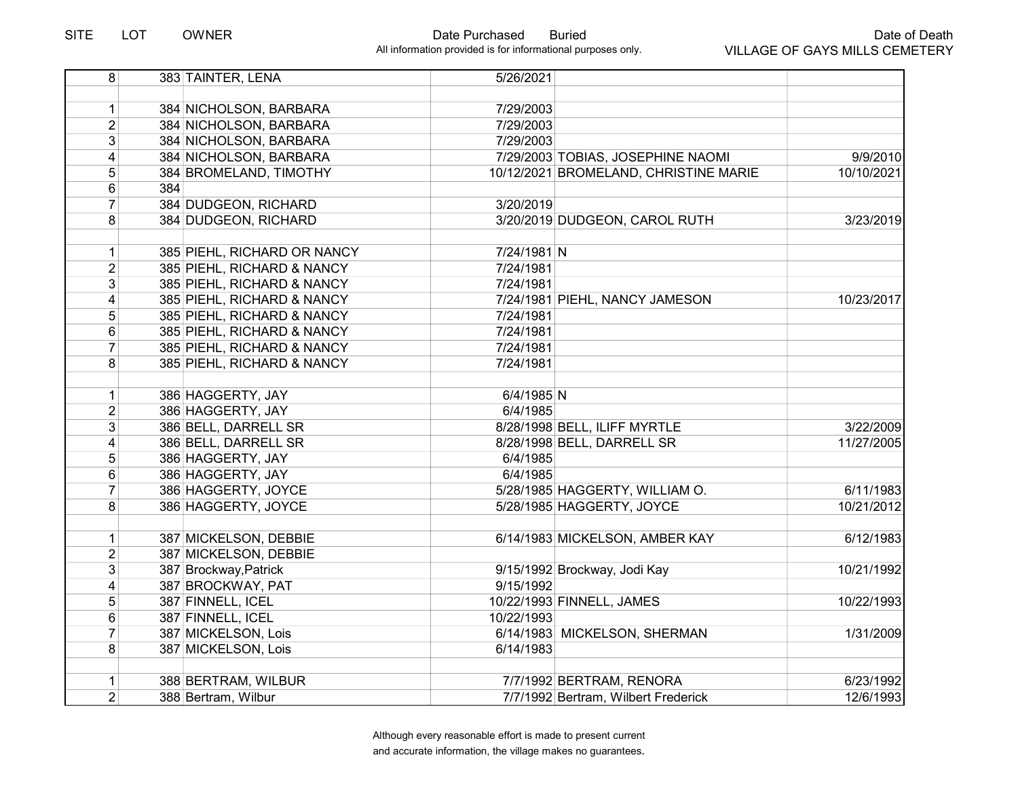| 384 NICHOLSON, BARBARA<br>7/29/2003<br>1<br>$\overline{2}$<br>7/29/2003<br>384 NICHOLSON, BARBARA<br>3 <sup>1</sup><br>384 NICHOLSON, BARBARA<br>7/29/2003 | 9/9/2010   |
|------------------------------------------------------------------------------------------------------------------------------------------------------------|------------|
|                                                                                                                                                            |            |
|                                                                                                                                                            |            |
|                                                                                                                                                            |            |
|                                                                                                                                                            |            |
| 4<br>384 NICHOLSON, BARBARA<br>7/29/2003 TOBIAS, JOSEPHINE NAOMI                                                                                           |            |
| $\overline{5}$<br>384 BROMELAND, TIMOTHY<br>10/12/2021 BROMELAND, CHRISTINE MARIE                                                                          | 10/10/2021 |
| $6\phantom{1}$<br>384                                                                                                                                      |            |
| $\overline{7}$<br>384 DUDGEON, RICHARD<br>3/20/2019                                                                                                        |            |
| 3/20/2019 DUDGEON, CAROL RUTH<br>8<br>384 DUDGEON, RICHARD                                                                                                 | 3/23/2019  |
| 385 PIEHL, RICHARD OR NANCY<br>7/24/1981 N<br>$\mathbf{1}$                                                                                                 |            |
| $\overline{2}$<br>385 PIEHL, RICHARD & NANCY<br>7/24/1981                                                                                                  |            |
| $\overline{3}$<br>385 PIEHL, RICHARD & NANCY<br>7/24/1981                                                                                                  |            |
| $\overline{4}$<br>385 PIEHL, RICHARD & NANCY<br>7/24/1981 PIEHL, NANCY JAMESON                                                                             | 10/23/2017 |
| 5<br>385 PIEHL, RICHARD & NANCY<br>7/24/1981                                                                                                               |            |
| $\,6\,$<br>385 PIEHL, RICHARD & NANCY<br>7/24/1981                                                                                                         |            |
| $\overline{7}$<br>385 PIEHL, RICHARD & NANCY<br>7/24/1981                                                                                                  |            |
| 8<br>385 PIEHL, RICHARD & NANCY<br>7/24/1981                                                                                                               |            |
|                                                                                                                                                            |            |
| 386 HAGGERTY, JAY<br>6/4/1985 N<br>1                                                                                                                       |            |
| $\overline{2}$<br>386 HAGGERTY, JAY<br>6/4/1985                                                                                                            |            |
| 3 <sup>1</sup><br>386 BELL, DARRELL SR<br>8/28/1998 BELL, ILIFF MYRTLE                                                                                     | 3/22/2009  |
| 4<br>386 BELL, DARRELL SR<br>8/28/1998 BELL, DARRELL SR                                                                                                    | 11/27/2005 |
| 5<br>386 HAGGERTY, JAY<br>6/4/1985                                                                                                                         |            |
| $6\phantom{1}$<br>386 HAGGERTY, JAY<br>6/4/1985                                                                                                            |            |
| 5/28/1985 HAGGERTY, WILLIAM O.<br>$\overline{7}$<br>386 HAGGERTY, JOYCE                                                                                    | 6/11/1983  |
| 8<br>386 HAGGERTY, JOYCE<br>5/28/1985 HAGGERTY, JOYCE                                                                                                      | 10/21/2012 |
|                                                                                                                                                            |            |
| 1<br>387 MICKELSON, DEBBIE<br>6/14/1983 MICKELSON, AMBER KAY                                                                                               | 6/12/1983  |
| $\overline{2}$<br>387 MICKELSON, DEBBIE                                                                                                                    |            |
| 3 <sup>1</sup><br>387 Brockway, Patrick<br>9/15/1992 Brockway, Jodi Kay                                                                                    | 10/21/1992 |
| $\vert 4 \vert$<br>387 BROCKWAY, PAT<br>9/15/1992                                                                                                          |            |
| 5<br>10/22/1993 FINNELL, JAMES<br>387 FINNELL, ICEL                                                                                                        | 10/22/1993 |
| $\,6$<br>10/22/1993<br>387 FINNELL, ICEL                                                                                                                   |            |
| $\overline{7}$<br>387 MICKELSON, Lois<br>6/14/1983 MICKELSON, SHERMAN                                                                                      | 1/31/2009  |
| 8<br>387 MICKELSON, Lois<br>6/14/1983                                                                                                                      |            |
| 388 BERTRAM, WILBUR<br>1<br>7/7/1992 BERTRAM, RENORA                                                                                                       | 6/23/1992  |
| $\overline{2}$<br>388 Bertram, Wilbur<br>7/7/1992 Bertram, Wilbert Frederick                                                                               | 12/6/1993  |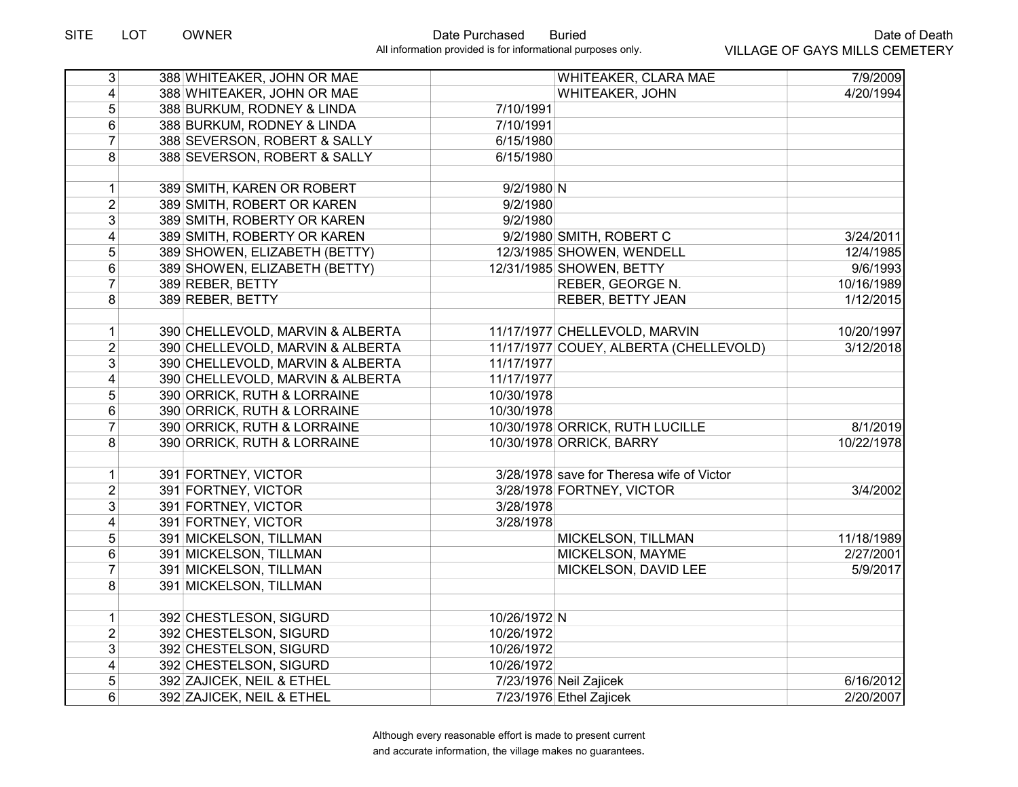| $\overline{3}$          | 388 WHITEAKER, JOHN OR MAE       | WHITEAKER, CLARA MAE                      | 7/9/2009   |
|-------------------------|----------------------------------|-------------------------------------------|------------|
| $\vert 4 \vert$         | 388 WHITEAKER, JOHN OR MAE       | WHITEAKER, JOHN                           | 4/20/1994  |
| 5 <sup>5</sup>          | 388 BURKUM, RODNEY & LINDA       | 7/10/1991                                 |            |
| 6                       | 388 BURKUM, RODNEY & LINDA       | 7/10/1991                                 |            |
| $\overline{7}$          | 388 SEVERSON, ROBERT & SALLY     | 6/15/1980                                 |            |
| 8 <sup>1</sup>          | 388 SEVERSON, ROBERT & SALLY     | 6/15/1980                                 |            |
|                         |                                  |                                           |            |
| $\vert$                 | 389 SMITH, KAREN OR ROBERT       | $9/2/1980$ N                              |            |
| $\overline{2}$          | 389 SMITH, ROBERT OR KAREN       | 9/2/1980                                  |            |
| $\overline{3}$          | 389 SMITH, ROBERTY OR KAREN      | 9/2/1980                                  |            |
| 4                       | 389 SMITH, ROBERTY OR KAREN      | 9/2/1980 SMITH, ROBERT C                  | 3/24/2011  |
| 5                       | 389 SHOWEN, ELIZABETH (BETTY)    | 12/3/1985 SHOWEN, WENDELL                 | 12/4/1985  |
| 6                       | 389 SHOWEN, ELIZABETH (BETTY)    | 12/31/1985 SHOWEN, BETTY                  | 9/6/1993   |
| $\overline{7}$          | 389 REBER, BETTY                 | REBER, GEORGE N.                          | 10/16/1989 |
| 8                       | 389 REBER, BETTY                 | <b>REBER, BETTY JEAN</b>                  | 1/12/2015  |
| 1                       | 390 CHELLEVOLD, MARVIN & ALBERTA | 11/17/1977 CHELLEVOLD, MARVIN             | 10/20/1997 |
| 2 <sup>1</sup>          | 390 CHELLEVOLD, MARVIN & ALBERTA | 11/17/1977 COUEY, ALBERTA (CHELLEVOLD)    | 3/12/2018  |
| 3 <sup>1</sup>          | 390 CHELLEVOLD, MARVIN & ALBERTA | 11/17/1977                                |            |
|                         |                                  | 11/17/1977                                |            |
| 4                       | 390 CHELLEVOLD, MARVIN & ALBERTA |                                           |            |
| 5 <sup>1</sup>          | 390 ORRICK, RUTH & LORRAINE      | 10/30/1978                                |            |
| $\,6$                   | 390 ORRICK, RUTH & LORRAINE      | 10/30/1978                                |            |
| $\overline{7}$          | 390 ORRICK, RUTH & LORRAINE      | 10/30/1978 ORRICK, RUTH LUCILLE           | 8/1/2019   |
| 8 <sup>1</sup>          | 390 ORRICK, RUTH & LORRAINE      | 10/30/1978 ORRICK, BARRY                  | 10/22/1978 |
| 1                       | 391 FORTNEY, VICTOR              | 3/28/1978 save for Theresa wife of Victor |            |
| $\overline{2}$          | 391 FORTNEY, VICTOR              | 3/28/1978 FORTNEY, VICTOR                 | 3/4/2002   |
| 3 <sup>1</sup>          | 391 FORTNEY, VICTOR              | 3/28/1978                                 |            |
| $\overline{\mathbf{4}}$ | 391 FORTNEY, VICTOR              | 3/28/1978                                 |            |
| $\overline{5}$          | 391 MICKELSON, TILLMAN           | MICKELSON, TILLMAN                        | 11/18/1989 |
| $\overline{6}$          | 391 MICKELSON, TILLMAN           | MICKELSON, MAYME                          | 2/27/2001  |
| $\overline{7}$          | 391 MICKELSON, TILLMAN           | MICKELSON, DAVID LEE                      | 5/9/2017   |
| 8 <sup>1</sup>          | 391 MICKELSON, TILLMAN           |                                           |            |
|                         |                                  |                                           |            |
| $\mathbf{1}$            | 392 CHESTLESON, SIGURD           | 10/26/1972 N                              |            |
| $\overline{2}$          | 392 CHESTELSON, SIGURD           | 10/26/1972                                |            |
| $\overline{3}$          | 392 CHESTELSON, SIGURD           | 10/26/1972                                |            |
| $\overline{4}$          | 392 CHESTELSON, SIGURD           | 10/26/1972                                |            |
| 5                       | 392 ZAJICEK, NEIL & ETHEL        | 7/23/1976 Neil Zajicek                    | 6/16/2012  |
| 6                       | 392 ZAJICEK, NEIL & ETHEL        | 7/23/1976 Ethel Zajicek                   | 2/20/2007  |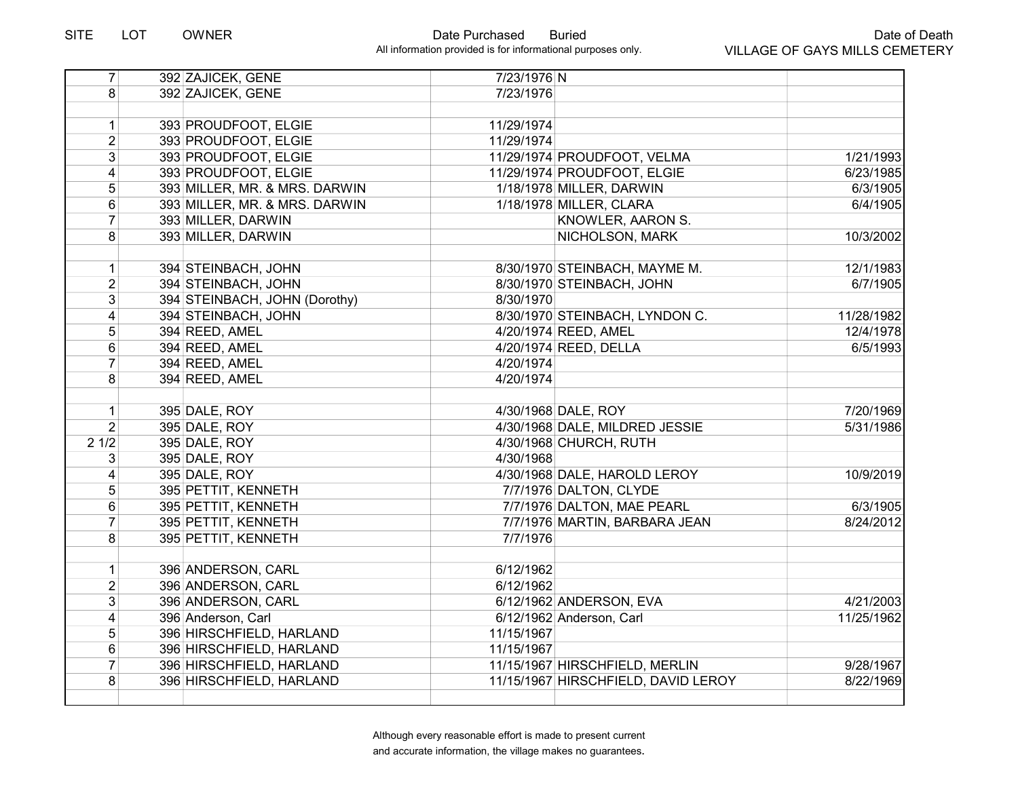| $\overline{7}$          | 392 ZAJICEK, GENE             | 7/23/1976 N |                                     |            |
|-------------------------|-------------------------------|-------------|-------------------------------------|------------|
| 8 <sup>1</sup>          | 392 ZAJICEK, GENE             | 7/23/1976   |                                     |            |
|                         |                               |             |                                     |            |
| 1                       | 393 PROUDFOOT, ELGIE          | 11/29/1974  |                                     |            |
| $\overline{2}$          | 393 PROUDFOOT, ELGIE          | 11/29/1974  |                                     |            |
| 3 <sup>1</sup>          | 393 PROUDFOOT, ELGIE          |             | 11/29/1974 PROUDFOOT, VELMA         | 1/21/1993  |
| 4                       | 393 PROUDFOOT, ELGIE          |             | 11/29/1974 PROUDFOOT, ELGIE         | 6/23/1985  |
| $\sqrt{5}$              | 393 MILLER, MR. & MRS. DARWIN |             | 1/18/1978 MILLER, DARWIN            | 6/3/1905   |
| $\,6\,$                 | 393 MILLER, MR. & MRS. DARWIN |             | 1/18/1978 MILLER, CLARA             | 6/4/1905   |
| $\overline{7}$          | 393 MILLER, DARWIN            |             | KNOWLER, AARON S.                   |            |
| 8                       | 393 MILLER, DARWIN            |             | NICHOLSON, MARK                     | 10/3/2002  |
|                         |                               |             |                                     |            |
| $\mathbf{1}$            | 394 STEINBACH, JOHN           |             | 8/30/1970 STEINBACH, MAYME M.       | 12/1/1983  |
| $\overline{2}$          | 394 STEINBACH, JOHN           |             | 8/30/1970 STEINBACH, JOHN           | 6/7/1905   |
| $\overline{3}$          | 394 STEINBACH, JOHN (Dorothy) | 8/30/1970   |                                     |            |
| $\overline{\mathbf{4}}$ | 394 STEINBACH, JOHN           |             | 8/30/1970 STEINBACH, LYNDON C.      | 11/28/1982 |
| 5                       | 394 REED, AMEL                |             | 4/20/1974 REED, AMEL                | 12/4/1978  |
| $6\phantom{1}$          | 394 REED, AMEL                |             | 4/20/1974 REED, DELLA               | 6/5/1993   |
| $\overline{7}$          | 394 REED, AMEL                | 4/20/1974   |                                     |            |
| 8                       | 394 REED, AMEL                | 4/20/1974   |                                     |            |
|                         |                               |             |                                     |            |
| $\mathbf{1}$            | 395 DALE, ROY                 |             | 4/30/1968 DALE, ROY                 | 7/20/1969  |
| $\overline{2}$          | 395 DALE, ROY                 |             | 4/30/1968 DALE, MILDRED JESSIE      | 5/31/1986  |
| 21/2                    | 395 DALE, ROY                 |             | 4/30/1968 CHURCH, RUTH              |            |
| 3 <sup>1</sup>          | 395 DALE, ROY                 | 4/30/1968   |                                     |            |
| $\vert 4 \vert$         | 395 DALE, ROY                 |             | 4/30/1968 DALE, HAROLD LEROY        | 10/9/2019  |
| 5                       | 395 PETTIT, KENNETH           |             | 7/7/1976 DALTON, CLYDE              |            |
| $6\phantom{1}$          | 395 PETTIT, KENNETH           |             | 7/7/1976 DALTON, MAE PEARL          | 6/3/1905   |
| $\overline{7}$          | 395 PETTIT, KENNETH           |             | 7/7/1976 MARTIN, BARBARA JEAN       | 8/24/2012  |
| $\overline{8}$          | 395 PETTIT, KENNETH           | 7/7/1976    |                                     |            |
|                         |                               |             |                                     |            |
| 1                       | 396 ANDERSON, CARL            | 6/12/1962   |                                     |            |
| $\overline{2}$          | 396 ANDERSON, CARL            | 6/12/1962   |                                     |            |
| 3 <sup>1</sup>          | 396 ANDERSON, CARL            |             | 6/12/1962 ANDERSON, EVA             | 4/21/2003  |
| 4                       | 396 Anderson, Carl            |             | 6/12/1962 Anderson, Carl            | 11/25/1962 |
| 5                       | 396 HIRSCHFIELD, HARLAND      | 11/15/1967  |                                     |            |
| $6\phantom{1}$          | 396 HIRSCHFIELD, HARLAND      | 11/15/1967  |                                     |            |
| $\overline{7}$          | 396 HIRSCHFIELD, HARLAND      |             | 11/15/1967 HIRSCHFIELD, MERLIN      | 9/28/1967  |
| 8                       | 396 HIRSCHFIELD, HARLAND      |             | 11/15/1967 HIRSCHFIELD, DAVID LEROY | 8/22/1969  |
|                         |                               |             |                                     |            |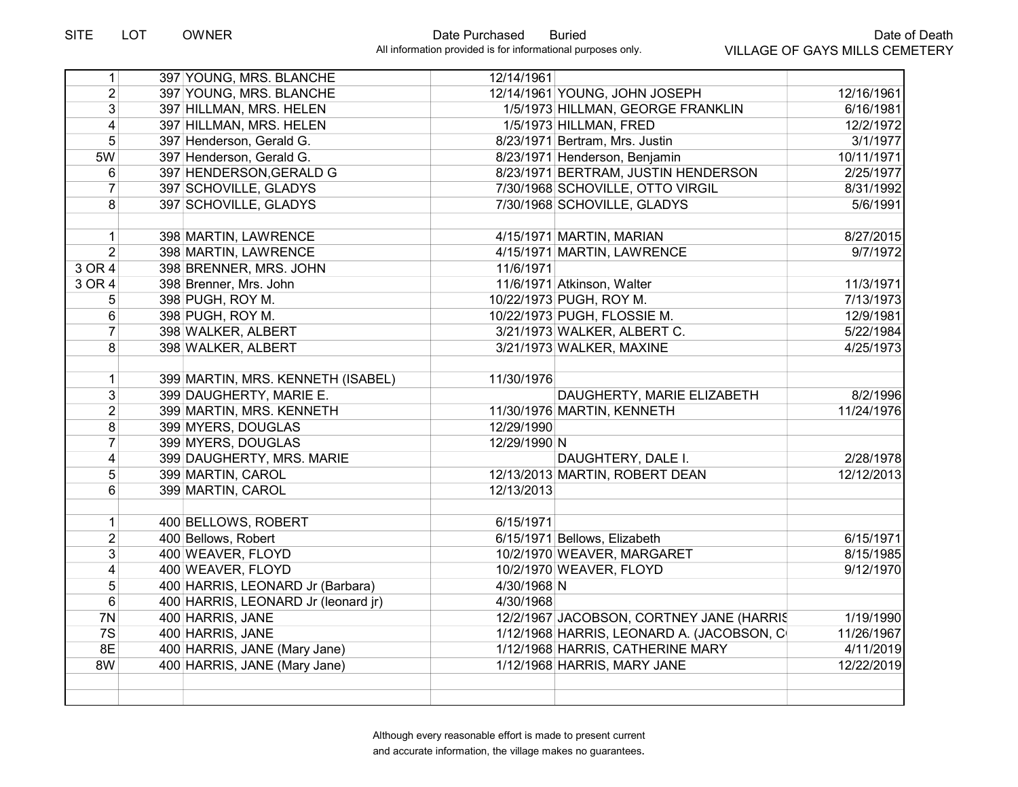| 1              | 397 YOUNG, MRS. BLANCHE             | 12/14/1961   |                                           |            |
|----------------|-------------------------------------|--------------|-------------------------------------------|------------|
| $\overline{2}$ | 397 YOUNG, MRS. BLANCHE             |              | 12/14/1961 YOUNG, JOHN JOSEPH             | 12/16/1961 |
| $\overline{3}$ | 397 HILLMAN, MRS. HELEN             |              | 1/5/1973 HILLMAN, GEORGE FRANKLIN         | 6/16/1981  |
| 4              | 397 HILLMAN, MRS. HELEN             |              | 1/5/1973 HILLMAN, FRED                    | 12/2/1972  |
| 5              | 397 Henderson, Gerald G.            |              | 8/23/1971 Bertram, Mrs. Justin            | 3/1/1977   |
| 5W             | 397 Henderson, Gerald G.            |              | 8/23/1971 Henderson, Benjamin             | 10/11/1971 |
| 6              | 397 HENDERSON, GERALD G             |              | 8/23/1971 BERTRAM, JUSTIN HENDERSON       | 2/25/1977  |
| $\overline{7}$ | 397 SCHOVILLE, GLADYS               |              | 7/30/1968 SCHOVILLE, OTTO VIRGIL          | 8/31/1992  |
| 8              | 397 SCHOVILLE, GLADYS               |              | 7/30/1968 SCHOVILLE, GLADYS               | 5/6/1991   |
|                |                                     |              |                                           |            |
| 1              | 398 MARTIN, LAWRENCE                |              | 4/15/1971 MARTIN, MARIAN                  | 8/27/2015  |
| $\overline{2}$ | 398 MARTIN, LAWRENCE                |              | 4/15/1971 MARTIN, LAWRENCE                | 9/7/1972   |
| 3 OR 4         | 398 BRENNER, MRS. JOHN              | 11/6/1971    |                                           |            |
| 3 OR 4         | 398 Brenner, Mrs. John              |              | 11/6/1971 Atkinson, Walter                | 11/3/1971  |
| 5              | 398 PUGH, ROY M.                    |              | 10/22/1973 PUGH, ROY M.                   | 7/13/1973  |
| 6              | 398 PUGH, ROY M.                    |              | 10/22/1973 PUGH, FLOSSIE M.               | 12/9/1981  |
| $\overline{7}$ | 398 WALKER, ALBERT                  |              | 3/21/1973 WALKER, ALBERT C.               | 5/22/1984  |
| 8              | 398 WALKER, ALBERT                  |              | 3/21/1973 WALKER, MAXINE                  | 4/25/1973  |
|                |                                     |              |                                           |            |
| $\mathbf{1}$   | 399 MARTIN, MRS. KENNETH (ISABEL)   | 11/30/1976   |                                           |            |
| 3              | 399 DAUGHERTY, MARIE E.             |              | DAUGHERTY, MARIE ELIZABETH                | 8/2/1996   |
| $\overline{2}$ | 399 MARTIN, MRS. KENNETH            |              | 11/30/1976 MARTIN, KENNETH                | 11/24/1976 |
| 8              | 399 MYERS, DOUGLAS                  | 12/29/1990   |                                           |            |
| $\overline{7}$ | 399 MYERS, DOUGLAS                  | 12/29/1990 N |                                           |            |
| 4              | 399 DAUGHERTY, MRS. MARIE           |              | DAUGHTERY, DALE I.                        | 2/28/1978  |
| 5              | 399 MARTIN, CAROL                   |              | 12/13/2013 MARTIN, ROBERT DEAN            | 12/12/2013 |
| 6              | 399 MARTIN, CAROL                   | 12/13/2013   |                                           |            |
|                |                                     |              |                                           |            |
| $\mathbf{1}$   | 400 BELLOWS, ROBERT                 | 6/15/1971    |                                           |            |
| $\overline{2}$ | 400 Bellows, Robert                 |              | 6/15/1971 Bellows, Elizabeth              | 6/15/1971  |
| $\overline{3}$ | 400 WEAVER, FLOYD                   |              | 10/2/1970 WEAVER, MARGARET                | 8/15/1985  |
| 4              | 400 WEAVER, FLOYD                   |              | 10/2/1970 WEAVER, FLOYD                   | 9/12/1970  |
| 5              | 400 HARRIS, LEONARD Jr (Barbara)    | 4/30/1968 N  |                                           |            |
| 6              | 400 HARRIS, LEONARD Jr (leonard jr) | 4/30/1968    |                                           |            |
| 7N             | 400 HARRIS, JANE                    |              | 12/2/1967 JACOBSON, CORTNEY JANE (HARRIS  | 1/19/1990  |
| 7S             | 400 HARRIS, JANE                    |              | 1/12/1968 HARRIS, LEONARD A. (JACOBSON, C | 11/26/1967 |
| 8E             | 400 HARRIS, JANE (Mary Jane)        |              | 1/12/1968 HARRIS, CATHERINE MARY          | 4/11/2019  |
| 8W             | 400 HARRIS, JANE (Mary Jane)        |              | 1/12/1968 HARRIS, MARY JANE               | 12/22/2019 |
|                |                                     |              |                                           |            |
|                |                                     |              |                                           |            |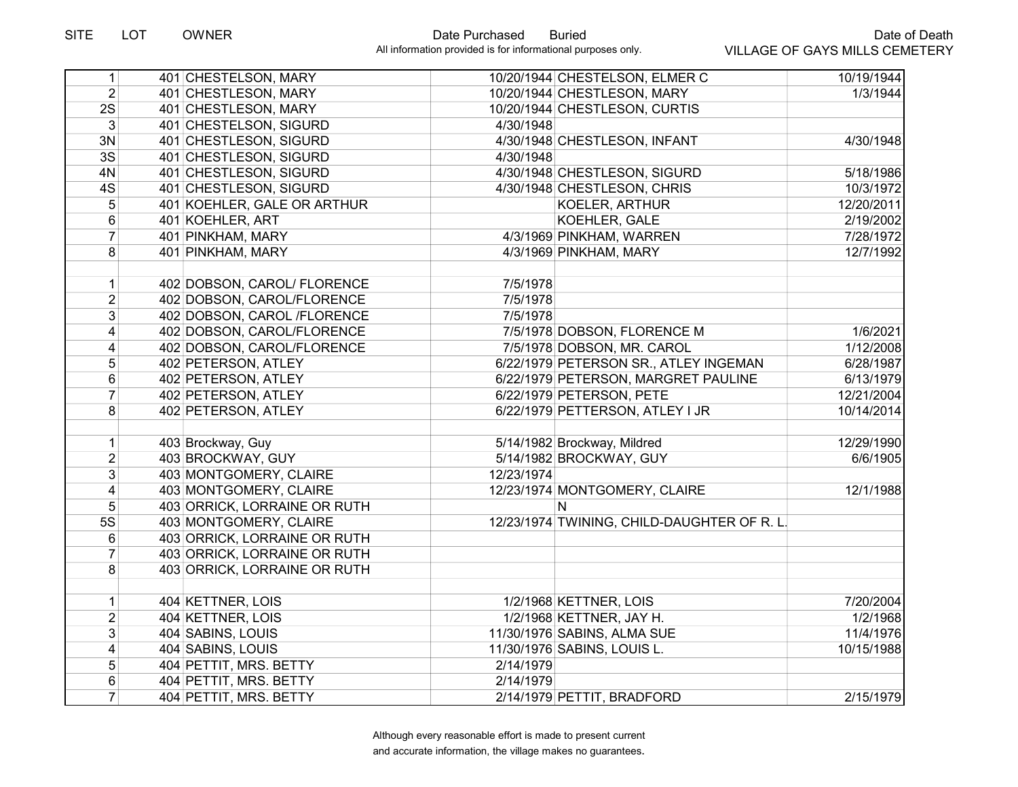| 1                       | 401 CHESTELSON, MARY         |            | 10/20/1944 CHESTELSON, ELMER C              | 10/19/1944 |
|-------------------------|------------------------------|------------|---------------------------------------------|------------|
| 2 <sup>1</sup>          | 401 CHESTLESON, MARY         |            | 10/20/1944 CHESTLESON, MARY                 | 1/3/1944   |
| 2S                      | 401 CHESTLESON, MARY         |            | 10/20/1944 CHESTLESON, CURTIS               |            |
| 3 <sup>1</sup>          | 401 CHESTELSON, SIGURD       | 4/30/1948  |                                             |            |
| 3N                      | 401 CHESTLESON, SIGURD       |            | 4/30/1948 CHESTLESON, INFANT                | 4/30/1948  |
| $\overline{3S}$         | 401 CHESTLESON, SIGURD       | 4/30/1948  |                                             |            |
| 4N                      | 401 CHESTLESON, SIGURD       |            | 4/30/1948 CHESTLESON, SIGURD                | 5/18/1986  |
| 4S                      | 401 CHESTLESON, SIGURD       |            | 4/30/1948 CHESTLESON, CHRIS                 | 10/3/1972  |
| 5                       | 401 KOEHLER, GALE OR ARTHUR  |            | KOELER, ARTHUR                              | 12/20/2011 |
| 6                       | 401 KOEHLER, ART             |            | KOEHLER, GALE                               | 2/19/2002  |
| $\overline{7}$          | 401 PINKHAM, MARY            |            | 4/3/1969 PINKHAM, WARREN                    | 7/28/1972  |
| 8                       | 401 PINKHAM, MARY            |            | 4/3/1969 PINKHAM, MARY                      | 12/7/1992  |
|                         |                              |            |                                             |            |
| $\mathbf{1}$            | 402 DOBSON, CAROL/ FLORENCE  | 7/5/1978   |                                             |            |
| $\overline{2}$          | 402 DOBSON, CAROL/FLORENCE   | 7/5/1978   |                                             |            |
| 3                       | 402 DOBSON, CAROL /FLORENCE  | 7/5/1978   |                                             |            |
| $\overline{4}$          | 402 DOBSON, CAROL/FLORENCE   |            | 7/5/1978 DOBSON, FLORENCE M                 | 1/6/2021   |
| $\overline{\mathbf{4}}$ | 402 DOBSON, CAROL/FLORENCE   |            | 7/5/1978 DOBSON, MR. CAROL                  | 1/12/2008  |
| $\overline{5}$          | 402 PETERSON, ATLEY          |            | 6/22/1979 PETERSON SR., ATLEY INGEMAN       | 6/28/1987  |
| 6                       | 402 PETERSON, ATLEY          |            | 6/22/1979 PETERSON, MARGRET PAULINE         | 6/13/1979  |
| $\overline{7}$          | 402 PETERSON, ATLEY          |            | 6/22/1979 PETERSON, PETE                    | 12/21/2004 |
| 8                       | 402 PETERSON, ATLEY          |            | 6/22/1979 PETTERSON, ATLEY I JR             | 10/14/2014 |
|                         |                              |            |                                             |            |
| $\mathbf{1}$            | 403 Brockway, Guy            |            | 5/14/1982 Brockway, Mildred                 | 12/29/1990 |
| $\overline{2}$          | 403 BROCKWAY, GUY            |            | 5/14/1982 BROCKWAY, GUY                     | 6/6/1905   |
| 3                       | 403 MONTGOMERY, CLAIRE       | 12/23/1974 |                                             |            |
| $\overline{4}$          | 403 MONTGOMERY, CLAIRE       |            | 12/23/1974 MONTGOMERY, CLAIRE               | 12/1/1988  |
| 5                       | 403 ORRICK, LORRAINE OR RUTH |            | N                                           |            |
| 5S                      | 403 MONTGOMERY, CLAIRE       |            | 12/23/1974 TWINING, CHILD-DAUGHTER OF R. L. |            |
| 6                       | 403 ORRICK, LORRAINE OR RUTH |            |                                             |            |
| $\overline{7}$          | 403 ORRICK, LORRAINE OR RUTH |            |                                             |            |
| 8                       | 403 ORRICK, LORRAINE OR RUTH |            |                                             |            |
|                         |                              |            |                                             |            |
| $\mathbf{1}$            | 404 KETTNER, LOIS            |            | 1/2/1968 KETTNER, LOIS                      | 7/20/2004  |
| $\overline{2}$          | 404 KETTNER, LOIS            |            | 1/2/1968 KETTNER, JAY H.                    | 1/2/1968   |
| 3                       | 404 SABINS, LOUIS            |            | 11/30/1976 SABINS, ALMA SUE                 | 11/4/1976  |
| $\overline{\mathbf{4}}$ | 404 SABINS, LOUIS            |            | 11/30/1976 SABINS, LOUIS L.                 | 10/15/1988 |
| 5                       | 404 PETTIT, MRS. BETTY       | 2/14/1979  |                                             |            |
| 6                       | 404 PETTIT, MRS. BETTY       | 2/14/1979  |                                             |            |
| $\overline{7}$          | 404 PETTIT, MRS. BETTY       |            | 2/14/1979 PETTIT, BRADFORD                  | 2/15/1979  |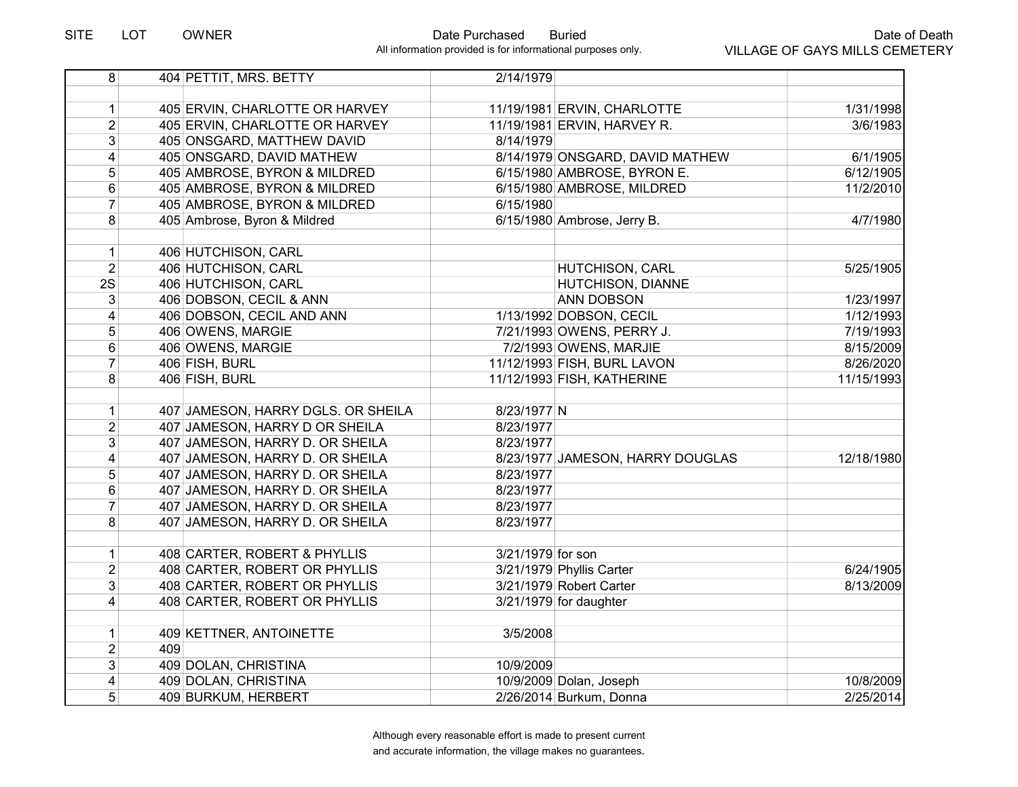| 8 <sup>1</sup>          |     | 404 PETTIT, MRS. BETTY             | 2/14/1979         |                                  |            |
|-------------------------|-----|------------------------------------|-------------------|----------------------------------|------------|
|                         |     |                                    |                   |                                  |            |
| $\mathbf{1}$            |     | 405 ERVIN, CHARLOTTE OR HARVEY     |                   | 11/19/1981 ERVIN, CHARLOTTE      | 1/31/1998  |
| $\overline{2}$          |     | 405 ERVIN, CHARLOTTE OR HARVEY     |                   | 11/19/1981 ERVIN, HARVEY R.      | 3/6/1983   |
| $\overline{3}$          |     | 405 ONSGARD, MATTHEW DAVID         | 8/14/1979         |                                  |            |
| $\overline{4}$          |     | 405 ONSGARD, DAVID MATHEW          |                   | 8/14/1979 ONSGARD, DAVID MATHEW  | 6/1/1905   |
| $\overline{5}$          |     | 405 AMBROSE, BYRON & MILDRED       |                   | 6/15/1980 AMBROSE, BYRON E.      | 6/12/1905  |
| $\overline{6}$          |     | 405 AMBROSE, BYRON & MILDRED       |                   | 6/15/1980 AMBROSE, MILDRED       | 11/2/2010  |
| $\overline{7}$          |     | 405 AMBROSE, BYRON & MILDRED       | 6/15/1980         |                                  |            |
| 8                       |     | 405 Ambrose, Byron & Mildred       |                   | 6/15/1980 Ambrose, Jerry B.      | 4/7/1980   |
|                         |     |                                    |                   |                                  |            |
| 1                       |     | 406 HUTCHISON, CARL                |                   |                                  |            |
| $\overline{2}$          |     | 406 HUTCHISON, CARL                |                   | HUTCHISON, CARL                  | 5/25/1905  |
| 2S                      |     | 406 HUTCHISON, CARL                |                   | HUTCHISON, DIANNE                |            |
| 3                       |     | 406 DOBSON, CECIL & ANN            |                   | <b>ANN DOBSON</b>                | 1/23/1997  |
| $\overline{\mathbf{4}}$ |     | 406 DOBSON, CECIL AND ANN          |                   | 1/13/1992 DOBSON, CECIL          | 1/12/1993  |
| 5                       |     | 406 OWENS, MARGIE                  |                   | 7/21/1993 OWENS, PERRY J.        | 7/19/1993  |
| 6                       |     | 406 OWENS, MARGIE                  |                   | 7/2/1993 OWENS, MARJIE           | 8/15/2009  |
| $\overline{7}$          |     | 406 FISH, BURL                     |                   | 11/12/1993 FISH, BURL LAVON      | 8/26/2020  |
| 8                       |     | 406 FISH, BURL                     |                   | 11/12/1993 FISH, KATHERINE       | 11/15/1993 |
|                         |     |                                    |                   |                                  |            |
| 1                       |     | 407 JAMESON, HARRY DGLS. OR SHEILA | 8/23/1977 N       |                                  |            |
| $\overline{2}$          |     | 407 JAMESON, HARRY D OR SHEILA     | 8/23/1977         |                                  |            |
| 3                       |     | 407 JAMESON, HARRY D. OR SHEILA    | 8/23/1977         |                                  |            |
| $\overline{\mathbf{4}}$ |     | 407 JAMESON, HARRY D. OR SHEILA    |                   | 8/23/1977 JAMESON, HARRY DOUGLAS | 12/18/1980 |
| 5                       |     | 407 JAMESON, HARRY D. OR SHEILA    | 8/23/1977         |                                  |            |
| 6                       |     | 407 JAMESON, HARRY D. OR SHEILA    | 8/23/1977         |                                  |            |
| $\overline{7}$          |     | 407 JAMESON, HARRY D. OR SHEILA    | 8/23/1977         |                                  |            |
| $\overline{8}$          |     | 407 JAMESON, HARRY D. OR SHEILA    | 8/23/1977         |                                  |            |
|                         |     |                                    |                   |                                  |            |
| $\mathbf{1}$            |     | 408 CARTER, ROBERT & PHYLLIS       | 3/21/1979 for son |                                  |            |
| $\overline{2}$          |     | 408 CARTER, ROBERT OR PHYLLIS      |                   | 3/21/1979 Phyllis Carter         | 6/24/1905  |
| $\overline{3}$          |     | 408 CARTER, ROBERT OR PHYLLIS      |                   | 3/21/1979 Robert Carter          | 8/13/2009  |
| 4                       |     | 408 CARTER, ROBERT OR PHYLLIS      |                   | 3/21/1979 for daughter           |            |
|                         |     |                                    |                   |                                  |            |
| 1                       |     | 409 KETTNER, ANTOINETTE            | 3/5/2008          |                                  |            |
| $\overline{2}$          | 409 |                                    |                   |                                  |            |
| $\overline{3}$          |     | 409 DOLAN, CHRISTINA               | 10/9/2009         |                                  |            |
| 4                       |     | 409 DOLAN, CHRISTINA               |                   | 10/9/2009 Dolan, Joseph          | 10/8/2009  |
| 5                       |     | 409 BURKUM, HERBERT                |                   | 2/26/2014 Burkum, Donna          | 2/25/2014  |